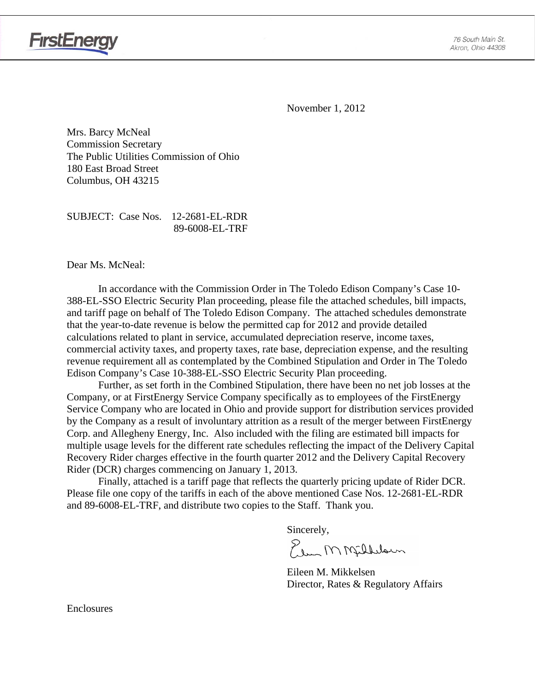

November 1, 2012

Mrs. Barcy McNeal Commission Secretary The Public Utilities Commission of Ohio 180 East Broad Street Columbus, OH 43215

SUBJECT: Case Nos. 12-2681-EL-RDR 89-6008-EL-TRF

Dear Ms. McNeal:

**FirstEnergy** 

In accordance with the Commission Order in The Toledo Edison Company's Case 10- 388-EL-SSO Electric Security Plan proceeding, please file the attached schedules, bill impacts, and tariff page on behalf of The Toledo Edison Company. The attached schedules demonstrate that the year-to-date revenue is below the permitted cap for 2012 and provide detailed calculations related to plant in service, accumulated depreciation reserve, income taxes, commercial activity taxes, and property taxes, rate base, depreciation expense, and the resulting revenue requirement all as contemplated by the Combined Stipulation and Order in The Toledo Edison Company's Case 10-388-EL-SSO Electric Security Plan proceeding.

Further, as set forth in the Combined Stipulation, there have been no net job losses at the Company, or at FirstEnergy Service Company specifically as to employees of the FirstEnergy Service Company who are located in Ohio and provide support for distribution services provided by the Company as a result of involuntary attrition as a result of the merger between FirstEnergy Corp. and Allegheny Energy, Inc. Also included with the filing are estimated bill impacts for multiple usage levels for the different rate schedules reflecting the impact of the Delivery Capital Recovery Rider charges effective in the fourth quarter 2012 and the Delivery Capital Recovery Rider (DCR) charges commencing on January 1, 2013.

Finally, attached is a tariff page that reflects the quarterly pricing update of Rider DCR. Please file one copy of the tariffs in each of the above mentioned Case Nos. 12-2681-EL-RDR and 89-6008-EL-TRF, and distribute two copies to the Staff. Thank you.

Sincerely,

Elem MMfillelown

 Eileen M. Mikkelsen Director, Rates & Regulatory Affairs

Enclosures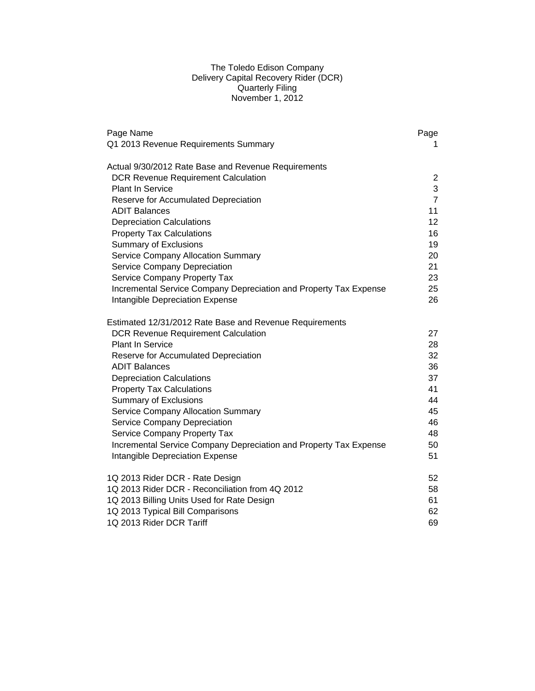# The Toledo Edison Company Delivery Capital Recovery Rider (DCR) Quarterly Filing November 1, 2012

| Page Name                                                         | Page           |
|-------------------------------------------------------------------|----------------|
| Q1 2013 Revenue Requirements Summary                              | 1.             |
| Actual 9/30/2012 Rate Base and Revenue Requirements               |                |
| <b>DCR Revenue Requirement Calculation</b>                        | $\overline{c}$ |
| <b>Plant In Service</b>                                           | 3              |
| Reserve for Accumulated Depreciation                              | $\overline{7}$ |
| <b>ADIT Balances</b>                                              | 11             |
| <b>Depreciation Calculations</b>                                  | 12             |
| <b>Property Tax Calculations</b>                                  | 16             |
| <b>Summary of Exclusions</b>                                      | 19             |
| Service Company Allocation Summary                                | 20             |
| Service Company Depreciation                                      | 21             |
| Service Company Property Tax                                      | 23             |
| Incremental Service Company Depreciation and Property Tax Expense | 25             |
| Intangible Depreciation Expense                                   | 26             |
| Estimated 12/31/2012 Rate Base and Revenue Requirements           |                |
| <b>DCR Revenue Requirement Calculation</b>                        | 27             |
| <b>Plant In Service</b>                                           | 28             |
| Reserve for Accumulated Depreciation                              | 32             |
| <b>ADIT Balances</b>                                              | 36             |
| <b>Depreciation Calculations</b>                                  | 37             |
| <b>Property Tax Calculations</b>                                  | 41             |
| <b>Summary of Exclusions</b>                                      | 44             |
| Service Company Allocation Summary                                | 45             |
| Service Company Depreciation                                      | 46             |
| Service Company Property Tax                                      | 48             |
| Incremental Service Company Depreciation and Property Tax Expense | 50             |
| Intangible Depreciation Expense                                   | 51             |
| 1Q 2013 Rider DCR - Rate Design                                   | 52             |
| 1Q 2013 Rider DCR - Reconciliation from 4Q 2012                   | 58             |
| 1Q 2013 Billing Units Used for Rate Design                        | 61             |
| 1Q 2013 Typical Bill Comparisons                                  | 62             |
| 1Q 2013 Rider DCR Tariff                                          | 69             |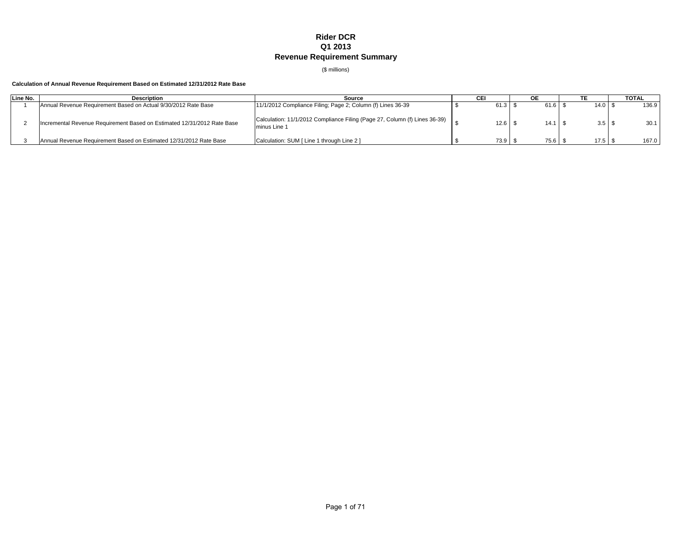# **Rider DCR Q1 2013 Revenue Requirement Summary**

(\$ millions)

# **Calculation of Annual Revenue Requirement Based on Estimated 12/31/2012 Rate Base**

| Line No. | <b>Description</b>                                                      | Source                                                                                     | CEI  | <b>OE</b>       |                   | <b>TOTAL</b> |
|----------|-------------------------------------------------------------------------|--------------------------------------------------------------------------------------------|------|-----------------|-------------------|--------------|
|          | Annual Revenue Requirement Based on Actual 9/30/2012 Rate Base          | 11/1/2012 Compliance Filing; Page 2; Column (f) Lines 36-39                                | 61.3 | $61.6$ $\ldots$ | $14.0$   \$       | 136.9        |
|          | Incremental Revenue Requirement Based on Estimated 12/31/2012 Rate Base | Calculation: 11/1/2012 Compliance Filing (Page 27, Column (f) Lines 36-39)<br>minus Line 1 | 12.6 | $14.1$ $\pm$    | 3.5 <sup>5</sup>  | 30.1         |
|          | Annual Revenue Requirement Based on Estimated 12/31/2012 Rate Base      | Calculation: SUM [ Line 1 through Line 2 ]                                                 | 73.9 | 75.6            | 17.5 <sup>°</sup> | 167.0        |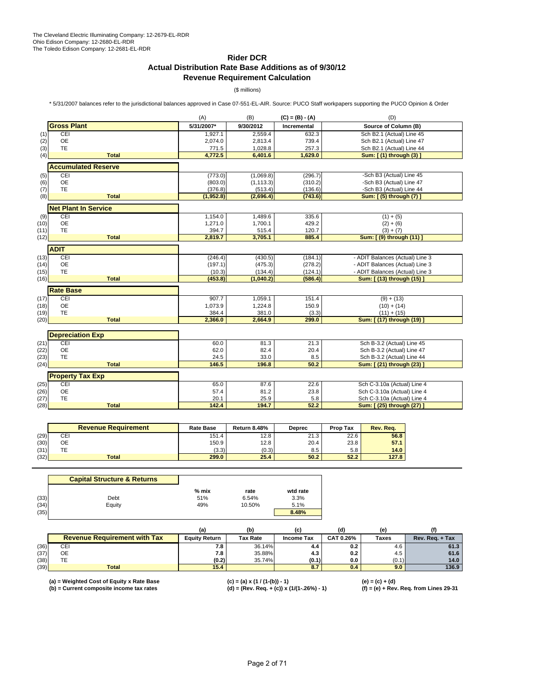# **Rider DCR Actual Distribution Rate Base Additions as of 9/30/12 Revenue Requirement Calculation**

(\$ millions)

\* 5/31/2007 balances refer to the jurisdictional balances approved in Case 07-551-EL-AIR. Source: PUCO Staff workpapers supporting the PUCO Opinion & Order

|      |                             | (A)        | (B)        | $(C) = (B) - (A)$  | (D)                             |
|------|-----------------------------|------------|------------|--------------------|---------------------------------|
|      | <b>Gross Plant</b>          | 5/31/2007* | 9/30/2012  | <b>Incremental</b> | Source of Column (B)            |
| (1)  | CEI                         | 1,927.1    | 2,559.4    | 632.3              | Sch B2.1 (Actual) Line 45       |
| (2)  | <b>OE</b>                   | 2,074.0    | 2,813.4    | 739.4              | Sch B2.1 (Actual) Line 47       |
| (3)  | <b>TE</b>                   | 771.5      | 1,028.8    | 257.3              | Sch B2.1 (Actual) Line 44       |
| (4)  | <b>Total</b>                | 4,772.5    | 6,401.6    | 1,629.0            | Sum: [ (1) through (3) ]        |
|      | <b>Accumulated Reserve</b>  |            |            |                    |                                 |
| (5)  | CEI                         | (773.0)    | (1,069.8)  | (296.7)            | -Sch B3 (Actual) Line 45        |
| (6)  | <b>OE</b>                   | (803.0)    | (1, 113.3) | (310.2)            | -Sch B3 (Actual) Line 47        |
| (7)  | TE                          | (376.8)    | (513.4)    | (136.6)            | -Sch B3 (Actual) Line 44        |
| (8)  | <b>Total</b>                | (1,952.8)  | (2,696.4)  | (743.6)            | Sum: [ (5) through (7)          |
|      | <b>Net Plant In Service</b> |            |            |                    |                                 |
| (9)  | CEI                         | 1,154.0    | 1,489.6    | 335.6              | $(1) + (5)$                     |
| (10) | <b>OE</b>                   | 1,271.0    | 1,700.1    | 429.2              | $(2) + (6)$                     |
| (11) | TE                          | 394.7      | 515.4      | 120.7              | $(3) + (7)$                     |
| (12) | <b>Total</b>                | 2,819.7    | 3,705.1    | 885.4              | Sum: [ (9) through (11) ]       |
|      |                             |            |            |                    |                                 |
|      | <b>ADIT</b>                 |            |            |                    |                                 |
| (13) | CEI                         | (246.4)    | (430.5)    | (184.1)            | - ADIT Balances (Actual) Line 3 |
| (14) | OE                          | (197.1)    | (475.3)    | (278.2)            | - ADIT Balances (Actual) Line 3 |
| (15) | <b>TE</b>                   | (10.3)     | (134.4)    | (124.1)            | - ADIT Balances (Actual) Line 3 |
| (16) | <b>Total</b>                | (453.8)    | (1,040.2)  | (586.4)            | Sum: [ (13) through (15) ]      |
|      | <b>Rate Base</b>            |            |            |                    |                                 |
| (17) | CEI                         | 907.7      | 1,059.1    | 151.4              | $(9) + (13)$                    |
| (18) | OE                          | 1,073.9    | 1,224.8    | 150.9              | $(10) + (14)$                   |
| (19) | <b>TE</b>                   | 384.4      | 381.0      | (3.3)              | $(11) + (15)$                   |
| (20) | <b>Total</b>                | 2,366.0    | 2,664.9    | 299.0              | Sum: [ (17) through (19) ]      |
|      |                             |            |            |                    |                                 |
|      | <b>Depreciation Exp</b>     |            |            |                    |                                 |
| (21) | CEI                         | 60.0       | 81.3       | 21.3               | Sch B-3.2 (Actual) Line 45      |
| (22) | OE                          | 62.0       | 82.4       | 20.4               | Sch B-3.2 (Actual) Line 47      |
| (23) | TE                          | 24.5       | 33.0       | 8.5                | Sch B-3.2 (Actual) Line 44      |
| (24) | <b>Total</b>                | 146.5      | 196.8      | 50.2               | Sum: [ (21) through (23) ]      |
|      | <b>Property Tax Exp</b>     |            |            |                    |                                 |
| (25) | CEI                         | 65.0       | 87.6       | 22.6               | Sch C-3.10a (Actual) Line 4     |
| (26) | OE                          | 57.4       | 81.2       | 23.8               | Sch C-3.10a (Actual) Line 4     |
| (27) | <b>TE</b>                   | 20.1       | 25.9       | 5.8                | Sch C-3.10a (Actual) Line 4     |
| (28) | <b>Total</b>                | 142.4      | 194.7      | 52.2               | Sum: [ (25) through (27) ]      |

|      | <b>Revenue Requirement</b> | <b>Rate Base</b> | <b>Return 8.48%</b> | Deprec | <b>Prop Tax</b> | Rev. Rea. |
|------|----------------------------|------------------|---------------------|--------|-----------------|-----------|
| (29) | CEI                        | 151.4            | 12.8                | 21.3   | 22.6            | 56.8      |
| (30) | ОE                         | 150.9            | 12.8                | 20.4   | 23.8            | 57.1      |
| (31) | ТE                         | (3.3)            | (0.3)               | 8.5    | 5.8             | 14.0      |
| (32) | <b>Total</b>               | 299.0            | 25.4                | 50.2   | 52.2            | 127.8     |

|      | <b>Capital Structure &amp; Returns</b> |         |        |          |
|------|----------------------------------------|---------|--------|----------|
|      |                                        | $%$ mix | rate   | wtd rate |
| (33) | Debt                                   | 51%     | 6.54%  | 3.3%     |
| (34) | Equity                                 | 49%     | 10.50% | 5.1%     |
| (35) |                                        |         |        | 8.48%    |

|      |                                     |                      | (b)      | (C)        | (d)              | ιe           |                 |
|------|-------------------------------------|----------------------|----------|------------|------------------|--------------|-----------------|
|      | <b>Revenue Requirement with Tax</b> | <b>Equity Return</b> | Tax Rate | Income Tax | <b>CAT 0.26%</b> | <b>Taxes</b> | Rev. Reg. + Tax |
| (36) | CEI                                 | 7.8                  | 36.14%   | 4.4        | 0.2              | 4.6          | 61.3            |
| (37) | OE                                  | 7.8                  | 35.88%   | 4.3        | 0.2              | 4.5          | 61.6            |
| (38) |                                     | (0.2)                | 35.74%   | (0.1)      | 0.0              | (0.1)        | 14.0            |
| (39) | <b>Total</b>                        | 15.4                 |          | O.1        | 0.4              | 9.0          | 136.9           |

**(a) = Weighted Cost of Equity x Rate Base (c) = (a) x (1 / (1-(b)) - 1) (e) = (c) + (d)**

**(b) = Current composite income tax rates (d) = (Rev. Req. + (c)) x (1/(1-.26%) - 1) (f) = (e) + Rev. Req. from Lines 29-31**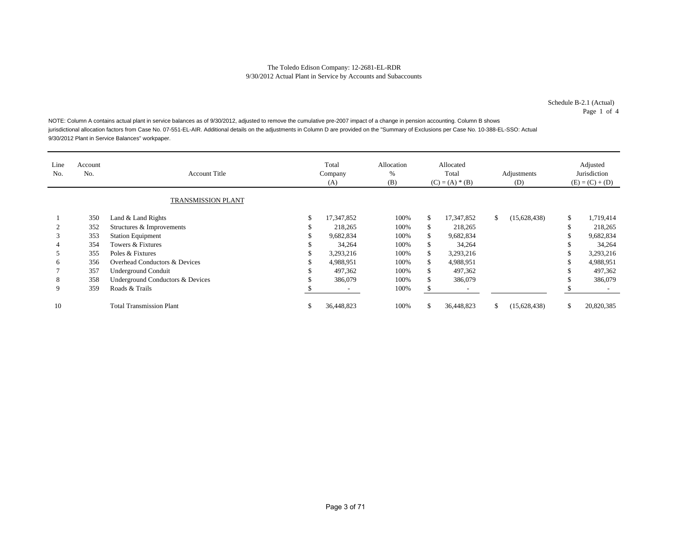Schedule B-2.1 (Actual) Page 1 of 4

NOTE: Column A contains actual plant in service balances as of 9/30/2012, adjusted to remove the cumulative pre-2007 impact of a change in pension accounting. Column B shows jurisdictional allocation factors from Case No. 07-551-EL-AIR. Additional details on the adjustments in Column D are provided on the "Summary of Exclusions per Case No. 10-388-EL-SSO: Actual 9/30/2012 Plant in Service Balances" workpaper.

| Line<br>No. | Account<br>No. | <b>Account Title</b>             |    | Total<br>Allocation<br>Allocated<br>Total<br>%<br>Company<br>(B)<br>$(C) = (A) * (B)$<br>(A) |      |     | Adjustments<br>(D) |    | Adjusted<br>Jurisdiction<br>$(E) = (C) + (D)$ |    |            |
|-------------|----------------|----------------------------------|----|----------------------------------------------------------------------------------------------|------|-----|--------------------|----|-----------------------------------------------|----|------------|
|             |                | <b>TRANSMISSION PLANT</b>        |    |                                                                                              |      |     |                    |    |                                               |    |            |
|             | 350            | Land & Land Rights               | S  | 17,347,852                                                                                   | 100% | \$  | 17,347,852         | \$ | (15, 628, 438)                                | \$ | 1,719,414  |
|             | 352            | Structures & Improvements        |    | 218,265                                                                                      | 100% | \$. | 218,265            |    |                                               | C  | 218,265    |
| 3           | 353            | <b>Station Equipment</b>         |    | 9,682,834                                                                                    | 100% | \$  | 9,682,834          |    |                                               | \$ | 9,682,834  |
| 4           | 354            | Towers & Fixtures                |    | 34,264                                                                                       | 100% | S.  | 34,264             |    |                                               | C  | 34,264     |
|             | 355            | Poles & Fixtures                 |    | 3,293,216                                                                                    | 100% | \$  | 3,293,216          |    |                                               | \$ | 3,293,216  |
| 6           | 356            | Overhead Conductors & Devices    |    | 4,988,951                                                                                    | 100% | \$  | 4,988,951          |    |                                               | \$ | 4,988,951  |
|             | 357            | <b>Underground Conduit</b>       | ۰Ъ | 497,362                                                                                      | 100% | S   | 497,362            |    |                                               | \$ | 497,362    |
| 8           | 358            | Underground Conductors & Devices |    | 386,079                                                                                      | 100% | \$. | 386,079            |    |                                               | \$ | 386,079    |
| 9           | 359            | Roads & Trails                   |    |                                                                                              | 100% | S.  |                    |    |                                               |    |            |
| 10          |                | <b>Total Transmission Plant</b>  | J. | 36,448,823                                                                                   | 100% | \$  | 36,448,823         | \$ | (15, 628, 438)                                | \$ | 20,820,385 |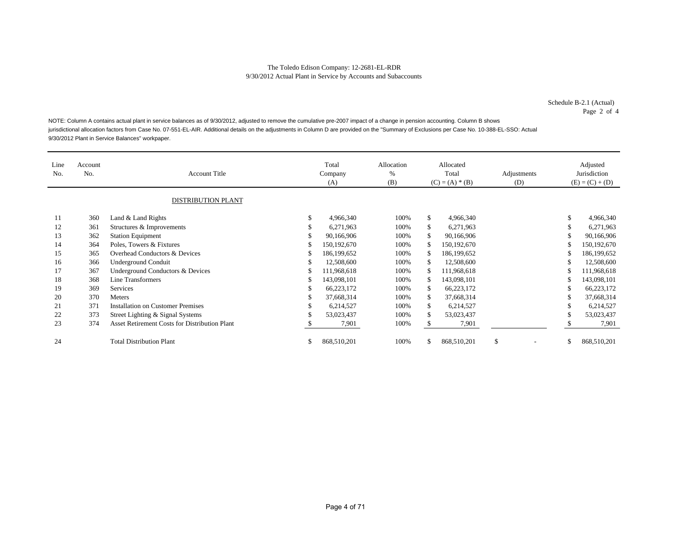Schedule B-2.1 (Actual) Page 2 of 4

NOTE: Column A contains actual plant in service balances as of 9/30/2012, adjusted to remove the cumulative pre-2007 impact of a change in pension accounting. Column B shows jurisdictional allocation factors from Case No. 07-551-EL-AIR. Additional details on the adjustments in Column D are provided on the "Summary of Exclusions per Case No. 10-388-EL-SSO: Actual 9/30/2012 Plant in Service Balances" workpaper.

| Line<br>No. | Account<br>No. | <b>Account Title</b><br><b>DISTRIBUTION PLANT</b> |   | Total<br>Company<br>(A) | Allocation<br>%<br>(B) |     | Allocated<br>Total<br>$(C) = (A) * (B)$ | Adjustments<br>(D)             | Adjusted<br>Jurisdiction<br>$(E) = (C) + (D)$ |
|-------------|----------------|---------------------------------------------------|---|-------------------------|------------------------|-----|-----------------------------------------|--------------------------------|-----------------------------------------------|
| 11          | 360            | Land & Land Rights                                | S | 4,966,340               | 100%                   | \$  | 4,966,340                               |                                | \$<br>4,966,340                               |
| 12          | 361            | Structures & Improvements                         | ъ | 6,271,963               | 100%                   | \$  | 6,271,963                               |                                | \$<br>6,271,963                               |
| 13          | 362            | <b>Station Equipment</b>                          | Φ | 90,166,906              | 100%                   | S   | 90,166,906                              |                                | \$<br>90,166,906                              |
| 14          | 364            | Poles, Towers & Fixtures                          | S | 150, 192, 670           | 100%                   |     | 150, 192, 670                           |                                | 150,192,670                                   |
| 15          | 365            | Overhead Conductors & Devices                     | S | 186, 199, 652           | 100%                   | \$  | 186, 199, 652                           |                                | 186, 199, 652                                 |
| 16          | 366            | <b>Underground Conduit</b>                        | S | 12.508.600              | 100%                   | S   | 12,508,600                              |                                | \$<br>12,508,600                              |
| 17          | 367            | Underground Conductors & Devices                  | S | 111,968,618             | 100%                   |     | 111,968,618                             |                                | \$<br>111,968,618                             |
| 18          | 368            | Line Transformers                                 | S | 143,098,101             | 100%                   | \$  | 143,098,101                             |                                | \$<br>143,098,101                             |
| 19          | 369            | <b>Services</b>                                   | S | 66,223,172              | 100%                   | \$. | 66,223,172                              |                                | \$<br>66,223,172                              |
| 20          | 370            | <b>Meters</b>                                     |   | 37,668,314              | 100%                   | S   | 37,668,314                              |                                | \$<br>37,668,314                              |
| 21          | 371            | <b>Installation on Customer Premises</b>          | ъ | 6,214,527               | 100%                   | \$  | 6,214,527                               |                                | \$<br>6,214,527                               |
| 22          | 373            | Street Lighting & Signal Systems                  |   | 53,023,437              | 100%                   | \$. | 53,023,437                              |                                | \$<br>53,023,437                              |
| 23          | 374            | Asset Retirement Costs for Distribution Plant     |   | 7,901                   | 100%                   |     | 7,901                                   |                                | 7,901                                         |
| 24          |                | <b>Total Distribution Plant</b>                   |   | 868,510,201             | 100%                   | S   | 868,510,201                             | \$<br>$\overline{\phantom{a}}$ | \$<br>868,510,201                             |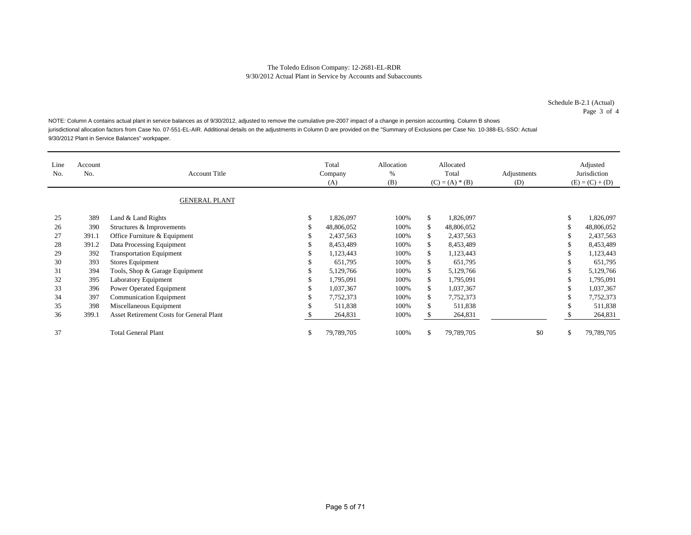Schedule B-2.1 (Actual) Page 3 of 4

NOTE: Column A contains actual plant in service balances as of 9/30/2012, adjusted to remove the cumulative pre-2007 impact of a change in pension accounting. Column B shows jurisdictional allocation factors from Case No. 07-551-EL-AIR. Additional details on the adjustments in Column D are provided on the "Summary of Exclusions per Case No. 10-388-EL-SSO: Actual 9/30/2012 Plant in Service Balances" workpaper.

| Line<br>No. | Account<br>No. | <b>Account Title</b>                            |    | Total<br>Company<br>(A) | Allocation<br>%<br>(B) |     | Allocated<br>Total<br>$(C) = (A) * (B)$ | Adjustments<br>(D) |    | Adjusted<br>Jurisdiction<br>$(E) = (C) + (D)$ |
|-------------|----------------|-------------------------------------------------|----|-------------------------|------------------------|-----|-----------------------------------------|--------------------|----|-----------------------------------------------|
|             |                | <b>GENERAL PLANT</b>                            |    |                         |                        |     |                                         |                    |    |                                               |
| 25          | 389            | Land & Land Rights                              | \$ | 1,826,097               | 100%                   | \$  | 1,826,097                               |                    | \$ | 1,826,097                                     |
| 26          | 390            | Structures & Improvements                       |    | 48,806,052              | 100%                   | S   | 48,806,052                              |                    | S  | 48,806,052                                    |
| 27          | 391.1          | Office Furniture & Equipment                    |    | 2,437,563               | 100%                   | \$  | 2,437,563                               |                    | \$ | 2,437,563                                     |
| 28          | 391.2          | Data Processing Equipment                       |    | 8,453,489               | 100%                   | \$  | 8,453,489                               |                    |    | 8,453,489                                     |
| 29          | 392            | <b>Transportation Equipment</b>                 |    | 1,123,443               | 100%                   | \$  | 1,123,443                               |                    | \$ | 1,123,443                                     |
| 30          | 393            | Stores Equipment                                |    | 651,795                 | 100%                   | \$  | 651,795                                 |                    | S. | 651,795                                       |
| 31          | 394            | Tools, Shop & Garage Equipment                  |    | 5,129,766               | 100%                   | \$  | 5,129,766                               |                    | \$ | 5,129,766                                     |
| 32          | 395            | <b>Laboratory Equipment</b>                     |    | 1,795,091               | 100%                   | \$. | 1,795,091                               |                    | \$ | 1,795,091                                     |
| 33          | 396            | Power Operated Equipment                        |    | 1,037,367               | 100%                   | \$  | 1,037,367                               |                    | \$ | 1,037,367                                     |
| 34          | 397            | <b>Communication Equipment</b>                  | ъ  | 7,752,373               | 100%                   | \$  | 7,752,373                               |                    | \$ | 7,752,373                                     |
| 35          | 398            | Miscellaneous Equipment                         | ъ  | 511,838                 | 100%                   | \$  | 511,838                                 |                    | \$ | 511,838                                       |
| 36          | 399.1          | <b>Asset Retirement Costs for General Plant</b> |    | 264,831                 | 100%                   | S.  | 264,831                                 |                    |    | 264,831                                       |
| 37          |                | <b>Total General Plant</b>                      | ъ. | 79,789,705              | 100%                   | \$. | 79,789,705                              | \$0                | \$ | 79,789,705                                    |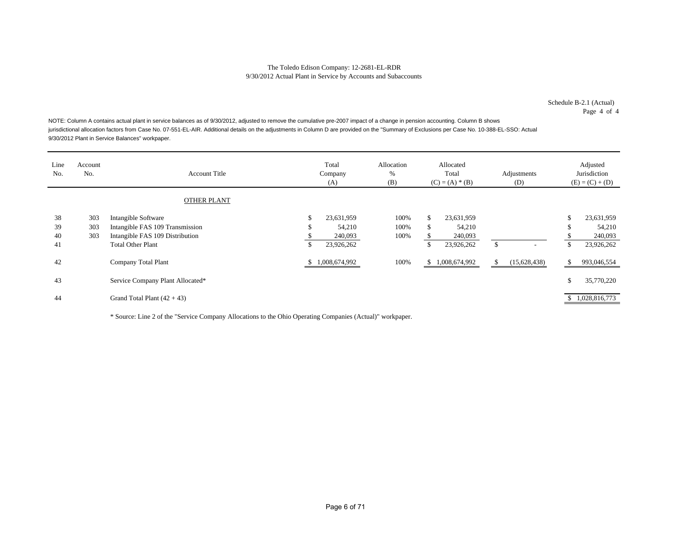Schedule B-2.1 (Actual) Page 4 of 4

NOTE: Column A contains actual plant in service balances as of 9/30/2012, adjusted to remove the cumulative pre-2007 impact of a change in pension accounting. Column B shows jurisdictional allocation factors from Case No. 07-551-EL-AIR. Additional details on the adjustments in Column D are provided on the "Summary of Exclusions per Case No. 10-388-EL-SSO: Actual 9/30/2012 Plant in Service Balances" workpaper.

| Line<br>No.          | Account<br>No.    | <b>Account Title</b>                                                                                                  |               | Total<br>Company<br>(A)                       | Allocation<br>%<br>(B) |                | Allocated<br>Total<br>$(C) = (A) * (B)$       | Adjustments<br>(D)             |   | Adjusted<br>Jurisdiction<br>$(E) = (C) + (D)$ |
|----------------------|-------------------|-----------------------------------------------------------------------------------------------------------------------|---------------|-----------------------------------------------|------------------------|----------------|-----------------------------------------------|--------------------------------|---|-----------------------------------------------|
|                      |                   | <b>OTHER PLANT</b>                                                                                                    |               |                                               |                        |                |                                               |                                |   |                                               |
| 38<br>39<br>40<br>41 | 303<br>303<br>303 | Intangible Software<br>Intangible FAS 109 Transmission<br>Intangible FAS 109 Distribution<br><b>Total Other Plant</b> | \$<br>S<br>\$ | 23,631,959<br>54,210<br>240,093<br>23,926,262 | 100%<br>100%<br>100%   | \$<br>\$<br>\$ | 23,631,959<br>54,210<br>240,093<br>23,926,262 | \$<br>$\overline{\phantom{a}}$ | ъ | 23,631,959<br>54,210<br>240,093<br>23,926,262 |
| 42                   |                   | Company Total Plant                                                                                                   | \$.           | 1,008,674,992                                 | 100%                   | \$             | 1,008,674,992                                 | \$<br>(15,628,438)             |   | 993,046,554                                   |
| 43                   |                   | Service Company Plant Allocated*                                                                                      |               |                                               |                        |                |                                               |                                | ъ | 35,770,220                                    |
| 44                   |                   | Grand Total Plant $(42 + 43)$                                                                                         |               |                                               |                        |                |                                               |                                |   | 1,028,816,773                                 |

\* Source: Line 2 of the "Service Company Allocations to the Ohio Operating Companies (Actual)" workpaper.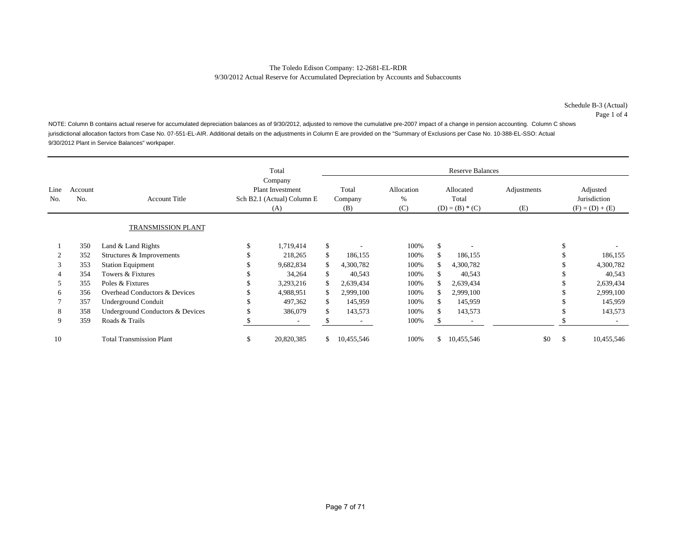Page 1 of 4

NOTE: Column B contains actual reserve for accumulated depreciation balances as of 9/30/2012, adjusted to remove the cumulative pre-2007 impact of a change in pension accounting. Column C shows jurisdictional allocation factors from Case No. 07-551-EL-AIR. Additional details on the adjustments in Column E are provided on the "Summary of Exclusions per Case No. 10-388-EL-SSO: Actual 9/30/2012 Plant in Service Balances" workpaper.

|             |                |                                  | Total                                                                   |    | <b>Reserve Balances</b> |                           |                                         |            |                    |                                               |            |  |  |  |
|-------------|----------------|----------------------------------|-------------------------------------------------------------------------|----|-------------------------|---------------------------|-----------------------------------------|------------|--------------------|-----------------------------------------------|------------|--|--|--|
| Line<br>No. | Account<br>No. | <b>Account Title</b>             | Company<br><b>Plant Investment</b><br>Sch B2.1 (Actual) Column E<br>(A) |    | Total<br>Company<br>(B) | Allocation<br>$\%$<br>(C) | Allocated<br>Total<br>$(D) = (B) * (C)$ |            | Adjustments<br>(E) | Adjusted<br>Jurisdiction<br>$(F) = (D) + (E)$ |            |  |  |  |
|             |                | TRANSMISSION PLANT               |                                                                         |    |                         |                           |                                         |            |                    |                                               |            |  |  |  |
|             | 350            | Land & Land Rights               | 1,719,414                                                               | \$ |                         | 100%                      | \$                                      |            |                    |                                               |            |  |  |  |
|             | 352            | Structures & Improvements        | 218,265                                                                 | \$ | 186,155                 | 100%                      | \$                                      | 186,155    |                    |                                               | 186,155    |  |  |  |
| 3           | 353            | <b>Station Equipment</b>         | 9,682,834                                                               |    | 4,300,782               | 100%                      |                                         | 4,300,782  |                    |                                               | 4,300,782  |  |  |  |
| 4           | 354            | Towers & Fixtures                | 34,264                                                                  | S. | 40,543                  | 100%                      | S.                                      | 40,543     |                    |                                               | 40,543     |  |  |  |
| 5           | 355            | Poles & Fixtures                 | 3,293,216                                                               |    | 2,639,434               | 100%                      | S                                       | 2,639,434  |                    |                                               | 2,639,434  |  |  |  |
| 6           | 356            | Overhead Conductors & Devices    | 4,988,951                                                               |    | 2,999,100               | 100%                      | S.                                      | 2,999,100  |                    |                                               | 2,999,100  |  |  |  |
|             | 357            | <b>Underground Conduit</b>       | 497,362                                                                 | \$ | 145,959                 | 100%                      | \$                                      | 145,959    |                    |                                               | 145,959    |  |  |  |
| 8           | 358            | Underground Conductors & Devices | 386,079                                                                 |    | 143,573                 | 100%                      | \$                                      | 143,573    |                    |                                               | 143,573    |  |  |  |
| 9           | 359            | Roads & Trails                   | ۰                                                                       |    |                         | 100%                      |                                         |            |                    |                                               |            |  |  |  |
| 10          |                | <b>Total Transmission Plant</b>  | \$<br>20,820,385                                                        | \$ | 10,455,546              | 100%                      | \$                                      | 10,455,546 | \$0                | \$                                            | 10,455,546 |  |  |  |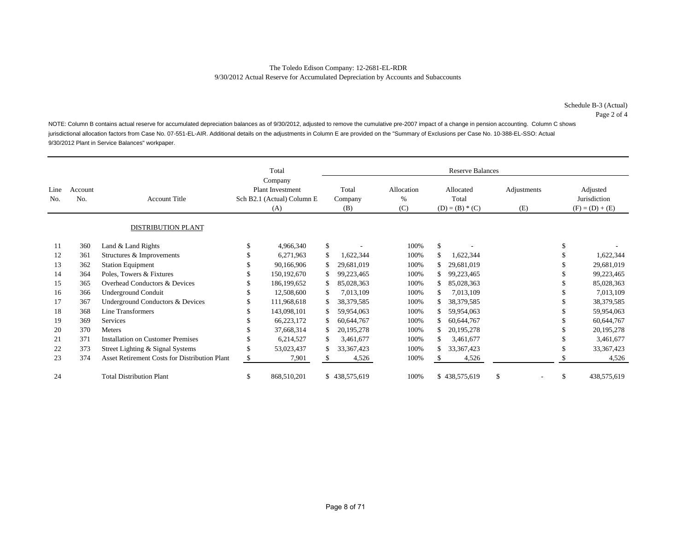NOTE: Column B contains actual reserve for accumulated depreciation balances as of 9/30/2012, adjusted to remove the cumulative pre-2007 impact of a change in pension accounting. Column C shows jurisdictional allocation factors from Case No. 07-551-EL-AIR. Additional details on the adjustments in Column E are provided on the "Summary of Exclusions per Case No. 10-388-EL-SSO: Actual 9/30/2012 Plant in Service Balances" workpaper.

|             |                |                                               |    | Total                                                                   |    | <b>Reserve Balances</b> |                           |    |                                         |    |                    |                                               |              |  |  |  |
|-------------|----------------|-----------------------------------------------|----|-------------------------------------------------------------------------|----|-------------------------|---------------------------|----|-----------------------------------------|----|--------------------|-----------------------------------------------|--------------|--|--|--|
| Line<br>No. | Account<br>No. | <b>Account Title</b>                          |    | Company<br><b>Plant Investment</b><br>Sch B2.1 (Actual) Column E<br>(A) |    | Total<br>Company<br>(B) | Allocation<br>$\%$<br>(C) |    | Allocated<br>Total<br>$(D) = (B) * (C)$ |    | Adjustments<br>(E) | Adjusted<br>Jurisdiction<br>$(F) = (D) + (E)$ |              |  |  |  |
|             |                | DISTRIBUTION PLANT                            |    |                                                                         |    |                         |                           |    |                                         |    |                    |                                               |              |  |  |  |
| 11          | 360            | Land & Land Rights                            |    | 4,966,340                                                               | \$ |                         | 100%                      | \$ |                                         |    |                    | \$                                            |              |  |  |  |
| 12          | 361            | Structures & Improvements                     |    | 6,271,963                                                               |    | 1,622,344               | 100%                      | \$ | 1,622,344                               |    |                    |                                               | 1,622,344    |  |  |  |
| 13          | 362            | <b>Station Equipment</b>                      |    | 90,166,906                                                              |    | 29,681,019              | 100%                      |    | 29,681,019                              |    |                    |                                               | 29,681,019   |  |  |  |
| 14          | 364            | Poles, Towers & Fixtures                      |    | 150, 192, 670                                                           |    | 99,223,465              | 100%                      |    | 99,223,465                              |    |                    |                                               | 99,223,465   |  |  |  |
| 15          | 365            | Overhead Conductors & Devices                 |    | 186,199,652                                                             |    | 85,028,363              | 100%                      |    | 85,028,363                              |    |                    |                                               | 85,028,363   |  |  |  |
| 16          | 366            | <b>Underground Conduit</b>                    |    | 12,508,600                                                              |    | 7,013,109               | 100%                      |    | 7,013,109                               |    |                    |                                               | 7,013,109    |  |  |  |
| 17          | 367            | Underground Conductors & Devices              |    | 111,968,618                                                             |    | 38,379,585              | 100%                      |    | 38,379,585                              |    |                    |                                               | 38,379,585   |  |  |  |
| 18          | 368            | <b>Line Transformers</b>                      |    | 143,098,101                                                             |    | 59,954,063              | 100%                      |    | 59,954,063                              |    |                    |                                               | 59,954,063   |  |  |  |
| 19          | 369            | Services                                      |    | 66,223,172                                                              |    | 60,644,767              | 100%                      |    | 60,644,767                              |    |                    |                                               | 60,644,767   |  |  |  |
| 20          | 370            | Meters                                        |    | 37,668,314                                                              |    | 20, 195, 278            | 100%                      |    | 20, 195, 278                            |    |                    |                                               | 20, 195, 278 |  |  |  |
| 21          | 371            | <b>Installation on Customer Premises</b>      |    | 6,214,527                                                               |    | 3,461,677               | 100%                      |    | 3,461,677                               |    |                    |                                               | 3,461,677    |  |  |  |
| 22          | 373            | Street Lighting & Signal Systems              |    | 53,023,437                                                              |    | 33, 367, 423            | 100%                      |    | 33, 367, 423                            |    |                    |                                               | 33,367,423   |  |  |  |
| 23          | 374            | Asset Retirement Costs for Distribution Plant | £. | 7,901                                                                   |    | 4,526                   | 100%                      |    | 4,526                                   |    |                    |                                               | 4,526        |  |  |  |
| 24          |                | <b>Total Distribution Plant</b>               | \$ | 868,510,201                                                             |    | \$438,575,619           | 100%                      |    | \$438,575,619                           | \$ |                    | \$                                            | 438,575,619  |  |  |  |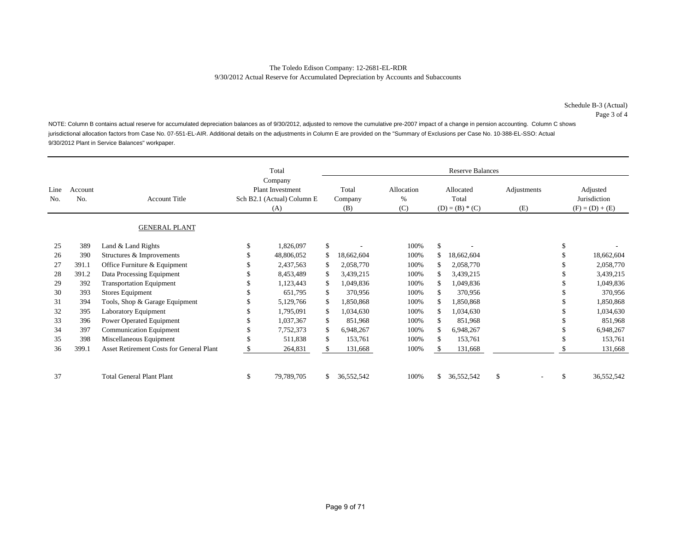NOTE: Column B contains actual reserve for accumulated depreciation balances as of 9/30/2012, adjusted to remove the cumulative pre-2007 impact of a change in pension accounting. Column C shows jurisdictional allocation factors from Case No. 07-551-EL-AIR. Additional details on the adjustments in Column E are provided on the "Summary of Exclusions per Case No. 10-388-EL-SSO: Actual 9/30/2012 Plant in Service Balances" workpaper.

|             |                |                                          | Total                                                                   | <b>Reserve Balances</b> |                         |                           |     |                                         |               |                    |    |                                               |
|-------------|----------------|------------------------------------------|-------------------------------------------------------------------------|-------------------------|-------------------------|---------------------------|-----|-----------------------------------------|---------------|--------------------|----|-----------------------------------------------|
| Line<br>No. | Account<br>No. | <b>Account Title</b>                     | Company<br><b>Plant Investment</b><br>Sch B2.1 (Actual) Column E<br>(A) |                         | Total<br>Company<br>(B) | Allocation<br>$\%$<br>(C) |     | Allocated<br>Total<br>$(D) = (B) * (C)$ |               | Adjustments<br>(E) |    | Adjusted<br>Jurisdiction<br>$(F) = (D) + (E)$ |
|             |                | <b>GENERAL PLANT</b>                     |                                                                         |                         |                         |                           |     |                                         |               |                    |    |                                               |
| 25          | 389            | Land & Land Rights                       | 1,826,097                                                               | \$                      |                         | 100%                      | \$  |                                         |               |                    |    |                                               |
| 26          | 390            | Structures & Improvements                | 48,806,052                                                              |                         | 18,662,604              | 100%                      | \$  | 18,662,604                              |               |                    |    | 18,662,604                                    |
| 27          | 391.1          | Office Furniture & Equipment             | 2,437,563                                                               |                         | 2,058,770               | 100%                      | \$  | 2,058,770                               |               |                    |    | 2,058,770                                     |
| 28          | 391.2          | Data Processing Equipment                | 8,453,489                                                               |                         | 3,439,215               | 100%                      | \$  | 3,439,215                               |               |                    |    | 3,439,215                                     |
| 29          | 392            | <b>Transportation Equipment</b>          | 1,123,443                                                               |                         | 1,049,836               | 100%                      | \$  | 1,049,836                               |               |                    |    | 1,049,836                                     |
| 30          | 393            | Stores Equipment                         | 651,795                                                                 | \$.                     | 370,956                 | 100%                      | \$  | 370,956                                 |               |                    |    | 370,956                                       |
| 31          | 394            | Tools, Shop & Garage Equipment           | 5,129,766                                                               | \$.                     | 1,850,868               | 100%                      | \$  | 1,850,868                               |               |                    |    | 1,850,868                                     |
| 32          | 395            | Laboratory Equipment                     | 1,795,091                                                               |                         | 1,034,630               | 100%                      | \$  | 1,034,630                               |               |                    |    | 1,034,630                                     |
| 33          | 396            | Power Operated Equipment                 | 1,037,367                                                               | S.                      | 851,968                 | 100%                      | \$  | 851,968                                 |               |                    |    | 851,968                                       |
| 34          | 397            | <b>Communication Equipment</b>           | 7,752,373                                                               |                         | 6,948,267               | 100%                      | \$  | 6,948,267                               |               |                    |    | 6,948,267                                     |
| 35          | 398            | Miscellaneous Equipment                  | 511,838                                                                 | \$.                     | 153,761                 | 100%                      | \$  | 153,761                                 |               |                    |    | 153,761                                       |
| 36          | 399.1          | Asset Retirement Costs for General Plant | 264,831                                                                 |                         | 131,668                 | 100%                      | \$. | 131,668                                 |               |                    |    | 131,668                                       |
| 37          |                | <b>Total General Plant Plant</b>         | \$<br>79,789,705                                                        |                         | 36,552,542              | 100%                      | \$  | 36,552,542                              | $\mathbf{\$}$ |                    | \$ | 36,552,542                                    |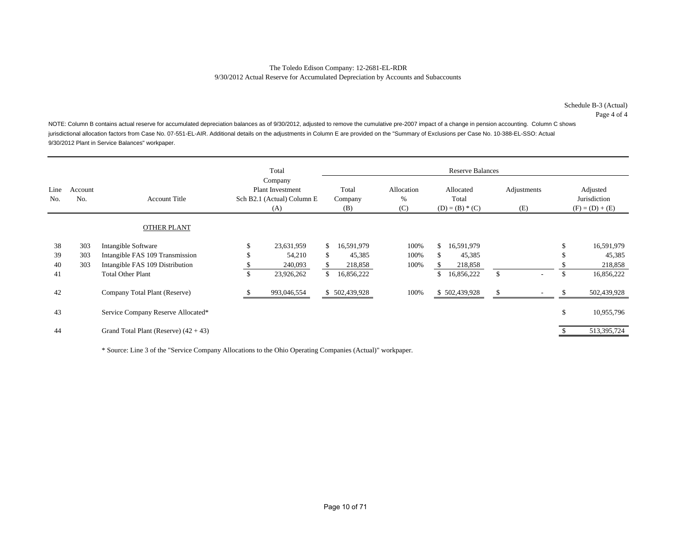Page 4 of 4

NOTE: Column B contains actual reserve for accumulated depreciation balances as of 9/30/2012, adjusted to remove the cumulative pre-2007 impact of a change in pension accounting. Column C shows jurisdictional allocation factors from Case No. 07-551-EL-AIR. Additional details on the adjustments in Column E are provided on the "Summary of Exclusions per Case No. 10-388-EL-SSO: Actual 9/30/2012 Plant in Service Balances" workpaper.

|             |                |                                         | Total                                                            |                         |                           |     | <b>Reserve Balances</b>                 |               |                    |    |                                               |
|-------------|----------------|-----------------------------------------|------------------------------------------------------------------|-------------------------|---------------------------|-----|-----------------------------------------|---------------|--------------------|----|-----------------------------------------------|
| Line<br>No. | Account<br>No. | <b>Account Title</b>                    | Company<br>Plant Investment<br>Sch B2.1 (Actual) Column E<br>(A) | Total<br>Company<br>(B) | Allocation<br>$\%$<br>(C) |     | Allocated<br>Total<br>$(D) = (B) * (C)$ |               | Adjustments<br>(E) |    | Adjusted<br>Jurisdiction<br>$(F) = (D) + (E)$ |
|             |                | <b>OTHER PLANT</b>                      |                                                                  |                         |                           |     |                                         |               |                    |    |                                               |
| 38          | 303            | Intangible Software                     | \$<br>23,631,959                                                 | \$<br>16,591,979        | 100%                      | \$  | 16,591,979                              |               |                    | ъ  | 16,591,979                                    |
| 39          | 303            | Intangible FAS 109 Transmission         | 54,210                                                           | \$<br>45,385            | 100%                      | \$. | 45,385                                  |               |                    |    | 45,385                                        |
| 40          | 303            | Intangible FAS 109 Distribution         | 240,093                                                          | 218,858                 | 100%                      | S   | 218,858                                 |               |                    |    | 218,858                                       |
| 41          |                | <b>Total Other Plant</b>                | \$<br>23,926,262                                                 | \$<br>16,856,222        |                           | \$  | 16,856,222                              | \$            | ۰                  | \$ | 16,856,222                                    |
| 42          |                | Company Total Plant (Reserve)           | 993,046,554                                                      | \$502,439,928           | 100%                      |     | \$502,439,928                           | <sup>\$</sup> |                    |    | 502,439,928                                   |
| 43          |                | Service Company Reserve Allocated*      |                                                                  |                         |                           |     |                                         |               |                    | \$ | 10,955,796                                    |
| 44          |                | Grand Total Plant (Reserve) $(42 + 43)$ |                                                                  |                         |                           |     |                                         |               |                    |    | 513,395,724                                   |

\* Source: Line 3 of the "Service Company Allocations to the Ohio Operating Companies (Actual)" workpaper.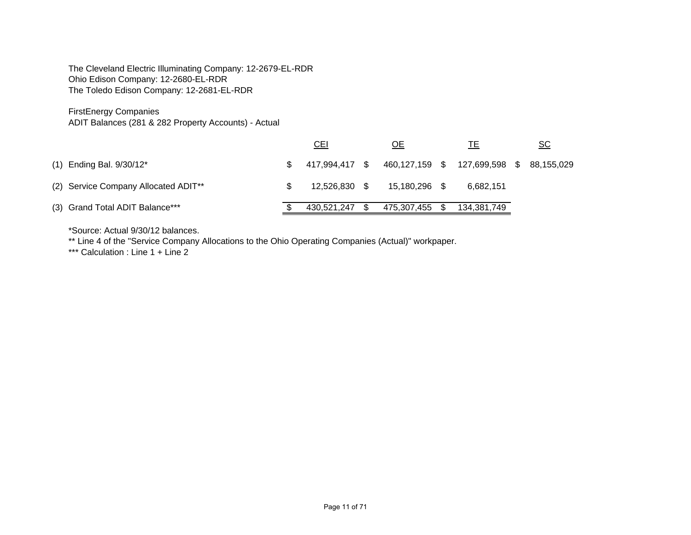The Cleveland Electric Illuminating Company: 12-2679-EL-RDR Ohio Edison Company: 12-2680-EL-RDR The Toledo Edison Company: 12-2681-EL-RDR

# FirstEnergy Companies

ADIT Balances (281 & 282 Property Accounts) - Actual

|                                                  |     | <u>CEI</u>    | ОE                                                      |    | TЕ          | <u>SC</u> |
|--------------------------------------------------|-----|---------------|---------------------------------------------------------|----|-------------|-----------|
| $(1)$ Ending Bal. 9/30/12*                       | \$. |               | 417,994,417 \$ 460,127,159 \$ 127,699,598 \$ 88,155,029 |    |             |           |
| (2) Service Company Allocated ADIT <sup>**</sup> |     | 12.526.830 \$ | 15,180,296 \$                                           |    | 6.682.151   |           |
| (3) Grand Total ADIT Balance***                  |     | 430.521.247   | 475,307,455                                             | S. | 134,381,749 |           |

\*Source: Actual 9/30/12 balances.

\*\* Line 4 of the "Service Company Allocations to the Ohio Operating Companies (Actual)" workpaper.

\*\*\* Calculation : Line 1 + Line 2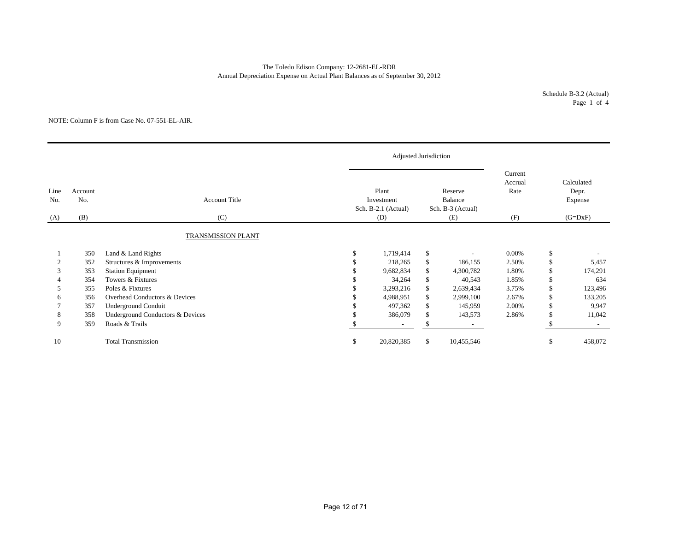# The Toledo Edison Company: 12-2681-EL-RDR Annual Depreciation Expense on Actual Plant Balances as of September 30, 2012

Schedule B-3.2 (Actual) Page 1 of 4

#### NOTE: Column F is from Case No. 07-551-EL-AIR.

|                               |     |                                  | Adjusted Jurisdiction                      |              |                                         |                            |               |                                |
|-------------------------------|-----|----------------------------------|--------------------------------------------|--------------|-----------------------------------------|----------------------------|---------------|--------------------------------|
| Line<br>Account<br>No.<br>No. |     | <b>Account Title</b>             | Plant<br>Investment<br>Sch. B-2.1 (Actual) |              | Reserve<br>Balance<br>Sch. B-3 (Actual) | Current<br>Accrual<br>Rate |               | Calculated<br>Depr.<br>Expense |
| (A)                           | (B) | (C)                              | (D)                                        |              | (E)                                     | (F)                        |               | $(G=DxF)$                      |
|                               |     | TRANSMISSION PLANT               |                                            |              |                                         |                            |               |                                |
|                               | 350 | Land & Land Rights               | \$<br>1,719,414                            | \$           |                                         | 0.00%                      | \$            |                                |
|                               | 352 | Structures & Improvements        | 218,265                                    | \$           | 186,155                                 | 2.50%                      | <sup>\$</sup> | 5,457                          |
| 3                             | 353 | <b>Station Equipment</b>         | 9,682,834                                  | \$           | 4,300,782                               | 1.80%                      | \$            | 174,291                        |
|                               | 354 | Towers & Fixtures                | 34,264                                     | \$           | 40,543                                  | 1.85%                      | \$            | 634                            |
| 5                             | 355 | Poles & Fixtures                 | 3,293,216                                  | \$           | 2,639,434                               | 3.75%                      | \$            | 123,496                        |
| 6                             | 356 | Overhead Conductors & Devices    | 4,988,951                                  | \$           | 2,999,100                               | 2.67%                      | <sup>\$</sup> | 133,205                        |
|                               | 357 | Underground Conduit              | 497,362                                    | \$           | 145,959                                 | 2.00%                      | \$            | 9,947                          |
| 8                             | 358 | Underground Conductors & Devices | 386,079                                    | \$           | 143,573                                 | 2.86%                      |               | 11,042                         |
| 9                             | 359 | Roads & Trails                   | $\overline{\phantom{a}}$                   | \$           |                                         |                            |               | $\sim$                         |
| 10                            |     | <b>Total Transmission</b>        | \$<br>20,820,385                           | $\mathbb{S}$ | 10,455,546                              |                            | <sup>\$</sup> | 458,072                        |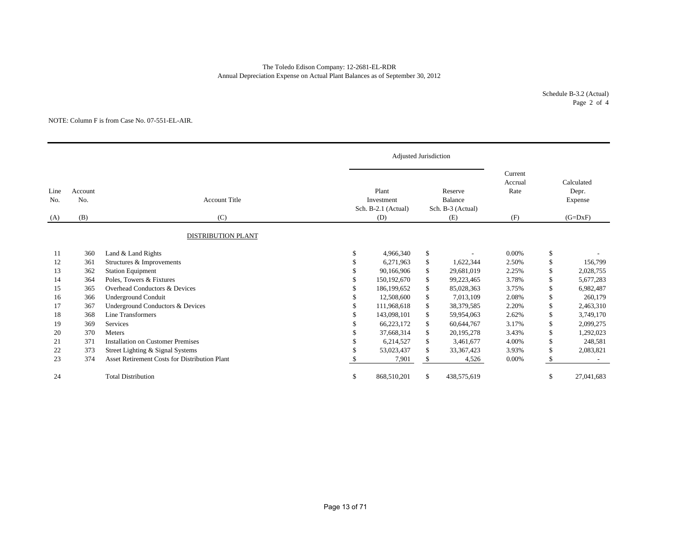# The Toledo Edison Company: 12-2681-EL-RDR Annual Depreciation Expense on Actual Plant Balances as of September 30, 2012

Schedule B-3.2 (Actual) Page 2 of 4

#### NOTE: Column F is from Case No. 07-551-EL-AIR.

|             |                       |                                                      |    | Adjusted Jurisdiction                      |    |                                                |                                   |               |                                             |
|-------------|-----------------------|------------------------------------------------------|----|--------------------------------------------|----|------------------------------------------------|-----------------------------------|---------------|---------------------------------------------|
| Line<br>No. | Account<br>No.<br>(B) | <b>Account Title</b><br>(C)                          |    | Plant<br>Investment<br>Sch. B-2.1 (Actual) |    | Reserve<br><b>Balance</b><br>Sch. B-3 (Actual) | Current<br>Accrual<br>Rate<br>(F) |               | Calculated<br>Depr.<br>Expense<br>$(G=DxF)$ |
| (A)         |                       |                                                      |    | (D)                                        |    | (E)                                            |                                   |               |                                             |
|             |                       | <b>DISTRIBUTION PLANT</b>                            |    |                                            |    |                                                |                                   |               |                                             |
| 11          | 360                   | Land & Land Rights                                   | \$ | 4,966,340                                  | \$ |                                                | 0.00%                             | \$            |                                             |
| 12          | 361                   | Structures & Improvements                            | S  | 6,271,963                                  | \$ | 1,622,344                                      | 2.50%                             | <sup>\$</sup> | 156,799                                     |
| 13          | 362                   | <b>Station Equipment</b>                             | \$ | 90,166,906                                 | \$ | 29,681,019                                     | 2.25%                             | \$            | 2,028,755                                   |
| 14          | 364                   | Poles, Towers & Fixtures                             |    | 150, 192, 670                              | \$ | 99,223,465                                     | 3.78%                             | \$            | 5,677,283                                   |
| 15          | 365                   | Overhead Conductors & Devices                        |    | 186,199,652                                | \$ | 85,028,363                                     | 3.75%                             | \$            | 6,982,487                                   |
| 16          | 366                   | <b>Underground Conduit</b>                           |    | 12,508,600                                 | \$ | 7,013,109                                      | 2.08%                             | \$            | 260,179                                     |
| 17          | 367                   | Underground Conductors & Devices                     |    | 111,968,618                                | \$ | 38,379,585                                     | 2.20%                             | \$            | 2,463,310                                   |
| 18          | 368                   | Line Transformers                                    |    | 143,098,101                                | \$ | 59,954,063                                     | 2.62%                             | \$            | 3,749,170                                   |
| 19          | 369                   | Services                                             |    | 66,223,172                                 | \$ | 60,644,767                                     | 3.17%                             | \$            | 2,099,275                                   |
| 20          | 370                   | Meters                                               |    | 37,668,314                                 | \$ | 20,195,278                                     | 3.43%                             | <sup>\$</sup> | 1,292,023                                   |
| 21          | 371                   | <b>Installation on Customer Premises</b>             | \$ | 6,214,527                                  | \$ | 3,461,677                                      | 4.00%                             | \$            | 248,581                                     |
| 22          | 373                   | Street Lighting & Signal Systems                     |    | 53,023,437                                 | \$ | 33, 367, 423                                   | 3.93%                             | \$            | 2,083,821                                   |
| 23          | 374                   | <b>Asset Retirement Costs for Distribution Plant</b> |    | 7,901                                      | \$ | 4,526                                          | 0.00%                             | -S            |                                             |
| 24          |                       | <b>Total Distribution</b>                            | \$ | 868,510,201                                | \$ | 438,575,619                                    |                                   | <sup>\$</sup> | 27,041,683                                  |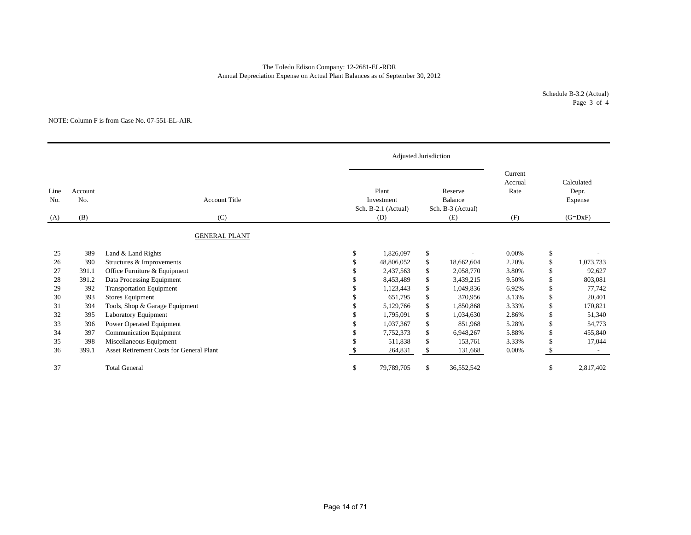# The Toledo Edison Company: 12-2681-EL-RDR Annual Depreciation Expense on Actual Plant Balances as of September 30, 2012

Schedule B-3.2 (Actual) Page 3 of 4

#### NOTE: Column F is from Case No. 07-551-EL-AIR.

|             |                |                                                 |    | Adjusted Jurisdiction                      |    |                                                |                            |               |                                |  |
|-------------|----------------|-------------------------------------------------|----|--------------------------------------------|----|------------------------------------------------|----------------------------|---------------|--------------------------------|--|
| Line<br>No. | Account<br>No. | <b>Account Title</b>                            |    | Plant<br>Investment<br>Sch. B-2.1 (Actual) |    | Reserve<br><b>Balance</b><br>Sch. B-3 (Actual) | Current<br>Accrual<br>Rate |               | Calculated<br>Depr.<br>Expense |  |
| (A)         | (B)            | (C)                                             |    | (D)                                        |    | (E)                                            | (F)                        |               | $(G=DxF)$                      |  |
|             |                | <b>GENERAL PLANT</b>                            |    |                                            |    |                                                |                            |               |                                |  |
| 25          | 389            | Land & Land Rights                              | S  | 1,826,097                                  | \$ |                                                | $0.00\%$                   | \$            |                                |  |
| 26          | 390            | Structures & Improvements                       |    | 48,806,052                                 | \$ | 18,662,604                                     | 2.20%                      | \$            | 1,073,733                      |  |
| 27          | 391.1          | Office Furniture & Equipment                    |    | 2,437,563                                  | \$ | 2,058,770                                      | 3.80%                      | \$            | 92,627                         |  |
| 28          | 391.2          | Data Processing Equipment                       |    | 8,453,489                                  | \$ | 3,439,215                                      | 9.50%                      | \$            | 803,081                        |  |
| 29          | 392            | <b>Transportation Equipment</b>                 |    | 1,123,443                                  | \$ | 1,049,836                                      | 6.92%                      | $\mathbf{\$}$ | 77,742                         |  |
| 30          | 393            | <b>Stores Equipment</b>                         |    | 651.795                                    | \$ | 370,956                                        | 3.13%                      | \$            | 20,401                         |  |
| 31          | 394            | Tools, Shop & Garage Equipment                  |    | 5,129,766                                  | \$ | 1,850,868                                      | 3.33%                      | $\mathcal{S}$ | 170,821                        |  |
| 32          | 395            | Laboratory Equipment                            |    | 1.795.091                                  | \$ | 1,034,630                                      | 2.86%                      | \$            | 51,340                         |  |
| 33          | 396            | Power Operated Equipment                        |    | 1.037.367                                  | \$ | 851,968                                        | 5.28%                      | <sup>\$</sup> | 54,773                         |  |
| 34          | 397            | <b>Communication Equipment</b>                  |    | 7,752,373                                  | \$ | 6,948,267                                      | 5.88%                      | <sup>\$</sup> | 455,840                        |  |
| 35          | 398            | Miscellaneous Equipment                         |    | 511.838                                    | \$ | 153,761                                        | 3.33%                      | $\mathbf{\$}$ | 17,044                         |  |
| 36          | 399.1          | <b>Asset Retirement Costs for General Plant</b> |    | 264,831                                    | \$ | 131,668                                        | 0.00%                      | <sup>\$</sup> |                                |  |
| 37          |                | <b>Total General</b>                            | \$ | 79,789,705                                 | \$ | 36,552,542                                     |                            | \$            | 2,817,402                      |  |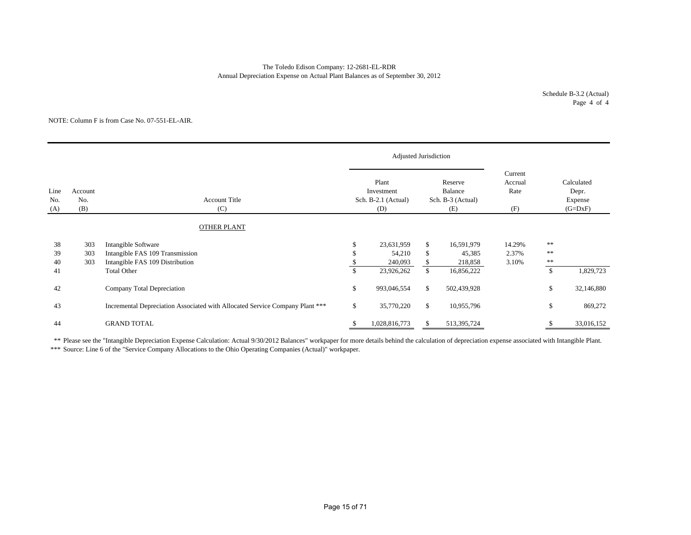# Annual Depreciation Expense on Actual Plant Balances as of September 30, 2012 The Toledo Edison Company: 12-2681-EL-RDR

#### NOTE: Column F is from Case No. 07-551-EL-AIR.

|                    |                       |                                                                                           |     | Adjusted Jurisdiction                             |              |                                                |                                   |                                   |                                             |
|--------------------|-----------------------|-------------------------------------------------------------------------------------------|-----|---------------------------------------------------|--------------|------------------------------------------------|-----------------------------------|-----------------------------------|---------------------------------------------|
| Line<br>No.<br>(A) | Account<br>No.<br>(B) | <b>Account Title</b><br>(C)                                                               |     | Plant<br>Investment<br>Sch. B-2.1 (Actual)<br>(D) |              | Reserve<br>Balance<br>Sch. B-3 (Actual)<br>(E) | Current<br>Accrual<br>Rate<br>(F) |                                   | Calculated<br>Depr.<br>Expense<br>$(G=DxF)$ |
|                    |                       | OTHER PLANT                                                                               |     |                                                   |              |                                                |                                   |                                   |                                             |
| 38<br>39<br>40     | 303<br>303<br>303     | Intangible Software<br>Intangible FAS 109 Transmission<br>Intangible FAS 109 Distribution | \$. | 23,631,959<br>54,210<br>240,093                   | \$<br>\$     | 16,591,979<br>45,385<br>218,858                | 14.29%<br>2.37%<br>3.10%          | $\ast\ast$<br>$* *$<br>$\ast\ast$ |                                             |
| 41                 |                       | <b>Total Other</b>                                                                        | \$  | 23,926,262                                        | $\mathbb{S}$ | 16,856,222                                     |                                   | $\mathbb{S}$                      | 1,829,723                                   |
| 42                 |                       | Company Total Depreciation                                                                | \$  | 993,046,554                                       | \$           | 502,439,928                                    |                                   | $\mathbb{S}$                      | 32,146,880                                  |
| 43                 |                       | Incremental Depreciation Associated with Allocated Service Company Plant ***              | \$  | 35,770,220                                        | \$           | 10,955,796                                     |                                   | \$                                | 869,272                                     |
| 44                 |                       | <b>GRAND TOTAL</b>                                                                        |     | 1,028,816,773                                     | S            | 513,395,724                                    |                                   |                                   | 33,016,152                                  |

\*\* Please see the "Intangible Depreciation Expense Calculation: Actual 9/30/2012 Balances" workpaper for more details behind the calculation of depreciation expense associated with Intangible Plant.

\*\*\* Source: Line 6 of the "Service Company Allocations to the Ohio Operating Companies (Actual)" workpaper.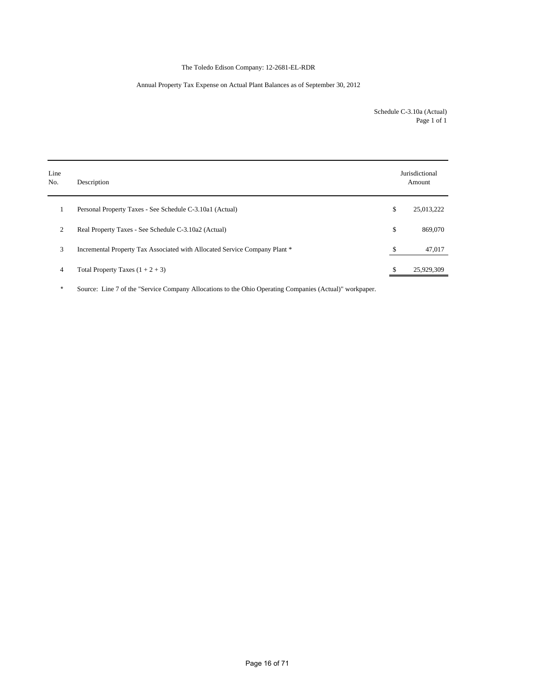# The Toledo Edison Company: 12-2681-EL-RDR

# Annual Property Tax Expense on Actual Plant Balances as of September 30, 2012

Schedule C-3.10a (Actual) Page 1 of 1

| Line<br>No. | Description                                                                |    | Jurisdictional<br>Amount |
|-------------|----------------------------------------------------------------------------|----|--------------------------|
|             | Personal Property Taxes - See Schedule C-3.10a1 (Actual)                   | \$ | 25,013,222               |
| 2           | Real Property Taxes - See Schedule C-3.10a2 (Actual)                       | \$ | 869,070                  |
| 3           | Incremental Property Tax Associated with Allocated Service Company Plant * | S  | 47,017                   |
| 4           | Total Property Taxes $(1 + 2 + 3)$                                         |    | 25,929,309               |

\* Source: Line 7 of the "Service Company Allocations to the Ohio Operating Companies (Actual)" workpaper.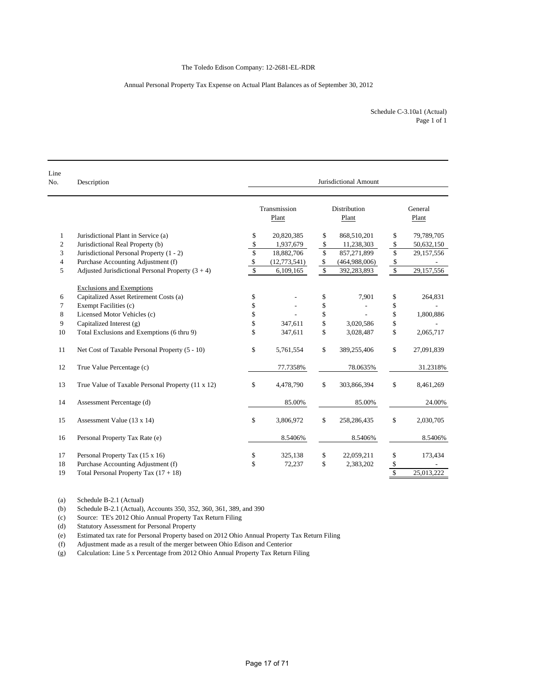# Annual Personal Property Tax Expense on Actual Plant Balances as of September 30, 2012

| Line<br>No. | Jurisdictional Amount<br>Description                |              |                       |             |                       |                         |                  |  |
|-------------|-----------------------------------------------------|--------------|-----------------------|-------------|-----------------------|-------------------------|------------------|--|
|             |                                                     |              | Transmission<br>Plant |             | Distribution<br>Plant |                         | General<br>Plant |  |
| 1           | Jurisdictional Plant in Service (a)                 | \$           | 20,820,385            | \$          | 868,510,201           | \$                      | 79,789,705       |  |
| 2           | Jurisdictional Real Property (b)                    | \$           | 1,937,679             | \$          | 11,238,303            | \$                      | 50,632,150       |  |
| 3           | Jurisdictional Personal Property (1 - 2)            | \$           | 18,882,706            | \$          | 857,271,899           | \$                      | 29,157,556       |  |
| 4           | Purchase Accounting Adjustment (f)                  | \$           | (12,773,541)          | \$          | (464,988,006)         | \$                      |                  |  |
| 5           | Adjusted Jurisdictional Personal Property $(3 + 4)$ | $\mathbb{S}$ | 6,109,165             | $\mathbf S$ | 392,283,893           | $\sqrt{2}$              | 29,157,556       |  |
|             | <b>Exclusions and Exemptions</b>                    |              |                       |             |                       |                         |                  |  |
| 6           | Capitalized Asset Retirement Costs (a)              | \$           |                       | \$          | 7,901                 | \$                      | 264,831          |  |
| 7           | Exempt Facilities (c)                               | \$           |                       | \$          |                       | \$                      |                  |  |
| 8           | Licensed Motor Vehicles (c)                         | \$           |                       | \$          |                       | \$                      | 1,800,886        |  |
| 9           | Capitalized Interest (g)                            | \$           | 347,611               | \$          | 3,020,586             | \$                      |                  |  |
| 10          | Total Exclusions and Exemptions (6 thru 9)          | \$           | 347,611               | \$          | 3,028,487             | \$                      | 2,065,717        |  |
| 11          | Net Cost of Taxable Personal Property (5 - 10)      | \$           | 5,761,554             | \$          | 389,255,406           | \$                      | 27,091,839       |  |
| 12          | True Value Percentage (c)                           |              | 77.7358%              |             | 78.0635%              |                         | 31.2318%         |  |
| 13          | True Value of Taxable Personal Property (11 x 12)   | \$           | 4,478,790             | \$          | 303,866,394           | \$                      | 8,461,269        |  |
| 14          | Assessment Percentage (d)                           |              | 85.00%                |             | 85.00%                |                         | 24.00%           |  |
| 15          | Assessment Value (13 x 14)                          | \$           | 3,806,972             | \$          | 258,286,435           | \$                      | 2,030,705        |  |
| 16          | Personal Property Tax Rate (e)                      |              | 8.5406%               |             | 8.5406%               |                         | 8.5406%          |  |
| 17          | Personal Property Tax (15 x 16)                     | \$           | 325,138               | \$          | 22,059,211            | \$                      | 173,434          |  |
| 18          | Purchase Accounting Adjustment (f)                  | \$           | 72,237                | \$          | 2,383,202             | \$                      |                  |  |
| 19          | Total Personal Property Tax $(17 + 18)$             |              |                       |             |                       | $\overline{\mathbb{S}}$ | 25.013.222       |  |

(a) Schedule B-2.1 (Actual)

(b) Schedule B-2.1 (Actual), Accounts 350, 352, 360, 361, 389, and 390

(c) Source: TE's 2012 Ohio Annual Property Tax Return Filing

(d) Statutory Assessment for Personal Property

(e) Estimated tax rate for Personal Property based on 2012 Ohio Annual Property Tax Return Filing

(f) Adjustment made as a result of the merger between Ohio Edison and Centerior

(g) Calculation: Line 5 x Percentage from 2012 Ohio Annual Property Tax Return Filing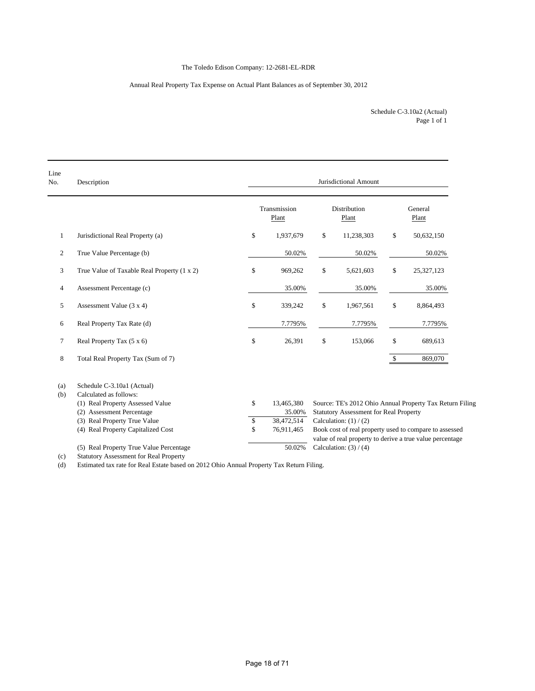# The Toledo Edison Company: 12-2681-EL-RDR

# Annual Real Property Tax Expense on Actual Plant Balances as of September 30, 2012

Page 1 of 1 Schedule C-3.10a2 (Actual)

| Line<br>No.    | Description                                          | Jurisdictional Amount |                       |    |                                               |              |                                                          |  |  |  |  |
|----------------|------------------------------------------------------|-----------------------|-----------------------|----|-----------------------------------------------|--------------|----------------------------------------------------------|--|--|--|--|
|                |                                                      |                       | Transmission<br>Plant |    | <b>Distribution</b><br>Plant                  |              | General<br>Plant                                         |  |  |  |  |
| 1              | Jurisdictional Real Property (a)                     | \$                    | 1,937,679             | \$ | 11,238,303                                    | \$           | 50,632,150                                               |  |  |  |  |
| 2              | True Value Percentage (b)                            |                       | 50.02%                |    | 50.02%                                        |              | 50.02%                                                   |  |  |  |  |
| 3              | True Value of Taxable Real Property (1 x 2)          | \$                    | 969,262               | \$ | 5,621,603                                     | \$           | 25,327,123                                               |  |  |  |  |
| $\overline{4}$ | Assessment Percentage (c)                            |                       | 35.00%                |    | 35.00%                                        |              | 35.00%                                                   |  |  |  |  |
| 5              | Assessment Value $(3 x 4)$                           | \$                    | 339,242               | \$ | 1,967,561                                     | \$           | 8,864,493                                                |  |  |  |  |
| 6              | Real Property Tax Rate (d)                           |                       | 7.7795%               |    | 7.7795%                                       |              | 7.7795%                                                  |  |  |  |  |
| 7              | Real Property Tax (5 x 6)                            | \$                    | 26,391                | \$ | 153,066                                       | \$           | 689,613                                                  |  |  |  |  |
| 8              | Total Real Property Tax (Sum of 7)                   |                       |                       |    |                                               | $\mathbb{S}$ | 869,070                                                  |  |  |  |  |
| (a)<br>(b)     | Schedule C-3.10a1 (Actual)<br>Calculated as follows: |                       |                       |    |                                               |              |                                                          |  |  |  |  |
|                | (1) Real Property Assessed Value                     | \$                    | 13,465,380            |    |                                               |              | Source: TE's 2012 Ohio Annual Property Tax Return Filing |  |  |  |  |
|                | (2) Assessment Percentage                            |                       | 35.00%                |    | <b>Statutory Assessment for Real Property</b> |              |                                                          |  |  |  |  |
|                | (3) Real Property True Value                         | \$                    | 38,472,514            |    | Calculation: $(1) / (2)$                      |              |                                                          |  |  |  |  |
|                | (4) Real Property Capitalized Cost                   | \$                    | 76,911,465            |    |                                               |              | Book cost of real property used to compare to assessed   |  |  |  |  |
|                |                                                      |                       |                       |    |                                               |              | value of real property to derive a true value percentage |  |  |  |  |
|                | (5) Real Property True Value Percentage              |                       | 50.02%                |    | Calculation: $(3) / (4)$                      |              |                                                          |  |  |  |  |

(c) Statutory Assessment for Real Property

(d) Estimated tax rate for Real Estate based on 2012 Ohio Annual Property Tax Return Filing.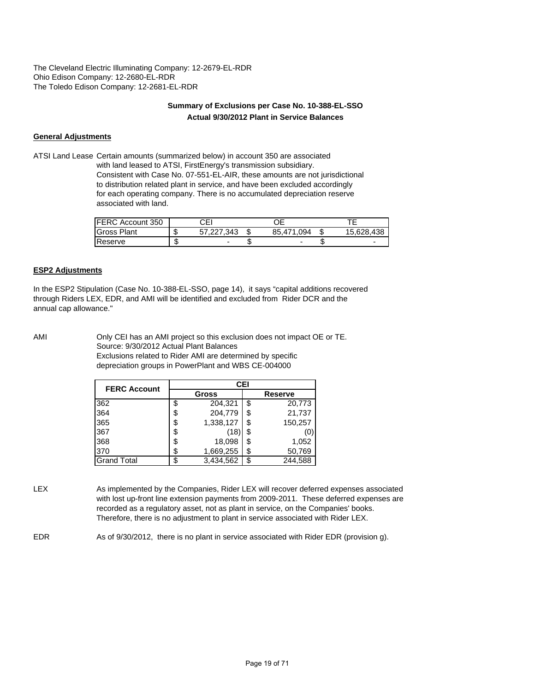The Cleveland Electric Illuminating Company: 12-2679-EL-RDR Ohio Edison Company: 12-2680-EL-RDR The Toledo Edison Company: 12-2681-EL-RDR

# **Summary of Exclusions per Case No. 10-388-EL-SSO Actual 9/30/2012 Plant in Service Balances**

# **General Adjustments**

ATSI Land Lease Certain amounts (summarized below) in account 350 are associated with land leased to ATSI, FirstEnergy's transmission subsidiary. Consistent with Case No. 07-551-EL-AIR, these amounts are not jurisdictional to distribution related plant in service, and have been excluded accordingly for each operating company. There is no accumulated depreciation reserve associated with land.

| <b>FERC Account 350</b> |   | СEІ      |               |            |
|-------------------------|---|----------|---------------|------------|
| <b>Gross Plant</b>      |   | .227.343 | 85.471<br>094 | 15.628.438 |
| Reserve                 | w | -        |               | -          |

# **ESP2 Adjustments**

In the ESP2 Stipulation (Case No. 10-388-EL-SSO, page 14), it says "capital additions recovered through Riders LEX, EDR, and AMI will be identified and excluded from Rider DCR and the annual cap allowance."

AMI Only CEI has an AMI project so this exclusion does not impact OE or TE. Source: 9/30/2012 Actual Plant Balances Exclusions related to Rider AMI are determined by specific depreciation groups in PowerPlant and WBS CE-004000

| <b>FERC Account</b> | <b>CEI</b> |              |    |                |  |  |  |  |  |
|---------------------|------------|--------------|----|----------------|--|--|--|--|--|
|                     |            | <b>Gross</b> |    | <b>Reserve</b> |  |  |  |  |  |
| 362                 | \$         | 204,321      | \$ | 20,773         |  |  |  |  |  |
| 364                 | \$         | 204,779      | \$ | 21,737         |  |  |  |  |  |
| 365                 | \$         | 1,338,127    | S  | 150,257        |  |  |  |  |  |
| 367                 | \$         | (18          | ß. |                |  |  |  |  |  |
| 368                 | \$         | 18,098       | S  | 1,052          |  |  |  |  |  |
| 370                 | \$         | 1,669,255    | \$ | 50,769         |  |  |  |  |  |
| <b>Grand Total</b>  |            | 3,434,562    |    | 244,588        |  |  |  |  |  |

LEX As implemented by the Companies, Rider LEX will recover deferred expenses associated with lost up-front line extension payments from 2009-2011. These deferred expenses are recorded as a regulatory asset, not as plant in service, on the Companies' books. Therefore, there is no adjustment to plant in service associated with Rider LEX.

EDR As of 9/30/2012, there is no plant in service associated with Rider EDR (provision g).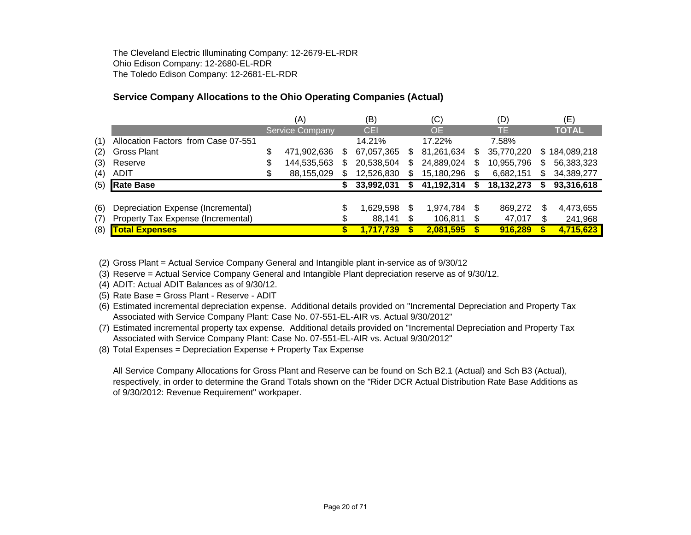The Cleveland Electric Illuminating Company: 12-2679-EL-RDR Ohio Edison Company: 12-2680-EL-RDR The Toledo Edison Company: 12-2681-EL-RDR

# **Service Company Allocations to the Ohio Operating Companies (Actual)**

|     |                                     |    | (A)                    |    | (B)        |    | (C)        |    | (D)        |     | (E)           |
|-----|-------------------------------------|----|------------------------|----|------------|----|------------|----|------------|-----|---------------|
|     |                                     |    | <b>Service Company</b> |    | CEI        |    | <b>OE</b>  |    | TE.        |     | <b>TOTAL</b>  |
| (1) | Allocation Factors from Case 07-551 |    |                        |    | 14.21%     |    | 17.22%     |    | 7.58%      |     |               |
| (2) | <b>Gross Plant</b>                  | \$ | 471,902,636            | S. | 67,057,365 | S  | 81,261,634 | S  | 35,770,220 |     | \$184,089,218 |
| (3) | Reserve                             | S  | 144,535,563            | S  | 20,538,504 | S  | 24,889,024 | \$ | 10,955,796 | \$. | 56,383,323    |
| (4) | <b>ADIT</b>                         |    | 88,155,029             |    | 12,526,830 |    | 15,180,296 |    | 6,682,151  | \$. | 34,389,277    |
| (5) | <b>Rate Base</b>                    |    |                        |    | 33,992,031 |    | 41,192,314 |    | 18,132,273 |     | 93,316,618    |
|     |                                     |    |                        |    |            |    |            |    |            |     |               |
| (6) | Depreciation Expense (Incremental)  |    |                        |    | 1,629,598  | \$ | 1,974,784  | S  | 869,272    | \$  | 4,473,655     |
| (7) | Property Tax Expense (Incremental)  |    |                        |    | 88,141     |    | 106,811    | S  | 47,017     | \$  | 241,968       |
| (8) | <b>Total Expenses</b>               |    |                        |    | 1,717,739  |    | 2,081,595  | \$ | 916,289    |     | 4,715,623     |

(2) Gross Plant = Actual Service Company General and Intangible plant in-service as of 9/30/12

(3) Reserve = Actual Service Company General and Intangible Plant depreciation reserve as of 9/30/12.

(4) ADIT: Actual ADIT Balances as of 9/30/12.

(5) Rate Base = Gross Plant - Reserve - ADIT

(6) Estimated incremental depreciation expense. Additional details provided on "Incremental Depreciation and Property Tax Associated with Service Company Plant: Case No. 07-551-EL-AIR vs. Actual 9/30/2012"

(7) Estimated incremental property tax expense. Additional details provided on "Incremental Depreciation and Property Tax Associated with Service Company Plant: Case No. 07-551-EL-AIR vs. Actual 9/30/2012"

(8) Total Expenses = Depreciation Expense + Property Tax Expense

All Service Company Allocations for Gross Plant and Reserve can be found on Sch B2.1 (Actual) and Sch B3 (Actual), respectively, in order to determine the Grand Totals shown on the "Rider DCR Actual Distribution Rate Base Additions as of 9/30/2012: Revenue Requirement" workpaper.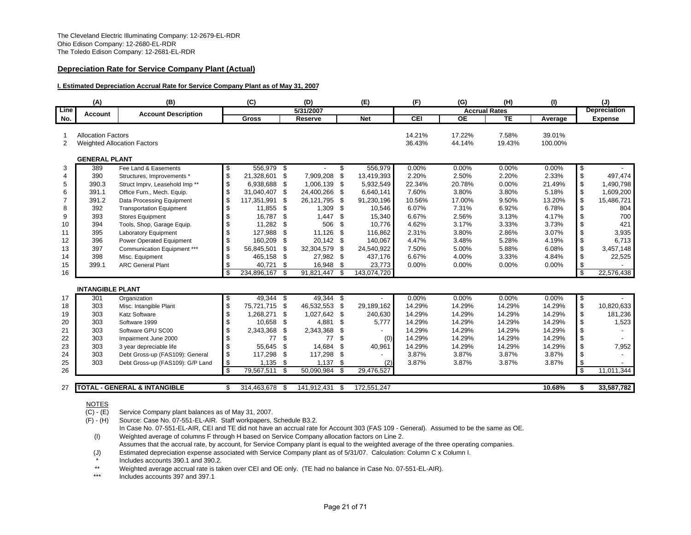# **Depreciation Rate for Service Company Plant (Actual)**

#### **I. Estimated Depreciation Accrual Rate for Service Company Plant as of May 31, 2007**

| <b>Accrual Rates</b><br>Line<br>5/31/2007<br><b>Account Description</b><br>Account<br><b>TE</b><br><b>Net</b><br><b>CEI</b><br><b>OE</b><br><b>Gross</b><br>No.<br><b>Reserve</b><br><b>Allocation Factors</b><br>14.21%<br>17.22%<br>7.58%<br>-1<br>36.43%<br>44.14%<br>19.43%<br>2<br><b>Weighted Allocation Factors</b><br><b>GENERAL PLANT</b><br>\$<br>556,979 \$<br>556,979<br>0.00%<br>0.00%<br>0.00%<br>3<br>389<br>Fee Land & Easements<br>S<br>\$<br>\$<br>7,909,208<br>£<br>2.20%<br>2.50%<br>2.20%<br>390<br>21,328,601<br>13.419.393<br>4<br>Structures, Improvements *<br>\$<br>390.3<br>1,006,139 \$<br>20.78%<br>5<br>-\$<br>5,932,549<br>22.34%<br>0.00%<br>Struct Imprv, Leasehold Imp**<br>6,938,688<br>\$<br>391.1<br>\$<br>24,400,266 \$<br>7.60%<br>3.80%<br>3.80%<br>6<br>Office Furn., Mech. Equip.<br>31,040,407<br>6,640,141<br>\$<br>391.2<br>117,351,991<br>\$<br>26,121,795<br>\$<br>91,230,196<br>10.56%<br>17.00%<br>9.50%<br>Data Processing Equipment<br>\$<br>- \$<br>6.07%<br>7.31%<br>6.92%<br>8<br>392<br>11,855 \$<br>1,309<br>10,546<br><b>Transportation Equipment</b><br>\$<br>393<br>16,787<br>\$<br>1,447<br>-\$<br>15,340<br>6.67%<br>2.56%<br>3.13%<br>9<br><b>Stores Equipment</b><br>\$<br>11,282<br>506<br>- \$<br>10<br>394<br>Tools, Shop, Garage Equip.<br>- \$<br>10.776<br>4.62%<br>3.17%<br>3.33%<br>\$<br>395<br>127,988<br>11,126<br>- \$<br>116,862<br>2.31%<br>3.80%<br>2.86%<br><b>Laboratory Equipment</b><br>-\$<br>11<br>\$<br>160,209<br>4.47%<br>3.48%<br>5.28%<br>12<br>396<br>Power Operated Equipment<br>- \$<br>20,142 \$<br>140,067<br>\$<br>397<br>Communication Equipment ***<br>56,845,501<br>32,304,579<br>- \$<br>7.50%<br>5.00%<br>5.88%<br>13<br>\$<br>24,540,922<br>\$<br>6.67%<br>398<br>Misc. Equipment<br>465,158 \$<br>27,982 \$<br>437,176<br>4.00%<br>3.33%<br>14<br>399.1<br>\$<br>40,721<br>16,948<br>\$<br>23,773<br>0.00%<br>0.00%<br>0.00%<br>15<br><b>ARC General Plant</b><br>\$<br>\$<br>234,896,167<br>-\$<br>91,821,447<br>-\$<br>143,074,720<br>16<br><b>INTANGIBLE PLANT</b><br>49,344<br>49,344 \$<br>0.00%<br>0.00%<br>0.00%<br>\$<br>\$<br>301<br>17<br>Organization<br>\$<br>303<br>75,721,715 \$<br>46,532,553 \$<br>14.29%<br>14.29%<br>14.29%<br>18<br>29,189,162<br>Misc. Intangible Plant<br>303<br>\$<br>1,268,271<br>1,027,642 \$<br>14.29%<br>14.29%<br>14.29%<br>19<br><b>Katz Software</b><br>\$<br>240,630<br>\$<br>10,658 \$<br>4,881 \$<br>14.29%<br>14.29%<br>20<br>303<br>5,777<br>14.29%<br>Software 1999<br>\$<br>14.29%<br>303<br>2,343,368 \$<br>2,343,368 \$<br>14.29%<br>14.29%<br>21<br>Software GPU SC00<br>\$<br>\$<br>\$<br>14.29%<br>14.29%<br>14.29%<br>22<br>303<br>77<br>77<br>(0)<br>Impairment June 2000 |    | (A) | (B)                     | (C)          |     | (D)    | (E)          | (F)    | (G)    | (H)    | (I)               |                           | (J)                 |
|--------------------------------------------------------------------------------------------------------------------------------------------------------------------------------------------------------------------------------------------------------------------------------------------------------------------------------------------------------------------------------------------------------------------------------------------------------------------------------------------------------------------------------------------------------------------------------------------------------------------------------------------------------------------------------------------------------------------------------------------------------------------------------------------------------------------------------------------------------------------------------------------------------------------------------------------------------------------------------------------------------------------------------------------------------------------------------------------------------------------------------------------------------------------------------------------------------------------------------------------------------------------------------------------------------------------------------------------------------------------------------------------------------------------------------------------------------------------------------------------------------------------------------------------------------------------------------------------------------------------------------------------------------------------------------------------------------------------------------------------------------------------------------------------------------------------------------------------------------------------------------------------------------------------------------------------------------------------------------------------------------------------------------------------------------------------------------------------------------------------------------------------------------------------------------------------------------------------------------------------------------------------------------------------------------------------------------------------------------------------------------------------------------------------------------------------------------------------------------------------------------------------------------------------------------------------------------------------------------------------------------------------------------------------------------------------------------------------------------------------|----|-----|-------------------------|--------------|-----|--------|--------------|--------|--------|--------|-------------------|---------------------------|---------------------|
|                                                                                                                                                                                                                                                                                                                                                                                                                                                                                                                                                                                                                                                                                                                                                                                                                                                                                                                                                                                                                                                                                                                                                                                                                                                                                                                                                                                                                                                                                                                                                                                                                                                                                                                                                                                                                                                                                                                                                                                                                                                                                                                                                                                                                                                                                                                                                                                                                                                                                                                                                                                                                                                                                                                                            |    |     |                         |              |     |        |              |        |        |        |                   |                           | <b>Depreciation</b> |
|                                                                                                                                                                                                                                                                                                                                                                                                                                                                                                                                                                                                                                                                                                                                                                                                                                                                                                                                                                                                                                                                                                                                                                                                                                                                                                                                                                                                                                                                                                                                                                                                                                                                                                                                                                                                                                                                                                                                                                                                                                                                                                                                                                                                                                                                                                                                                                                                                                                                                                                                                                                                                                                                                                                                            |    |     |                         |              |     |        |              |        |        |        | Average           |                           | <b>Expense</b>      |
|                                                                                                                                                                                                                                                                                                                                                                                                                                                                                                                                                                                                                                                                                                                                                                                                                                                                                                                                                                                                                                                                                                                                                                                                                                                                                                                                                                                                                                                                                                                                                                                                                                                                                                                                                                                                                                                                                                                                                                                                                                                                                                                                                                                                                                                                                                                                                                                                                                                                                                                                                                                                                                                                                                                                            |    |     |                         |              |     |        |              |        |        |        | 39.01%<br>100.00% |                           |                     |
|                                                                                                                                                                                                                                                                                                                                                                                                                                                                                                                                                                                                                                                                                                                                                                                                                                                                                                                                                                                                                                                                                                                                                                                                                                                                                                                                                                                                                                                                                                                                                                                                                                                                                                                                                                                                                                                                                                                                                                                                                                                                                                                                                                                                                                                                                                                                                                                                                                                                                                                                                                                                                                                                                                                                            |    |     |                         |              |     |        |              |        |        |        |                   |                           |                     |
|                                                                                                                                                                                                                                                                                                                                                                                                                                                                                                                                                                                                                                                                                                                                                                                                                                                                                                                                                                                                                                                                                                                                                                                                                                                                                                                                                                                                                                                                                                                                                                                                                                                                                                                                                                                                                                                                                                                                                                                                                                                                                                                                                                                                                                                                                                                                                                                                                                                                                                                                                                                                                                                                                                                                            |    |     |                         |              |     |        |              |        |        |        | 0.00%             | \$                        |                     |
|                                                                                                                                                                                                                                                                                                                                                                                                                                                                                                                                                                                                                                                                                                                                                                                                                                                                                                                                                                                                                                                                                                                                                                                                                                                                                                                                                                                                                                                                                                                                                                                                                                                                                                                                                                                                                                                                                                                                                                                                                                                                                                                                                                                                                                                                                                                                                                                                                                                                                                                                                                                                                                                                                                                                            |    |     |                         |              |     |        |              |        |        |        | 2.33%             | \$                        | 497.474             |
|                                                                                                                                                                                                                                                                                                                                                                                                                                                                                                                                                                                                                                                                                                                                                                                                                                                                                                                                                                                                                                                                                                                                                                                                                                                                                                                                                                                                                                                                                                                                                                                                                                                                                                                                                                                                                                                                                                                                                                                                                                                                                                                                                                                                                                                                                                                                                                                                                                                                                                                                                                                                                                                                                                                                            |    |     |                         |              |     |        |              |        |        |        | 21.49%            | \$                        | 1,490,798           |
|                                                                                                                                                                                                                                                                                                                                                                                                                                                                                                                                                                                                                                                                                                                                                                                                                                                                                                                                                                                                                                                                                                                                                                                                                                                                                                                                                                                                                                                                                                                                                                                                                                                                                                                                                                                                                                                                                                                                                                                                                                                                                                                                                                                                                                                                                                                                                                                                                                                                                                                                                                                                                                                                                                                                            |    |     |                         |              |     |        |              |        |        |        | 5.18%             | \$                        | 1,609,200           |
|                                                                                                                                                                                                                                                                                                                                                                                                                                                                                                                                                                                                                                                                                                                                                                                                                                                                                                                                                                                                                                                                                                                                                                                                                                                                                                                                                                                                                                                                                                                                                                                                                                                                                                                                                                                                                                                                                                                                                                                                                                                                                                                                                                                                                                                                                                                                                                                                                                                                                                                                                                                                                                                                                                                                            |    |     |                         |              |     |        |              |        |        |        | 13.20%            | \$                        | 15,486,721          |
|                                                                                                                                                                                                                                                                                                                                                                                                                                                                                                                                                                                                                                                                                                                                                                                                                                                                                                                                                                                                                                                                                                                                                                                                                                                                                                                                                                                                                                                                                                                                                                                                                                                                                                                                                                                                                                                                                                                                                                                                                                                                                                                                                                                                                                                                                                                                                                                                                                                                                                                                                                                                                                                                                                                                            |    |     |                         |              |     |        |              |        |        |        | 6.78%             | \$                        | 804                 |
|                                                                                                                                                                                                                                                                                                                                                                                                                                                                                                                                                                                                                                                                                                                                                                                                                                                                                                                                                                                                                                                                                                                                                                                                                                                                                                                                                                                                                                                                                                                                                                                                                                                                                                                                                                                                                                                                                                                                                                                                                                                                                                                                                                                                                                                                                                                                                                                                                                                                                                                                                                                                                                                                                                                                            |    |     |                         |              |     |        |              |        |        |        | 4.17%             | \$                        | 700                 |
|                                                                                                                                                                                                                                                                                                                                                                                                                                                                                                                                                                                                                                                                                                                                                                                                                                                                                                                                                                                                                                                                                                                                                                                                                                                                                                                                                                                                                                                                                                                                                                                                                                                                                                                                                                                                                                                                                                                                                                                                                                                                                                                                                                                                                                                                                                                                                                                                                                                                                                                                                                                                                                                                                                                                            |    |     |                         |              |     |        |              |        |        |        | 3.73%             | $\boldsymbol{\mathsf{S}}$ | 421                 |
|                                                                                                                                                                                                                                                                                                                                                                                                                                                                                                                                                                                                                                                                                                                                                                                                                                                                                                                                                                                                                                                                                                                                                                                                                                                                                                                                                                                                                                                                                                                                                                                                                                                                                                                                                                                                                                                                                                                                                                                                                                                                                                                                                                                                                                                                                                                                                                                                                                                                                                                                                                                                                                                                                                                                            |    |     |                         |              |     |        |              |        |        |        | 3.07%             | $\boldsymbol{\mathsf{S}}$ | 3,935               |
|                                                                                                                                                                                                                                                                                                                                                                                                                                                                                                                                                                                                                                                                                                                                                                                                                                                                                                                                                                                                                                                                                                                                                                                                                                                                                                                                                                                                                                                                                                                                                                                                                                                                                                                                                                                                                                                                                                                                                                                                                                                                                                                                                                                                                                                                                                                                                                                                                                                                                                                                                                                                                                                                                                                                            |    |     |                         |              |     |        |              |        |        |        | 4.19%             | \$                        | 6,713               |
|                                                                                                                                                                                                                                                                                                                                                                                                                                                                                                                                                                                                                                                                                                                                                                                                                                                                                                                                                                                                                                                                                                                                                                                                                                                                                                                                                                                                                                                                                                                                                                                                                                                                                                                                                                                                                                                                                                                                                                                                                                                                                                                                                                                                                                                                                                                                                                                                                                                                                                                                                                                                                                                                                                                                            |    |     |                         |              |     |        |              |        |        |        | 6.08%             | \$                        | 3,457,148           |
|                                                                                                                                                                                                                                                                                                                                                                                                                                                                                                                                                                                                                                                                                                                                                                                                                                                                                                                                                                                                                                                                                                                                                                                                                                                                                                                                                                                                                                                                                                                                                                                                                                                                                                                                                                                                                                                                                                                                                                                                                                                                                                                                                                                                                                                                                                                                                                                                                                                                                                                                                                                                                                                                                                                                            |    |     |                         |              |     |        |              |        |        |        | 4.84%             | \$                        | 22,525              |
|                                                                                                                                                                                                                                                                                                                                                                                                                                                                                                                                                                                                                                                                                                                                                                                                                                                                                                                                                                                                                                                                                                                                                                                                                                                                                                                                                                                                                                                                                                                                                                                                                                                                                                                                                                                                                                                                                                                                                                                                                                                                                                                                                                                                                                                                                                                                                                                                                                                                                                                                                                                                                                                                                                                                            |    |     |                         |              |     |        |              |        |        |        | 0.00%             | \$                        |                     |
|                                                                                                                                                                                                                                                                                                                                                                                                                                                                                                                                                                                                                                                                                                                                                                                                                                                                                                                                                                                                                                                                                                                                                                                                                                                                                                                                                                                                                                                                                                                                                                                                                                                                                                                                                                                                                                                                                                                                                                                                                                                                                                                                                                                                                                                                                                                                                                                                                                                                                                                                                                                                                                                                                                                                            |    |     |                         |              |     |        |              |        |        |        |                   | $\overline{\mathbf{s}}$   | 22,576,438          |
|                                                                                                                                                                                                                                                                                                                                                                                                                                                                                                                                                                                                                                                                                                                                                                                                                                                                                                                                                                                                                                                                                                                                                                                                                                                                                                                                                                                                                                                                                                                                                                                                                                                                                                                                                                                                                                                                                                                                                                                                                                                                                                                                                                                                                                                                                                                                                                                                                                                                                                                                                                                                                                                                                                                                            |    |     |                         |              |     |        |              |        |        |        |                   |                           |                     |
|                                                                                                                                                                                                                                                                                                                                                                                                                                                                                                                                                                                                                                                                                                                                                                                                                                                                                                                                                                                                                                                                                                                                                                                                                                                                                                                                                                                                                                                                                                                                                                                                                                                                                                                                                                                                                                                                                                                                                                                                                                                                                                                                                                                                                                                                                                                                                                                                                                                                                                                                                                                                                                                                                                                                            |    |     |                         |              |     |        |              |        |        |        | 0.00%             | \$                        |                     |
|                                                                                                                                                                                                                                                                                                                                                                                                                                                                                                                                                                                                                                                                                                                                                                                                                                                                                                                                                                                                                                                                                                                                                                                                                                                                                                                                                                                                                                                                                                                                                                                                                                                                                                                                                                                                                                                                                                                                                                                                                                                                                                                                                                                                                                                                                                                                                                                                                                                                                                                                                                                                                                                                                                                                            |    |     |                         |              |     |        |              |        |        |        | 14.29%            | \$                        | 10,820,633          |
|                                                                                                                                                                                                                                                                                                                                                                                                                                                                                                                                                                                                                                                                                                                                                                                                                                                                                                                                                                                                                                                                                                                                                                                                                                                                                                                                                                                                                                                                                                                                                                                                                                                                                                                                                                                                                                                                                                                                                                                                                                                                                                                                                                                                                                                                                                                                                                                                                                                                                                                                                                                                                                                                                                                                            |    |     |                         |              |     |        |              |        |        |        | 14.29%            | \$                        | 181,236             |
|                                                                                                                                                                                                                                                                                                                                                                                                                                                                                                                                                                                                                                                                                                                                                                                                                                                                                                                                                                                                                                                                                                                                                                                                                                                                                                                                                                                                                                                                                                                                                                                                                                                                                                                                                                                                                                                                                                                                                                                                                                                                                                                                                                                                                                                                                                                                                                                                                                                                                                                                                                                                                                                                                                                                            |    |     |                         |              |     |        |              |        |        |        | 14.29%            | \$                        | 1,523               |
|                                                                                                                                                                                                                                                                                                                                                                                                                                                                                                                                                                                                                                                                                                                                                                                                                                                                                                                                                                                                                                                                                                                                                                                                                                                                                                                                                                                                                                                                                                                                                                                                                                                                                                                                                                                                                                                                                                                                                                                                                                                                                                                                                                                                                                                                                                                                                                                                                                                                                                                                                                                                                                                                                                                                            |    |     |                         |              |     |        |              |        |        |        | 14.29%            | \$                        |                     |
|                                                                                                                                                                                                                                                                                                                                                                                                                                                                                                                                                                                                                                                                                                                                                                                                                                                                                                                                                                                                                                                                                                                                                                                                                                                                                                                                                                                                                                                                                                                                                                                                                                                                                                                                                                                                                                                                                                                                                                                                                                                                                                                                                                                                                                                                                                                                                                                                                                                                                                                                                                                                                                                                                                                                            |    |     |                         |              |     |        |              |        |        |        | 14.29%            | \$                        |                     |
|                                                                                                                                                                                                                                                                                                                                                                                                                                                                                                                                                                                                                                                                                                                                                                                                                                                                                                                                                                                                                                                                                                                                                                                                                                                                                                                                                                                                                                                                                                                                                                                                                                                                                                                                                                                                                                                                                                                                                                                                                                                                                                                                                                                                                                                                                                                                                                                                                                                                                                                                                                                                                                                                                                                                            | 23 | 303 | 3 year depreciable life | \$<br>55,645 | -\$ | 14,684 | \$<br>40,961 | 14.29% | 14.29% | 14.29% | 14.29%            | \$                        | 7,952               |
| \$<br>117,298<br>117,298<br>\$<br>3.87%<br>3.87%<br>3.87%<br>24<br>303<br>- \$<br>Debt Gross-up (FAS109): General                                                                                                                                                                                                                                                                                                                                                                                                                                                                                                                                                                                                                                                                                                                                                                                                                                                                                                                                                                                                                                                                                                                                                                                                                                                                                                                                                                                                                                                                                                                                                                                                                                                                                                                                                                                                                                                                                                                                                                                                                                                                                                                                                                                                                                                                                                                                                                                                                                                                                                                                                                                                                          |    |     |                         |              |     |        |              |        |        |        | 3.87%             | \$                        |                     |
| \$<br>-\$<br>$1,135$ \$<br>1,137<br>(2)<br>3.87%<br>3.87%<br>3.87%<br>25<br>303<br>Debt Gross-up (FAS109): G/P Land                                                                                                                                                                                                                                                                                                                                                                                                                                                                                                                                                                                                                                                                                                                                                                                                                                                                                                                                                                                                                                                                                                                                                                                                                                                                                                                                                                                                                                                                                                                                                                                                                                                                                                                                                                                                                                                                                                                                                                                                                                                                                                                                                                                                                                                                                                                                                                                                                                                                                                                                                                                                                        |    |     |                         |              |     |        |              |        |        |        | 3.87%             | \$                        |                     |
| \$<br>29,476,527<br>26<br>79,567,511<br>-\$<br>50,090,984<br>\$                                                                                                                                                                                                                                                                                                                                                                                                                                                                                                                                                                                                                                                                                                                                                                                                                                                                                                                                                                                                                                                                                                                                                                                                                                                                                                                                                                                                                                                                                                                                                                                                                                                                                                                                                                                                                                                                                                                                                                                                                                                                                                                                                                                                                                                                                                                                                                                                                                                                                                                                                                                                                                                                            |    |     |                         |              |     |        |              |        |        |        |                   | \$                        | 11,011,344          |
| <b>TOTAL - GENERAL &amp; INTANGIBLE</b><br>314,463,678<br>172,551,247<br>27<br>141,912,431<br>\$.<br>- \$<br>- \$                                                                                                                                                                                                                                                                                                                                                                                                                                                                                                                                                                                                                                                                                                                                                                                                                                                                                                                                                                                                                                                                                                                                                                                                                                                                                                                                                                                                                                                                                                                                                                                                                                                                                                                                                                                                                                                                                                                                                                                                                                                                                                                                                                                                                                                                                                                                                                                                                                                                                                                                                                                                                          |    |     |                         |              |     |        |              |        |        |        | 10.68%            | Ŝ.                        | 33,587,782          |

# NOTES

(C) - (E) Service Company plant balances as of May 31, 2007.

(F) - (H) Source: Case No. 07-551-EL-AIR. Staff workpapers, Schedule B3.2.

- In Case No. 07-551-EL-AIR, CEI and TE did not have an accrual rate for Account 303 (FAS 109 General). Assumed to be the same as OE. (I) Weighted average of columns F through H based on Service Company allocation factors on Line 2.
- Assumes that the accrual rate, by account, for Service Company plant is equal to the weighted average of the three operating companies.

(J) Estimated depreciation expense associated with Service Company plant as of 5/31/07. Calculation: Column C x Column I.

Includes accounts 390.1 and 390.2.

\*\*Weighted average accrual rate is taken over CEI and OE only. (TE had no balance in Case No. 07-551-EL-AIR).

\*\*\*Includes accounts 397 and 397.1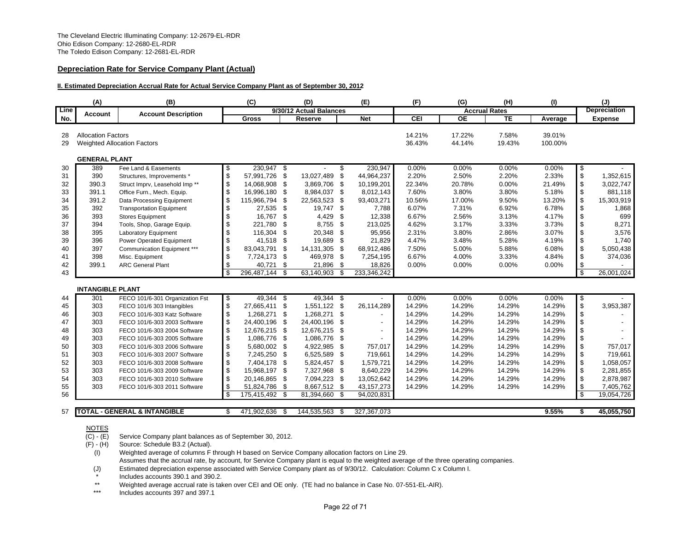# **Depreciation Rate for Service Company Plant (Actual)**

#### **II. Estimated Depreciation Accrual Rate for Actual Service Company Plant as of September 30, 2012**

|          | (A)                       | (B)                                     |                      | (C)            |     | (D)                     |      | (E)            | (F)              | (G)                  | (H)             | (1)               |                           | (J)                 |
|----------|---------------------------|-----------------------------------------|----------------------|----------------|-----|-------------------------|------|----------------|------------------|----------------------|-----------------|-------------------|---------------------------|---------------------|
| Line     | <b>Account</b>            | <b>Account Description</b>              |                      |                |     | 9/30/12 Actual Balances |      |                |                  | <b>Accrual Rates</b> |                 |                   |                           | <b>Depreciation</b> |
| No.      |                           |                                         |                      | <b>Gross</b>   |     | Reserve                 |      | <b>Net</b>     | <b>CEI</b>       | <b>OE</b>            | <b>TE</b>       | Average           |                           | <b>Expense</b>      |
| 28<br>29 | <b>Allocation Factors</b> | <b>Weighted Allocation Factors</b>      |                      |                |     |                         |      |                | 14.21%<br>36.43% | 17.22%<br>44.14%     | 7.58%<br>19.43% | 39.01%<br>100.00% |                           |                     |
|          | <b>GENERAL PLANT</b>      |                                         |                      |                |     |                         |      |                |                  |                      |                 |                   |                           |                     |
| 30       | 389                       | Fee Land & Easements                    | \$                   | 230,947 \$     |     |                         | S    | 230,947        | 0.00%            | 0.00%                | 0.00%           | 0.00%             | \$                        |                     |
| 31       | 390                       | Structures, Improvements'               | \$                   | 57,991,726     | \$  | 13,027,489              | \$   | 44.964.237     | 2.20%            | 2.50%                | 2.20%           | 2.33%             | $\,$                      | 1,352,615           |
| 32       | 390.3                     | Struct Imprv, Leasehold Imp**           | \$                   | 14,068,908     | \$  | 3,869,706               | - \$ | 10,199,201     | 22.34%           | 20.78%               | 0.00%           | 21.49%            | \$                        | 3,022,747           |
| 33       | 391.1                     | Office Furn., Mech. Equip.              | \$                   | 16,996,180     | \$  | 8,984,037 \$            |      | 8,012,143      | 7.60%            | 3.80%                | 3.80%           | 5.18%             | \$                        | 881,118             |
| 34       | 391.2                     | Data Processing Equipment               | \$                   | 115,966,794    | \$  | 22,563,523              | \$   | 93,403,271     | 10.56%           | 17.00%               | 9.50%           | 13.20%            | \$                        | 15,303,919          |
| 35       | 392                       | <b>Transportation Equipment</b>         | \$                   | 27,535 \$      |     | 19,747 \$               |      | 7,788          | 6.07%            | 7.31%                | 6.92%           | 6.78%             | \$                        | 1,868               |
| 36       | 393                       | <b>Stores Equipment</b>                 | $\mathfrak s$        | 16,767         | \$  | 4,429                   | \$   | 12,338         | 6.67%            | 2.56%                | 3.13%           | 4.17%             | \$                        | 699                 |
| 37       | 394                       | Tools, Shop, Garage Equip.              | \$                   | 221,780        | \$  | 8,755                   | -\$  | 213,025        | 4.62%            | 3.17%                | 3.33%           | 3.73%             | \$                        | 8,271               |
| 38       | 395                       | Laboratory Equipment                    | \$                   | 116,304        | \$  | 20,348                  | \$   | 95,956         | 2.31%            | 3.80%                | 2.86%           | 3.07%             | \$                        | 3,576               |
| 39       | 396                       | Power Operated Equipment                | \$                   | 41,518         | \$  | 19,689                  | -\$  | 21,829         | 4.47%            | 3.48%                | 5.28%           | 4.19%             | \$                        | 1,740               |
| 40       | 397                       | Communication Equipment ***             | \$                   | 83,043,791     | \$  | 14,131,305              | \$   | 68,912,486     | 7.50%            | 5.00%                | 5.88%           | 6.08%             | \$                        | 5,050,438           |
| 41       | 398                       | Misc. Equipment                         | \$                   | 7,724,173      | \$  | 469,978                 | -\$  | 7,254,195      | 6.67%            | 4.00%                | 3.33%           | 4.84%             | $\boldsymbol{\mathsf{s}}$ | 374,036             |
| 42       | 399.1                     | <b>ARC General Plant</b>                | \$                   | 40,721         | \$  | 21,896                  | -\$  | 18,826         | 0.00%            | 0.00%                | 0.00%           | 0.00%             | \$                        |                     |
| 43       |                           |                                         | \$                   | 296,487,144 \$ |     | 63,140,903              | -\$  | 233,346,242    |                  |                      |                 |                   | \$                        | 26,001,024          |
|          |                           |                                         |                      |                |     |                         |      |                |                  |                      |                 |                   |                           |                     |
|          | <b>INTANGIBLE PLANT</b>   |                                         |                      |                |     |                         |      |                |                  |                      |                 |                   |                           |                     |
| 44       | 301                       | FECO 101/6-301 Organization Fst         | \$                   | 49,344         | -\$ | 49,344 \$               |      |                | 0.00%            | 0.00%                | 0.00%           | 0.00%             | \$                        |                     |
| 45       | 303                       | FECO 101/6 303 Intangibles              | \$                   | 27,665,411     | \$  | 1,551,122 \$            |      | 26,114,289     | 14.29%           | 14.29%               | 14.29%          | 14.29%            | $\boldsymbol{\mathsf{S}}$ | 3,953,387           |
| 46       | 303                       | FECO 101/6-303 Katz Software            | $\pmb{\mathbb{S}}$   | 1,268,271      | \$  | 1,268,271 \$            |      |                | 14.29%           | 14.29%               | 14.29%          | 14.29%            | \$                        |                     |
| 47       | 303                       | FECO 101/6-303 2003 Software            | $\,$                 | 24,400,196     | \$  | 24,400,196              | \$   |                | 14.29%           | 14.29%               | 14.29%          | 14.29%            | \$                        |                     |
| 48       | 303                       | FECO 101/6-303 2004 Software            | $\pmb{\mathbb{S}}$   | 12,676,215     | \$  | 12,676,215              | - \$ | $\overline{a}$ | 14.29%           | 14.29%               | 14.29%          | 14.29%            | \$                        |                     |
| 49       | 303                       | FECO 101/6-303 2005 Software            | $\pmb{\mathfrak{S}}$ | 1,086,776      | \$  | 1,086,776               | - \$ | $\overline{a}$ | 14.29%           | 14.29%               | 14.29%          | 14.29%            | \$                        |                     |
| 50       | 303                       | FECO 101/6-303 2006 Software            | \$                   | 5,680,002      | -\$ | 4,922,985 \$            |      | 757,017        | 14.29%           | 14.29%               | 14.29%          | 14.29%            | \$                        | 757,017             |
| 51       | 303                       | FECO 101/6-303 2007 Software            | \$                   | 7,245,250      | \$  | 6,525,589 \$            |      | 719,661        | 14.29%           | 14.29%               | 14.29%          | 14.29%            | \$                        | 719,661             |
| 52       | 303                       | FECO 101/6-303 2008 Software            | \$                   | 7,404,178      | -\$ | 5,824,457 \$            |      | 1,579,721      | 14.29%           | 14.29%               | 14.29%          | 14.29%            | \$                        | 1,058,057           |
| 53       | 303                       | FECO 101/6-303 2009 Software            | \$                   | 15,968,197     | -\$ | 7,327,968 \$            |      | 8,640,229      | 14.29%           | 14.29%               | 14.29%          | 14.29%            | \$                        | 2,281,855           |
| 54       | 303                       | FECO 101/6-303 2010 Software            | \$                   | 20,146,865     | \$  | 7,094,223               | -\$  | 13,052,642     | 14.29%           | 14.29%               | 14.29%          | 14.29%            | $\boldsymbol{\mathsf{s}}$ | 2,878,987           |
| 55       | 303                       | FECO 101/6-303 2011 Software            | \$                   | 51,824,786     | \$  | 8,667,512               | \$   | 43, 157, 273   | 14.29%           | 14.29%               | 14.29%          | 14.29%            | \$                        | 7,405,762           |
| 56       |                           |                                         | \$                   | 175,415,492    | \$  | 81,394,660              | \$   | 94,020,831     |                  |                      |                 |                   | \$                        | 19,054,726          |
|          |                           |                                         |                      |                |     |                         |      |                |                  |                      |                 |                   |                           |                     |
| 57       |                           | <b>TOTAL - GENERAL &amp; INTANGIBLE</b> | \$                   | 471,902,636 \$ |     | 144,535,563             | - \$ | 327,367,073    |                  |                      |                 | 9.55%             | \$                        | 45,055,750          |

#### NOTES

 $\overline{(C) - (E)}$ Service Company plant balances as of September 30, 2012.

(F) - (H) Source: Schedule B3.2 (Actual).

(I) Weighted average of columns F through H based on Service Company allocation factors on Line 29.

Assumes that the accrual rate, by account, for Service Company plant is equal to the weighted average of the three operating companies.

(J) Estimated depreciation expense associated with Service Company plant as of 9/30/12. Calculation: Column C x Column I.

Includes accounts 390.1 and 390.2.

\*\*Weighted average accrual rate is taken over CEI and OE only. (TE had no balance in Case No. 07-551-EL-AIR).

\*\*\*Includes accounts 397 and 397.1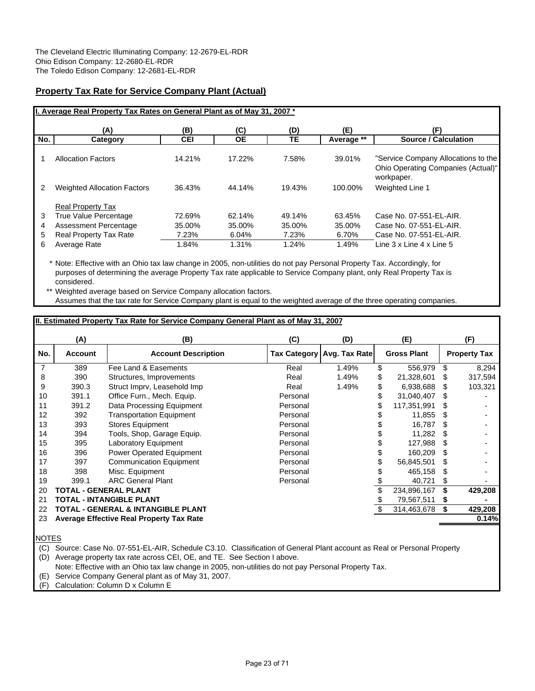# **Property Tax Rate for Service Company Plant (Actual)**

|                  | I. Average Real Property Tax Rates on General Plant as of May 31, 2007 *                                                    |                                    |                                    |                                    |                                    |                                                                                                           |
|------------------|-----------------------------------------------------------------------------------------------------------------------------|------------------------------------|------------------------------------|------------------------------------|------------------------------------|-----------------------------------------------------------------------------------------------------------|
|                  | (A)                                                                                                                         | (B)                                | (C)                                | (D)                                | (E)                                | (F)                                                                                                       |
| No.              | Category                                                                                                                    | <b>CEI</b>                         | <b>OE</b>                          | TE                                 | Average **                         | <b>Source / Calculation</b>                                                                               |
|                  | <b>Allocation Factors</b>                                                                                                   | 14.21%                             | 17.22%                             | 7.58%                              | 39.01%                             | "Service Company Allocations to the<br>Ohio Operating Companies (Actual)"<br>workpaper.                   |
| 2                | <b>Weighted Allocation Factors</b>                                                                                          | 36.43%                             | 44.14%                             | 19.43%                             | 100.00%                            | <b>Weighted Line 1</b>                                                                                    |
| 3<br>4<br>5<br>6 | <b>Real Property Tax</b><br>True Value Percentage<br>Assessment Percentage<br><b>Real Property Tax Rate</b><br>Average Rate | 72.69%<br>35.00%<br>7.23%<br>1.84% | 62.14%<br>35.00%<br>6.04%<br>1.31% | 49.14%<br>35.00%<br>7.23%<br>1.24% | 63.45%<br>35.00%<br>6.70%<br>1.49% | Case No. 07-551-EL-AIR.<br>Case No. 07-551-EL-AIR.<br>Case No. 07-551-EL-AIR.<br>Line 3 x Line 4 x Line 5 |

\* Note: Effective with an Ohio tax law change in 2005, non-utilities do not pay Personal Property Tax. Accordingly, for purposes of determining the average Property Tax rate applicable to Service Company plant, only Real Property Tax is considered.

\*\* Weighted average based on Service Company allocation factors. Assumes that the tax rate for Service Company plant is equal to the weighted average of the three operating companies.

# **II. Estimated Property Tax Rate for Service Company General Plant as of May 31, 2007**

|     | (A)     | (B)                                      | (C)      | (D)                          | (E)                |   | (F)                 |
|-----|---------|------------------------------------------|----------|------------------------------|--------------------|---|---------------------|
| No. | Account | <b>Account Description</b>               |          | Tax Category   Avg. Tax Rate | <b>Gross Plant</b> |   | <b>Property Tax</b> |
| 7   | 389     | Fee Land & Easements                     | Real     | 1.49%                        | \$<br>556,979      | S | 8,294               |
| 8   | 390     | Structures, Improvements                 | Real     | 1.49%                        | \$<br>21,328,601   | S | 317,594             |
| 9   | 390.3   | Struct Imprv, Leasehold Imp              | Real     | 1.49%                        | 6,938,688          | S | 103,321             |
| 10  | 391.1   | Office Furn., Mech. Equip.               | Personal |                              | 31,040,407         | S |                     |
| 11  | 391.2   | Data Processing Equipment                | Personal |                              | 117,351,991        | S |                     |
| 12  | 392     | <b>Transportation Equipment</b>          | Personal |                              | 11,855             | S |                     |
| 13  | 393     | <b>Stores Equipment</b>                  | Personal |                              | 16,787             | S |                     |
| 14  | 394     | Tools, Shop, Garage Equip.               | Personal |                              | 11,282             | S |                     |
| 15  | 395     | <b>Laboratory Equipment</b>              | Personal |                              | 127,988            | S |                     |
| 16  | 396     | <b>Power Operated Equipment</b>          | Personal |                              | 160.209            | S |                     |
| 17  | 397     | <b>Communication Equipment</b>           | Personal |                              | 56,845,501         | S |                     |
| 18  | 398     | Misc. Equipment                          | Personal |                              | 465,158            | S |                     |
| 19  | 399.1   | <b>ARC General Plant</b>                 | Personal |                              | 40,721             | S |                     |
| 20  |         | TOTAL - GENERAL PLANT                    |          |                              | 234,896,167        |   | 429,208             |
| 21  |         | TOTAL - INTANGIBLE PLANT                 |          |                              | 79,567,511         | S |                     |
| 22  |         | TOTAL - GENERAL & INTANGIBLE PLANT       |          |                              | 314,463,678        | S | 429,208             |
| 23  |         | Average Effective Real Property Tax Rate |          |                              |                    |   | 0.14%               |
|     |         |                                          |          |                              |                    |   |                     |

NOTES

(C) Source: Case No. 07-551-EL-AIR, Schedule C3.10. Classification of General Plant account as Real or Personal Property

(D) Average property tax rate across CEI, OE, and TE. See Section I above.

Note: Effective with an Ohio tax law change in 2005, non-utilities do not pay Personal Property Tax.

(E) Service Company General plant as of May 31, 2007.

(F) Calculation: Column D x Column E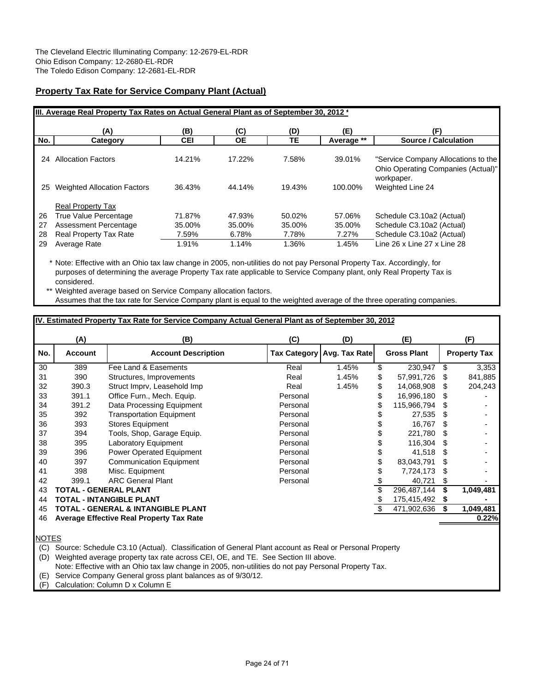# **Property Tax Rate for Service Company Plant (Actual)**

|     | III. Average Real Property Tax Rates on Actual General Plant as of September 30, 2012 * |            |        |        |            |                                                                           |
|-----|-----------------------------------------------------------------------------------------|------------|--------|--------|------------|---------------------------------------------------------------------------|
|     | (A)                                                                                     | (B)        | (C)    | (D)    | (E)        | (F)                                                                       |
| No. | Category                                                                                | <b>CEI</b> | ОE     | TЕ     | Average ** | <b>Source / Calculation</b>                                               |
| 24  | <b>Allocation Factors</b>                                                               | 14.21%     | 17.22% | 7.58%  | 39.01%     | "Service Company Allocations to the<br>Ohio Operating Companies (Actual)" |
| 25  | <b>Weighted Allocation Factors</b>                                                      | 36.43%     | 44.14% | 19.43% | 100.00%    | workpaper.<br>Weighted Line 24                                            |
|     | <b>Real Property Tax</b>                                                                |            |        |        |            |                                                                           |
| 26  | True Value Percentage                                                                   | 71.87%     | 47.93% | 50.02% | 57.06%     | Schedule C3.10a2 (Actual)                                                 |
| 27  | Assessment Percentage                                                                   | 35.00%     | 35.00% | 35.00% | 35.00%     | Schedule C3.10a2 (Actual)                                                 |
| 28  | <b>Real Property Tax Rate</b>                                                           | 7.59%      | 6.78%  | 7.78%  | 7.27%      | Schedule C3.10a2 (Actual)                                                 |
| 29  | Average Rate                                                                            | 1.91%      | 1.14%  | 1.36%  | 1.45%      | Line 26 x Line 27 x Line 28                                               |

\* Note: Effective with an Ohio tax law change in 2005, non-utilities do not pay Personal Property Tax. Accordingly, for purposes of determining the average Property Tax rate applicable to Service Company plant, only Real Property Tax is considered.

\*\* Weighted average based on Service Company allocation factors. Assumes that the tax rate for Service Company plant is equal to the weighted average of the three operating companies.

# **IV. Estimated Property Tax Rate for Service Company Actual General Plant as of September 30, 2012**

|     | (A)            | (B)                                      | (C)      | (D)                          |    | (E)                |    | (F)                 |
|-----|----------------|------------------------------------------|----------|------------------------------|----|--------------------|----|---------------------|
| No. | <b>Account</b> | <b>Account Description</b>               |          | Tax Category   Avg. Tax Rate |    | <b>Gross Plant</b> |    | <b>Property Tax</b> |
| 30  | 389            | Fee Land & Easements                     | Real     | 1.45%                        | \$ | 230,947            | S  | 3,353               |
| 31  | 390            | Structures, Improvements                 | Real     | 1.45%                        | S  | 57,991,726         | S  | 841,885             |
| 32  | 390.3          | Struct Imprv, Leasehold Imp              | Real     | 1.45%                        |    | 14,068,908         | S  | 204,243             |
| 33  | 391.1          | Office Furn., Mech. Equip.               | Personal |                              |    | 16,996,180         | S  |                     |
| 34  | 391.2          | Data Processing Equipment                | Personal |                              |    | 115,966,794        | æ. |                     |
| 35  | 392            | <b>Transportation Equipment</b>          | Personal |                              |    | 27,535             | S  |                     |
| 36  | 393            | <b>Stores Equipment</b>                  | Personal |                              |    | 16.767             | S. |                     |
| 37  | 394            | Tools, Shop, Garage Equip.               | Personal |                              |    | 221,780            | S  |                     |
| 38  | 395            | <b>Laboratory Equipment</b>              | Personal |                              |    | 116.304            | S  |                     |
| 39  | 396            | <b>Power Operated Equipment</b>          | Personal |                              |    | 41,518             | S  |                     |
| 40  | 397            | <b>Communication Equipment</b>           | Personal |                              |    | 83,043,791         | S  |                     |
| 41  | 398            | Misc. Equipment                          | Personal |                              |    | 7,724,173          | S  |                     |
| 42  | 399.1          | <b>ARC General Plant</b>                 | Personal |                              |    | 40,721             | S  |                     |
| 43  |                | TOTAL - GENERAL PLANT                    |          |                              |    | 296,487,144        | S  | 1,049,481           |
| 44  |                | TOTAL - INTANGIBLE PLANT                 |          |                              |    | 175,415,492        | 5  |                     |
| 45  |                | TOTAL - GENERAL & INTANGIBLE PLANT       |          |                              |    | 471,902,636        | S  | 1,049,481           |
| 46  |                | Average Effective Real Property Tax Rate |          |                              |    |                    |    | 0.22%               |
|     |                |                                          |          |                              |    |                    |    |                     |

NOTES

(C) Source: Schedule C3.10 (Actual). Classification of General Plant account as Real or Personal Property

(D) Weighted average property tax rate across CEI, OE, and TE. See Section III above.

Note: Effective with an Ohio tax law change in 2005, non-utilities do not pay Personal Property Tax.

(E) Service Company General gross plant balances as of 9/30/12.

(F) Calculation: Column D x Column E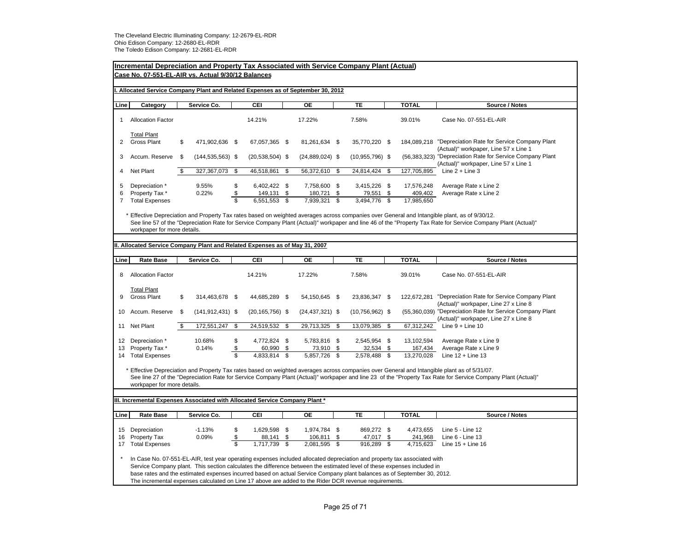|                          | Incremental Depreciation and Property Tax Associated with Service Company Plant (Actual)<br>Case No. 07-551-EL-AIR vs. Actual 9/30/12 Balances                                                                                                                                                                                                                                                                                                                                          |      |                      |                                     |                                      |          |                                      |          |                                     |             |                                     |                                                                                                                                                                                                                                                                                                                |  |  |  |
|--------------------------|-----------------------------------------------------------------------------------------------------------------------------------------------------------------------------------------------------------------------------------------------------------------------------------------------------------------------------------------------------------------------------------------------------------------------------------------------------------------------------------------|------|----------------------|-------------------------------------|--------------------------------------|----------|--------------------------------------|----------|-------------------------------------|-------------|-------------------------------------|----------------------------------------------------------------------------------------------------------------------------------------------------------------------------------------------------------------------------------------------------------------------------------------------------------------|--|--|--|
|                          | Allocated Service Company Plant and Related Expenses as of September 30, 2012                                                                                                                                                                                                                                                                                                                                                                                                           |      |                      |                                     |                                      |          |                                      |          |                                     |             |                                     |                                                                                                                                                                                                                                                                                                                |  |  |  |
| Line                     | Category                                                                                                                                                                                                                                                                                                                                                                                                                                                                                |      | Service Co.          |                                     | CEI                                  |          | OЕ                                   |          | <b>TE</b>                           |             | <b>TOTAL</b>                        | Source / Notes                                                                                                                                                                                                                                                                                                 |  |  |  |
|                          | <b>Allocation Factor</b>                                                                                                                                                                                                                                                                                                                                                                                                                                                                |      |                      |                                     | 14.21%                               |          | 17.22%                               |          | 7.58%                               |             | 39.01%                              | Case No. 07-551-EL-AIR                                                                                                                                                                                                                                                                                         |  |  |  |
| 2                        | <b>Total Plant</b><br><b>Gross Plant</b>                                                                                                                                                                                                                                                                                                                                                                                                                                                | \$   | 471,902,636 \$       |                                     | 67,057,365 \$                        |          | 81,261,634 \$                        |          | 35,770,220 \$                       |             |                                     | 184,089,218 "Depreciation Rate for Service Company Plant<br>(Actual)" workpaper, Line 57 x Line 1                                                                                                                                                                                                              |  |  |  |
| 3                        | Accum. Reserve                                                                                                                                                                                                                                                                                                                                                                                                                                                                          | \$   | $(144, 535, 563)$ \$ |                                     | $(20, 538, 504)$ \$                  |          | $(24,889,024)$ \$                    |          | $(10,955,796)$ \$                   |             |                                     | (56,383,323) "Depreciation Rate for Service Company Plant<br>(Actual)" workpaper, Line 57 x Line 1                                                                                                                                                                                                             |  |  |  |
| 4                        | Net Plant                                                                                                                                                                                                                                                                                                                                                                                                                                                                               | \$   | 327,367,073          | \$                                  | 46,518,861                           | \$       | 56,372,610 \$                        |          | 24,814,424 \$                       |             | 127,705,895                         | Line $2 +$ Line 3                                                                                                                                                                                                                                                                                              |  |  |  |
| 5<br>6<br>$\overline{7}$ | Depreciation *<br>Property Tax *<br><b>Total Expenses</b>                                                                                                                                                                                                                                                                                                                                                                                                                               |      | 9.55%<br>0.22%       | \$<br>\$<br>$\overline{\mathbb{S}}$ | 6,402,422 \$<br>149,131<br>6,551,553 | \$<br>\$ | 7,758,600 \$<br>180,721<br>7,939,321 | \$<br>\$ | 3,415,226 \$<br>79,551<br>3,494,776 | -\$<br>- \$ | 17,576,248<br>409,402<br>17,985,650 | Average Rate x Line 2<br>Average Rate x Line 2                                                                                                                                                                                                                                                                 |  |  |  |
|                          | workpaper for more details.                                                                                                                                                                                                                                                                                                                                                                                                                                                             |      |                      |                                     |                                      |          |                                      |          |                                     |             |                                     | * Effective Depreciation and Property Tax rates based on weighted averages across companies over General and Intangible plant, as of 9/30/12.<br>See line 57 of the "Depreciation Rate for Service Company Plant (Actual)" workpaper and line 46 of the "Property Tax Rate for Service Company Plant (Actual)" |  |  |  |
|                          | II. Allocated Service Company Plant and Related Expenses as of May 31, 2007                                                                                                                                                                                                                                                                                                                                                                                                             |      |                      |                                     |                                      |          |                                      |          |                                     |             |                                     |                                                                                                                                                                                                                                                                                                                |  |  |  |
| Line                     | <b>Rate Base</b>                                                                                                                                                                                                                                                                                                                                                                                                                                                                        |      | Service Co.          |                                     | CEI                                  |          | <b>OE</b>                            |          | TE                                  |             | <b>TOTAL</b>                        | Source / Notes                                                                                                                                                                                                                                                                                                 |  |  |  |
| 8                        | <b>Allocation Factor</b>                                                                                                                                                                                                                                                                                                                                                                                                                                                                |      |                      |                                     | 14.21%                               |          | 17.22%                               |          | 7.58%                               |             | 39.01%                              | Case No. 07-551-EL-AIR                                                                                                                                                                                                                                                                                         |  |  |  |
| 9                        | <b>Total Plant</b><br><b>Gross Plant</b>                                                                                                                                                                                                                                                                                                                                                                                                                                                | \$   | 314,463,678 \$       |                                     | 44,685,289 \$                        |          | 54,150,645 \$                        |          | 23,836,347 \$                       |             | 122,672,281                         | "Depreciation Rate for Service Company Plant<br>(Actual)" workpaper, Line 27 x Line 8                                                                                                                                                                                                                          |  |  |  |
| 10                       | Accum. Reserve                                                                                                                                                                                                                                                                                                                                                                                                                                                                          | - \$ | $(141, 912, 431)$ \$ |                                     | $(20, 165, 756)$ \$                  |          | $(24, 437, 321)$ \$                  |          | $(10,756,962)$ \$                   |             |                                     | (55,360,039) "Depreciation Rate for Service Company Plant<br>(Actual)" workpaper, Line 27 x Line 8                                                                                                                                                                                                             |  |  |  |
| 11                       | Net Plant                                                                                                                                                                                                                                                                                                                                                                                                                                                                               | - \$ | 172,551,247          | \$                                  | 24,519,532                           | \$       | 29,713,325                           | - \$     | 13,079,385 \$                       |             | 67,312,242                          | Line $9 +$ Line 10                                                                                                                                                                                                                                                                                             |  |  |  |
| 12<br>13                 | Depreciation *<br>Property Tax*                                                                                                                                                                                                                                                                                                                                                                                                                                                         |      | 10.68%<br>0.14%      | \$<br>$\pmb{\mathfrak{S}}$          | 4,772,824 \$<br>60,990               | \$       | 5,783,816 \$<br>73,910               | \$       | 2,545,954 \$<br>32,534              | \$          | 13,102,594<br>167,434               | Average Rate x Line 9<br>Average Rate x Line 9                                                                                                                                                                                                                                                                 |  |  |  |
|                          | 14 Total Expenses                                                                                                                                                                                                                                                                                                                                                                                                                                                                       |      |                      | $\overline{\mathbb{S}}$             | 4,833,814                            | \$       | 5,857,726                            | \$       | 2,578,488                           | \$          | 13,270,028                          | Line $12 +$ Line 13                                                                                                                                                                                                                                                                                            |  |  |  |
|                          | workpaper for more details.                                                                                                                                                                                                                                                                                                                                                                                                                                                             |      |                      |                                     |                                      |          |                                      |          |                                     |             |                                     | * Effective Depreciation and Property Tax rates based on weighted averages across companies over General and Intangible plant as of 5/31/07.<br>See line 27 of the "Depreciation Rate for Service Company Plant (Actual)" workpaper and line 23 of the "Property Tax Rate for Service Company Plant (Actual)"  |  |  |  |
|                          | III. Incremental Expenses Associated with Allocated Service Company Plant*                                                                                                                                                                                                                                                                                                                                                                                                              |      |                      |                                     |                                      |          |                                      |          |                                     |             |                                     |                                                                                                                                                                                                                                                                                                                |  |  |  |
|                          |                                                                                                                                                                                                                                                                                                                                                                                                                                                                                         |      |                      |                                     |                                      |          |                                      |          |                                     |             |                                     |                                                                                                                                                                                                                                                                                                                |  |  |  |
| Line                     | <b>Rate Base</b>                                                                                                                                                                                                                                                                                                                                                                                                                                                                        |      | Service Co.          |                                     | CEI                                  |          | OE                                   |          | TE                                  |             | <b>TOTAL</b>                        | Source / Notes                                                                                                                                                                                                                                                                                                 |  |  |  |
|                          | 15 Depreciation                                                                                                                                                                                                                                                                                                                                                                                                                                                                         |      | $-1.13%$             | \$                                  | 1,629,598 \$                         |          | 1,974,784 \$                         |          | 869,272 \$                          |             | 4,473,655                           | Line 5 - Line 12                                                                                                                                                                                                                                                                                               |  |  |  |
| 16                       | Property Tax                                                                                                                                                                                                                                                                                                                                                                                                                                                                            |      | 0.09%                | \$                                  | 88,141                               | \$       | 106,811                              | \$       | 47,017                              | \$          | 241,968                             | Line 6 - Line 13                                                                                                                                                                                                                                                                                               |  |  |  |
| 17                       | \$<br>1,717,739<br>2,081,595 \$<br>916,289 \$<br><b>Total Expenses</b><br>\$<br>4,715,623<br>Line $15 +$ Line 16                                                                                                                                                                                                                                                                                                                                                                        |      |                      |                                     |                                      |          |                                      |          |                                     |             |                                     |                                                                                                                                                                                                                                                                                                                |  |  |  |
|                          | In Case No. 07-551-EL-AIR, test year operating expenses included allocated depreciation and property tax associated with<br>Service Company plant. This section calculates the difference between the estimated level of these expenses included in<br>base rates and the estimated expenses incurred based on actual Service Company plant balances as of September 30, 2012.<br>The incremental expenses calculated on Line 17 above are added to the Rider DCR revenue requirements. |      |                      |                                     |                                      |          |                                      |          |                                     |             |                                     |                                                                                                                                                                                                                                                                                                                |  |  |  |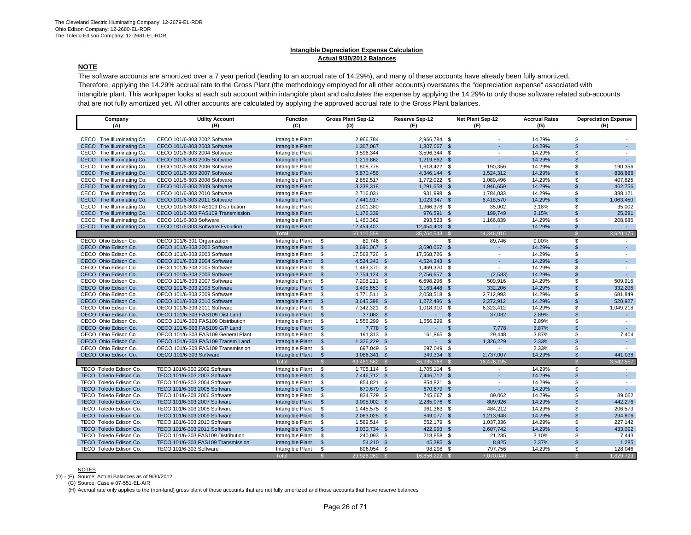#### **Intangible Depreciation Expense Calculation Actual 9/30/2012 Balances**

# **NOTE**

The software accounts are amortized over a 7 year period (leading to an accrual rate of 14.29%), and many of these accounts have already been fully amortized. Therefore, applying the 14.29% accrual rate to the Gross Plant (the methodology employed for all other accounts) overstates the "depreciation expense" associated with intangible plant. This workpaper looks at each sub account within intangible plant and calculates the expense by applying the 14.29% to only those software related sub-accounts that are not fully amortized yet. All other accounts are calculated by applying the approved accrual rate to the Gross Plant balances.

| Company                             | <b>Utility Account</b>                                       | <b>Function</b>                      |                      | <b>Gross Plant Sep-12</b>    | Reserve Sep-12      |      | <b>Net Plant Sep-12</b>  | <b>Accrual Rates</b> |                      | <b>Depreciation Expense</b> |
|-------------------------------------|--------------------------------------------------------------|--------------------------------------|----------------------|------------------------------|---------------------|------|--------------------------|----------------------|----------------------|-----------------------------|
| (A)                                 | (B)                                                          | (C)                                  |                      | (D)                          | (F)                 |      | (F)                      | (G)                  |                      | (H)                         |
|                                     |                                                              |                                      |                      |                              |                     |      |                          |                      |                      |                             |
| CECO The Illuminating Co.           | CECO 101/6-303 2002 Software                                 | Intangible Plant                     |                      | 2,966,784                    | 2,966,784 \$        |      |                          | 14.29%               | \$.                  |                             |
| CECO The Illuminating Co.           | CECO 101/6-303 2003 Software                                 | Intangible Plant                     |                      | 1,307,067                    | 1,307,067 \$        |      |                          | 14.29%               | $\mathbf{\$}$        |                             |
| CECO<br>The Illuminating Co.        | CECO 101/6-303 2004 Software                                 | Intangible Plant                     |                      | 3,596,344                    | 3,596,344 \$        |      | $\sim$                   | 14.29%               | \$                   |                             |
| <b>CECO</b><br>The Illuminating Co. | CECO 101/6-303 2005 Software                                 | Intangible Plant                     |                      | 1,219,862                    | 1,219,862 \$        |      |                          | 14.29%               | $\mathbf{\$}$        |                             |
| The Illuminating Co.<br>CECO        | CECO 101/6-303 2006 Software                                 | Intangible Plant                     |                      | 1,808,778                    | 1,618,422 \$        |      | 190,356                  | 14.29%               | \$                   | 190,356                     |
| CECO The Illuminating Co.           | CECO 101/6-303 2007 Software                                 | Intangible Plant                     |                      | 5,870,456                    | 4,346,144 \$        |      | 1,524,312                | 14.29%               | $\mathbf{\$}$        | 838,888                     |
| CECO<br>The Illuminating Co.        | CECO 101/6-303 2008 Software                                 | Intangible Plant                     |                      | 2,852,517                    | 1.772.022 \$        |      | 1,080,496                | 14.29%               | \$                   | 407,625                     |
| CECO The Illuminating Co.           | CECO 101/6-303 2009 Software                                 | Intangible Plant                     |                      | 3,238,318                    | 1,291,658 \$        |      | 1,946,659                | 14.29%               | $\mathbb{S}$         | 462,756                     |
| CECO The Illuminating Co.           | CECO 101/6-303 2010 Software                                 | Intangible Plant                     |                      | 2,716,031                    | 931,998 \$          |      | 1,784,033                | 14.29%               | \$                   | 388,121                     |
| CECO The Illuminating Co.           | CECO 101/6-303 2011 Software                                 | Intangible Plant                     |                      | 7,441,917                    | 1,023,347 \$        |      | 6,418,570                | 14.29%               | $\mathbb{S}$         | 1,063,450                   |
| CECO The Illuminating Co.           | CECO 101/6-303 FAS109 Distribution                           | Intangible Plant                     |                      | 2,001,380                    | 1,966,378 \$        |      | 35,002                   | 3.18%                | \$                   | 35,002                      |
| CECO The Illuminating Co.           | CECO 101/6-303 FAS109 Transmission                           | Intangible Plant                     |                      | 1,176,339                    | 976,591 \$          |      | 199,749                  | 2.15%                | $\mathfrak{L}$       | 25,291                      |
| CECO The Illuminating Co.           | CECO 101/6-303 Software                                      | Intangible Plant                     |                      | 1,460,362                    | 293,523 \$          |      | 1,166,839                | 14.29%               | \$                   | 208,686                     |
| CECO The Illuminating Co.           | CECO 101/6-303 Software Evolution                            | Intangible Plant                     |                      | 12,454,403                   | 12,454,403 \$       |      | ÷.                       | 14.29%               | \$                   | $\omega_{\rm c}$            |
|                                     |                                                              | <b>Total</b>                         |                      | 50,110,559                   | 35,764,543 \$       |      | 14,346,016               |                      | $\mathcal{S}$        | 3,620,175                   |
| OECO Ohio Edison Co.                | OECO 101/6-301 Organization                                  | Intangible Plant                     | \$                   | 89,746 \$                    |                     | - \$ | 89,746                   | 0.00%                | \$                   |                             |
| OECO Ohio Edison Co.                | OECO 101/6-303 2002 Software                                 | Intangible Plant                     | $\sqrt[6]{3}$        | 3,690,067 \$                 | 3,690,067 \$        |      | ÷.                       | 14.29%               | $\mathbb{S}$         | $\sim$                      |
| OECO Ohio Edison Co.                | OECO 101/6-303 2003 Software                                 | Intangible Plant                     | \$                   | 17,568,726 \$                | 17,568,726 \$       |      | $\overline{\phantom{a}}$ | 14.29%               | \$.                  | $\sim$                      |
| OECO Ohio Edison Co.                | OECO 101/6-303 2004 Software                                 | Intangible Plant                     | $\mathfrak{S}$       | 4,524,343 \$                 | 4,524,343 \$        |      | ÷                        | 14.29%               | $\mathbf{\$}$        | ÷                           |
| OECO Ohio Edison Co.                | OECO 101/6-303 2005 Software                                 | Intangible Plant                     | \$                   | 1,469,370 \$                 | 1,469,370 \$        |      | $\sim$                   | 14.29%               | \$                   | ÷                           |
| OECO Ohio Edison Co.                | OECO 101/6-303 2006 Software                                 |                                      | $\mathfrak{S}$       |                              | 2,756,657 \$        |      |                          | 14.29%               | $\mathbf{\$}$        | $\sim$                      |
| OECO Ohio Edison Co.                |                                                              | Intangible Plant                     | \$                   | 2,754,124 \$                 | 6,698,296 \$        |      | (2,533)                  |                      | \$                   | 509,916                     |
| OECO Ohio Edison Co.                | OECO 101/6-303 2007 Software<br>OECO 101/6-303 2008 Software | Intangible Plant<br>Intangible Plant | $\mathfrak{s}$       | 7,208,211 \$<br>3,495,653 \$ | 3,163,448 \$        |      | 509,916<br>332,206       | 14.29%<br>14.29%     | $\mathbf{\$}$        | 332.206                     |
| OECO Ohio Edison Co.                | OECO 101/6-303 2009 Software                                 |                                      |                      |                              |                     |      | 2,712,993                |                      | \$                   | 681,849                     |
|                                     |                                                              | Intangible Plant                     | \$<br>$\mathfrak{S}$ | 4,771,511 \$                 | 2,058,518 \$        |      | 2,372,912                | 14.29%               | $\mathbb{S}$         |                             |
| OECO Ohio Edison Co.                | OECO 101/6-303 2010 Software                                 | Intangible Plant                     |                      | 3,645,398 \$                 | 1,272,486 \$        |      |                          | 14.29%               |                      | 520,927                     |
| OECO Ohio Edison Co.                | OECO 101/6-303 2011 Software                                 | Intangible Plant                     | \$                   | 7,342,321 \$                 | 1,018,910 \$        |      | 6,323,412                | 14.29%               | \$<br>$\mathfrak{L}$ | 1,049,218                   |
| OECO Ohio Edison Co.                | OECO 101/6-303 FAS109 Dist Land                              | Intangible Plant                     | $\mathfrak{s}$       | 37,082 \$                    |                     | \$   | 37,082                   | 2.89%                |                      | $\omega$                    |
| OECO Ohio Edison Co.                | OECO 101/6-303 FAS109 Distribution                           | Intangible Plant                     | \$                   | 1,556,299 \$                 | 1,556,299 \$        |      | $\sim$                   | 2.89%                | S                    | $\sim$                      |
| OECO Ohio Edison Co.                | OECO 101/6-303 FAS109 G/P Land                               | Intangible Plant                     | $\mathfrak{s}$       | 7,778 \$                     | ÷.                  | \$   | 7,778                    | 3.87%                | $\mathfrak{L}$       |                             |
| OECO Ohio Edison Co.                | OECO 101/6-303 FAS109 General Plant                          | Intangible Plant                     | \$                   | 191,313 \$                   | 161,865 \$          |      | 29,448                   | 3.87%                | \$                   | 7,404                       |
| OECO Ohio Edison Co.                | OECO 101/6-303 FAS109 Transm Land                            | Intangible Plant                     | $\mathfrak{s}$       | 1,326,229 \$                 | $\omega_{\rm{max}}$ | \$   | 1,326,229                | 2.33%                | $\mathfrak{L}$       | $\mathcal{L}_{\mathcal{A}}$ |
| OECO Ohio Edison Co.                | OECO 101/6-303 FAS109 Transmission                           | Intangible Plant                     | \$                   | 697,049 \$                   | 697,049 \$          |      |                          | 2.33%                | \$.                  |                             |
| OECO Ohio Edison Co.                | OECO 101/6-303 Software                                      | Intangible Plant                     | \$                   | 3,086,341 \$                 | 349,334 \$          |      | 2,737,007                | 14.29%               | \$                   | 441,038                     |
|                                     |                                                              | <b>Total</b>                         | £.                   | 63,461,562 \$                | 46,985,368 \$       |      | 16,476,195               |                      | $\mathcal{S}$        | 3,542,557                   |
| TECO Toledo Edison Co.              | TECO 101/6-303 2002 Software                                 | Intangible Plant                     | \$                   | 1,705,114 \$                 | 1,705,114 \$        |      |                          | 14.29%               | \$                   |                             |
| TECO Toledo Edison Co.              | TECO 101/6-303 2003 Software                                 | Intangible Plant                     | $\mathbb{S}$         | 7,446,712 \$                 | 7,446,712 \$        |      | ÷.                       | 14.29%               | $\mathbb{S}$         | $\sim$                      |
| TECO Toledo Edison Co.              | TECO 101/6-303 2004 Software                                 | Intangible Plant                     | \$                   | 854,821 \$                   | 854,821 \$          |      | $\sim$                   | 14.29%               | \$.                  |                             |
| TECO Toledo Edison Co.              | TECO 101/6-303 2005 Software                                 | Intangible Plant                     | \$                   | 670,679 \$                   | 670,679 \$          |      | ÷.                       | 14.29%               | $\mathfrak{L}$       | $\sim$                      |
| TECO Toledo Edison Co.              | TECO 101/6-303 2006 Software                                 | Intangible Plant                     | \$                   | 834,729 \$                   | 745,667 \$          |      | 89,062                   | 14.29%               | \$                   | 89,062                      |
| TECO Toledo Edison Co.              | TECO 101/6-303 2007 Software                                 | Intangible Plant                     | $\mathbb{S}$         | 3,095,002 \$                 | 2,285,076 \$        |      | 809,926                  | 14.29%               | $\mathfrak{s}$       | 442,276                     |
| TECO Toledo Edison Co.              | TECO 101/6-303 2008 Software                                 | Intangible Plant                     | \$                   | 1,445,575 \$                 | 961,363 \$          |      | 484,212                  | 14.29%               | \$                   | 206,573                     |
| TECO Toledo Edison Co.              | TECO 101/6-303 2009 Software                                 | Intangible Plant                     | $\mathbb{S}$         | 2,063,025 \$                 | 849,077 \$          |      | 1,213,948                | 14.29%               | $\mathfrak{s}$       | 294,806                     |
| TECO Toledo Edison Co.              | TECO 101/6-303 2010 Software                                 | Intangible Plant                     | \$                   | 1,589,514 \$                 | 552,179 \$          |      | 1,037,336                | 14.29%               | \$                   | 227,142                     |
| TECO Toledo Edison Co.              | TECO 101/6-303 2011 Software                                 | Intangible Plant                     | $\mathfrak{s}$       | 3,030,734 \$                 | 422,993 \$          |      | 2,607,742                | 14.29%               | \$                   | 433,092                     |
| TECO Toledo Edison Co.              | TECO 101/6-303 FAS109 Distribution                           | Intangible Plant                     | \$                   | 240,093 \$                   | 218,858 \$          |      | 21,235                   | 3.10%                | \$                   | 7,443                       |
| TECO Toledo Edison Co.              | TECO 101/6-303 FAS109 Transmission                           | Intangible Plant                     | \$                   | 54,210 \$                    | 45,385 \$           |      | 8,825                    | 2.37%                | $\mathfrak{L}$       | 1,285                       |
| TECO Toledo Edison Co.              | TECO 101/6-303 Software                                      | Intangible Plant                     | \$                   | 896,054 \$                   | 98,298 \$           |      | 797,756                  | 14.29%               | S                    | 128,046                     |
|                                     |                                                              | <b>Total</b>                         |                      | 23,926,262 \$                | 16,856,222 \$       |      | 7,070,040                |                      |                      | 1,829,723                   |

#### NOTES

(D) - (F) Source: Actual Balances as of 9/30/2012.

(G) Source: Case # 07-551-EL-AIR

(H) Accrual rate only applies to the (non-land) gross plant of those accounts that are not fully amortized and those accounts that have reserve balances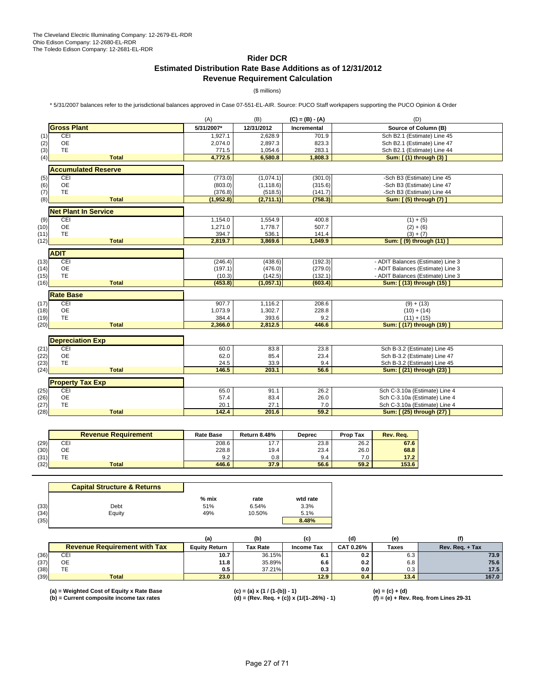# **Rider DCR Estimated Distribution Rate Base Additions as of 12/31/2012 Revenue Requirement Calculation**

(\$ millions)

\* 5/31/2007 balances refer to the jurisdictional balances approved in Case 07-551-EL-AIR. Source: PUCO Staff workpapers supporting the PUCO Opinion & Order

|      |                             | (A)           | (B)        | $(C) = (B) - (A)$ | (D)                               |
|------|-----------------------------|---------------|------------|-------------------|-----------------------------------|
|      | <b>Gross Plant</b>          | 5/31/2007*    | 12/31/2012 | Incremental       | Source of Column (B)              |
| (1)  | CEI                         | 1,927.1       | 2,628.9    | 701.9             | Sch B2.1 (Estimate) Line 45       |
| (2)  | <b>OE</b>                   | 2,074.0       | 2,897.3    | 823.3             | Sch B2.1 (Estimate) Line 47       |
| (3)  | <b>TE</b>                   | 771.5         | 1,054.6    | 283.1             | Sch B2.1 (Estimate) Line 44       |
| (4)  | <b>Total</b>                | 4,772.5       | 6,580.8    | 1,808.3           | Sum: [ (1) through (3) ]          |
|      | <b>Accumulated Reserve</b>  |               |            |                   |                                   |
| (5)  | CEI                         | (773.0)       | (1,074.1)  | (301.0)           | -Sch B3 (Estimate) Line 45        |
| (6)  | <b>OE</b>                   | (803.0)       | (1, 118.6) | (315.6)           | -Sch B3 (Estimate) Line 47        |
| (7)  | <b>TE</b>                   | (376.8)       | (518.5)    | (141.7)           | -Sch B3 (Estimate) Line 44        |
| (8)  | <b>Total</b>                | (1,952.8)     | (2,711.1)  | (758.3)           | Sum: [(5) through (7) ]           |
|      | <b>Net Plant In Service</b> |               |            |                   |                                   |
| (9)  | CEI                         | 1,154.0       | 1,554.9    | 400.8             | $(1) + (5)$                       |
| (10) | <b>OE</b>                   | 1,271.0       | 1,778.7    | 507.7             | $(2) + (6)$                       |
| (11) | TE                          | 394.7         | 536.1      | 141.4             | $(3) + (7)$                       |
| (12) | <b>Total</b>                | 2,819.7       | 3,869.6    | 1,049.9           | Sum: [ (9) through (11) ]         |
|      | <b>ADIT</b>                 |               |            |                   |                                   |
| (13) | CEI                         | (246.4)       | (438.6)    | (192.3)           | - ADIT Balances (Estimate) Line 3 |
| (14) | OE                          | (197.1)       | (476.0)    | (279.0)           | - ADIT Balances (Estimate) Line 3 |
| (15) | <b>TE</b>                   | (10.3)        | (142.5)    | (132.1)           | - ADIT Balances (Estimate) Line 3 |
| (16) | <b>Total</b>                | (453.8)       | (1,057.1)  | (603.4)           | Sum: [ (13) through (15) ]        |
|      | <b>Rate Base</b>            |               |            |                   |                                   |
| (17) | CEI                         | 907.7         | 1,116.2    | 208.6             | $(9) + (13)$                      |
| (18) | <b>OE</b>                   | 1,073.9       | 1,302.7    | 228.8             | $(10) + (14)$                     |
| (19) | <b>TE</b>                   | 384.4         | 393.6      | 9.2               | $(11) + (15)$                     |
| (20) | <b>Total</b>                | 2,366.0       | 2,812.5    | 446.6             | Sum: [ (17) through (19) ]        |
|      |                             |               |            |                   |                                   |
|      | <b>Depreciation Exp</b>     |               |            |                   |                                   |
| (21) | CEI                         | 60.0          | 83.8       | 23.8              | Sch B-3.2 (Estimate) Line 45      |
| (22) | <b>OE</b>                   | 62.0          | 85.4       | 23.4              | Sch B-3.2 (Estimate) Line 47      |
| (23) | TE<br><b>Total</b>          | 24.5<br>146.5 | 33.9       | 9.4<br>56.6       | Sch B-3.2 (Estimate) Line 45      |
| (24) |                             |               | 203.1      |                   | Sum: [ (21) through (23) ]        |
|      | <b>Property Tax Exp</b>     |               |            |                   |                                   |
| (25) | CEI                         | 65.0          | 91.1       | 26.2              | Sch C-3.10a (Estimate) Line 4     |
| (26) | <b>OE</b>                   | 57.4          | 83.4       | 26.0              | Sch C-3.10a (Estimate) Line 4     |
| (27) | <b>TE</b>                   | 20.1          | 27.1       | 7.0               | Sch C-3.10a (Estimate) Line 4     |
| (28) | <b>Total</b>                | 142.4         | 201.6      | 59.2              | Sum: [ (25) through (27) ]        |

|      | <b>Revenue Requirement</b> | <b>Rate Base</b> | <b>Return 8.48%</b> | <b>Deprec</b> | <b>Prop Tax</b> | Rev. Rea. |
|------|----------------------------|------------------|---------------------|---------------|-----------------|-----------|
| (29) | CEI                        | 208.6            | 17.7                | 23.8          | 26.2            | 67.6      |
| (30) | ОE                         | 228.8            | 19.4                | 23.4          | 26.0            | 68.8      |
| (31) |                            | 9.2              | 0.8                 | 9.4           | 7.0             | 17.2      |
| (32) | <b>Total</b>               | 446.6            | 37.9                | 56.6          | 59.2            | 153.6     |

| <b>Capital Structure &amp; Returns</b> |         |        |          |
|----------------------------------------|---------|--------|----------|
|                                        | $%$ mix | rate   | wtd rate |
| Debt                                   | 51%     | 6.54%  | 3.3%     |
| Equity                                 | 49%     | 10.50% | 5.1%     |
|                                        |         |        | 8.48%    |
|                                        |         |        |          |

|      |                                     | (a)                  | (b)             | (c)               | (d)       | (e)   |                 |
|------|-------------------------------------|----------------------|-----------------|-------------------|-----------|-------|-----------------|
|      | <b>Revenue Requirement with Tax</b> | <b>Equity Return</b> | <b>Tax Rate</b> | <b>Income Tax</b> | CAT 0.26% | Taxes | Rev. Reg. + Tax |
| (36) | CE.                                 | 10.7                 | 36.15%          | 6.1               | 0.2       | 6.3   | 73.9            |
| (37) | OE                                  | 11.8                 | 35.89%          | 6.6               | 0.2       | 6.8   | 75.6            |
| (38) | . L                                 | 0.5                  | 37.21%          | 0.3               | 0.0       | 0.3   | 17.5            |
| (39) | <b>Total</b>                        | 23.0                 |                 | 12.9              | 0.4       | 13.4  | 167.0           |

**(b) = Current composite income tax rates (d) = (Rev. Req. + (c)) x (1/(1-.26%) - 1) (f) = (e) + Rev. Req. from Lines 29-31**

**(a) = Weighted Cost of Equity x Rate Base (c) = (a) x (1 / (1-(b)) - 1) (e) = (c) + (d)**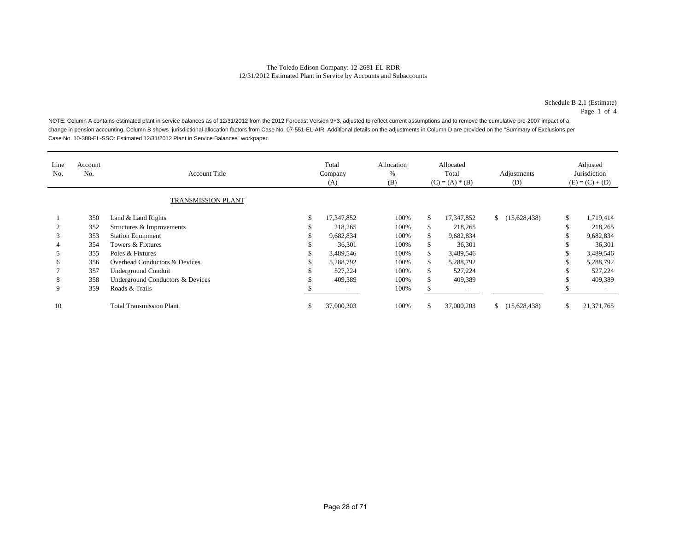Schedule B-2.1 (Estimate) Page 1 of 4

NOTE: Column A contains estimated plant in service balances as of 12/31/2012 from the 2012 Forecast Version 9+3, adjusted to reflect current assumptions and to remove the cumulative pre-2007 impact of a change in pension accounting. Column B shows jurisdictional allocation factors from Case No. 07-551-EL-AIR. Additional details on the adjustments in Column D are provided on the "Summary of Exclusions per Case No. 10-388-EL-SSO: Estimated 12/31/2012 Plant in Service Balances" workpaper.

| Line<br>No. | Account<br>No. | <b>Account Title</b>             |    | Total<br>Company<br>(A) | Allocation<br>%<br>(B) | Allocated<br>Total<br>$(C) = (A) * (B)$ |            | Adjustments<br>(D)           | Adjusted<br>Jurisdiction<br>$(E) = (C) + (D)$ |            |
|-------------|----------------|----------------------------------|----|-------------------------|------------------------|-----------------------------------------|------------|------------------------------|-----------------------------------------------|------------|
|             |                | <b>TRANSMISSION PLANT</b>        |    |                         |                        |                                         |            |                              |                                               |            |
|             | 350            | Land & Land Rights               | \$ | 17,347,852              | 100%                   | S.                                      | 17,347,852 | (15,628,438)<br>$\mathbb{S}$ | \$                                            | 1,719,414  |
|             | 352            | Structures & Improvements        | ъ  | 218,265                 | 100%                   | S.                                      | 218,265    |                              | ъD                                            | 218,265    |
| 3           | 353            | <b>Station Equipment</b>         |    | 9,682,834               | 100%                   | \$                                      | 9,682,834  |                              |                                               | 9,682,834  |
|             | 354            | Towers & Fixtures                |    | 36,301                  | 100%                   | S.                                      | 36,301     |                              |                                               | 36,301     |
|             | 355            | Poles & Fixtures                 |    | 3,489,546               | 100%                   | \$.                                     | 3,489,546  |                              |                                               | 3,489,546  |
| h           | 356            | Overhead Conductors & Devices    |    | 5,288,792               | 100%                   | \$                                      | 5,288,792  |                              |                                               | 5,288,792  |
|             | 357            | <b>Underground Conduit</b>       | J. | 527,224                 | 100%                   | S.                                      | 527,224    |                              |                                               | 527,224    |
| 8           | 358            | Underground Conductors & Devices |    | 409,389                 | 100%                   | ъ                                       | 409,389    |                              |                                               | 409,389    |
| 9           | 359            | Roads & Trails                   |    |                         | 100%                   |                                         |            |                              |                                               |            |
| 10          |                | <b>Total Transmission Plant</b>  | \$ | 37,000,203              | 100%                   | \$                                      | 37,000,203 | (15,628,438)                 | \$                                            | 21,371,765 |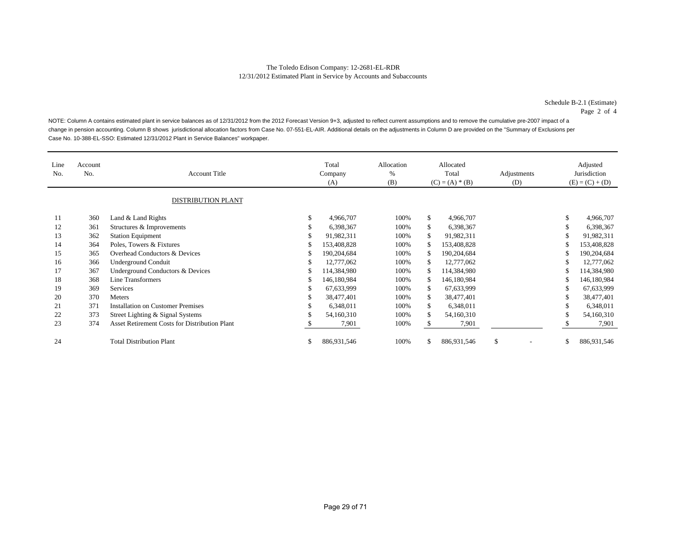Schedule B-2.1 (Estimate) Page 2 of 4

NOTE: Column A contains estimated plant in service balances as of 12/31/2012 from the 2012 Forecast Version 9+3, adjusted to reflect current assumptions and to remove the cumulative pre-2007 impact of a change in pension accounting. Column B shows jurisdictional allocation factors from Case No. 07-551-EL-AIR. Additional details on the adjustments in Column D are provided on the "Summary of Exclusions per Case No. 10-388-EL-SSO: Estimated 12/31/2012 Plant in Service Balances" workpaper.

| Line<br>No. | Account<br>No. | <b>Account Title</b><br><b>DISTRIBUTION PLANT</b>    |    | Total<br>Company<br>(A) | Allocation<br>%<br>(B) | Allocated<br>Total<br>$(C) = (A) * (B)$ |             | Adjustments<br>(D) |               | Adjusted<br>Jurisdiction<br>$(E) = (C) + (D)$ |
|-------------|----------------|------------------------------------------------------|----|-------------------------|------------------------|-----------------------------------------|-------------|--------------------|---------------|-----------------------------------------------|
| 11          | 360            | Land & Land Rights                                   | \$ | 4,966,707               | 100%                   | \$                                      | 4,966,707   |                    | \$            | 4,966,707                                     |
| 12          | 361            | Structures & Improvements                            |    | 6,398,367               | 100%                   | \$                                      | 6,398,367   |                    | \$            | 6,398,367                                     |
| 13          | 362            | <b>Station Equipment</b>                             | \$ | 91,982,311              | 100%                   | S                                       | 91,982,311  |                    | \$            | 91,982,311                                    |
| 14          | 364            | Poles, Towers & Fixtures                             | \$ | 153,408,828             | 100%                   | \$.                                     | 153,408,828 |                    |               | 153,408,828                                   |
| 15          | 365            | Overhead Conductors & Devices                        |    | 190,204,684             | 100%                   | S                                       | 190,204,684 |                    | \$            | 190,204,684                                   |
| 16          | 366            | <b>Underground Conduit</b>                           | S  | 12,777,062              | 100%                   | S                                       | 12,777,062  |                    | S             | 12,777,062                                    |
| 17          | 367            | Underground Conductors & Devices                     | S  | 114,384,980             | 100%                   | \$.                                     | 114,384,980 |                    |               | 114,384,980                                   |
| 18          | 368            | Line Transformers                                    | \$ | 146,180,984             | 100%                   | \$.                                     | 146,180,984 |                    | S             | 146,180,984                                   |
| 19          | 369            | <b>Services</b>                                      | \$ | 67,633,999              | 100%                   | S.                                      | 67,633,999  |                    | \$            | 67,633,999                                    |
| 20          | 370            | <b>Meters</b>                                        | \$ | 38,477,401              | 100%                   | \$                                      | 38,477,401  |                    | \$            | 38,477,401                                    |
| 21          | 371            | <b>Installation on Customer Premises</b>             | S  | 6,348,011               | 100%                   | \$                                      | 6,348,011   |                    | \$            | 6,348,011                                     |
| 22          | 373            | Street Lighting & Signal Systems                     |    | 54,160,310              | 100%                   | \$.                                     | 54,160,310  |                    | <sup>\$</sup> | 54,160,310                                    |
| 23          | 374            | <b>Asset Retirement Costs for Distribution Plant</b> |    | 7,901                   | 100%                   |                                         | 7,901       |                    |               | 7,901                                         |
| 24          |                | <b>Total Distribution Plant</b>                      | \$ | 886,931,546             | 100%                   | \$.                                     | 886,931,546 | \$                 | \$            | 886,931,546                                   |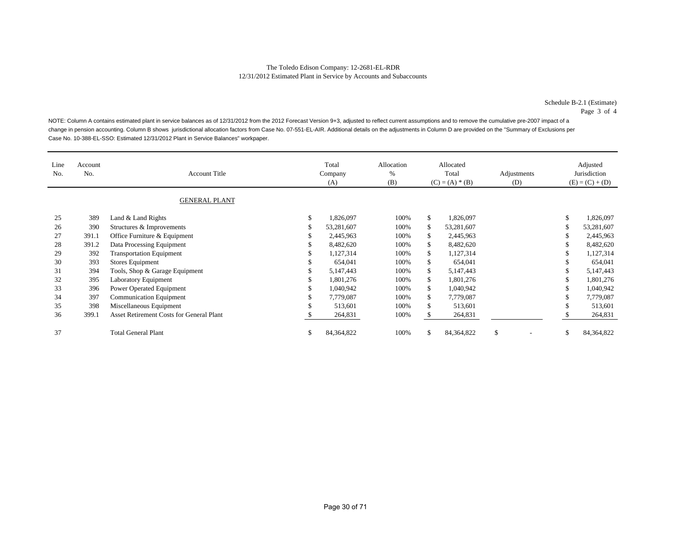Schedule B-2.1 (Estimate) Page 3 of 4

NOTE: Column A contains estimated plant in service balances as of 12/31/2012 from the 2012 Forecast Version 9+3, adjusted to reflect current assumptions and to remove the cumulative pre-2007 impact of a change in pension accounting. Column B shows jurisdictional allocation factors from Case No. 07-551-EL-AIR. Additional details on the adjustments in Column D are provided on the "Summary of Exclusions per Case No. 10-388-EL-SSO: Estimated 12/31/2012 Plant in Service Balances" workpaper.

| Line<br>No. | Account<br>No. | <b>Account Title</b><br><b>GENERAL PLANT</b> |    | Total<br>Company<br>(A) |      |     | Allocated<br>Total<br>$(C) = (A) * (B)$ | Adjustments<br>(D) | Adjusted<br>Jurisdiction<br>$(E) = (C) + (D)$ |              |  |
|-------------|----------------|----------------------------------------------|----|-------------------------|------|-----|-----------------------------------------|--------------------|-----------------------------------------------|--------------|--|
| 25          | 389            | Land & Land Rights                           | \$ | 1,826,097               | 100% | \$  | 1,826,097                               |                    | \$                                            | 1,826,097    |  |
| 26          | 390            | Structures & Improvements                    | S  | 53,281,607              | 100% | \$  | 53,281,607                              |                    | <sup>\$</sup>                                 | 53,281,607   |  |
| 27          | 391.1          | Office Furniture & Equipment                 |    | 2,445,963               | 100% | \$  | 2,445,963                               |                    | \$                                            | 2,445,963    |  |
| 28          | 391.2          | Data Processing Equipment                    |    | 8,482,620               | 100% | \$. | 8,482,620                               |                    |                                               | 8,482,620    |  |
| 29          | 392            | <b>Transportation Equipment</b>              |    | 1,127,314               | 100% | \$. | 1,127,314                               |                    |                                               | 1,127,314    |  |
| 30          | 393            | Stores Equipment                             |    | 654,041                 | 100% | \$. | 654,041                                 |                    | - 77                                          | 654,041      |  |
| 31          | 394            | Tools, Shop & Garage Equipment               |    | 5,147,443               | 100% | \$  | 5,147,443                               |                    |                                               | 5,147,443    |  |
| 32          | 395            | Laboratory Equipment                         | S  | 1,801,276               | 100% | \$. | 1,801,276                               |                    | \$                                            | 1,801,276    |  |
| 33          | 396            | Power Operated Equipment                     |    | 1,040,942               | 100% | \$  | 1,040,942                               |                    |                                               | 1,040,942    |  |
| 34          | 397            | <b>Communication Equipment</b>               | S  | 7,779,087               | 100% | \$  | 7,779,087                               |                    | \$                                            | 7,779,087    |  |
| 35          | 398            | Miscellaneous Equipment                      | J. | 513,601                 | 100% | \$  | 513,601                                 |                    | ъ                                             | 513,601      |  |
| 36          | 399.1          | Asset Retirement Costs for General Plant     |    | 264,831                 | 100% |     | 264,831                                 |                    |                                               | 264,831      |  |
| 37          |                | <b>Total General Plant</b>                   | \$ | 84, 364, 822            | 100% | \$. | 84, 364, 822                            | \$.                | S                                             | 84, 364, 822 |  |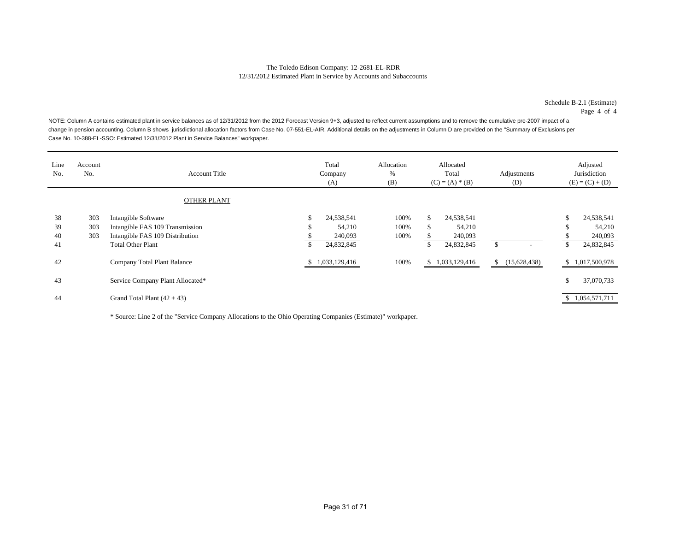Schedule B-2.1 (Estimate) Page 4 of 4

NOTE: Column A contains estimated plant in service balances as of 12/31/2012 from the 2012 Forecast Version 9+3, adjusted to reflect current assumptions and to remove the cumulative pre-2007 impact of a change in pension accounting. Column B shows jurisdictional allocation factors from Case No. 07-551-EL-AIR. Additional details on the adjustments in Column D are provided on the "Summary of Exclusions per Case No. 10-388-EL-SSO: Estimated 12/31/2012 Plant in Service Balances" workpaper.

| Line<br>No.          | Account<br>No.    | <b>Account Title</b>                                                                                                  |               | Total<br>Company<br>(A)                       | Allocation<br>%<br>(B) | Allocated<br>Total<br>$(C) = (A) * (B)$ |                                               | Adjustments<br>(D) |              | Adjusted<br>Jurisdiction<br>$(E) = (C) + (D)$ |                                               |
|----------------------|-------------------|-----------------------------------------------------------------------------------------------------------------------|---------------|-----------------------------------------------|------------------------|-----------------------------------------|-----------------------------------------------|--------------------|--------------|-----------------------------------------------|-----------------------------------------------|
|                      |                   | <b>OTHER PLANT</b>                                                                                                    |               |                                               |                        |                                         |                                               |                    |              |                                               |                                               |
| 38<br>39<br>40<br>41 | 303<br>303<br>303 | Intangible Software<br>Intangible FAS 109 Transmission<br>Intangible FAS 109 Distribution<br><b>Total Other Plant</b> | \$<br>S<br>\$ | 24,538,541<br>54,210<br>240,093<br>24,832,845 | 100%<br>100%<br>100%   | \$<br>\$.                               | 24,538,541<br>54,210<br>240,093<br>24,832,845 | $\mathbb{S}$       |              | ъ<br>ъD<br>\$                                 | 24,538,541<br>54,210<br>240,093<br>24,832,845 |
| 42                   |                   | Company Total Plant Balance                                                                                           |               | \$1,033,129,416                               | 100%                   |                                         | \$1,033,129,416                               | $\mathbb{S}$       | (15,628,438) |                                               | \$1,017,500,978                               |
| 43                   |                   | Service Company Plant Allocated*                                                                                      |               |                                               |                        |                                         |                                               |                    |              | \$                                            | 37,070,733                                    |
| 44                   |                   | Grand Total Plant $(42 + 43)$                                                                                         |               |                                               |                        |                                         |                                               |                    |              |                                               | \$1,054,571,711                               |

\* Source: Line 2 of the "Service Company Allocations to the Ohio Operating Companies (Estimate)" workpaper.

j.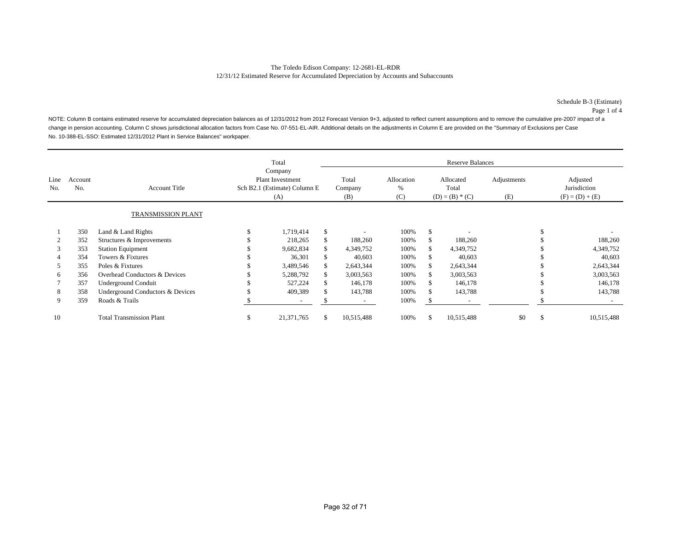NOTE: Column B contains estimated reserve for accumulated depreciation balances as of 12/31/2012 from 2012 Forecast Version 9+3, adjusted to reflect current assumptions and to remove the cumulative pre-2007 impact of a change in pension accounting. Column C shows jurisdictional allocation factors from Case No. 07-551-EL-AIR. Additional details on the adjustments in Column E are provided on the "Summary of Exclusions per Case No. 10-388-EL-SSO: Estimated 12/31/2012 Plant in Service Balances" workpaper.

|             |                |                                  |                                                                           | Total      |     | <b>Reserve Balances</b> |                        |                                         |            |                    |   |                                               |  |  |  |
|-------------|----------------|----------------------------------|---------------------------------------------------------------------------|------------|-----|-------------------------|------------------------|-----------------------------------------|------------|--------------------|---|-----------------------------------------------|--|--|--|
| Line<br>No. | Account<br>No. | <b>Account Title</b>             | Company<br><b>Plant Investment</b><br>Sch B2.1 (Estimate) Column E<br>(A) |            |     | Total<br>Company<br>(B) | Allocation<br>%<br>(C) | Allocated<br>Total<br>$(D) = (B) * (C)$ |            | Adjustments<br>(E) |   | Adjusted<br>Jurisdiction<br>$(F) = (D) + (E)$ |  |  |  |
|             |                | <b>TRANSMISSION PLANT</b>        |                                                                           |            |     |                         |                        |                                         |            |                    |   |                                               |  |  |  |
|             | 350            | Land & Land Rights               |                                                                           | 1,719,414  | \$  |                         | 100%                   | \$                                      |            |                    |   |                                               |  |  |  |
|             | 352            | Structures & Improvements        |                                                                           | 218,265    | \$  | 188,260                 | 100%                   | \$                                      | 188,260    |                    |   | 188,260                                       |  |  |  |
| 3           | 353            | <b>Station Equipment</b>         |                                                                           | 9,682,834  | \$  | 4,349,752               | 100%                   | \$                                      | 4,349,752  |                    |   | 4,349,752                                     |  |  |  |
| 4           | 354            | Towers & Fixtures                |                                                                           | 36,301     | \$  | 40,603                  | 100%                   | \$.                                     | 40,603     |                    |   | 40,603                                        |  |  |  |
| 5           | 355            | Poles & Fixtures                 |                                                                           | 3,489,546  | \$. | 2,643,344               | 100%                   | \$                                      | 2,643,344  |                    |   | 2,643,344                                     |  |  |  |
| 6           | 356            | Overhead Conductors & Devices    |                                                                           | 5,288,792  | \$. | 3,003,563               | 100%                   |                                         | 3,003,563  |                    |   | 3,003,563                                     |  |  |  |
|             | 357            | <b>Underground Conduit</b>       |                                                                           | 527,224    | \$  | 146,178                 | 100%                   | \$.                                     | 146,178    |                    |   | 146,178                                       |  |  |  |
| 8           | 358            | Underground Conductors & Devices |                                                                           | 409,389    |     | 143,788                 | 100%                   |                                         | 143,788    |                    |   | 143,788                                       |  |  |  |
| 9           | 359            | Roads & Trails                   |                                                                           |            |     |                         | 100%                   |                                         |            |                    |   |                                               |  |  |  |
| 10          |                | <b>Total Transmission Plant</b>  | S                                                                         | 21,371,765 | S   | 10,515,488              | 100%                   | <sup>\$</sup>                           | 10,515,488 | \$0                | ъ | 10,515,488                                    |  |  |  |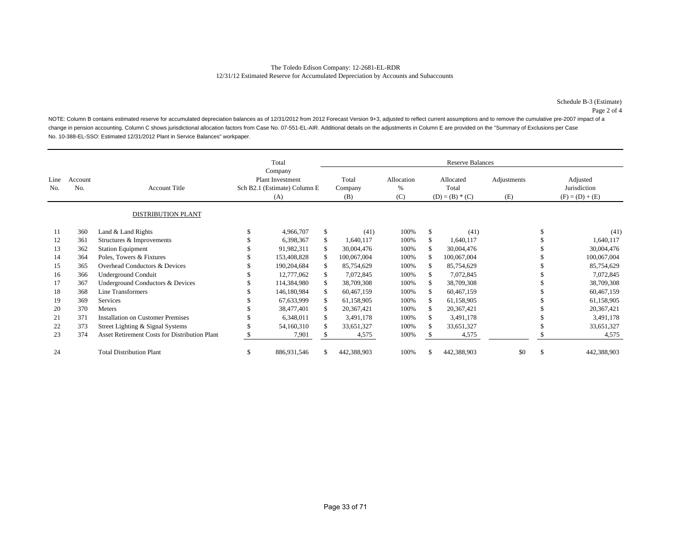NOTE: Column B contains estimated reserve for accumulated depreciation balances as of 12/31/2012 from 2012 Forecast Version 9+3, adjusted to reflect current assumptions and to remove the cumulative pre-2007 impact of a change in pension accounting. Column C shows jurisdictional allocation factors from Case No. 07-551-EL-AIR. Additional details on the adjustments in Column E are provided on the "Summary of Exclusions per Case No. 10-388-EL-SSO: Estimated 12/31/2012 Plant in Service Balances" workpaper.

|             |                |                                               |                                                                           | Total       | <b>Reserve Balances</b> |                           |                                         |             |                    |    |                                               |  |  |  |
|-------------|----------------|-----------------------------------------------|---------------------------------------------------------------------------|-------------|-------------------------|---------------------------|-----------------------------------------|-------------|--------------------|----|-----------------------------------------------|--|--|--|
| Line<br>No. | Account<br>No. | <b>Account Title</b>                          | Company<br><b>Plant Investment</b><br>Sch B2.1 (Estimate) Column E<br>(A) |             | Total<br>Company<br>(B) | Allocation<br>$\%$<br>(C) | Allocated<br>Total<br>$(D) = (B) * (C)$ |             | Adjustments<br>(E) |    | Adjusted<br>Jurisdiction<br>$(F) = (D) + (E)$ |  |  |  |
|             |                | <b>DISTRIBUTION PLANT</b>                     |                                                                           |             |                         |                           |                                         |             |                    |    |                                               |  |  |  |
| 11          | 360            | Land & Land Rights                            |                                                                           | 4,966,707   | \$<br>(41)              | 100%                      | \$                                      | (41)        |                    | \$ | (41)                                          |  |  |  |
| 12          | 361            | Structures & Improvements                     |                                                                           | 6,398,367   | \$<br>1,640,117         | 100%                      | \$                                      | 1,640,117   |                    |    | 1,640,117                                     |  |  |  |
| 13          | 362            | <b>Station Equipment</b>                      |                                                                           | 91,982,311  | \$<br>30,004,476        | 100%                      |                                         | 30,004,476  |                    |    | 30,004,476                                    |  |  |  |
| 14          | 364            | Poles, Towers & Fixtures                      |                                                                           | 153,408,828 | \$<br>100,067,004       | 100%                      | \$.                                     | 100,067,004 |                    |    | 100,067,004                                   |  |  |  |
| 15          | 365            | Overhead Conductors & Devices                 |                                                                           | 190,204,684 | \$<br>85,754,629        | 100%                      | \$                                      | 85,754,629  |                    |    | 85,754,629                                    |  |  |  |
| 16          | 366            | <b>Underground Conduit</b>                    |                                                                           | 12,777,062  | \$<br>7,072,845         | 100%                      | \$                                      | 7,072,845   |                    |    | 7,072,845                                     |  |  |  |
| 17          | 367            | Underground Conductors & Devices              |                                                                           | 114,384,980 | \$<br>38,709,308        | 100%                      | S                                       | 38,709,308  |                    |    | 38,709,308                                    |  |  |  |
| 18          | 368            | Line Transformers                             |                                                                           | 146,180,984 | \$<br>60,467,159        | 100%                      | \$                                      | 60,467,159  |                    |    | 60,467,159                                    |  |  |  |
| 19          | 369            | <b>Services</b>                               |                                                                           | 67,633,999  | \$<br>61,158,905        | 100%                      | \$                                      | 61,158,905  |                    |    | 61,158,905                                    |  |  |  |
| 20          | 370            | Meters                                        |                                                                           | 38,477,401  | \$<br>20,367,421        | 100%                      |                                         | 20,367,421  |                    |    | 20,367,421                                    |  |  |  |
| 21          | 371            | <b>Installation on Customer Premises</b>      |                                                                           | 6,348,011   | \$<br>3,491,178         | 100%                      | \$                                      | 3,491,178   |                    |    | 3,491,178                                     |  |  |  |
| 22          | 373            | Street Lighting & Signal Systems              |                                                                           | 54,160,310  | \$<br>33,651,327        | 100%                      |                                         | 33,651,327  |                    |    | 33,651,327                                    |  |  |  |
| 23          | 374            | Asset Retirement Costs for Distribution Plant |                                                                           | 7,901       | 4,575                   | 100%                      |                                         | 4,575       |                    |    | 4,575                                         |  |  |  |
| 24          |                | <b>Total Distribution Plant</b>               | ъ                                                                         | 886,931,546 | 442,388,903             | 100%                      | \$                                      | 442,388,903 | \$0                | \$ | 442,388,903                                   |  |  |  |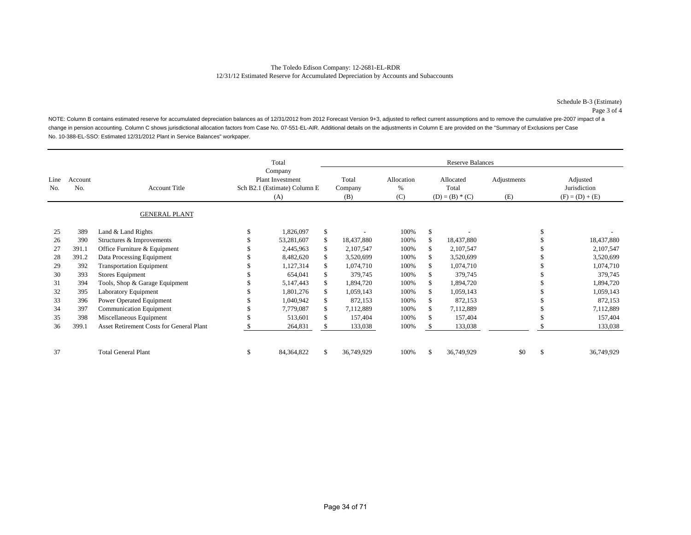NOTE: Column B contains estimated reserve for accumulated depreciation balances as of 12/31/2012 from 2012 Forecast Version 9+3, adjusted to reflect current assumptions and to remove the cumulative pre-2007 impact of a change in pension accounting. Column C shows jurisdictional allocation factors from Case No. 07-551-EL-AIR. Additional details on the adjustments in Column E are provided on the "Summary of Exclusions per Case No. 10-388-EL-SSO: Estimated 12/31/2012 Plant in Service Balances" workpaper.

|             |                |                                                 | Total<br>Company<br><b>Plant Investment</b><br>Sch B2.1 (Estimate) Column E<br>(A) |              |    | <b>Reserve Balances</b> |                                    |                                         |            |                    |    |                                               |  |  |  |
|-------------|----------------|-------------------------------------------------|------------------------------------------------------------------------------------|--------------|----|-------------------------|------------------------------------|-----------------------------------------|------------|--------------------|----|-----------------------------------------------|--|--|--|
| Line<br>No. | Account<br>No. | <b>Account Title</b>                            |                                                                                    |              |    | Total<br>Company<br>(B) | Allocation<br>$\frac{0}{0}$<br>(C) | Allocated<br>Total<br>$(D) = (B) * (C)$ |            | Adjustments<br>(E) |    | Adjusted<br>Jurisdiction<br>$(F) = (D) + (E)$ |  |  |  |
|             |                | <b>GENERAL PLANT</b>                            |                                                                                    |              |    |                         |                                    |                                         |            |                    |    |                                               |  |  |  |
| 25          | 389            | Land & Land Rights                              |                                                                                    | 1,826,097    | \$ |                         | 100%                               | \$                                      |            |                    | ъ  |                                               |  |  |  |
| 26          | 390            | Structures & Improvements                       |                                                                                    | 53,281,607   |    | 18,437,880              | 100%                               |                                         | 18,437,880 |                    |    | 18,437,880                                    |  |  |  |
| 27          | 391.1          | Office Furniture & Equipment                    |                                                                                    | 2,445,963    | S  | 2,107,547               | 100%                               |                                         | 2,107,547  |                    |    | 2,107,547                                     |  |  |  |
| 28          | 391.2          | Data Processing Equipment                       |                                                                                    | 8,482,620    | \$ | 3,520,699               | 100%                               |                                         | 3,520,699  |                    |    | 3,520,699                                     |  |  |  |
| 29          | 392            | <b>Transportation Equipment</b>                 |                                                                                    | 1,127,314    | S. | 1,074,710               | 100%                               |                                         | 1,074,710  |                    |    | 1,074,710                                     |  |  |  |
| 30          | 393            | Stores Equipment                                |                                                                                    | 654,041      |    | 379,745                 | 100%                               |                                         | 379,745    |                    |    | 379,745                                       |  |  |  |
| 31          | 394            | Tools, Shop & Garage Equipment                  |                                                                                    | 5,147,443    |    | 1,894,720               | 100%                               |                                         | 1,894,720  |                    |    | 1,894,720                                     |  |  |  |
| 32          | 395            | Laboratory Equipment                            |                                                                                    | 1,801,276    |    | 1,059,143               | 100%                               |                                         | 1,059,143  |                    |    | 1,059,143                                     |  |  |  |
| 33          | 396            | Power Operated Equipment                        |                                                                                    | 1,040,942    |    | 872,153                 | 100%                               |                                         | 872,153    |                    |    | 872,153                                       |  |  |  |
| 34          | 397            | <b>Communication Equipment</b>                  |                                                                                    | 7,779,087    |    | 7,112,889               | 100%                               |                                         | 7,112,889  |                    |    | 7,112,889                                     |  |  |  |
| 35          | 398            | Miscellaneous Equipment                         |                                                                                    | 513,601      |    | 157,404                 | 100%                               |                                         | 157,404    |                    |    | 157,404                                       |  |  |  |
| 36          | 399.1          | <b>Asset Retirement Costs for General Plant</b> |                                                                                    | 264,831      |    | 133,038                 | 100%                               |                                         | 133,038    |                    |    | 133,038                                       |  |  |  |
| 37          |                | <b>Total General Plant</b>                      | S                                                                                  | 84, 364, 822 | Ж  | 36,749,929              | 100%                               | \$                                      | 36,749,929 | \$0                | \$ | 36,749,929                                    |  |  |  |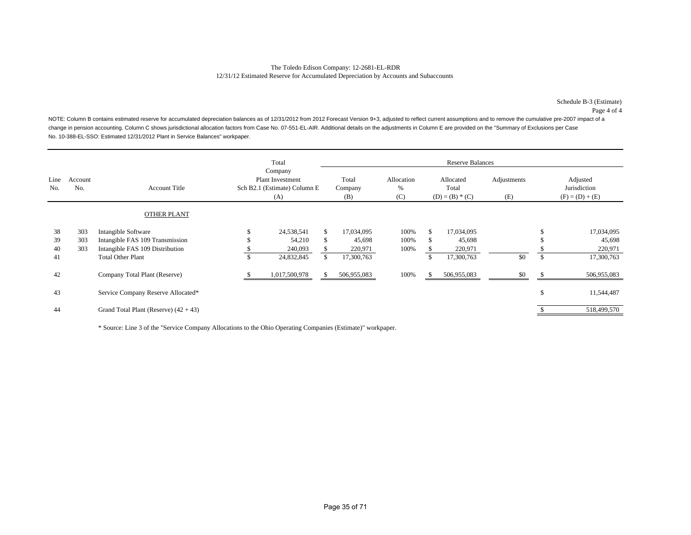### The Toledo Edison Company: 12-2681-EL-RDR 12/31/12 Estimated Reserve for Accumulated Depreciation by Accounts and Subaccounts

Page 4 of 4

NOTE: Column B contains estimated reserve for accumulated depreciation balances as of 12/31/2012 from 2012 Forecast Version 9+3, adjusted to reflect current assumptions and to remove the cumulative pre-2007 impact of a change in pension accounting. Column C shows jurisdictional allocation factors from Case No. 07-551-EL-AIR. Additional details on the adjustments in Column E are provided on the "Summary of Exclusions per Case No. 10-388-EL-SSO: Estimated 12/31/2012 Plant in Service Balances" workpaper.

|             |                |                                         | Total                                                                     |                         |                        |               | <b>Reserve Balances</b>                 |                    |    |                                               |
|-------------|----------------|-----------------------------------------|---------------------------------------------------------------------------|-------------------------|------------------------|---------------|-----------------------------------------|--------------------|----|-----------------------------------------------|
| Line<br>No. | Account<br>No. | <b>Account Title</b>                    | Company<br><b>Plant Investment</b><br>Sch B2.1 (Estimate) Column E<br>(A) | Total<br>Company<br>(B) | Allocation<br>%<br>(C) |               | Allocated<br>Total<br>$(D) = (B) * (C)$ | Adjustments<br>(E) |    | Adjusted<br>Jurisdiction<br>$(F) = (D) + (E)$ |
|             |                | <b>OTHER PLANT</b>                      |                                                                           |                         |                        |               |                                         |                    |    |                                               |
| 38          | 303            | Intangible Software                     | 24,538,541                                                                | \$<br>17,034,095        | 100%                   | <sup>\$</sup> | 17,034,095                              |                    | Ъ  | 17,034,095                                    |
| 39          | 303            | Intangible FAS 109 Transmission         | 54,210                                                                    | \$<br>45,698            | 100%                   | ъ             | 45,698                                  |                    |    | 45,698                                        |
| 40          | 303            | Intangible FAS 109 Distribution         | 240,093                                                                   | 220,971                 | 100%                   |               | 220,971                                 |                    |    | 220,971                                       |
| 41          |                | <b>Total Other Plant</b>                | 24,832,845                                                                | \$<br>17,300,763        |                        |               | 17,300,763                              | \$0                | \$ | 17,300,763                                    |
| 42          |                | Company Total Plant (Reserve)           | 1,017,500,978                                                             | 506,955,083             | 100%                   |               | 506,955,083                             | \$0                |    | 506,955,083                                   |
| 43          |                | Service Company Reserve Allocated*      |                                                                           |                         |                        |               |                                         |                    | \$ | 11,544,487                                    |
| 44          |                | Grand Total Plant (Reserve) $(42 + 43)$ |                                                                           |                         |                        |               |                                         |                    |    | 518,499,570                                   |

\* Source: Line 3 of the "Service Company Allocations to the Ohio Operating Companies (Estimate)" workpaper.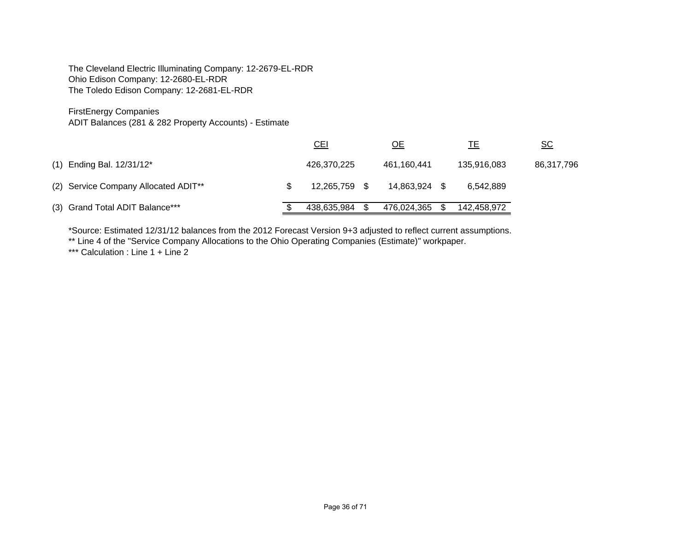The Cleveland Electric Illuminating Company: 12-2679-EL-RDR Ohio Edison Company: 12-2680-EL-RDR The Toledo Edison Company: 12-2681-EL-RDR

# FirstEnergy Companies

ADIT Balances (281 & 282 Property Accounts) - Estimate

|                                      | CL            | <u>ОЕ</u>   | <u>ТЕ</u>   | $\underline{\mathsf{SC}}$ |
|--------------------------------------|---------------|-------------|-------------|---------------------------|
| (1) Ending Bal. 12/31/12*            | 426,370,225   | 461,160,441 | 135,916,083 | 86,317,796                |
| (2) Service Company Allocated ADIT** | 12,265,759 \$ | 14,863,924  | 6.542.889   |                           |
| (3) Grand Total ADIT Balance***      | 438,635,984   | 476,024,365 | 142,458,972 |                           |

\*Source: Estimated 12/31/12 balances from the 2012 Forecast Version 9+3 adjusted to reflect current assumptions.

\*\* Line 4 of the "Service Company Allocations to the Ohio Operating Companies (Estimate)" workpaper.

\*\*\* Calculation : Line 1 + Line 2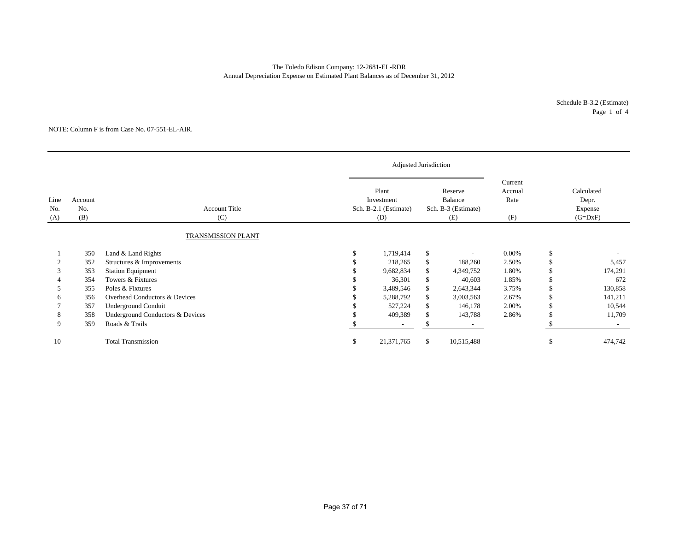### The Toledo Edison Company: 12-2681-EL-RDR Annual Depreciation Expense on Estimated Plant Balances as of December 31, 2012

#### NOTE: Column F is from Case No. 07-551-EL-AIR.

|                    |                       |                                  |    | Adjusted Jurisdiction                               |              |                                                  |                                   |                                             |
|--------------------|-----------------------|----------------------------------|----|-----------------------------------------------------|--------------|--------------------------------------------------|-----------------------------------|---------------------------------------------|
| Line<br>No.<br>(A) | Account<br>No.<br>(B) | <b>Account Title</b><br>(C)      |    | Plant<br>Investment<br>Sch. B-2.1 (Estimate)<br>(D) |              | Reserve<br>Balance<br>Sch. B-3 (Estimate)<br>(E) | Current<br>Accrual<br>Rate<br>(F) | Calculated<br>Depr.<br>Expense<br>$(G=DxF)$ |
|                    |                       | <b>TRANSMISSION PLANT</b>        |    |                                                     |              |                                                  |                                   |                                             |
|                    | 350                   | Land & Land Rights               |    | 1,719,414                                           | $\mathbb{S}$ | $\overline{a}$                                   | $0.00\%$                          | \$                                          |
|                    | 352                   | Structures & Improvements        |    | 218,265                                             | \$           | 188,260                                          | 2.50%                             | \$<br>5,457                                 |
|                    | 353                   | <b>Station Equipment</b>         |    | 9,682,834                                           | \$           | 4,349,752                                        | 1.80%                             | 174,291                                     |
|                    | 354                   | Towers & Fixtures                |    | 36,301                                              | S.           | 40,603                                           | 1.85%                             | \$<br>672                                   |
| 5                  | 355                   | Poles & Fixtures                 |    | 3,489,546                                           | \$           | 2,643,344                                        | 3.75%                             | \$<br>130,858                               |
|                    | 356                   | Overhead Conductors & Devices    |    | 5,288,792                                           | \$           | 3,003,563                                        | 2.67%                             | \$<br>141,211                               |
|                    | 357                   | <b>Underground Conduit</b>       |    | 527,224                                             | \$           | 146,178                                          | 2.00%                             | \$<br>10,544                                |
| 8                  | 358                   | Underground Conductors & Devices |    | 409,389                                             | -S           | 143,788                                          | 2.86%                             | 11,709                                      |
| 9                  | 359                   | Roads & Trails                   |    | $\overline{\phantom{a}}$                            |              | $\sim$                                           |                                   | $\sim$                                      |
| 10                 |                       | <b>Total Transmission</b>        | S. | 21,371,765                                          | \$           | 10,515,488                                       |                                   | \$<br>474,742                               |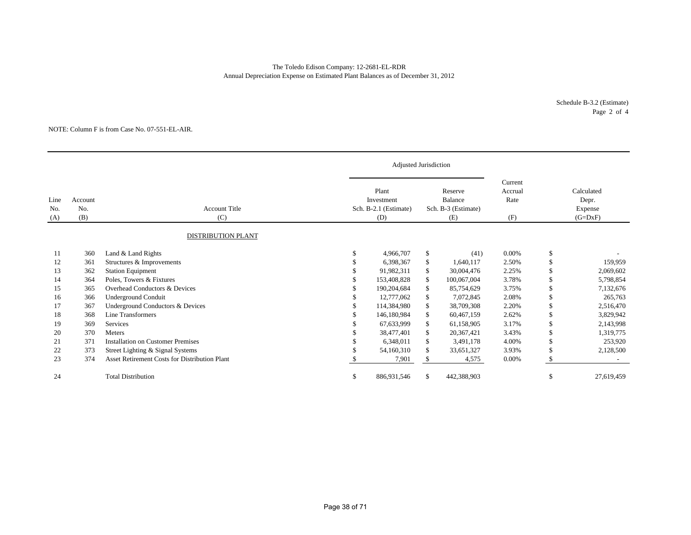### The Toledo Edison Company: 12-2681-EL-RDR Annual Depreciation Expense on Estimated Plant Balances as of December 31, 2012

#### NOTE: Column F is from Case No. 07-551-EL-AIR.

| Line<br>No.<br>(A) | Account<br>No.<br>(B) | <b>Account Title</b><br>(C)                   |          | Plant<br>Investment<br>Sch. B-2.1 (Estimate)<br>(D) |     | Reserve<br>Balance<br>Sch. B-3 (Estimate)<br>(E) | Current<br>Accrual<br>Rate<br>(F) | Calculated<br>Depr.<br>Expense<br>$(G=DxF)$ |            |
|--------------------|-----------------------|-----------------------------------------------|----------|-----------------------------------------------------|-----|--------------------------------------------------|-----------------------------------|---------------------------------------------|------------|
|                    |                       | <b>DISTRIBUTION PLANT</b>                     |          |                                                     |     |                                                  |                                   |                                             |            |
| 11                 | 360                   | Land & Land Rights                            |          | 4,966,707                                           | \$  | (41)                                             | $0.00\%$                          | \$                                          |            |
| 12                 | 361                   | Structures & Improvements                     |          | 6,398,367                                           | \$  | 1,640,117                                        | 2.50%                             | \$                                          | 159,959    |
| 13                 | 362                   | <b>Station Equipment</b>                      |          | 91,982,311                                          | S.  | 30,004,476                                       | 2.25%                             | <sup>\$</sup>                               | 2,069,602  |
| 14                 | 364                   | Poles, Towers & Fixtures                      |          | 153,408,828                                         | S.  | 100,067,004                                      | 3.78%                             | <sup>\$</sup>                               | 5,798,854  |
| 15                 | 365                   | Overhead Conductors & Devices                 |          | 190.204.684                                         | \$  | 85,754,629                                       | 3.75%                             | <sup>\$</sup>                               | 7,132,676  |
| 16                 | 366                   | <b>Underground Conduit</b>                    |          | 12,777,062                                          | \$  | 7,072,845                                        | 2.08%                             | \$                                          | 265,763    |
| 17                 | 367                   | Underground Conductors & Devices              |          | 114.384.980                                         | \$  | 38,709,308                                       | 2.20%                             | <sup>\$</sup>                               | 2,516,470  |
| 18                 | 368                   | <b>Line Transformers</b>                      |          | 146.180.984                                         | \$  | 60,467,159                                       | 2.62%                             |                                             | 3,829,942  |
| 19                 | 369                   | Services                                      |          | 67,633,999                                          | \$  | 61,158,905                                       | 3.17%                             | \$                                          | 2,143,998  |
| 20                 | 370                   | Meters                                        |          | 38,477,401                                          | \$  | 20,367,421                                       | 3.43%                             | <sup>\$</sup>                               | 1,319,775  |
| 21                 | 371                   | <b>Installation on Customer Premises</b>      |          | 6,348,011                                           | \$  | 3,491,178                                        | 4.00%                             | <sup>\$</sup>                               | 253,920    |
| 22                 | 373                   | Street Lighting & Signal Systems              |          | 54,160,310                                          | \$. | 33,651,327                                       | 3.93%                             |                                             | 2,128,500  |
| 23                 | 374                   | Asset Retirement Costs for Distribution Plant |          | 7,901                                               |     | 4,575                                            | 0.00%                             |                                             |            |
| 24                 |                       | <b>Total Distribution</b>                     | <b>S</b> | 886,931,546                                         | \$  | 442,388,903                                      |                                   | <sup>\$</sup>                               | 27,619,459 |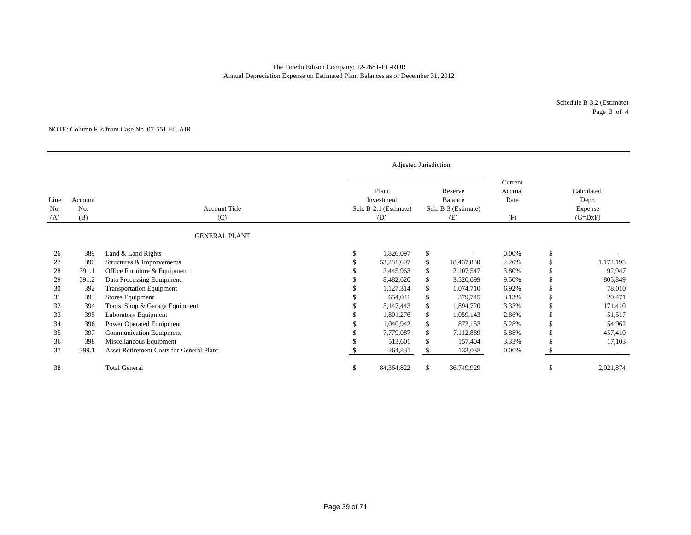### The Toledo Edison Company: 12-2681-EL-RDR Annual Depreciation Expense on Estimated Plant Balances as of December 31, 2012

#### NOTE: Column F is from Case No. 07-551-EL-AIR.

|                    |                       |                                                 |    | Adjusted Jurisdiction                               |                                                  |            |                                   |                                             |           |
|--------------------|-----------------------|-------------------------------------------------|----|-----------------------------------------------------|--------------------------------------------------|------------|-----------------------------------|---------------------------------------------|-----------|
| Line<br>No.<br>(A) | Account<br>No.<br>(B) | <b>Account Title</b><br>(C)                     |    | Plant<br>Investment<br>Sch. B-2.1 (Estimate)<br>(D) | Reserve<br>Balance<br>Sch. B-3 (Estimate)<br>(E) |            | Current<br>Accrual<br>Rate<br>(F) | Calculated<br>Depr.<br>Expense<br>$(G=DxF)$ |           |
|                    |                       | <b>GENERAL PLANT</b>                            |    |                                                     |                                                  |            |                                   |                                             |           |
| 26                 | 389                   | Land & Land Rights                              |    | 1,826,097                                           | <sup>\$</sup>                                    |            | 0.00%                             | \$                                          |           |
| 27                 | 390                   | Structures & Improvements                       |    | 53,281,607                                          | \$.                                              | 18,437,880 | 2.20%                             | \$                                          | 1,172,195 |
| 28                 | 391.1                 | Office Furniture & Equipment                    |    | 2,445,963                                           | \$                                               | 2,107,547  | 3.80%                             | \$                                          | 92,947    |
| 29                 | 391.2                 | Data Processing Equipment                       |    | 8,482,620                                           | \$                                               | 3,520,699  | 9.50%                             | \$                                          | 805,849   |
| 30                 | 392                   | <b>Transportation Equipment</b>                 |    | 1,127,314                                           | \$.                                              | 1,074,710  | 6.92%                             | \$                                          | 78,010    |
| 31                 | 393                   | Stores Equipment                                |    | 654,041                                             | \$.                                              | 379,745    | 3.13%                             | \$                                          | 20,471    |
| 32                 | 394                   | Tools, Shop & Garage Equipment                  |    | 5,147,443                                           | \$                                               | 1,894,720  | 3.33%                             | \$                                          | 171,410   |
| 33                 | 395                   | <b>Laboratory Equipment</b>                     |    | 1,801,276                                           |                                                  | 1,059,143  | 2.86%                             | \$                                          | 51,517    |
| 34                 | 396                   | Power Operated Equipment                        |    | 1,040,942                                           | \$                                               | 872,153    | 5.28%                             | \$                                          | 54,962    |
| 35                 | 397                   | <b>Communication Equipment</b>                  |    | 7,779,087                                           | \$.                                              | 7,112,889  | 5.88%                             | \$                                          | 457,410   |
| 36                 | 398                   | Miscellaneous Equipment                         |    | 513,601                                             | \$                                               | 157,404    | 3.33%                             | \$                                          | 17,103    |
| 37                 | 399.1                 | <b>Asset Retirement Costs for General Plant</b> |    | 264,831                                             |                                                  | 133,038    | 0.00%                             | \$.                                         |           |
| 38                 |                       | <b>Total General</b>                            | £. | 84,364,822                                          | \$.                                              | 36,749,929 |                                   | -S                                          | 2,921,874 |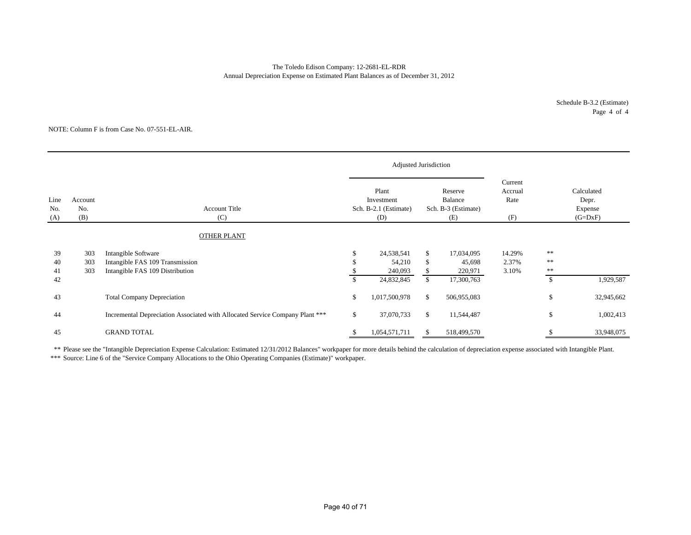Annual Depreciation Expense on Estimated Plant Balances as of December 31, 2012 The Toledo Edison Company: 12-2681-EL-RDR

#### NOTE: Column F is from Case No. 07-551-EL-AIR.

|                    |                       |                                                                              |                                                     | Adjusted Jurisdiction |                                                  |                   |                                   |                |                                             |
|--------------------|-----------------------|------------------------------------------------------------------------------|-----------------------------------------------------|-----------------------|--------------------------------------------------|-------------------|-----------------------------------|----------------|---------------------------------------------|
| Line<br>No.<br>(A) | Account<br>No.<br>(B) | <b>Account Title</b><br>(C)                                                  | Plant<br>Investment<br>Sch. B-2.1 (Estimate)<br>(D) |                       | Reserve<br>Balance<br>Sch. B-3 (Estimate)<br>(E) |                   | Current<br>Accrual<br>Rate<br>(F) |                | Calculated<br>Depr.<br>Expense<br>$(G=DxF)$ |
|                    |                       | <b>OTHER PLANT</b>                                                           |                                                     |                       |                                                  |                   |                                   |                |                                             |
| 39                 | 303                   | Intangible Software                                                          |                                                     | 24,538,541            | S.                                               | 17,034,095        | 14.29%                            | $* *$<br>$* *$ |                                             |
| 40<br>41           | 303<br>303            | Intangible FAS 109 Transmission<br>Intangible FAS 109 Distribution           |                                                     | 54,210<br>240,093     | S                                                | 45,698<br>220,971 | 2.37%<br>3.10%                    | $**$           |                                             |
| 42                 |                       |                                                                              |                                                     | 24,832,845            | \$                                               | 17,300,763        |                                   | $\mathbb{S}$   | 1,929,587                                   |
| 43                 |                       | <b>Total Company Depreciation</b>                                            | \$                                                  | 1,017,500,978         | <sup>\$</sup>                                    | 506,955,083       |                                   | \$             | 32,945,662                                  |
| 44                 |                       | Incremental Depreciation Associated with Allocated Service Company Plant *** | \$                                                  | 37,070,733            | <sup>\$</sup>                                    | 11,544,487        |                                   | \$             | 1,002,413                                   |
| 45                 |                       | <b>GRAND TOTAL</b>                                                           |                                                     | 1,054,571,711         |                                                  | 518,499,570       |                                   |                | 33,948,075                                  |

\*\* Please see the "Intangible Depreciation Expense Calculation: Estimated 12/31/2012 Balances" workpaper for more details behind the calculation of depreciation expense associated with Intangible Plant. \*\*\* Source: Line 6 of the "Service Company Allocations to the Ohio Operating Companies (Estimate)" workpaper.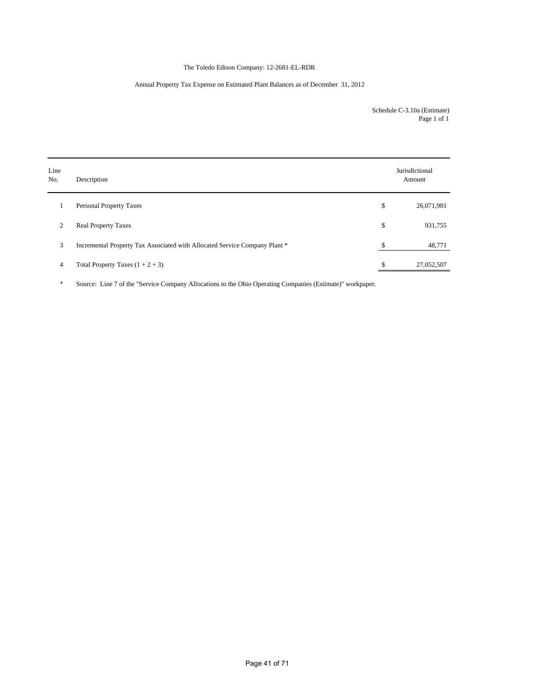## The Toledo Edison Company: 12-2681-EL-RDR

### Annual Property Tax Expense on Estimated Plant Balances as of December 31, 2012

Schedule C-3.10a (Estimate) Page 1 of 1

| Line<br>No.    | Description                                                                |    | Jurisdictional<br>Amount |
|----------------|----------------------------------------------------------------------------|----|--------------------------|
| 1              | <b>Personal Property Taxes</b>                                             | \$ | 26,071,981               |
| 2              | <b>Real Property Taxes</b>                                                 | \$ | 931,755                  |
| 3              | Incremental Property Tax Associated with Allocated Service Company Plant * | \$ | 48,771                   |
| $\overline{4}$ | Total Property Taxes $(1 + 2 + 3)$                                         | S  | 27,052,507               |

\* Source: Line 7 of the "Service Company Allocations to the Ohio Operating Companies (Estimate)" workpaper.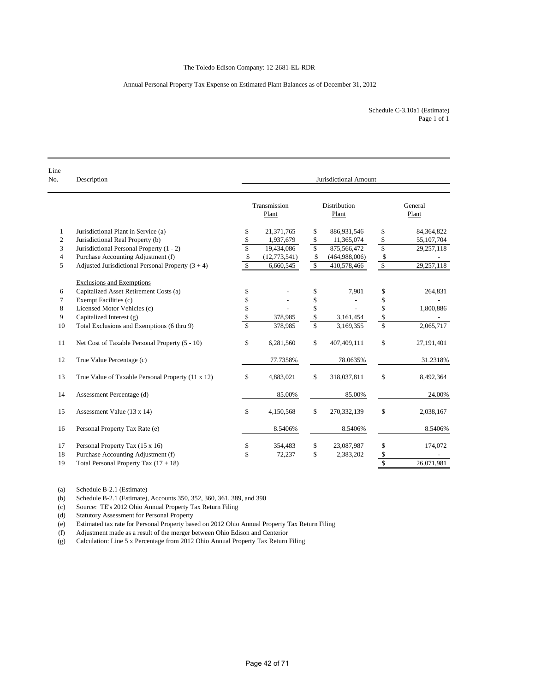### Annual Personal Property Tax Expense on Estimated Plant Balances as of December 31, 2012

| Schedule C-3.10a1 (Estimate) |  |
|------------------------------|--|
| Page 1 of 1                  |  |

| Line<br>No.    | Description                                         | Jurisdictional Amount   |                       |                         |                              |                    |                  |  |  |  |
|----------------|-----------------------------------------------------|-------------------------|-----------------------|-------------------------|------------------------------|--------------------|------------------|--|--|--|
|                |                                                     |                         | Transmission<br>Plant |                         | <b>Distribution</b><br>Plant |                    | General<br>Plant |  |  |  |
| $\mathbf{1}$   | Jurisdictional Plant in Service (a)                 | \$                      | 21,371,765            | \$                      | 886,931,546                  | \$                 | 84,364,822       |  |  |  |
| $\mathfrak{2}$ | Jurisdictional Real Property (b)                    | \$                      | 1,937,679             | \$                      | 11,365,074                   | \$                 | 55,107,704       |  |  |  |
| 3              | Jurisdictional Personal Property (1 - 2)            | $\mathbf{\hat{S}}$      | 19,434,086            | $\mathbb{S}$            | 875,566,472                  | $\overline{\$}$    | 29,257,118       |  |  |  |
| $\overline{4}$ | Purchase Accounting Adjustment (f)                  | \$                      | (12,773,541)          | $\mathcal{S}$           | (464,988,006)                | \$                 |                  |  |  |  |
| 5              | Adjusted Jurisdictional Personal Property $(3 + 4)$ | $\mathbf S$             | 6,660,545             | $\mathbb{S}$            | 410,578,466                  | $\mathbb{S}$       | 29,257,118       |  |  |  |
|                | <b>Exclusions and Exemptions</b>                    |                         |                       |                         |                              |                    |                  |  |  |  |
| 6              | Capitalized Asset Retirement Costs (a)              | \$                      |                       | \$                      | 7,901                        | \$                 | 264,831          |  |  |  |
| 7              | Exempt Facilities (c)                               | \$                      |                       | \$                      |                              | \$                 |                  |  |  |  |
| 8              | Licensed Motor Vehicles (c)                         | \$                      |                       | \$                      |                              | \$                 | 1,800,886        |  |  |  |
| 9              | Capitalized Interest (g)                            | \$                      | 378,985               | \$                      | 3,161,454                    | \$                 |                  |  |  |  |
| 10             | Total Exclusions and Exemptions (6 thru 9)          | $\overline{\mathbb{S}}$ | 378,985               | $\overline{\mathbb{S}}$ | 3,169,355                    | $\mathbf S$        | 2,065,717        |  |  |  |
| 11             | Net Cost of Taxable Personal Property (5 - 10)      | \$                      | 6,281,560             | \$                      | 407,409,111                  | \$                 | 27,191,401       |  |  |  |
| 12             | True Value Percentage (c)                           |                         | 77.7358%              |                         | 78.0635%                     |                    | 31.2318%         |  |  |  |
| 13             | True Value of Taxable Personal Property (11 x 12)   | \$                      | 4,883,021             | $\mathcal{S}$           | 318,037,811                  | \$                 | 8,492,364        |  |  |  |
| 14             | Assessment Percentage (d)                           |                         | 85.00%                |                         | 85.00%                       |                    | 24.00%           |  |  |  |
| 15             | Assessment Value (13 x 14)                          | \$                      | 4,150,568             | \$                      | 270,332,139                  | \$                 | 2,038,167        |  |  |  |
| 16             | Personal Property Tax Rate (e)                      |                         | 8.5406%               |                         | 8.5406%                      |                    | 8.5406%          |  |  |  |
| 17             | Personal Property Tax (15 x 16)                     | \$                      | 354,483               | \$                      | 23,087,987                   | \$                 | 174,072          |  |  |  |
| 18             | Purchase Accounting Adjustment (f)                  | \$                      | 72,237                | \$                      | 2,383,202                    | \$                 |                  |  |  |  |
| 19             | Total Personal Property Tax $(17 + 18)$             |                         |                       |                         |                              | $\mathbf{\hat{s}}$ | 26.071.981       |  |  |  |

(a) Schedule B-2.1 (Estimate)<br>(b) Schedule B-2.1 (Estimate), Schedule B-2.1 (Estimate), Accounts 350, 352, 360, 361, 389, and 390

(c) Source: TE's 2012 Ohio Annual Property Tax Return Filing

(d) Statutory Assessment for Personal Property<br>
(e) Estimated tax rate for Personal Property bas (e) Estimated tax rate for Personal Property based on 2012 Ohio Annual Property Tax Return Filing

Adjustment made as a result of the merger between Ohio Edison and Centerior

(g) Calculation: Line 5 x Percentage from 2012 Ohio Annual Property Tax Return Filing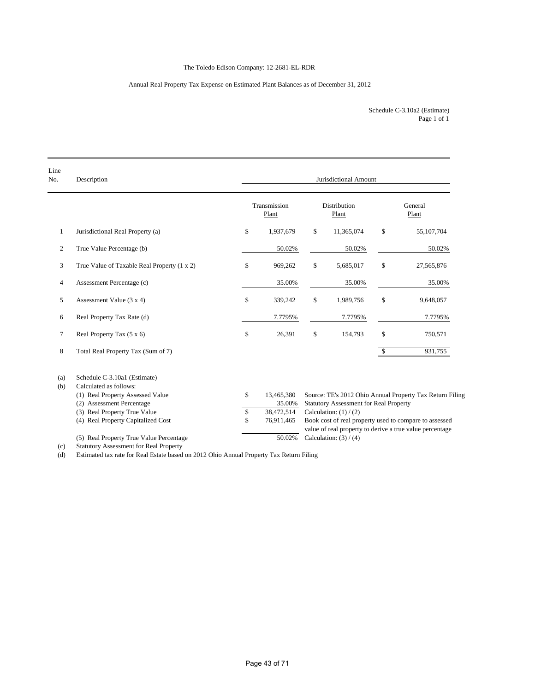## The Toledo Edison Company: 12-2681-EL-RDR

## Annual Real Property Tax Expense on Estimated Plant Balances as of December 31, 2012

Page 1 of 1 Schedule C-3.10a2 (Estimate)

| Line<br>No.    | Description                                                                         | Jurisdictional Amount |                       |    |                                               |              |                                                          |  |  |  |
|----------------|-------------------------------------------------------------------------------------|-----------------------|-----------------------|----|-----------------------------------------------|--------------|----------------------------------------------------------|--|--|--|
|                |                                                                                     |                       | Transmission<br>Plant |    | <b>Distribution</b><br>Plant                  |              | General<br>Plant                                         |  |  |  |
| $\mathbf{1}$   | Jurisdictional Real Property (a)                                                    | \$                    | 1,937,679             | \$ | 11,365,074                                    | \$           | 55,107,704                                               |  |  |  |
| 2              | True Value Percentage (b)                                                           |                       | 50.02%                |    | 50.02%                                        |              | 50.02%                                                   |  |  |  |
| 3              | True Value of Taxable Real Property (1 x 2)                                         | \$                    | 969,262               | \$ | 5,685,017                                     | \$           | 27,565,876                                               |  |  |  |
| 4              | Assessment Percentage (c)                                                           |                       | 35.00%                |    | 35.00%                                        |              | 35.00%                                                   |  |  |  |
| 5              | Assessment Value $(3 x 4)$                                                          | \$                    | 339,242               | \$ | 1,989,756                                     | $\mathbf S$  | 9,648,057                                                |  |  |  |
| 6              | Real Property Tax Rate (d)                                                          |                       | 7.7795%               |    | 7.7795%                                       |              | 7.7795%                                                  |  |  |  |
| $\overline{7}$ | Real Property Tax (5 x 6)                                                           | \$                    | 26,391                | \$ | 154,793                                       | \$           | 750,571                                                  |  |  |  |
| 8              | Total Real Property Tax (Sum of 7)                                                  |                       |                       |    |                                               | $\mathbb{S}$ | 931,755                                                  |  |  |  |
| (a)<br>(b)     | Schedule C-3.10a1 (Estimate)<br>Calculated as follows:                              |                       |                       |    |                                               |              |                                                          |  |  |  |
|                | (1) Real Property Assessed Value                                                    | \$                    | 13,465,380            |    |                                               |              | Source: TE's 2012 Ohio Annual Property Tax Return Filing |  |  |  |
|                | (2) Assessment Percentage                                                           |                       | 35.00%                |    | <b>Statutory Assessment for Real Property</b> |              |                                                          |  |  |  |
|                | (3) Real Property True Value                                                        | $\mathbb{S}$          | 38,472,514            |    | Calculation: $(1) / (2)$                      |              |                                                          |  |  |  |
|                | (4) Real Property Capitalized Cost                                                  | \$                    | 76,911,465            |    |                                               |              | Book cost of real property used to compare to assessed   |  |  |  |
|                |                                                                                     |                       |                       |    |                                               |              | value of real property to derive a true value percentage |  |  |  |
|                | (5) Real Property True Value Percentage<br>Chapter Accessors and fou Deal Departure |                       | 50.02%                |    | Calculation: $(3) / (4)$                      |              |                                                          |  |  |  |

(c) Statutory Assessment for Real Property

(d) Estimated tax rate for Real Estate based on 2012 Ohio Annual Property Tax Return Filing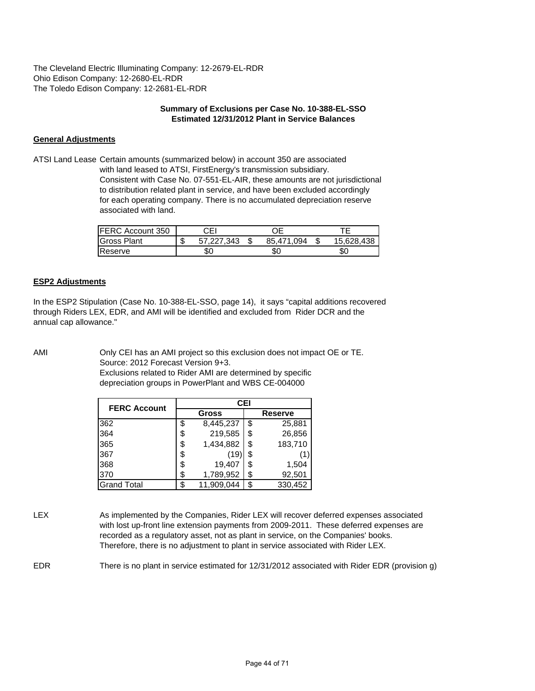The Cleveland Electric Illuminating Company: 12-2679-EL-RDR Ohio Edison Company: 12-2680-EL-RDR The Toledo Edison Company: 12-2681-EL-RDR

### **Summary of Exclusions per Case No. 10-388-EL-SSO Estimated 12/31/2012 Plant in Service Balances**

# **General Adjustments**

ATSI Land Lease Certain amounts (summarized below) in account 350 are associated with land leased to ATSI, FirstEnergy's transmission subsidiary. Consistent with Case No. 07-551-EL-AIR, these amounts are not jurisdictional to distribution related plant in service, and have been excluded accordingly for each operating company. There is no accumulated depreciation reserve associated with land.

| <b>IFERC Account 350</b> | CЕ               | חר         |            |
|--------------------------|------------------|------------|------------|
| <b>Gross Plant</b>       | \$<br>57.227.343 | 85.471.094 | 15,628,438 |
| Reserve                  |                  | SС         | 5С         |

## **ESP2 Adjustments**

In the ESP2 Stipulation (Case No. 10-388-EL-SSO, page 14), it says "capital additions recovered through Riders LEX, EDR, and AMI will be identified and excluded from Rider DCR and the annual cap allowance."

AMI Only CEI has an AMI project so this exclusion does not impact OE or TE. Source: 2012 Forecast Version 9+3. Exclusions related to Rider AMI are determined by specific depreciation groups in PowerPlant and WBS CE-004000

| <b>FERC Account</b> | CEI              |                |         |  |  |  |  |  |  |
|---------------------|------------------|----------------|---------|--|--|--|--|--|--|
|                     | <b>Gross</b>     | <b>Reserve</b> |         |  |  |  |  |  |  |
| 362                 | \$<br>8,445,237  | \$             | 25,881  |  |  |  |  |  |  |
| 364                 | \$<br>219,585    | \$             | 26,856  |  |  |  |  |  |  |
| 365                 | \$<br>1,434,882  | \$             | 183,710 |  |  |  |  |  |  |
| 367                 | \$<br>(19)       | S              | (1)     |  |  |  |  |  |  |
| 368                 | \$<br>19,407     | \$             | 1,504   |  |  |  |  |  |  |
| 370                 | \$<br>1,789,952  | \$             | 92,501  |  |  |  |  |  |  |
| <b>Grand Total</b>  | \$<br>11,909,044 | \$             | 330,452 |  |  |  |  |  |  |

LEX As implemented by the Companies, Rider LEX will recover deferred expenses associated with lost up-front line extension payments from 2009-2011. These deferred expenses are recorded as a regulatory asset, not as plant in service, on the Companies' books. Therefore, there is no adjustment to plant in service associated with Rider LEX.

EDR There is no plant in service estimated for 12/31/2012 associated with Rider EDR (provision g)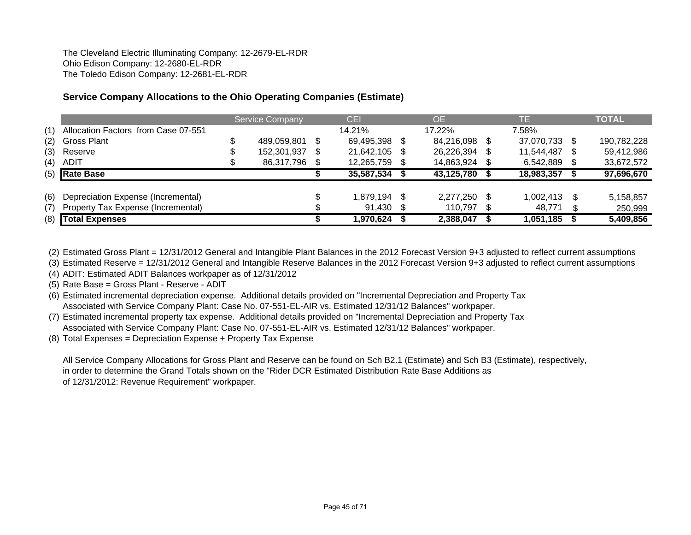The Cleveland Electric Illuminating Company: 12-2679-EL-RDR Ohio Edison Company: 12-2680-EL-RDR The Toledo Edison Company: 12-2681-EL-RDR

# **Service Company Allocations to the Ohio Operating Companies (Estimate)**

|     |                                     | <b>Service Company</b> | <b>CEI</b> |    | <b>OE</b>     | TE.        |     | <b>TOTAL</b> |
|-----|-------------------------------------|------------------------|------------|----|---------------|------------|-----|--------------|
| (1) | Allocation Factors from Case 07-551 |                        | 14.21%     |    | 17.22%        | 7.58%      |     |              |
| (2) | Gross Plant                         | 489,059,801            | 69,495,398 |    | 84,216,098 \$ | 37,070,733 |     | 190,782,228  |
| (3) | Reserve                             | 152,301,937            | 21,642,105 |    | 26,226,394    | 11,544,487 |     | 59,412,986   |
| (4) | <b>ADIT</b>                         | 86,317,796 \$          | 12,265,759 |    | 14,863,924    | 6,542,889  |     | 33,672,572   |
|     | (5) Rate Base                       |                        | 35,587,534 |    | 43,125,780    | 18,983,357 |     | 97,696,670   |
|     |                                     |                        |            |    |               |            |     |              |
| (6) | Depreciation Expense (Incremental)  |                        | 1,879,194  | -S | 2,277,250 \$  | 1,002,413  | \$. | 5,158,857    |
| (7) | Property Tax Expense (Incremental)  |                        | 91,430     |    | 110,797       | 48,771     |     | 250,999      |
|     | (8) Total Expenses                  |                        | 1.970.624  |    | 2,388,047     | 1,051,185  |     | 5,409,856    |

(2) Estimated Gross Plant = 12/31/2012 General and Intangible Plant Balances in the 2012 Forecast Version 9+3 adjusted to reflect current assumptions

(3) Estimated Reserve = 12/31/2012 General and Intangible Reserve Balances in the 2012 Forecast Version 9+3 adjusted to reflect current assumptions

(4) ADIT: Estimated ADIT Balances workpaper as of 12/31/2012

(5) Rate Base = Gross Plant - Reserve - ADIT

(6) Estimated incremental depreciation expense. Additional details provided on "Incremental Depreciation and Property Tax Associated with Service Company Plant: Case No. 07-551-EL-AIR vs. Estimated 12/31/12 Balances" workpaper.

(7) Estimated incremental property tax expense. Additional details provided on "Incremental Depreciation and Property Tax Associated with Service Company Plant: Case No. 07-551-EL-AIR vs. Estimated 12/31/12 Balances" workpaper.

(8) Total Expenses = Depreciation Expense + Property Tax Expense

All Service Company Allocations for Gross Plant and Reserve can be found on Sch B2.1 (Estimate) and Sch B3 (Estimate), respectively, in order to determine the Grand Totals shown on the "Rider DCR Estimated Distribution Rate Base Additions as of 12/31/2012: Revenue Requirement" workpaper.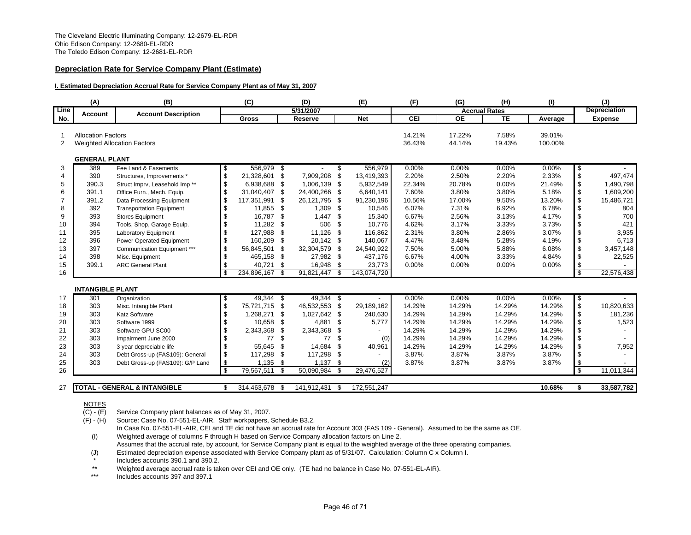### **Depreciation Rate for Service Company Plant (Estimate)**

#### **I. Estimated Depreciation Accrual Rate for Service Company Plant as of May 31, 2007**

|         | (A)                       | (B)                                       |                         | (C)          |     | (D)           |      | (E)         | (F)              | (G)                  | (H)             | (1)               |                         | (J)                 |
|---------|---------------------------|-------------------------------------------|-------------------------|--------------|-----|---------------|------|-------------|------------------|----------------------|-----------------|-------------------|-------------------------|---------------------|
| Line    | Account                   | <b>Account Description</b>                |                         |              |     | 5/31/2007     |      |             |                  | <b>Accrual Rates</b> |                 |                   |                         | <b>Depreciation</b> |
| No.     |                           |                                           |                         | <b>Gross</b> |     | Reserve       |      | <b>Net</b>  | <b>CEI</b>       | <b>OE</b>            | TE              | Average           |                         | <b>Expense</b>      |
| -1<br>2 | <b>Allocation Factors</b> | <b>Weighted Allocation Factors</b>        |                         |              |     |               |      |             | 14.21%<br>36.43% | 17.22%<br>44.14%     | 7.58%<br>19.43% | 39.01%<br>100.00% |                         |                     |
|         | <b>GENERAL PLANT</b>      |                                           |                         |              |     |               |      |             |                  |                      |                 |                   |                         |                     |
| 3       | 389                       | Fee Land & Easements                      | \$                      | 556,979      | -\$ |               | \$   | 556,979     | 0.00%            | 0.00%                | 0.00%           | 0.00%             | \$                      |                     |
| 4       | 390                       | Structures, Improvements *                | \$                      | 21,328,601   | \$  | 7,909,208     | \$   | 13,419,393  | 2.20%            | 2.50%                | 2.20%           | 2.33%             | \$                      | 497,474             |
| 5       | 390.3                     | Struct Imprv, Leasehold Imp <sup>**</sup> | \$                      | 6.938.688    | \$  | 1,006,139 \$  |      | 5,932,549   | 22.34%           | 20.78%               | 0.00%           | 21.49%            | \$                      | 1,490,798           |
| 6       | 391.1                     | Office Furn., Mech. Equip.                | \$                      | 31,040,407   | \$  | 24,400,266 \$ |      | 6,640,141   | 7.60%            | 3.80%                | 3.80%           | 5.18%             | \$                      | 1,609,200           |
| 7       | 391.2                     | Data Processing Equipment                 | \$                      | 117,351,991  | \$  | 26,121,795    | - \$ | 91,230,196  | 10.56%           | 17.00%               | 9.50%           | 13.20%            | \$                      | 15,486,721          |
| 8       | 392                       | <b>Transportation Equipment</b>           | \$                      | 11,855       | \$  | 1,309         | - \$ | 10,546      | 6.07%            | 7.31%                | 6.92%           | 6.78%             | \$                      | 804                 |
| 9       | 393                       | <b>Stores Equipment</b>                   | \$                      | 16,787       | \$  | 1,447         | \$.  | 15,340      | 6.67%            | 2.56%                | 3.13%           | 4.17%             | \$                      | 700                 |
| 10      | 394                       | Tools, Shop, Garage Equip.                | \$                      | 11,282       | \$  | 506           | -\$  | 10,776      | 4.62%            | 3.17%                | 3.33%           | 3.73%             | \$                      | 421                 |
| 11      | 395                       | <b>Laboratory Equipment</b>               | \$                      | 127,988      | \$  | 11,126        | -\$  | 116,862     | 2.31%            | 3.80%                | 2.86%           | 3.07%             | \$                      | 3,935               |
| 12      | 396                       | Power Operated Equipment                  | \$                      | 160,209      | \$  | 20,142 \$     |      | 140,067     | 4.47%            | 3.48%                | 5.28%           | 4.19%             | \$                      | 6,713               |
| 13      | 397                       | Communication Equipment ***               | \$                      | 56,845,501   | \$  | 32,304,579    | - \$ | 24,540,922  | 7.50%            | 5.00%                | 5.88%           | 6.08%             | \$                      | 3,457,148           |
| 14      | 398                       | Misc. Equipment                           | \$                      | 465,158      | \$  | 27,982 \$     |      | 437,176     | 6.67%            | 4.00%                | 3.33%           | 4.84%             | \$                      | 22,525              |
| 15      | 399.1                     | <b>ARC General Plant</b>                  | \$                      | 40,721       | \$  | 16,948 \$     |      | 23,773      | 0.00%            | 0.00%                | 0.00%           | 0.00%             | \$                      |                     |
| 16      |                           |                                           | $\overline{\mathbf{s}}$ | 234,896,167  | \$  | 91,821,447    | - \$ | 143,074,720 |                  |                      |                 |                   | $\overline{\mathbf{s}}$ | 22,576,438          |
|         | <b>INTANGIBLE PLANT</b>   |                                           |                         |              |     |               |      |             |                  |                      |                 |                   |                         |                     |
| 17      | 301                       | Organization                              | \$                      | 49.344       | -\$ | 49,344 \$     |      |             | 0.00%            | 0.00%                | 0.00%           | 0.00%             | \$                      |                     |
| 18      | 303                       | Misc. Intangible Plant                    | \$                      | 75,721,715   | \$  | 46,532,553 \$ |      | 29,189,162  | 14.29%           | 14.29%               | 14.29%          | 14.29%            | \$                      | 10,820,633          |
| 19      | 303                       | <b>Katz Software</b>                      | \$                      | 1,268,271    | \$  | 1,027,642 \$  |      | 240,630     | 14.29%           | 14.29%               | 14.29%          | 14.29%            | \$                      | 181,236             |
| 20      | 303                       | Software 1999                             | \$                      | 10,658       | \$  | 4,881         | \$   | 5,777       | 14.29%           | 14.29%               | 14.29%          | 14.29%            | \$                      | 1,523               |
| 21      | 303                       | Software GPU SC00                         | \$                      | 2,343,368    | \$  | 2,343,368 \$  |      |             | 14.29%           | 14.29%               | 14.29%          | 14.29%            | \$                      |                     |
| 22      | 303                       | Impairment June 2000                      | \$                      | 77           | \$  | 77            | \$   | (0)         | 14.29%           | 14.29%               | 14.29%          | 14.29%            | \$                      |                     |
| 23      | 303                       | 3 year depreciable life                   | \$                      | 55.645       | \$  | 14,684        | \$   | 40,961      | 14.29%           | 14.29%               | 14.29%          | 14.29%            | \$                      | 7,952               |
| 24      | 303                       | Debt Gross-up (FAS109): General           | \$                      | 117,298      | \$  | 117,298 \$    |      |             | 3.87%            | 3.87%                | 3.87%           | 3.87%             | \$                      |                     |
| 25      | 303                       | Debt Gross-up (FAS109): G/P Land          | \$                      | 1,135        | \$  | 1,137         | -\$  | (2)         | 3.87%            | 3.87%                | 3.87%           | 3.87%             | \$                      |                     |
| 26      |                           |                                           | $\mathfrak{L}$          | 79,567,511   | \$  | 50,090,984    | - \$ | 29,476,527  |                  |                      |                 |                   | \$.                     | 11,011,344          |
|         |                           |                                           |                         |              |     |               |      |             |                  |                      |                 |                   |                         |                     |
| 27      |                           | <b>TOTAL - GENERAL &amp; INTANGIBLE</b>   | \$.                     | 314,463,678  | \$. | 141,912,431   | - \$ | 172,551,247 |                  |                      |                 | 10.68%            | \$                      | 33,587,782          |

### NOTES

(C) - (E) Service Company plant balances as of May 31, 2007.

(F) - (H) Source: Case No. 07-551-EL-AIR. Staff workpapers, Schedule B3.2.

- In Case No. 07-551-EL-AIR, CEI and TE did not have an accrual rate for Account 303 (FAS 109 General). Assumed to be the same as OE. (I) Weighted average of columns F through H based on Service Company allocation factors on Line 2.
- Assumes that the accrual rate, by account, for Service Company plant is equal to the weighted average of the three operating companies.
- (J) Estimated depreciation expense associated with Service Company plant as of 5/31/07. Calculation: Column C x Column I.
- Includes accounts 390.1 and 390.2.
- \*\*Weighted average accrual rate is taken over CEI and OE only. (TE had no balance in Case No. 07-551-EL-AIR).

\*\*\*Includes accounts 397 and 397.1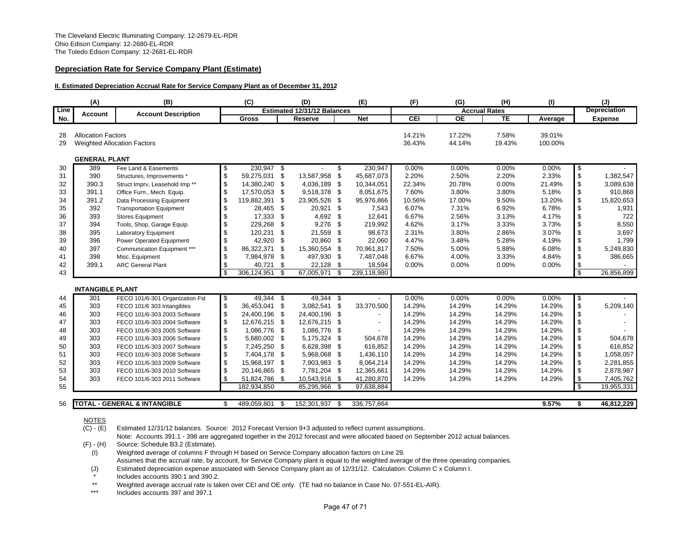### **Depreciation Rate for Service Company Plant (Estimate)**

#### **II. Estimated Depreciation Accrual Rate for Service Company Plant as of December 31, 2012**

| <b>Estimated 12/31/12 Balances</b><br><b>Accrual Rates</b><br><b>Account Description</b><br><b>Account</b><br><b>CEI</b><br><b>OE</b><br><b>TE</b><br><b>Gross</b><br><b>Net</b><br>No.<br><b>Reserve</b><br>Average<br><b>Allocation Factors</b><br>14.21%<br>17.22%<br>7.58%<br>39.01%<br>28<br>44.14%<br>29<br><b>Weighted Allocation Factors</b><br>36.43%<br>19.43%<br>100.00%<br><b>GENERAL PLANT</b><br>389<br>Fee Land & Easements<br>230,947 \$<br>230,947<br>0.00%<br>0.00%<br>0.00%<br>0.00%<br>\$<br>30<br>\$<br>-\$<br>\$<br>2.50%<br>31<br>390<br>\$<br>59,275,031<br>\$<br>13,587,958<br>\$<br>45,687,073<br>2.20%<br>2.20%<br>2.33%<br>Structures, Improvements'<br>\$<br>\$<br>0.00%<br>32<br>390.3<br>14,380,240<br>\$<br>4,036,189<br>\$<br>22.34%<br>20.78%<br>21.49%<br>Struct Imprv, Leasehold Imp <sup>**</sup><br>10,344,051<br>\$<br>\$<br>- \$<br>7.60%<br>3.80%<br>5.18%<br>33<br>391.1<br>17,570,053<br>\$<br>9,518,378<br>8,051,675<br>3.80%<br>Office Furn., Mech. Equip.<br>\$<br>\$<br>391.2<br>119,882,391<br>\$<br>\$<br>9.50%<br>34<br>23,905,526<br>95,976,866<br>10.56%<br>17.00%<br>13.20%<br>Data Processing Equipment<br>6.07%<br>7.31%<br>\$<br>35<br>392<br>\$<br>28.465<br>\$<br>20,921<br>\$<br>7,543<br>6.92%<br>6.78%<br><b>Transportation Equipment</b><br>\$<br>\$<br>4,692<br>36<br>393<br>17,333<br>\$<br>\$<br>12,641<br>6.67%<br>2.56%<br>3.13%<br>4.17%<br><b>Stores Equipment</b><br>\$<br>\$<br>394<br>9,276<br>4.62%<br>3.17%<br>3.73%<br>37<br>229,268<br>\$<br>\$<br>219,992<br>3.33%<br>Tools, Shop, Garage Equip.<br>\$<br>\$<br>395<br>120,231<br>21,559<br>98,673<br>2.31%<br>3.80%<br>2.86%<br>3.07%<br>38<br>Laboratory Equipment<br>\$<br>\$<br>\$<br>$\,$<br>396<br>-\$<br>\$<br>39<br>Power Operated Equipment<br>42,920<br>20,860<br>22.060<br>4.47%<br>3.48%<br>5.28%<br>4.19%<br>\$<br>397<br>\$<br>Communication Equipment ***<br>86,322,371<br>\$<br>15,360,554<br>- \$<br>7.50%<br>5.00%<br>5.88%<br>6.08%<br>40<br>70,961,817<br>\$<br>398<br>- \$<br>Misc. Equipment<br>\$<br>7,984,978<br>\$<br>497,930<br>7,487,048<br>6.67%<br>4.00%<br>3.33%<br>4.84%<br>41<br>\$<br>399.1<br>\$<br>40,721<br>22,128 \$<br>42<br><b>ARC General Plant</b><br>\$<br>18,594<br>0.00%<br>0.00%<br>0.00%<br>0.00%<br>-\$<br>$\overline{\mathcal{S}}$<br>\$<br>67,005,971<br>\$<br>239,118,980<br>43<br>306.124.951<br><b>INTANGIBLE PLANT</b><br>49,344<br>$49,344$ \$<br>0.00%<br>0.00%<br>$0.00\%$<br>FECO 101/6-301 Organization Fst<br>- \$<br>0.00%<br>\$<br>301<br>\$<br>44<br>\$<br>\$<br>303<br>36,453,041<br>\$<br>\$<br>33,370,500<br>14.29%<br>14.29%<br>45<br>3,082,541<br>14.29%<br>14.29%<br>FECO 101/6 303 Intangibles<br>\$<br>\$<br>24,400,196<br>\$<br>14.29%<br>46<br>303<br>24,400,196 \$<br>14.29%<br>14.29%<br>14.29%<br>FECO 101/6-303 2003 Software<br>\$<br>\$<br>12,676,215<br>\$<br>14.29%<br>14.29%<br>14.29%<br>47<br>303<br>12,676,215 \$<br>14.29%<br>FECO 101/6-303 2004 Software<br>\$<br>\$<br>303<br>1,086,776<br>\$<br>1,086,776 \$<br>14.29%<br>14.29%<br>14.29%<br>14.29%<br>48<br>FECO 101/6-303 2005 Software<br>\$<br>\$<br>303<br>5,680,002<br>\$<br>5,175,324 \$<br>14.29%<br>14.29%<br>14.29%<br>14.29%<br>49<br>FECO 101/6-303 2006 Software<br>504,678<br>\$<br>\$<br>303<br>14.29%<br>50<br>7,245,250<br>\$<br>6,628,398 \$<br>616,852<br>14.29%<br>14.29%<br>14.29%<br>FECO 101/6-303 2007 Software<br>\$<br>\$<br>303<br>\$<br>14.29%<br>14.29%<br>14.29%<br>14.29%<br>51<br>7,404,178<br>5,968,068 \$<br>1,436,110<br>FECO 101/6-303 2008 Software<br>\$<br>\$<br>52<br>303<br>15,968,197<br>7,903,983 \$<br>14.29%<br>14.29%<br>14.29%<br>14.29%<br>\$<br>8,064,214<br>FECO 101/6-303 2009 Software<br>\$<br>\$<br>14.29%<br>53<br>303<br>20,146,865<br>\$<br>7,781,204 \$<br>12,365,661<br>14.29%<br>14.29%<br>14.29%<br>FECO 101/6-303 2010 Software<br>\$<br>\$<br>10,543,916 \$<br>54<br>303<br>51,824,786<br>\$<br>41,280,870<br>14.29%<br>14.29%<br>14.29%<br>14.29%<br>FECO 101/6-303 2011 Software<br>$\overline{\mathbf{s}}$<br>55<br>182,934,850<br>85,295,966 \$<br>97,638,884 |      | (A) | (B) | (C) | (D) | (E) | (F) | (G) | (H) | (1) | (J)                 |
|---------------------------------------------------------------------------------------------------------------------------------------------------------------------------------------------------------------------------------------------------------------------------------------------------------------------------------------------------------------------------------------------------------------------------------------------------------------------------------------------------------------------------------------------------------------------------------------------------------------------------------------------------------------------------------------------------------------------------------------------------------------------------------------------------------------------------------------------------------------------------------------------------------------------------------------------------------------------------------------------------------------------------------------------------------------------------------------------------------------------------------------------------------------------------------------------------------------------------------------------------------------------------------------------------------------------------------------------------------------------------------------------------------------------------------------------------------------------------------------------------------------------------------------------------------------------------------------------------------------------------------------------------------------------------------------------------------------------------------------------------------------------------------------------------------------------------------------------------------------------------------------------------------------------------------------------------------------------------------------------------------------------------------------------------------------------------------------------------------------------------------------------------------------------------------------------------------------------------------------------------------------------------------------------------------------------------------------------------------------------------------------------------------------------------------------------------------------------------------------------------------------------------------------------------------------------------------------------------------------------------------------------------------------------------------------------------------------------------------------------------------------------------------------------------------------------------------------------------------------------------------------------------------------------------------------------------------------------------------------------------------------------------------------------------------------------------------------------------------------------------------------------------------------------------------------------------------------------------------------------------------------------------------------------------------------------------------------------------------------------------------------------------------------------------------------------------------------------------------------------------------------------------------------------------------------------------------------------------------------------------------------------------------------------------------------------------------------------------------------------------------------------------------------------------------------------------------------------------------------------------------------------------------------------------------------------------------------------------------------------------------------------------------------------------------------------------------------------------------|------|-----|-----|-----|-----|-----|-----|-----|-----|-----|---------------------|
|                                                                                                                                                                                                                                                                                                                                                                                                                                                                                                                                                                                                                                                                                                                                                                                                                                                                                                                                                                                                                                                                                                                                                                                                                                                                                                                                                                                                                                                                                                                                                                                                                                                                                                                                                                                                                                                                                                                                                                                                                                                                                                                                                                                                                                                                                                                                                                                                                                                                                                                                                                                                                                                                                                                                                                                                                                                                                                                                                                                                                                                                                                                                                                                                                                                                                                                                                                                                                                                                                                                                                                                                                                                                                                                                                                                                                                                                                                                                                                                                                                                                                                         | Line |     |     |     |     |     |     |     |     |     | <b>Depreciation</b> |
|                                                                                                                                                                                                                                                                                                                                                                                                                                                                                                                                                                                                                                                                                                                                                                                                                                                                                                                                                                                                                                                                                                                                                                                                                                                                                                                                                                                                                                                                                                                                                                                                                                                                                                                                                                                                                                                                                                                                                                                                                                                                                                                                                                                                                                                                                                                                                                                                                                                                                                                                                                                                                                                                                                                                                                                                                                                                                                                                                                                                                                                                                                                                                                                                                                                                                                                                                                                                                                                                                                                                                                                                                                                                                                                                                                                                                                                                                                                                                                                                                                                                                                         |      |     |     |     |     |     |     |     |     |     | <b>Expense</b>      |
|                                                                                                                                                                                                                                                                                                                                                                                                                                                                                                                                                                                                                                                                                                                                                                                                                                                                                                                                                                                                                                                                                                                                                                                                                                                                                                                                                                                                                                                                                                                                                                                                                                                                                                                                                                                                                                                                                                                                                                                                                                                                                                                                                                                                                                                                                                                                                                                                                                                                                                                                                                                                                                                                                                                                                                                                                                                                                                                                                                                                                                                                                                                                                                                                                                                                                                                                                                                                                                                                                                                                                                                                                                                                                                                                                                                                                                                                                                                                                                                                                                                                                                         |      |     |     |     |     |     |     |     |     |     |                     |
|                                                                                                                                                                                                                                                                                                                                                                                                                                                                                                                                                                                                                                                                                                                                                                                                                                                                                                                                                                                                                                                                                                                                                                                                                                                                                                                                                                                                                                                                                                                                                                                                                                                                                                                                                                                                                                                                                                                                                                                                                                                                                                                                                                                                                                                                                                                                                                                                                                                                                                                                                                                                                                                                                                                                                                                                                                                                                                                                                                                                                                                                                                                                                                                                                                                                                                                                                                                                                                                                                                                                                                                                                                                                                                                                                                                                                                                                                                                                                                                                                                                                                                         |      |     |     |     |     |     |     |     |     |     |                     |
|                                                                                                                                                                                                                                                                                                                                                                                                                                                                                                                                                                                                                                                                                                                                                                                                                                                                                                                                                                                                                                                                                                                                                                                                                                                                                                                                                                                                                                                                                                                                                                                                                                                                                                                                                                                                                                                                                                                                                                                                                                                                                                                                                                                                                                                                                                                                                                                                                                                                                                                                                                                                                                                                                                                                                                                                                                                                                                                                                                                                                                                                                                                                                                                                                                                                                                                                                                                                                                                                                                                                                                                                                                                                                                                                                                                                                                                                                                                                                                                                                                                                                                         |      |     |     |     |     |     |     |     |     |     |                     |
|                                                                                                                                                                                                                                                                                                                                                                                                                                                                                                                                                                                                                                                                                                                                                                                                                                                                                                                                                                                                                                                                                                                                                                                                                                                                                                                                                                                                                                                                                                                                                                                                                                                                                                                                                                                                                                                                                                                                                                                                                                                                                                                                                                                                                                                                                                                                                                                                                                                                                                                                                                                                                                                                                                                                                                                                                                                                                                                                                                                                                                                                                                                                                                                                                                                                                                                                                                                                                                                                                                                                                                                                                                                                                                                                                                                                                                                                                                                                                                                                                                                                                                         |      |     |     |     |     |     |     |     |     |     |                     |
|                                                                                                                                                                                                                                                                                                                                                                                                                                                                                                                                                                                                                                                                                                                                                                                                                                                                                                                                                                                                                                                                                                                                                                                                                                                                                                                                                                                                                                                                                                                                                                                                                                                                                                                                                                                                                                                                                                                                                                                                                                                                                                                                                                                                                                                                                                                                                                                                                                                                                                                                                                                                                                                                                                                                                                                                                                                                                                                                                                                                                                                                                                                                                                                                                                                                                                                                                                                                                                                                                                                                                                                                                                                                                                                                                                                                                                                                                                                                                                                                                                                                                                         |      |     |     |     |     |     |     |     |     |     |                     |
|                                                                                                                                                                                                                                                                                                                                                                                                                                                                                                                                                                                                                                                                                                                                                                                                                                                                                                                                                                                                                                                                                                                                                                                                                                                                                                                                                                                                                                                                                                                                                                                                                                                                                                                                                                                                                                                                                                                                                                                                                                                                                                                                                                                                                                                                                                                                                                                                                                                                                                                                                                                                                                                                                                                                                                                                                                                                                                                                                                                                                                                                                                                                                                                                                                                                                                                                                                                                                                                                                                                                                                                                                                                                                                                                                                                                                                                                                                                                                                                                                                                                                                         |      |     |     |     |     |     |     |     |     |     | 1,382,547           |
|                                                                                                                                                                                                                                                                                                                                                                                                                                                                                                                                                                                                                                                                                                                                                                                                                                                                                                                                                                                                                                                                                                                                                                                                                                                                                                                                                                                                                                                                                                                                                                                                                                                                                                                                                                                                                                                                                                                                                                                                                                                                                                                                                                                                                                                                                                                                                                                                                                                                                                                                                                                                                                                                                                                                                                                                                                                                                                                                                                                                                                                                                                                                                                                                                                                                                                                                                                                                                                                                                                                                                                                                                                                                                                                                                                                                                                                                                                                                                                                                                                                                                                         |      |     |     |     |     |     |     |     |     |     | 3,089,638           |
|                                                                                                                                                                                                                                                                                                                                                                                                                                                                                                                                                                                                                                                                                                                                                                                                                                                                                                                                                                                                                                                                                                                                                                                                                                                                                                                                                                                                                                                                                                                                                                                                                                                                                                                                                                                                                                                                                                                                                                                                                                                                                                                                                                                                                                                                                                                                                                                                                                                                                                                                                                                                                                                                                                                                                                                                                                                                                                                                                                                                                                                                                                                                                                                                                                                                                                                                                                                                                                                                                                                                                                                                                                                                                                                                                                                                                                                                                                                                                                                                                                                                                                         |      |     |     |     |     |     |     |     |     |     | 910,868             |
|                                                                                                                                                                                                                                                                                                                                                                                                                                                                                                                                                                                                                                                                                                                                                                                                                                                                                                                                                                                                                                                                                                                                                                                                                                                                                                                                                                                                                                                                                                                                                                                                                                                                                                                                                                                                                                                                                                                                                                                                                                                                                                                                                                                                                                                                                                                                                                                                                                                                                                                                                                                                                                                                                                                                                                                                                                                                                                                                                                                                                                                                                                                                                                                                                                                                                                                                                                                                                                                                                                                                                                                                                                                                                                                                                                                                                                                                                                                                                                                                                                                                                                         |      |     |     |     |     |     |     |     |     |     | 15,820,653          |
|                                                                                                                                                                                                                                                                                                                                                                                                                                                                                                                                                                                                                                                                                                                                                                                                                                                                                                                                                                                                                                                                                                                                                                                                                                                                                                                                                                                                                                                                                                                                                                                                                                                                                                                                                                                                                                                                                                                                                                                                                                                                                                                                                                                                                                                                                                                                                                                                                                                                                                                                                                                                                                                                                                                                                                                                                                                                                                                                                                                                                                                                                                                                                                                                                                                                                                                                                                                                                                                                                                                                                                                                                                                                                                                                                                                                                                                                                                                                                                                                                                                                                                         |      |     |     |     |     |     |     |     |     |     | 1,931               |
|                                                                                                                                                                                                                                                                                                                                                                                                                                                                                                                                                                                                                                                                                                                                                                                                                                                                                                                                                                                                                                                                                                                                                                                                                                                                                                                                                                                                                                                                                                                                                                                                                                                                                                                                                                                                                                                                                                                                                                                                                                                                                                                                                                                                                                                                                                                                                                                                                                                                                                                                                                                                                                                                                                                                                                                                                                                                                                                                                                                                                                                                                                                                                                                                                                                                                                                                                                                                                                                                                                                                                                                                                                                                                                                                                                                                                                                                                                                                                                                                                                                                                                         |      |     |     |     |     |     |     |     |     |     | 722                 |
|                                                                                                                                                                                                                                                                                                                                                                                                                                                                                                                                                                                                                                                                                                                                                                                                                                                                                                                                                                                                                                                                                                                                                                                                                                                                                                                                                                                                                                                                                                                                                                                                                                                                                                                                                                                                                                                                                                                                                                                                                                                                                                                                                                                                                                                                                                                                                                                                                                                                                                                                                                                                                                                                                                                                                                                                                                                                                                                                                                                                                                                                                                                                                                                                                                                                                                                                                                                                                                                                                                                                                                                                                                                                                                                                                                                                                                                                                                                                                                                                                                                                                                         |      |     |     |     |     |     |     |     |     |     | 8,550               |
|                                                                                                                                                                                                                                                                                                                                                                                                                                                                                                                                                                                                                                                                                                                                                                                                                                                                                                                                                                                                                                                                                                                                                                                                                                                                                                                                                                                                                                                                                                                                                                                                                                                                                                                                                                                                                                                                                                                                                                                                                                                                                                                                                                                                                                                                                                                                                                                                                                                                                                                                                                                                                                                                                                                                                                                                                                                                                                                                                                                                                                                                                                                                                                                                                                                                                                                                                                                                                                                                                                                                                                                                                                                                                                                                                                                                                                                                                                                                                                                                                                                                                                         |      |     |     |     |     |     |     |     |     |     | 3,697               |
|                                                                                                                                                                                                                                                                                                                                                                                                                                                                                                                                                                                                                                                                                                                                                                                                                                                                                                                                                                                                                                                                                                                                                                                                                                                                                                                                                                                                                                                                                                                                                                                                                                                                                                                                                                                                                                                                                                                                                                                                                                                                                                                                                                                                                                                                                                                                                                                                                                                                                                                                                                                                                                                                                                                                                                                                                                                                                                                                                                                                                                                                                                                                                                                                                                                                                                                                                                                                                                                                                                                                                                                                                                                                                                                                                                                                                                                                                                                                                                                                                                                                                                         |      |     |     |     |     |     |     |     |     |     | 1,799               |
|                                                                                                                                                                                                                                                                                                                                                                                                                                                                                                                                                                                                                                                                                                                                                                                                                                                                                                                                                                                                                                                                                                                                                                                                                                                                                                                                                                                                                                                                                                                                                                                                                                                                                                                                                                                                                                                                                                                                                                                                                                                                                                                                                                                                                                                                                                                                                                                                                                                                                                                                                                                                                                                                                                                                                                                                                                                                                                                                                                                                                                                                                                                                                                                                                                                                                                                                                                                                                                                                                                                                                                                                                                                                                                                                                                                                                                                                                                                                                                                                                                                                                                         |      |     |     |     |     |     |     |     |     |     | 5,249,830           |
|                                                                                                                                                                                                                                                                                                                                                                                                                                                                                                                                                                                                                                                                                                                                                                                                                                                                                                                                                                                                                                                                                                                                                                                                                                                                                                                                                                                                                                                                                                                                                                                                                                                                                                                                                                                                                                                                                                                                                                                                                                                                                                                                                                                                                                                                                                                                                                                                                                                                                                                                                                                                                                                                                                                                                                                                                                                                                                                                                                                                                                                                                                                                                                                                                                                                                                                                                                                                                                                                                                                                                                                                                                                                                                                                                                                                                                                                                                                                                                                                                                                                                                         |      |     |     |     |     |     |     |     |     |     | 386,665             |
|                                                                                                                                                                                                                                                                                                                                                                                                                                                                                                                                                                                                                                                                                                                                                                                                                                                                                                                                                                                                                                                                                                                                                                                                                                                                                                                                                                                                                                                                                                                                                                                                                                                                                                                                                                                                                                                                                                                                                                                                                                                                                                                                                                                                                                                                                                                                                                                                                                                                                                                                                                                                                                                                                                                                                                                                                                                                                                                                                                                                                                                                                                                                                                                                                                                                                                                                                                                                                                                                                                                                                                                                                                                                                                                                                                                                                                                                                                                                                                                                                                                                                                         |      |     |     |     |     |     |     |     |     |     |                     |
|                                                                                                                                                                                                                                                                                                                                                                                                                                                                                                                                                                                                                                                                                                                                                                                                                                                                                                                                                                                                                                                                                                                                                                                                                                                                                                                                                                                                                                                                                                                                                                                                                                                                                                                                                                                                                                                                                                                                                                                                                                                                                                                                                                                                                                                                                                                                                                                                                                                                                                                                                                                                                                                                                                                                                                                                                                                                                                                                                                                                                                                                                                                                                                                                                                                                                                                                                                                                                                                                                                                                                                                                                                                                                                                                                                                                                                                                                                                                                                                                                                                                                                         |      |     |     |     |     |     |     |     |     |     | 26,856,899          |
|                                                                                                                                                                                                                                                                                                                                                                                                                                                                                                                                                                                                                                                                                                                                                                                                                                                                                                                                                                                                                                                                                                                                                                                                                                                                                                                                                                                                                                                                                                                                                                                                                                                                                                                                                                                                                                                                                                                                                                                                                                                                                                                                                                                                                                                                                                                                                                                                                                                                                                                                                                                                                                                                                                                                                                                                                                                                                                                                                                                                                                                                                                                                                                                                                                                                                                                                                                                                                                                                                                                                                                                                                                                                                                                                                                                                                                                                                                                                                                                                                                                                                                         |      |     |     |     |     |     |     |     |     |     |                     |
|                                                                                                                                                                                                                                                                                                                                                                                                                                                                                                                                                                                                                                                                                                                                                                                                                                                                                                                                                                                                                                                                                                                                                                                                                                                                                                                                                                                                                                                                                                                                                                                                                                                                                                                                                                                                                                                                                                                                                                                                                                                                                                                                                                                                                                                                                                                                                                                                                                                                                                                                                                                                                                                                                                                                                                                                                                                                                                                                                                                                                                                                                                                                                                                                                                                                                                                                                                                                                                                                                                                                                                                                                                                                                                                                                                                                                                                                                                                                                                                                                                                                                                         |      |     |     |     |     |     |     |     |     |     |                     |
|                                                                                                                                                                                                                                                                                                                                                                                                                                                                                                                                                                                                                                                                                                                                                                                                                                                                                                                                                                                                                                                                                                                                                                                                                                                                                                                                                                                                                                                                                                                                                                                                                                                                                                                                                                                                                                                                                                                                                                                                                                                                                                                                                                                                                                                                                                                                                                                                                                                                                                                                                                                                                                                                                                                                                                                                                                                                                                                                                                                                                                                                                                                                                                                                                                                                                                                                                                                                                                                                                                                                                                                                                                                                                                                                                                                                                                                                                                                                                                                                                                                                                                         |      |     |     |     |     |     |     |     |     |     |                     |
|                                                                                                                                                                                                                                                                                                                                                                                                                                                                                                                                                                                                                                                                                                                                                                                                                                                                                                                                                                                                                                                                                                                                                                                                                                                                                                                                                                                                                                                                                                                                                                                                                                                                                                                                                                                                                                                                                                                                                                                                                                                                                                                                                                                                                                                                                                                                                                                                                                                                                                                                                                                                                                                                                                                                                                                                                                                                                                                                                                                                                                                                                                                                                                                                                                                                                                                                                                                                                                                                                                                                                                                                                                                                                                                                                                                                                                                                                                                                                                                                                                                                                                         |      |     |     |     |     |     |     |     |     |     | 5,209,140           |
|                                                                                                                                                                                                                                                                                                                                                                                                                                                                                                                                                                                                                                                                                                                                                                                                                                                                                                                                                                                                                                                                                                                                                                                                                                                                                                                                                                                                                                                                                                                                                                                                                                                                                                                                                                                                                                                                                                                                                                                                                                                                                                                                                                                                                                                                                                                                                                                                                                                                                                                                                                                                                                                                                                                                                                                                                                                                                                                                                                                                                                                                                                                                                                                                                                                                                                                                                                                                                                                                                                                                                                                                                                                                                                                                                                                                                                                                                                                                                                                                                                                                                                         |      |     |     |     |     |     |     |     |     |     |                     |
|                                                                                                                                                                                                                                                                                                                                                                                                                                                                                                                                                                                                                                                                                                                                                                                                                                                                                                                                                                                                                                                                                                                                                                                                                                                                                                                                                                                                                                                                                                                                                                                                                                                                                                                                                                                                                                                                                                                                                                                                                                                                                                                                                                                                                                                                                                                                                                                                                                                                                                                                                                                                                                                                                                                                                                                                                                                                                                                                                                                                                                                                                                                                                                                                                                                                                                                                                                                                                                                                                                                                                                                                                                                                                                                                                                                                                                                                                                                                                                                                                                                                                                         |      |     |     |     |     |     |     |     |     |     |                     |
|                                                                                                                                                                                                                                                                                                                                                                                                                                                                                                                                                                                                                                                                                                                                                                                                                                                                                                                                                                                                                                                                                                                                                                                                                                                                                                                                                                                                                                                                                                                                                                                                                                                                                                                                                                                                                                                                                                                                                                                                                                                                                                                                                                                                                                                                                                                                                                                                                                                                                                                                                                                                                                                                                                                                                                                                                                                                                                                                                                                                                                                                                                                                                                                                                                                                                                                                                                                                                                                                                                                                                                                                                                                                                                                                                                                                                                                                                                                                                                                                                                                                                                         |      |     |     |     |     |     |     |     |     |     |                     |
|                                                                                                                                                                                                                                                                                                                                                                                                                                                                                                                                                                                                                                                                                                                                                                                                                                                                                                                                                                                                                                                                                                                                                                                                                                                                                                                                                                                                                                                                                                                                                                                                                                                                                                                                                                                                                                                                                                                                                                                                                                                                                                                                                                                                                                                                                                                                                                                                                                                                                                                                                                                                                                                                                                                                                                                                                                                                                                                                                                                                                                                                                                                                                                                                                                                                                                                                                                                                                                                                                                                                                                                                                                                                                                                                                                                                                                                                                                                                                                                                                                                                                                         |      |     |     |     |     |     |     |     |     |     | 504,678             |
|                                                                                                                                                                                                                                                                                                                                                                                                                                                                                                                                                                                                                                                                                                                                                                                                                                                                                                                                                                                                                                                                                                                                                                                                                                                                                                                                                                                                                                                                                                                                                                                                                                                                                                                                                                                                                                                                                                                                                                                                                                                                                                                                                                                                                                                                                                                                                                                                                                                                                                                                                                                                                                                                                                                                                                                                                                                                                                                                                                                                                                                                                                                                                                                                                                                                                                                                                                                                                                                                                                                                                                                                                                                                                                                                                                                                                                                                                                                                                                                                                                                                                                         |      |     |     |     |     |     |     |     |     |     | 616,852             |
|                                                                                                                                                                                                                                                                                                                                                                                                                                                                                                                                                                                                                                                                                                                                                                                                                                                                                                                                                                                                                                                                                                                                                                                                                                                                                                                                                                                                                                                                                                                                                                                                                                                                                                                                                                                                                                                                                                                                                                                                                                                                                                                                                                                                                                                                                                                                                                                                                                                                                                                                                                                                                                                                                                                                                                                                                                                                                                                                                                                                                                                                                                                                                                                                                                                                                                                                                                                                                                                                                                                                                                                                                                                                                                                                                                                                                                                                                                                                                                                                                                                                                                         |      |     |     |     |     |     |     |     |     |     | 1,058,057           |
|                                                                                                                                                                                                                                                                                                                                                                                                                                                                                                                                                                                                                                                                                                                                                                                                                                                                                                                                                                                                                                                                                                                                                                                                                                                                                                                                                                                                                                                                                                                                                                                                                                                                                                                                                                                                                                                                                                                                                                                                                                                                                                                                                                                                                                                                                                                                                                                                                                                                                                                                                                                                                                                                                                                                                                                                                                                                                                                                                                                                                                                                                                                                                                                                                                                                                                                                                                                                                                                                                                                                                                                                                                                                                                                                                                                                                                                                                                                                                                                                                                                                                                         |      |     |     |     |     |     |     |     |     |     | 2,281,855           |
|                                                                                                                                                                                                                                                                                                                                                                                                                                                                                                                                                                                                                                                                                                                                                                                                                                                                                                                                                                                                                                                                                                                                                                                                                                                                                                                                                                                                                                                                                                                                                                                                                                                                                                                                                                                                                                                                                                                                                                                                                                                                                                                                                                                                                                                                                                                                                                                                                                                                                                                                                                                                                                                                                                                                                                                                                                                                                                                                                                                                                                                                                                                                                                                                                                                                                                                                                                                                                                                                                                                                                                                                                                                                                                                                                                                                                                                                                                                                                                                                                                                                                                         |      |     |     |     |     |     |     |     |     |     | 2,878,987           |
|                                                                                                                                                                                                                                                                                                                                                                                                                                                                                                                                                                                                                                                                                                                                                                                                                                                                                                                                                                                                                                                                                                                                                                                                                                                                                                                                                                                                                                                                                                                                                                                                                                                                                                                                                                                                                                                                                                                                                                                                                                                                                                                                                                                                                                                                                                                                                                                                                                                                                                                                                                                                                                                                                                                                                                                                                                                                                                                                                                                                                                                                                                                                                                                                                                                                                                                                                                                                                                                                                                                                                                                                                                                                                                                                                                                                                                                                                                                                                                                                                                                                                                         |      |     |     |     |     |     |     |     |     |     | 7,405,762           |
|                                                                                                                                                                                                                                                                                                                                                                                                                                                                                                                                                                                                                                                                                                                                                                                                                                                                                                                                                                                                                                                                                                                                                                                                                                                                                                                                                                                                                                                                                                                                                                                                                                                                                                                                                                                                                                                                                                                                                                                                                                                                                                                                                                                                                                                                                                                                                                                                                                                                                                                                                                                                                                                                                                                                                                                                                                                                                                                                                                                                                                                                                                                                                                                                                                                                                                                                                                                                                                                                                                                                                                                                                                                                                                                                                                                                                                                                                                                                                                                                                                                                                                         |      |     |     |     |     |     |     |     |     |     | 19,955,331          |
|                                                                                                                                                                                                                                                                                                                                                                                                                                                                                                                                                                                                                                                                                                                                                                                                                                                                                                                                                                                                                                                                                                                                                                                                                                                                                                                                                                                                                                                                                                                                                                                                                                                                                                                                                                                                                                                                                                                                                                                                                                                                                                                                                                                                                                                                                                                                                                                                                                                                                                                                                                                                                                                                                                                                                                                                                                                                                                                                                                                                                                                                                                                                                                                                                                                                                                                                                                                                                                                                                                                                                                                                                                                                                                                                                                                                                                                                                                                                                                                                                                                                                                         |      |     |     |     |     |     |     |     |     |     |                     |
| <b>TOTAL - GENERAL &amp; INTANGIBLE</b><br>336,757,864<br>9.57%<br>Ŝ,<br>489.059.801<br>152,301,937<br>56<br>\$<br>- \$<br>- \$                                                                                                                                                                                                                                                                                                                                                                                                                                                                                                                                                                                                                                                                                                                                                                                                                                                                                                                                                                                                                                                                                                                                                                                                                                                                                                                                                                                                                                                                                                                                                                                                                                                                                                                                                                                                                                                                                                                                                                                                                                                                                                                                                                                                                                                                                                                                                                                                                                                                                                                                                                                                                                                                                                                                                                                                                                                                                                                                                                                                                                                                                                                                                                                                                                                                                                                                                                                                                                                                                                                                                                                                                                                                                                                                                                                                                                                                                                                                                                         |      |     |     |     |     |     |     |     |     |     | 46,812,229          |

#### NOTES

(C) - (E) Estimated 12/31/12 balances. Source: 2012 Forecast Version 9+3 adjusted to reflect current assumptions.

Note: Accounts 391.1 - 398 are aggregated together in the 2012 forecast and were allocated based on September 2012 actual balances. (F) - (H) Source: Schedule B3.2 (Estimate).

(I) Weighted average of columns F through H based on Service Company allocation factors on Line 29. Assumes that the accrual rate, by account, for Service Company plant is equal to the weighted average of the three operating companies.

(J) Estimated depreciation expense associated with Service Company plant as of 12/31/12. Calculation: Column C x Column I.

Includes accounts 390.1 and 390.2.

\*\*Weighted average accrual rate is taken over CEI and OE only. (TE had no balance in Case No. 07-551-EL-AIR).

\*\*\*Includes accounts 397 and 397.1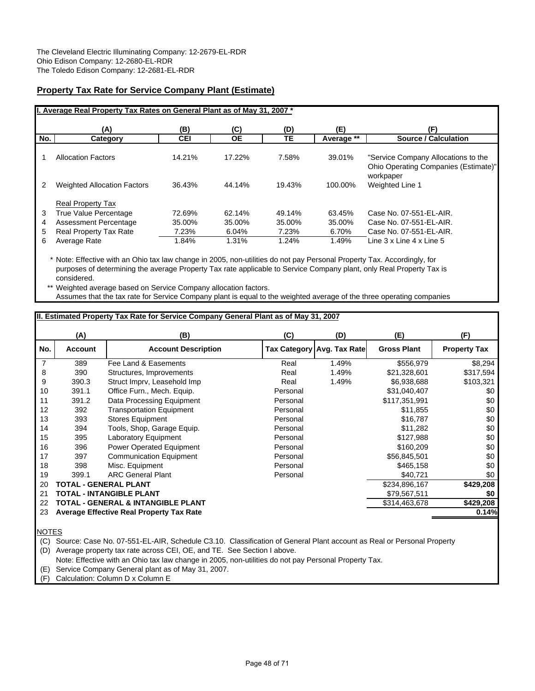# **Property Tax Rate for Service Company Plant (Estimate)**

|     | I. Average Real Property Tax Rates on General Plant as of May 31, 2007 * |            |           |           |            |                                                                             |
|-----|--------------------------------------------------------------------------|------------|-----------|-----------|------------|-----------------------------------------------------------------------------|
|     | (A)                                                                      | (B)        | (C)       | (D)       | (E)        | (F)                                                                         |
| No. | Category                                                                 | <b>CEI</b> | <b>OE</b> | <b>TE</b> | Average ** | <b>Source / Calculation</b>                                                 |
|     | <b>Allocation Factors</b>                                                | 14.21%     | 17.22%    | 7.58%     | 39.01%     | "Service Company Allocations to the<br>Ohio Operating Companies (Estimate)" |
| 2   | <b>Weighted Allocation Factors</b>                                       | 36.43%     | 44.14%    | 19.43%    | 100.00%    | workpaper<br>Weighted Line 1                                                |
|     | <b>Real Property Tax</b>                                                 |            |           |           |            |                                                                             |
| 3   | True Value Percentage                                                    | 72.69%     | 62.14%    | 49.14%    | 63.45%     | Case No. 07-551-EL-AIR.                                                     |
| 4   | Assessment Percentage                                                    | 35.00%     | 35.00%    | 35.00%    | 35.00%     | Case No. 07-551-EL-AIR.                                                     |
| 5   | Real Property Tax Rate                                                   | 7.23%      | 6.04%     | 7.23%     | 6.70%      | Case No. 07-551-EL-AIR.                                                     |
| 6   | Average Rate                                                             | 1.84%      | 1.31%     | 1.24%     | 1.49%      | Line 3 x Line 4 x Line 5                                                    |

\* Note: Effective with an Ohio tax law change in 2005, non-utilities do not pay Personal Property Tax. Accordingly, for purposes of determining the average Property Tax rate applicable to Service Company plant, only Real Property Tax is considered.

\*\* Weighted average based on Service Company allocation factors. Assumes that the tax rate for Service Company plant is equal to the weighted average of the three operating companies

# **II. Estimated Property Tax Rate for Service Company General Plant as of May 31, 2007**

|                | (A)            | (B)                                             | (C)      | (D)                        | (E)                | (F)                 |
|----------------|----------------|-------------------------------------------------|----------|----------------------------|--------------------|---------------------|
| No.            | <b>Account</b> | <b>Account Description</b>                      |          | Tax Category Avg. Tax Rate | <b>Gross Plant</b> | <b>Property Tax</b> |
| $\overline{7}$ | 389            | Fee Land & Easements                            | Real     | 1.49%                      | \$556,979          | \$8,294             |
| 8              | 390            | Structures, Improvements                        | Real     | 1.49%                      | \$21,328,601       | \$317,594           |
| 9              | 390.3          | Struct Imprv, Leasehold Imp                     | Real     | 1.49%                      | \$6,938,688        | \$103,321           |
| 10             | 391.1          | Office Furn., Mech. Equip.                      | Personal |                            | \$31,040,407       | \$0                 |
| 11             | 391.2          | Data Processing Equipment                       | Personal |                            | \$117,351,991      | \$0                 |
| 12             | 392            | <b>Transportation Equipment</b>                 | Personal |                            | \$11,855           | \$0                 |
| 13             | 393            | <b>Stores Equipment</b>                         | Personal |                            | \$16,787           | \$0                 |
| 14             | 394            | Tools, Shop, Garage Equip.                      | Personal |                            | \$11,282           | \$0                 |
| 15             | 395            | <b>Laboratory Equipment</b>                     | Personal |                            | \$127,988          | \$0                 |
| 16             | 396            | Power Operated Equipment                        | Personal |                            | \$160,209          | \$0                 |
| 17             | 397            | <b>Communication Equipment</b>                  | Personal |                            | \$56,845,501       | \$0                 |
| 18             | 398            | Misc. Equipment                                 | Personal |                            | \$465,158          | \$0                 |
| 19             | 399.1          | <b>ARC General Plant</b>                        | Personal |                            | \$40,721           | \$0                 |
| 20             |                | TOTAL - GENERAL PLANT                           |          |                            | \$234,896,167      | \$429,208           |
| 21             |                | TOTAL - INTANGIBLE PLANT                        |          |                            | \$79,567,511       | \$0                 |
| 22             |                | <b>TOTAL - GENERAL &amp; INTANGIBLE PLANT</b>   |          |                            | \$314,463,678      | \$429,208           |
| 23             |                | <b>Average Effective Real Property Tax Rate</b> |          |                            |                    | 0.14%               |
|                |                |                                                 |          |                            |                    |                     |

NOTES

(C) Source: Case No. 07-551-EL-AIR, Schedule C3.10. Classification of General Plant account as Real or Personal Property (D) Average property tax rate across CEI, OE, and TE. See Section I above.

Note: Effective with an Ohio tax law change in 2005, non-utilities do not pay Personal Property Tax.

(E) Service Company General plant as of May 31, 2007.

(F) Calculation: Column D x Column E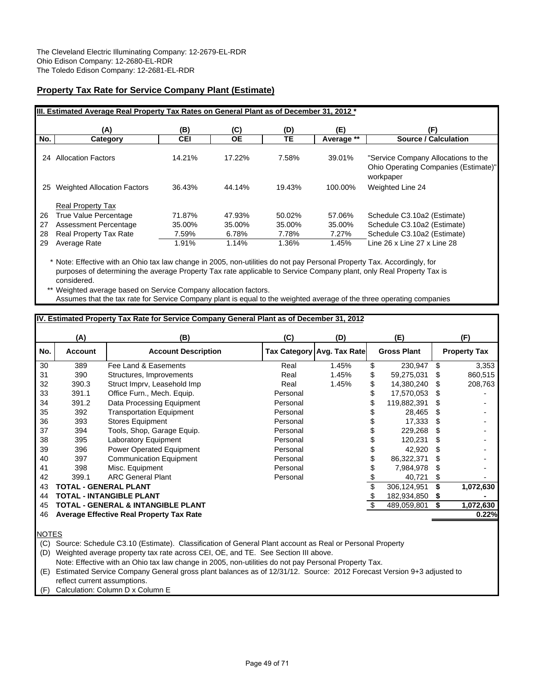# **Property Tax Rate for Service Company Plant (Estimate)**

|          | III. Estimated Average Real Property Tax Rates on General Plant as of December 31, 2012 * |                  |                  |                  |                  |                                                                                          |  |  |  |  |  |  |
|----------|-------------------------------------------------------------------------------------------|------------------|------------------|------------------|------------------|------------------------------------------------------------------------------------------|--|--|--|--|--|--|
|          | (A)                                                                                       | (B)              | (C)              | (D)              | (E)              | (F)                                                                                      |  |  |  |  |  |  |
| No.      | Category                                                                                  | <b>CEI</b>       | <b>OE</b>        | TE               | Average **       | <b>Source / Calculation</b>                                                              |  |  |  |  |  |  |
| 24       | <b>Allocation Factors</b>                                                                 | 14.21%           | 17.22%           | 7.58%            | 39.01%           | "Service Company Allocations to the<br>Ohio Operating Companies (Estimate)"<br>workpaper |  |  |  |  |  |  |
| 25       | <b>Weighted Allocation Factors</b>                                                        | 36.43%           | 44.14%           | 19.43%           | 100.00%          | Weighted Line 24                                                                         |  |  |  |  |  |  |
| 26<br>27 | <b>Real Property Tax</b><br>True Value Percentage<br>Assessment Percentage                | 71.87%<br>35.00% | 47.93%<br>35.00% | 50.02%<br>35.00% | 57.06%<br>35.00% | Schedule C3.10a2 (Estimate)<br>Schedule C3.10a2 (Estimate)                               |  |  |  |  |  |  |
| 28       | Real Property Tax Rate                                                                    | 7.59%            | 6.78%            | 7.78%            | 7.27%            | Schedule C3.10a2 (Estimate)                                                              |  |  |  |  |  |  |
| 29       | Average Rate                                                                              | 1.91%            | 1.14%            | 1.36%            | 1.45%            | Line 26 x Line 27 x Line 28                                                              |  |  |  |  |  |  |

\* Note: Effective with an Ohio tax law change in 2005, non-utilities do not pay Personal Property Tax. Accordingly, for purposes of determining the average Property Tax rate applicable to Service Company plant, only Real Property Tax is considered.

Weighted average based on Service Company allocation factors. Assumes that the tax rate for Service Company plant is equal to the weighted average of the three operating companies

## **IV. Estimated Property Tax Rate for Service Company General Plant as of December 31, 2012**

|     | (A)            | (B)                                             | (C)      | (D)                        | (E)                |     | (F)                 |
|-----|----------------|-------------------------------------------------|----------|----------------------------|--------------------|-----|---------------------|
| No. | <b>Account</b> | <b>Account Description</b>                      |          | Tax Category Avg. Tax Rate | <b>Gross Plant</b> |     | <b>Property Tax</b> |
| 30  | 389            | Fee Land & Easements                            | Real     | 1.45%                      | \$<br>230,947      | \$  | 3,353               |
| 31  | 390            | Structures, Improvements                        | Real     | 1.45%                      | \$<br>59,275,031   | S   | 860,515             |
| 32  | 390.3          | Struct Imprv, Leasehold Imp                     | Real     | 1.45%                      | \$<br>14,380,240   |     | 208,763             |
| 33  | 391.1          | Office Furn., Mech. Equip.                      | Personal |                            | \$<br>17,570,053   |     |                     |
| 34  | 391.2          | Data Processing Equipment                       | Personal |                            | \$<br>119,882,391  |     |                     |
| 35  | 392            | <b>Transportation Equipment</b>                 | Personal |                            | 28,465             | S   |                     |
| 36  | 393            | <b>Stores Equipment</b>                         | Personal |                            | 17,333             | \$. |                     |
| 37  | 394            | Tools, Shop, Garage Equip.                      | Personal |                            | 229,268            |     |                     |
| 38  | 395            | Laboratory Equipment                            | Personal |                            | 120,231            |     |                     |
| 39  | 396            | <b>Power Operated Equipment</b>                 | Personal |                            | 42.920             |     |                     |
| 40  | 397            | <b>Communication Equipment</b>                  | Personal |                            | \$<br>86,322,371   | S   |                     |
| 41  | 398            | Misc. Equipment                                 | Personal |                            | 7,984,978          |     |                     |
| 42  | 399.1          | <b>ARC General Plant</b>                        | Personal |                            | 40,721             | S   |                     |
| 43  |                | TOTAL - GENERAL PLANT                           |          |                            | 306,124,951        |     | 1,072,630           |
| 44  |                | <b>TOTAL - INTANGIBLE PLANT</b>                 |          |                            | 182,934,850        | S   |                     |
| 45  |                | TOTAL - GENERAL & INTANGIBLE PLANT              |          |                            | 489,059,801        |     | 1,072,630           |
| 46  |                | <b>Average Effective Real Property Tax Rate</b> |          |                            |                    |     | 0.22%               |
|     |                |                                                 |          |                            |                    |     |                     |

NOTES

(C) Source: Schedule C3.10 (Estimate). Classification of General Plant account as Real or Personal Property

(D) Weighted average property tax rate across CEI, OE, and TE. See Section III above.

Note: Effective with an Ohio tax law change in 2005, non-utilities do not pay Personal Property Tax.

(E) Estimated Service Company General gross plant balances as of 12/31/12. Source: 2012 Forecast Version 9+3 adjusted to reflect current assumptions.

Calculation: Column D x Column E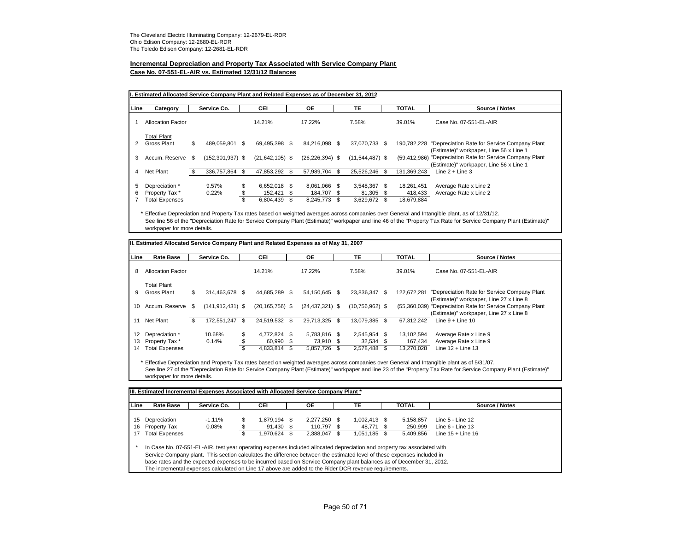# **Incremental Depreciation and Property Tax Associated with Service Company Plant**

#### **Case No. 07-551-EL-AIR vs. Estimated 12/31/12 Balances**

| Line | Category                 |      | Service Co.          |    | <b>CEI</b>          |      | <b>OE</b>           | <b>TE</b>         | <b>TOTAL</b>   | Source / Notes                                                                          |
|------|--------------------------|------|----------------------|----|---------------------|------|---------------------|-------------------|----------------|-----------------------------------------------------------------------------------------|
|      | <b>Allocation Factor</b> |      |                      |    | 14.21%              |      | 17.22%              | 7.58%             | 39.01%         | Case No. 07-551-EL-AIR                                                                  |
|      | <b>Total Plant</b>       |      |                      |    |                     |      |                     |                   |                |                                                                                         |
|      | Gross Plant              | \$   | 489.059.801 \$       |    | 69.495.398 \$       |      | 84.216.098 \$       | 37,070,733 \$     | 190.782.228    | "Depreciation Rate for Service Company Plant<br>(Estimate)" workpaper, Line 56 x Line 1 |
| 3    | Accum, Reserve           | - \$ | $(152, 301, 937)$ \$ |    | $(21, 642, 105)$ \$ |      | $(26, 226, 394)$ \$ | $(11,544,487)$ \$ | (59, 412, 986) | "Depreciation Rate for Service Company Plant<br>(Estimate)" workpaper, Line 56 x Line 1 |
| 4    | Net Plant                | - \$ | 336.757.864          | \$ | 47.853.292          | - \$ | 57.989.704 \$       | 25,526,246        | 131,369,243    | Line $2 +$ Line 3                                                                       |
| 5    | Depreciation *           |      | 9.57%                | \$ | 6.652.018 \$        |      | 8,061,066 \$        | 3,548,367 \$      | 18,261,451     | Average Rate x Line 2                                                                   |
| 6    | Property Tax *           |      | 0.22%                |    | 152.421 \$          |      | 184.707 \$          | 81.305 \$         | 418,433        | Average Rate x Line 2                                                                   |
|      | <b>Total Expenses</b>    |      |                      | ж, | 6,804,439           | S    | 8,245,773 \$        | 3,629,672 \$      | 18,679,884     |                                                                                         |

\* Effective Depreciation and Property Tax rates based on weighted averages across companies over General and Intangible plant, as of 12/31/12. See line 56 of the "Depreciation Rate for Service Company Plant (Estimate)" workpaper and line 46 of the "Property Tax Rate for Service Company Plant (Estimate)" workpaper for more details.

| Line | <b>Rate Base</b>         | Service Co.          | <b>CEI</b>          | ОE                  | <b>TE</b>         | <b>TOTAL</b>      | Source / Notes                                                                          |
|------|--------------------------|----------------------|---------------------|---------------------|-------------------|-------------------|-----------------------------------------------------------------------------------------|
| 8    | <b>Allocation Factor</b> |                      | 14.21%              | 17.22%              | 7.58%             | 39.01%            | Case No. 07-551-EL-AIR                                                                  |
|      | <b>Total Plant</b>       | \$                   |                     |                     |                   |                   |                                                                                         |
| 9    | Gross Plant              | 314.463.678 \$       | 44.685.289 \$       | 54.150.645 \$       | 23.836.347        | \$<br>122.672.281 | "Depreciation Rate for Service Company Plant<br>(Estimate)" workpaper, Line 27 x Line 8 |
| 10   | Accum. Reserve \$        | $(141, 912, 431)$ \$ | $(20, 165, 756)$ \$ | $(24, 437, 321)$ \$ | $(10,756,962)$ \$ | (55,360,039)      | "Depreciation Rate for Service Company Plant<br>(Estimate)" workpaper, Line 27 x Line 8 |
| 11   | Net Plant                | 172.551.247          | \$<br>24,519,532 \$ | 29.713.325 \$       | 13.079.385        | \$<br>67.312.242  | Line $9 +$ Line 10                                                                      |
| 12   | Depreciation *           | 10.68%               | \$<br>4,772,824 \$  | 5,783,816 \$        | 2,545,954 \$      | 13,102,594        | Average Rate x Line 9                                                                   |
| 13   | Property Tax *           | 0.14%                | \$<br>60,990 \$     | 73.910 \$           | 32,534 \$         | 167,434           | Average Rate x Line 9                                                                   |
| 14   | <b>Total Expenses</b>    |                      | \$<br>4,833,814 \$  | 5.857.726 \$        | 2,578,488         | \$<br>13,270,028  | Line $12 +$ Line 13                                                                     |

\* Effective Depreciation and Property Tax rates based on weighted averages across companies over General and Intangible plant as of 5/31/07. See line 27 of the "Depreciation Rate for Service Company Plant (Estimate)" workpaper and line 23 of the "Property Tax Rate for Service Company Plant (Estimate)" workpaper for more details.

| Line | <b>Rate Base</b>      | Service Co. |    | CEI          | ОE           | TE           | TOTAL     | Source / Notes      |
|------|-----------------------|-------------|----|--------------|--------------|--------------|-----------|---------------------|
| 15   | Depreciation          | $-1.11\%$   | \$ | 1.879.194 \$ | 2.277.250 \$ | 1,002,413 \$ | 5.158.857 | Line 5 - Line 12    |
| 16   | Property Tax          | $0.08\%$    |    | 91,430 \$    | 110.797 \$   | 48.771 \$    | 250,999   | Line $6$ - Line 13  |
| 17   | <b>Total Expenses</b> |             | ъ  | 1,970,624 \$ | 2.388.047 \$ | 1.051.185 \$ | 5,409,856 | Line $15 +$ Line 16 |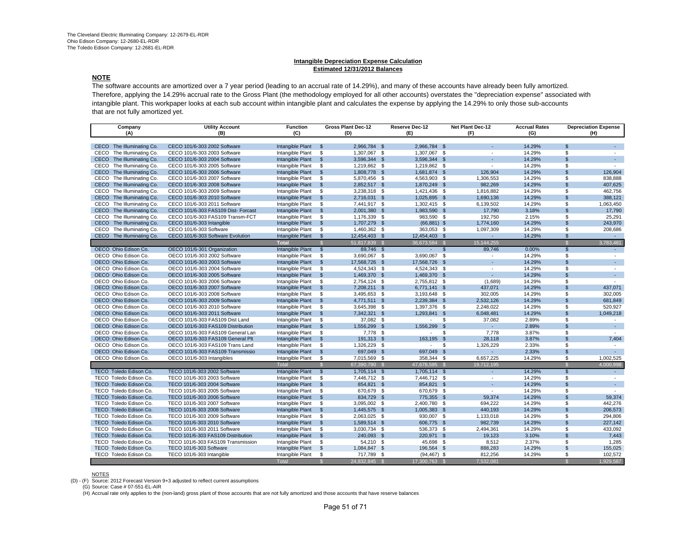#### **Intangible Depreciation Expense Calculation Estimated 12/31/2012 Balances**

#### **NOTE**

The software accounts are amortized over a 7 year period (leading to an accrual rate of 14.29%), and many of these accounts have already been fully amortized. Therefore, applying the 14.29% accrual rate to the Gross Plant (the methodology employed for all other accounts) overstates the "depreciation expense" associated with intangible plant. This workpaper looks at each sub account within intangible plant and calculates the expense by applying the 14.29% to only those sub-accounts that are not fully amortized yet.

| Company                             | <b>Utility Account</b>              | <b>Function</b><br>Gross Plant Dec-12 |                                 | Reserve Dec-12 |                              | Net Plant Dec-12 | <b>Accrual Rates</b> |        | <b>Depreciation Expense</b> |                             |
|-------------------------------------|-------------------------------------|---------------------------------------|---------------------------------|----------------|------------------------------|------------------|----------------------|--------|-----------------------------|-----------------------------|
| (A)                                 | (B)                                 | (C)                                   | (D)                             |                | (E)                          |                  | (F)                  | (G)    |                             | (H)                         |
|                                     |                                     |                                       |                                 |                |                              |                  |                      |        |                             |                             |
| CECO The Illuminating Co.           | CECO 101/6-303 2002 Software        | Intangible Plant                      | 2.966.784 \$<br>$\mathbb{S}$    |                | 2.966.784 \$                 |                  |                      | 14.29% | $\mathfrak{L}$              |                             |
| CECO The Illuminating Co.           | CECO 101/6-303 2003 Software        | Intangible Plant                      | \$<br>1,307,067 \$              |                | 1,307,067 \$                 |                  |                      | 14.29% | \$                          |                             |
| CECO The Illuminating Co.           | CECO 101/6-303 2004 Software        | Intangible Plant                      | $\mathfrak{s}$<br>3,596,344 \$  |                | 3,596,344 \$                 |                  |                      | 14.29% | $\mathfrak{L}$              | a.                          |
| CECO<br>The Illuminating Co.        | CECO 101/6-303 2005 Software        | Intangible Plant                      | \$<br>1,219,862 \$              |                | 1,219,862 \$                 |                  | $\sim$               | 14.29% | \$.                         | ÷                           |
| CECO<br>The Illuminating Co.        | CECO 101/6-303 2006 Software        | Intangible Plant                      | $\mathfrak{s}$<br>1,808,778 \$  |                | 1,681,874 \$                 |                  | 126,904              | 14.29% | $\mathsf{s}$                | 126.904                     |
| CECO The Illuminating Co.           | CECO 101/6-303 2007 Software        | Intangible Plant                      | \$<br>5,870,456 \$              |                | 4,563,903 \$                 |                  | 1,306,553            | 14.29% | \$.                         | 838,888                     |
| The Illuminating Co.<br><b>CECO</b> | CECO 101/6-303 2008 Software        | Intangible Plant                      | $\mathfrak{s}$<br>2,852,517 \$  |                | 1,870,249 \$                 |                  | 982,269              | 14.29% | $\mathsf{s}$                | 407.625                     |
| CECO The Illuminating Co.           | CECO 101/6-303 2009 Software        | Intangible Plant                      | 3,238,318 \$<br>\$              |                | 1,421,436 \$                 |                  | 1,816,882            | 14.29% | \$                          | 462.756                     |
| CECO<br>The Illuminating Co.        | CECO 101/6-303 2010 Software        | Intangible Plant                      | $\mathfrak{s}$<br>2,716,031 \$  |                | 1,025,895 \$                 |                  | 1,690,136            | 14.29% | $\mathsf{s}$                | 388,121                     |
| CECO<br>The Illuminating Co.        | CECO 101/6-303 2011 Software        | Intangible Plant                      | \$<br>7,441,917 \$              |                | 1,302,415 \$                 |                  | 6,139,502            | 14.29% | \$                          | 1,063,450                   |
| CECO The Illuminating Co.           | CECO 101/6-303 FAS109 Dist- Forcast | Intangible Plant                      | $\mathfrak{s}$<br>2,001,380 \$  |                | 1,983,590 \$                 |                  | 17,790               | 3.18%  | $\mathbf{s}$                | 17,790                      |
| CECO The Illuminating Co.           | CECO 101/6-303 FAS109 Transm-FCT    | Intangible Plant                      | \$<br>1,176,339 \$              |                | 983,590 \$                   |                  | 192,750              | 2.15%  | S                           | 25,291                      |
| CECO The Illuminating Co.           | CECO 101/6-303 Intangible           | Intangible Plant                      | $\mathfrak{s}$<br>1,707,279 \$  |                | $(66,881)$ \$                |                  | 1,774,160            | 14.29% | $\mathbf{s}$                | 243,970                     |
| CECO The Illuminating Co.           | CECO 101/6-303 Software             | Intangible Plant                      | \$<br>1,460,362 \$              |                | 363,053 \$                   |                  | 1,097,309            | 14.29% | \$                          | 208,686                     |
| CECO The Illuminating Co.           | CECO 101/6-303 Software Evolution   | Intangible Plant                      | $\mathfrak{s}$<br>12,454,403 \$ |                | 12,454,403 \$                |                  | ÷                    | 14.29% | $\mathsf{s}$                | $\mathcal{L}^{\mathcal{A}}$ |
|                                     |                                     | Total                                 | 51,817,839<br><b>S</b>          | $\mathcal{S}$  | 36,673,584                   |                  | 15,144,255           |        | $\mathbb{S}$                | 3,783,481                   |
| OECO Ohio Edison Co.                | OECO 101/6-301 Organization         | Intangible Plant                      | 89,746 \$<br>$\mathfrak{s}$     |                |                              | $\mathfrak{s}$   | 89,746               | 0.00%  | $\mathsf{s}$                | $\sim$                      |
| OECO Ohio Edison Co.                | OECO 101/6-303 2002 Software        | Intangible Plant                      | \$<br>3,690,067 \$              |                | 3,690,067 \$                 |                  |                      | 14.29% | S                           | $\sim$                      |
| OECO Ohio Edison Co.                | OECO 101/6-303 2003 Software        | Intangible Plant                      | $\mathfrak{s}$<br>17,568,726 \$ |                | 17,568,726 \$                |                  |                      | 14.29% | $\mathfrak{S}$              | $\sim$                      |
| OECO Ohio Edison Co.                | OECO 101/6-303 2004 Software        | Intangible Plant                      | \$<br>4,524,343 \$              |                | 4,524,343 \$                 |                  | $\sim$               | 14.29% | \$                          | $\sim$                      |
| OECO Ohio Edison Co.                | OECO 101/6-303 2005 Software        | Intangible Plant                      | $\mathfrak{s}$<br>1,469,370 \$  |                | 1,469,370 \$                 |                  | ٠                    | 14.29% | $\mathfrak{L}$              | ÷.                          |
| OECO Ohio Edison Co.                | OECO 101/6-303 2006 Software        | Intangible Plant                      | \$<br>2,754,124 \$              |                | 2,755,812 \$                 |                  | (1,689)              | 14.29% | \$                          | $\sim$                      |
| OECO Ohio Edison Co.                | OECO 101/6-303 2007 Software        | Intangible Plant                      | 7,208,211 \$<br>$\mathfrak{s}$  |                | 6,771,141 \$                 |                  | 437,071              | 14.29% | $\mathfrak{s}$              | 437,071                     |
| OECO Ohio Edison Co.                | OECO 101/6-303 2008 Software        | Intangible Plant                      | \$<br>3,495,653 \$              |                | 3,193,648 \$                 |                  | 302,005              | 14.29% | \$                          | 302,005                     |
| OECO Ohio Edison Co.                | OECO 101/6-303 2009 Software        | Intangible Plant                      | $\mathfrak{s}$<br>4,771,511 \$  |                | 2,239,384 \$                 |                  | 2,532,126            | 14.29% | $\sqrt{2}$                  | 681,849                     |
| OECO Ohio Edison Co.                | OECO 101/6-303 2010 Software        | Intangible Plant                      | \$<br>3,645,398 \$              |                | 1,397,376 \$                 |                  | 2,248,022            | 14.29% | \$                          | 520.927                     |
| OECO Ohio Edison Co.                | OECO 101/6-303 2011 Software        | Intangible Plant                      | $\mathfrak{s}$<br>7,342,321 \$  |                | 1,293,841 \$                 |                  | 6,048,481            | 14.29% | $\mathsf{s}$                | 1,049,218                   |
| OECO Ohio Edison Co.                | OECO 101/6-303 FAS109 Dist Land     | Intangible Plant                      | S.<br>37,082 \$                 |                | $\mathcal{L}_{\mathrm{max}}$ | S.               | 37,082               | 2.89%  | \$                          |                             |
| OECO Ohio Edison Co.                | OECO 101/6-303 FAS109 Distribution  | Intangible Plant                      | $\sqrt[6]{3}$<br>1,556,299 \$   |                | 1,556,299 \$                 |                  | ÷.                   | 2.89%  | $\mathfrak{s}$              | a.                          |
| OECO Ohio Edison Co.                | OECO 101/6-303 FAS109 General Lan   | Intangible Plant                      | \$<br>7,778 \$                  |                | $\sim$                       | \$               | 7,778                | 3.87%  | \$                          | $\sim$                      |
| OECO Ohio Edison Co.                | OECO 101/6-303 FAS109 General Plt   | Intangible Plant                      | $\mathfrak{s}$<br>191,313 \$    |                | 163,195 \$                   |                  | 28,118               | 3.87%  | $\mathfrak{L}$              | 7,404                       |
| OECO Ohio Edison Co.                | OECO 101/6-303 FAS109 Trans Land    | Intangible Plant                      | 1,326,229 \$<br>\$              |                | $\sim$                       | \$               | 1,326,229            | 2.33%  | \$                          | $\sim$                      |
| OECO Ohio Edison Co.                | OECO 101/6-303 FAS109 Transmissio   | Intangible Plant                      | 697,049 \$<br>$\mathbf{\$}$     |                | 697,049 \$                   |                  | ä,                   | 2.33%  | $\mathsf{s}$                | $\sim$                      |
| OECO Ohio Edison Co.                | OECO 101/6-303 Intangibles          | Intangible Plant                      | \$<br>7,015,569 \$              |                | 358.344 \$                   |                  | 6,657,225            | 14.29% | \$                          | 1,002,525                   |
|                                     |                                     | Total                                 | 67,390,790<br>$\mathbb{S}$      |                | 47,678,595                   |                  | 19,712,195           |        | $\mathbb{S}$                | 4,000,998                   |
| TECO Toledo Edison Co.              | TECO 101/6-303 2002 Software        | Intangible Plant                      | $\mathfrak{s}$<br>1,705,114 \$  |                | 1,705,114 \$                 |                  | ÷.                   | 14.29% | $\mathfrak{s}$              | $\sim$                      |
| TECO Toledo Edison Co.              | TECO 101/6-303 2003 Software        | Intangible Plant                      | \$<br>7,446,712 \$              |                | 7,446,712 \$                 |                  | $\sim$               | 14.29% | \$                          | $\sim$                      |
| TECO Toledo Edison Co.              | TECO 101/6-303 2004 Software        | Intangible Plant                      | $\mathfrak{s}$<br>854,821 \$    |                | 854,821 \$                   |                  |                      | 14.29% | $\mathfrak{L}$              | $\sim$                      |
| TECO Toledo Edison Co.              | TECO 101/6-303 2005 Software        | Intangible Plant                      | 670,679 \$<br>\$                |                | 670,679 \$                   |                  | $\blacksquare$       | 14.29% | \$.                         | $\sim$                      |
| TECO Toledo Edison Co.              | TECO 101/6-303 2006 Software        | Intangible Plant                      | $\mathbb{S}$<br>834,729 \$      |                | 775,355 \$                   |                  | 59,374               | 14.29% | $\mathfrak{L}$              | 59.374                      |
| TECO Toledo Edison Co.              | TECO 101/6-303 2007 Software        | Intangible Plant                      | \$<br>3,095,002 \$              |                | 2,400,780 \$                 |                  | 694,222              | 14.29% | \$                          | 442.276                     |
| TECO Toledo Edison Co.              | TECO 101/6-303 2008 Software        | Intangible Plant                      | $\mathfrak{s}$<br>1,445,575 \$  |                | 1,005,383 \$                 |                  | 440,193              | 14.29% | $\mathsf{s}$                | 206,573                     |
| TECO Toledo Edison Co.              | TECO 101/6-303 2009 Software        | Intangible Plant                      | \$<br>2,063,025 \$              |                | 930,007 \$                   |                  | 1,133,018            | 14.29% | \$                          | 294,806                     |
| TECO Toledo Edison Co.              | TECO 101/6-303 2010 Software        | Intangible Plant                      | $\sqrt[6]{3}$<br>1,589,514 \$   |                | 606,775 \$                   |                  | 982,739              | 14.29% | $\mathsf{s}$                | 227,142                     |
| TECO Toledo Edison Co.              | TECO 101/6-303 2011 Software        | Intangible Plant                      | \$<br>3,030,734 \$              |                | 536,373 \$                   |                  | 2,494,361            | 14.29% | \$                          | 433,092                     |
| TECO Toledo Edison Co.              | TECO 101/6-303 FAS109 Distribution  | Intangible Plant                      | $\mathfrak{s}$<br>240,093 \$    |                | 220,971 \$                   |                  | 19,123               | 3.10%  | $\mathfrak{L}$              | 7,443                       |
| TECO Toledo Edison Co.              | TECO 101/6-303 FAS109 Transmission  | Intangible Plant                      | \$<br>54,210 \$                 |                | 45,698 \$                    |                  | 8,512                | 2.37%  | \$                          | 1.285                       |
| TECO Toledo Edison Co.              | TECO 101/6-303 Software             | Intangible Plant                      | 1,084,847 \$<br>\$              |                | 196,564 \$                   |                  | 888,283              | 14.29% | $\mathsf{s}$                | 155,025                     |
| TECO Toledo Edison Co.              | TECO 101/6-303 Intangible           | Intangible Plant                      | \$<br>717,789 \$                |                | $(94, 467)$ \$               |                  | 812,256              | 14.29% | \$                          | 102,572                     |
|                                     |                                     | Total                                 | 24.832.845                      | $\mathbb{S}$   | 17.300.763                   |                  | 7,532,081            |        |                             | .929.587                    |

NOTES (D) - (F) Source: 2012 Forecast Version 9+3 adjusted to reflect current assumptions

(G) Source: Case # 07-551-EL-AIR

(H) Accrual rate only applies to the (non-land) gross plant of those accounts that are not fully amortized and those accounts that have reserve balances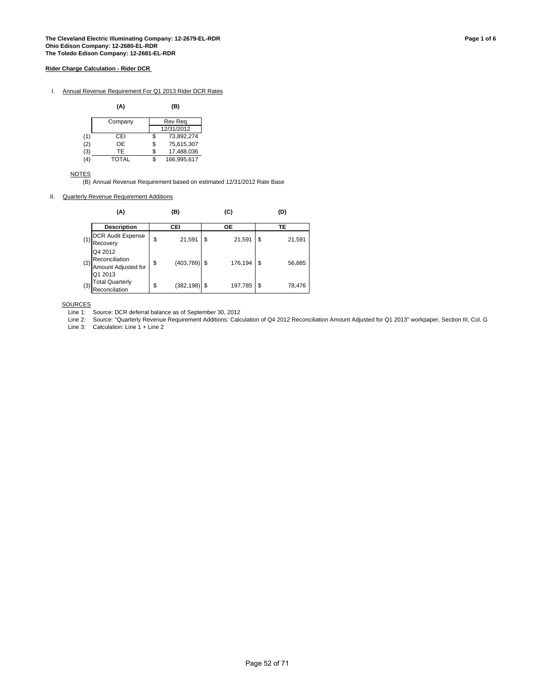I. Annual Revenue Requirement For Q1 2013 Rider DCR Rates

|     | (A)     | (B)               |
|-----|---------|-------------------|
|     | Company | Rev Rea           |
|     |         | 12/31/2012        |
| (1) | CEI     | \$<br>73,892,274  |
| (2) | OE      | \$<br>75,615,307  |
| (3) | TE      | \$<br>17,488,036  |
| (4) | TOTAL   | \$<br>166.995.617 |

**NOTES** 

(B) Annual Revenue Requirement based on estimated 12/31/2012 Rate Base

### II. Quarterly Revenue Requirement Additions

|     | (A)                                                         | (B)                  | (C)          | (D)          |
|-----|-------------------------------------------------------------|----------------------|--------------|--------------|
|     | <b>Description</b>                                          | CEI                  | ОE           | ТE           |
| (1) | <b>DCR Audit Expense</b><br>Recovery                        | \$<br>21,591         | \$<br>21,591 | \$<br>21,591 |
| (2) | Q4 2012<br>Reconciliation<br>Amount Adjusted for<br>Q1 2013 | \$<br>$(403,789)$ \$ | 176,194      | \$<br>56,885 |
| (3) | <b>Total Quarterly</b><br>Reconcilation                     | \$<br>(382, 198)     | 197,785      | \$<br>78,476 |

**SOURCES** 

Line 2: Source: "Quarterly Revenue Requirement Additions: Calculation of Q4 2012 Reconciliation Amount Adjusted for Q1 2013" workpaper, Section III, Col. G

Line 3: Calculation: Line 1 + Line 2

Line 1: Source: DCR deferral balance as of September 30, 2012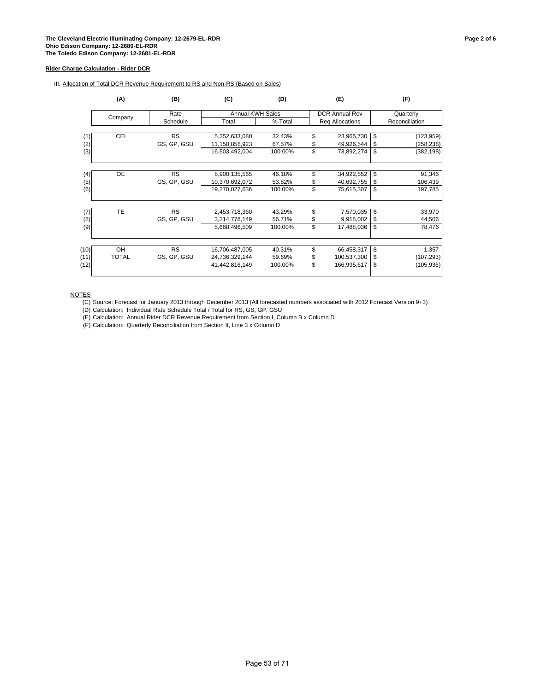III. Allocation of Total DCR Revenue Requirement to RS and Non-RS (Based on Sales)

|      | (A)          | (B)         |                  | (D)     | (E)                   | (F) |                |  |
|------|--------------|-------------|------------------|---------|-----------------------|-----|----------------|--|
|      | Company      | Rate        | Annual KWH Sales |         | <b>DCR Annual Rev</b> |     | Quarterly      |  |
|      |              | Schedule    | Total            | % Total | Req Allocations       |     | Reconciliation |  |
| (1)  | CEI          | <b>RS</b>   | 5,352,633,080    | 32.43%  | \$<br>23,965,730      | \$  | (123, 959)     |  |
| (2)  |              | GS, GP, GSU | 11,150,858,923   | 67.57%  | \$<br>49,926,544      | -S  | (258, 238)     |  |
| (3)  |              |             | 16,503,492,004   | 100.00% | \$<br>73,892,274      | \$  | (382, 198)     |  |
|      |              |             |                  |         |                       |     |                |  |
| (4)  | OE           | <b>RS</b>   | 8,900,135,565    | 46.18%  | \$<br>34,922,552      | \$  | 91,346         |  |
| (5)  |              | GS, GP, GSU | 10,370,692,072   | 53.82%  | \$<br>40,692,755      | \$  | 106,439        |  |
| (6)  |              |             | 19,270,827,636   | 100.00% | \$<br>75,615,307      | \$  | 197,785        |  |
|      |              |             |                  |         |                       |     |                |  |
| (7)  | <b>TE</b>    | <b>RS</b>   | 2,453,718,360    | 43.29%  | \$<br>7,570,035       | \$  | 33,970         |  |
| (8)  |              | GS, GP, GSU | 3,214,778,149    | 56.71%  | \$<br>9,918,002       | S   | 44,506         |  |
| (9)  |              |             | 5,668,496,509    | 100.00% | \$<br>17,488,036      | \$  | 78,476         |  |
| (10) | OH           | <b>RS</b>   | 16,706,487,005   | 40.31%  | \$<br>66,458,317      | \$  | 1,357          |  |
| (11) | <b>TOTAL</b> |             | 24,736,329,144   |         | \$<br>100,537,300     | \$  |                |  |
|      |              | GS, GP, GSU |                  | 59.69%  | \$                    |     | (107, 293)     |  |
| (12) |              |             | 41,442,816,149   | 100.00% | 166,995,617           | \$  | (105, 936)     |  |

NOTES

(C) Source: Forecast for January 2013 through December 2013 (All forecasted numbers associated with 2012 Forecast Version 9+3)

(D) Calculation: Individual Rate Schedule Total / Total for RS, GS, GP, GSU

(E) Calculation: Annual Rider DCR Revenue Requirement from Section I, Column B x Column D

(F) Calculation: Quarterly Reconciliation from Section II, Line 3 x Column D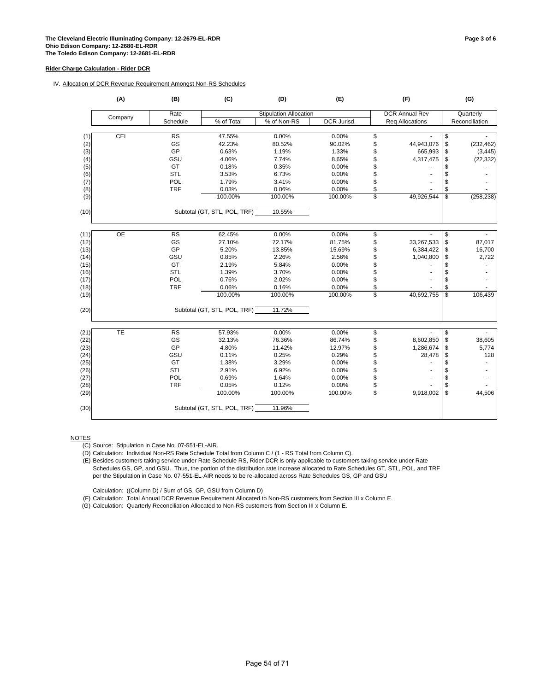IV. Allocation of DCR Revenue Requirement Amongst Non-RS Schedules

|      | (A)     | (B)                    | (C)                          | (D)                    | (E)         |                          | (F)                    | (G)              |
|------|---------|------------------------|------------------------------|------------------------|-------------|--------------------------|------------------------|------------------|
|      | Company | Rate                   |                              | Stipulation Allocation |             |                          | <b>DCR Annual Rev</b>  | Quarterly        |
|      |         | Schedule               | % of Total                   | % of Non-RS            | DCR Jurisd. |                          | <b>Req Allocations</b> | Reconciliation   |
|      |         |                        |                              |                        |             |                          |                        |                  |
| (1)  | CEI     | <b>RS</b>              | 47.55%                       | 0.00%                  | 0.00%       | \$                       |                        | \$               |
| (2)  |         | GS                     | 42.23%                       | 80.52%                 | 90.02%      | \$                       | 44,943,076             | \$<br>(232, 462) |
| (3)  |         | GP                     | 0.63%                        | 1.19%                  | 1.33%       | \$                       | 665,993                | \$<br>(3, 445)   |
| (4)  |         | GSU                    | 4.06%                        | 7.74%                  | 8.65%       | \$                       | 4,317,475              | \$<br>(22, 332)  |
| (5)  |         | GT                     | 0.18%                        | 0.35%                  | 0.00%       | \$                       |                        | \$               |
| (6)  |         | STL                    | 3.53%                        | 6.73%                  | 0.00%       | \$                       |                        | \$               |
| (7)  |         | POL                    | 1.79%                        | 3.41%                  | 0.00%       | \$                       |                        | \$               |
| (8)  |         | <b>TRF</b>             | 0.03%                        | 0.06%                  | 0.00%       | \$                       |                        | \$               |
| (9)  |         |                        | 100.00%                      | 100.00%                | 100.00%     | $\overline{\mathbb{S}}$  | 49,926,544             | \$<br>(258, 238) |
| (10) |         |                        | Subtotal (GT, STL, POL, TRF) | 10.55%                 |             |                          |                        |                  |
| (11) | OE      | <b>RS</b>              | 62.45%                       | 0.00%                  | 0.00%       | \$                       |                        | \$               |
| (12) |         | GS                     | 27.10%                       | 72.17%                 | 81.75%      | \$                       | 33,267,533             | \$<br>87,017     |
| (13) |         | GP                     | 5.20%                        | 13.85%                 | 15.69%      | \$                       | 6,384,422              | \$<br>16,700     |
| (14) |         | GSU                    | 0.85%                        | 2.26%                  | 2.56%       | \$                       | 1,040,800              | \$<br>2,722      |
| (15) |         | GT                     | 2.19%                        | 5.84%                  | 0.00%       | \$                       |                        | \$               |
| (16) |         | <b>STL</b>             | 1.39%                        | 3.70%                  | 0.00%       | \$                       |                        | \$               |
| (17) |         | POL                    | 0.76%                        | 2.02%                  | 0.00%       | \$                       |                        | \$               |
| (18) |         | <b>TRF</b>             | 0.06%                        | 0.16%                  | 0.00%       | \$                       |                        | \$               |
|      |         |                        |                              |                        |             | $\overline{\mathcal{S}}$ |                        | \$               |
| (19) |         |                        | 100.00%                      | 100.00%                | 100.00%     |                          | 40,692,755             | 106,439          |
| (20) |         |                        | Subtotal (GT, STL, POL, TRF) | 11.72%                 |             |                          |                        |                  |
| (21) | TE      | $\overline{\text{RS}}$ | 57.93%                       | 0.00%                  | 0.00%       | \$                       |                        | \$               |
| (22) |         | GS                     | 32.13%                       | 76.36%                 | 86.74%      | \$                       | 8,602,850              | \$<br>38,605     |
| (23) |         | GP                     | 4.80%                        | 11.42%                 | 12.97%      | \$                       | 1,286,674              | \$<br>5,774      |
| (24) |         | GSU                    | 0.11%                        | 0.25%                  | 0.29%       | \$                       | 28,478                 | \$<br>128        |
| (25) |         | GT                     | 1.38%                        | 3.29%                  | 0.00%       | \$                       |                        | \$               |
| (26) |         | <b>STL</b>             | 2.91%                        | 6.92%                  | 0.00%       | \$                       |                        | \$               |
| (27) |         | POL                    | 0.69%                        | 1.64%                  | 0.00%       | \$                       |                        | \$               |
| (28) |         | <b>TRF</b>             | 0.05%                        | 0.12%                  | 0.00%       | \$                       |                        | \$               |
| (29) |         |                        | 100.00%                      | 100.00%                | 100.00%     | \$                       | 9,918,002              | \$<br>44,506     |
| (30) |         |                        | Subtotal (GT, STL, POL, TRF) | 11.96%                 |             |                          |                        |                  |

**NOTES** 

(C) Source: Stipulation in Case No. 07-551-EL-AIR.

(D) Calculation: Individual Non-RS Rate Schedule Total from Column C / (1 - RS Total from Column C).

(E) Besides customers taking service under Rate Schedule RS, Rider DCR is only applicable to customers taking service under Rate Schedules GS, GP, and GSU. Thus, the portion of the distribution rate increase allocated to Rate Schedules GT, STL, POL, and TRF per the Stipulation in Case No. 07-551-EL-AIR needs to be re-allocated across Rate Schedules GS, GP and GSU

Calculation: ((Column D) / Sum of GS, GP, GSU from Column D)

(F) Calculation: Total Annual DCR Revenue Requirement Allocated to Non-RS customers from Section III x Column E.

(G) Calculation: Quarterly Reconciliation Allocated to Non-RS customers from Section III x Column E.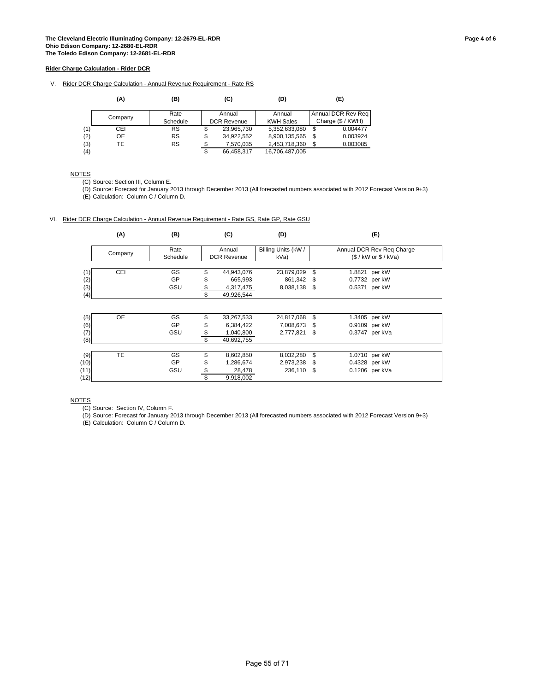V. Rider DCR Charge Calculation - Annual Revenue Requirement - Rate RS

|     | (A)     | (B)       |    | (C)                | (D)              | (E)                |
|-----|---------|-----------|----|--------------------|------------------|--------------------|
|     |         | Rate      |    | Annual             | Annual           | Annual DCR Rev Reg |
|     | Company | Schedule  |    | <b>DCR Revenue</b> | <b>KWH Sales</b> | Charge (\$ / KWH)  |
| (1) | CEI     | RS        | \$ | 23,965,730         | 5,352,633,080    | \$<br>0.004477     |
| (2) | OE      | <b>RS</b> | \$ | 34,922,552         | 8,900,135,565    | \$<br>0.003924     |
| (3) | TE      | <b>RS</b> |    | 7.570.035          | 2,453,718,360    | \$<br>0.003085     |
| (4) |         |           | æ  | 66.458.317         | 16.706.487.005   |                    |

### NOTES

(C) Source: Section III, Column E.

(D) Source: Forecast for January 2013 through December 2013 (All forecasted numbers associated with 2012 Forecast Version 9+3)

(E) Calculation: Column C / Column D.

### VI. Rider DCR Charge Calculation - Annual Revenue Requirement - Rate GS, Rate GP, Rate GSU

|      | (A)       | (B)       | (C)                | (D)                 |      | (E)                       |
|------|-----------|-----------|--------------------|---------------------|------|---------------------------|
|      | Company   | Rate      | Annual             | Billing Units (kW / |      | Annual DCR Rev Reg Charge |
|      |           | Schedule  | <b>DCR Revenue</b> | kVa)                |      | $($ /$ kW or $$ /$ kVa)   |
| (1)  | CEI       | GS        | \$<br>44,943,076   | 23,879,029          | \$   | 1.8821 per kW             |
| (2)  |           | <b>GP</b> | \$<br>665,993      | 861.342             | \$   | 0.7732 per kW             |
| (3)  |           | GSU       | \$<br>4,317,475    | 8,038,138 \$        |      | 0.5371 per kW             |
| (4)  |           |           | \$<br>49,926,544   |                     |      |                           |
|      |           |           |                    |                     |      |                           |
| (5)  | OE        | GS        | \$<br>33,267,533   | 24,817,068          | \$   | 1.3405 per kW             |
| (6)  |           | GP        | \$<br>6,384,422    | 7,008,673           | \$   | 0.9109 per kW             |
| (7)  |           | GSU       | \$<br>1,040,800    | 2,777,821           | - \$ | 0.3747 per kVa            |
| (8)  |           |           | \$<br>40,692,755   |                     |      |                           |
|      | <b>TE</b> | GS        | \$                 | 8,032,280           | \$   |                           |
| (9)  |           | <b>GP</b> | \$<br>8,602,850    |                     |      | 1.0710 per kW             |
| (10) |           |           | 1,286,674          | 2,973,238 \$        |      | 0.4328 per kW             |
| (11) |           | GSU       | \$<br>28,478       | 236,110             | \$   | 0.1206 per kVa            |
| (12) |           |           | \$<br>9,918,002    |                     |      |                           |

#### **NOTES**

(C) Source: Section IV, Column F.

(D) Source: Forecast for January 2013 through December 2013 (All forecasted numbers associated with 2012 Forecast Version 9+3)

(E) Calculation: Column C / Column D.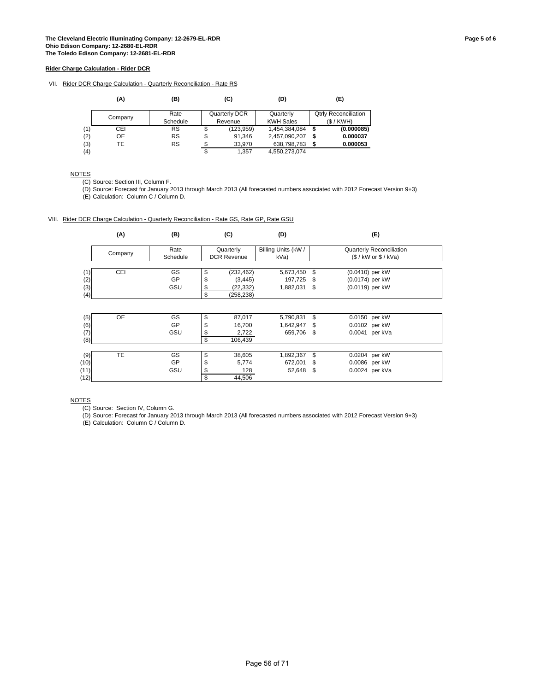VII. Rider DCR Charge Calculation - Quarterly Reconciliation - Rate RS

|     | (A)     | (B)       |         | (C)           | (D)              |   | (E)                         |
|-----|---------|-----------|---------|---------------|------------------|---|-----------------------------|
|     | Company | Rate      |         | Quarterly DCR | Quarterly        |   | <b>Qtrly Reconciliation</b> |
|     |         | Schedule  | Revenue |               | <b>KWH Sales</b> |   | (S/KWH)                     |
| (1) | CEI     | RS        | \$      | (123, 959)    | 1,454,384,084    | S | (0.000085)                  |
| (2) | OE      | <b>RS</b> | \$      | 91.346        | 2,457,090,207    | S | 0.000037                    |
| (3) | TE      | <b>RS</b> |         | 33,970        | 638,798,783      |   | 0.000053                    |
| (4) |         |           |         | 1.357         | 4.550.273.074    |   |                             |

## NOTES

(C) Source: Section III, Column F.

(D) Source: Forecast for January 2013 through March 2013 (All forecasted numbers associated with 2012 Forecast Version 9+3)

(E) Calculation: Column C / Column D.

VIII. Rider DCR Charge Calculation - Quarterly Reconciliation - Rate GS, Rate GP, Rate GSU

|      | (A)       | (B)       | (C)                | (D)                 |     | (E)                      |
|------|-----------|-----------|--------------------|---------------------|-----|--------------------------|
|      |           | Rate      | Quarterly          | Billing Units (kW / |     | Quarterly Reconciliation |
|      | Company   | Schedule  | <b>DCR Revenue</b> | kVa)                |     | $($ /$ kW or $$ /$ kVa)  |
|      |           |           |                    |                     |     |                          |
| (1)  | CEI       | GS        | \$<br>(232, 462)   | 5,673,450           | \$  | (0.0410) per kW          |
| (2)  |           | <b>GP</b> | \$<br>(3, 445)     | 197,725             | -\$ | (0.0174) per kW          |
| (3)  |           | GSU       | \$<br>(22, 332)    | 1,882,031           | \$  | (0.0119) per kW          |
| (4)  |           |           | \$<br>(258, 238)   |                     |     |                          |
|      |           |           |                    |                     |     |                          |
| (5)  | <b>OE</b> | GS        | \$<br>87,017       | 5,790,831           | \$  | 0.0150 per kW            |
| (6)  |           | GP        | \$<br>16,700       | 1,642,947           | \$  | 0.0102 per kW            |
| (7)  |           | GSU       | \$<br>2,722        | 659,706             | \$  | 0.0041 per kVa           |
| (8)  |           |           | \$<br>106,439      |                     |     |                          |
|      |           |           |                    |                     |     |                          |
| (9)  | <b>TE</b> | GS        | \$<br>38,605       | 1,892,367           | \$  | 0.0204 per kW            |
| (10) |           | GP        | \$<br>5,774        | 672,001             | \$  | 0.0086 per kW            |
| (11) |           | GSU       | \$<br>128          | 52,648 \$           |     | 0.0024 per kVa           |
| (12) |           |           | \$<br>44.506       |                     |     |                          |

#### **NOTES**

(C) Source: Section IV, Column G.

(D) Source: Forecast for January 2013 through March 2013 (All forecasted numbers associated with 2012 Forecast Version 9+3)

(E) Calculation: Column C / Column D.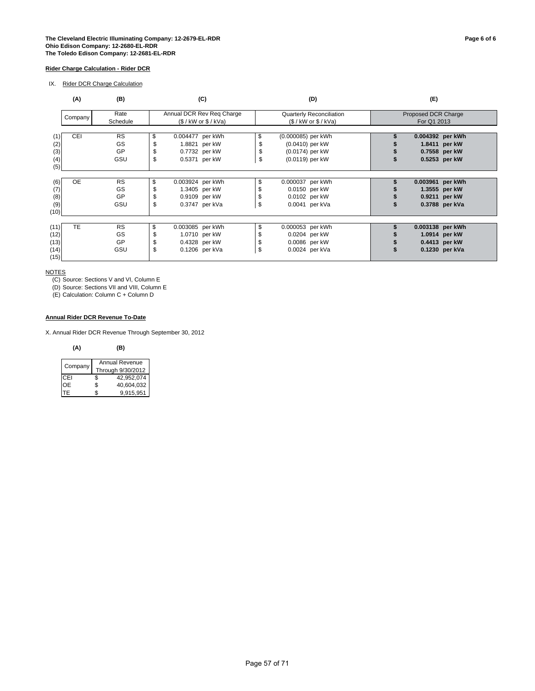#### **The Cleveland Electric Illuminating Company: 12-2679-EL-RDR Page 6 of 6 Ohio Edison Company: 12-2680-EL-RDR The Toledo Edison Company: 12-2681-EL-RDR**

### **Rider Charge Calculation - Rider DCR**

IX. Rider DCR Charge Calculation

|      | (A)        | (B)              |     | (C)                                                  |    |                    | (D)                                                     | (E)                                |                |  |
|------|------------|------------------|-----|------------------------------------------------------|----|--------------------|---------------------------------------------------------|------------------------------------|----------------|--|
|      | Company    | Rate<br>Schedule |     | Annual DCR Rev Reg Charge<br>$($ /$ kW or $$ /$ kVa) |    |                    | <b>Quarterly Reconciliation</b><br>(S / kW or \$ / KVa) | Proposed DCR Charge<br>For Q1 2013 |                |  |
|      |            |                  |     |                                                      |    |                    |                                                         |                                    |                |  |
| (1)  | <b>CEI</b> | <b>RS</b>        | \$  | 0.004477 per kWh                                     | \$ | (0.000085) per kWh |                                                         | 0.004392 per kWh                   |                |  |
| (2)  |            | GS               |     | 1.8821 per kW                                        | \$ | (0.0410) per kW    |                                                         |                                    | 1.8411 per kW  |  |
| (3)  |            | GP               |     | 0.7732 per kW                                        | \$ | (0.0174) per kW    |                                                         |                                    | 0.7558 per kW  |  |
| (4)  |            | GSU              | \$  | 0.5371 per kW                                        | \$ | (0.0119) per kW    |                                                         |                                    | 0.5253 per kW  |  |
| (5)  |            |                  |     |                                                      |    |                    |                                                         |                                    |                |  |
|      |            |                  |     |                                                      |    |                    |                                                         |                                    |                |  |
| (6)  | <b>OE</b>  | <b>RS</b>        | \$. | 0.003924 per kWh                                     | \$ | 0.000037 per kWh   |                                                         | 0.003961 per kWh                   |                |  |
| (7)  |            | GS               |     | 1.3405 per kW                                        | \$ |                    | 0.0150 per kW                                           |                                    | 1.3555 per kW  |  |
| (8)  |            | GP               |     | 0.9109 per kW                                        | \$ |                    | 0.0102 per kW                                           |                                    | 0.9211 per kW  |  |
| (9)  |            | GSU              | \$  | 0.3747 per kVa                                       | \$ |                    | 0.0041 per kVa                                          |                                    | 0.3788 per kVa |  |
| (10) |            |                  |     |                                                      |    |                    |                                                         |                                    |                |  |
|      |            |                  |     |                                                      |    |                    |                                                         |                                    |                |  |
| (11) | <b>TE</b>  | <b>RS</b>        | \$  | 0.003085 per kWh                                     | \$ | 0.000053 per kWh   |                                                         | 0.003138 per kWh                   |                |  |
| (12) |            | GS               | \$  | 1.0710 per kW                                        | \$ |                    | 0.0204 per kW                                           |                                    | 1.0914 per kW  |  |
| (13) |            | GP               |     | 0.4328 per kW                                        | \$ |                    | 0.0086 per kW                                           |                                    | 0.4413 per kW  |  |
| (14) |            | GSU              | \$  | 0.1206 per kVa                                       | \$ |                    | 0.0024 per kVa                                          |                                    | 0.1230 per kVa |  |
| (15) |            |                  |     |                                                      |    |                    |                                                         |                                    |                |  |

**NOTES** 

(C) Source: Sections V and VI, Column E

(D) Source: Sections VII and VIII, Column E

(E) Calculation: Column C + Column D

### **Annual Rider DCR Revenue To-Date**

X. Annual Rider DCR Revenue Through September 30, 2012

#### **(A) (B)**

| Company |                   | <b>Annual Revenue</b> |  |  |  |  |
|---------|-------------------|-----------------------|--|--|--|--|
|         | Through 9/30/2012 |                       |  |  |  |  |
| CFI     | \$                | 42,952,074            |  |  |  |  |
| OF.     | \$                | 40,604,032            |  |  |  |  |
| IΗ      |                   | 9,915,951             |  |  |  |  |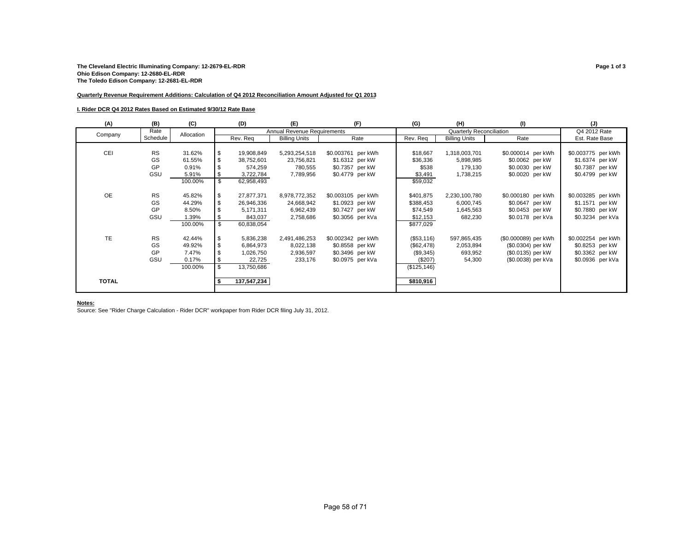#### **Quarterly Revenue Requirement Additions: Calculation of Q4 2012 Reconciliation Amount Adjusted for Q1 2013**

#### **I. Rider DCR Q4 2012 Rates Based on Estimated 9/30/12 Rate Base**

| (A)          | (B)       | (C)        | (D)              | (E)                         | (F)                | (G)          | (H)                             | (1)                  | (J)                |
|--------------|-----------|------------|------------------|-----------------------------|--------------------|--------------|---------------------------------|----------------------|--------------------|
| Company      | Rate      | Allocation |                  | Annual Revenue Requirements |                    |              | <b>Quarterly Reconciliation</b> |                      | Q4 2012 Rate       |
|              | Schedule  |            | Rev. Req         | <b>Billing Units</b>        | Rate               | Rev. Reg     | <b>Billing Units</b>            | Rate                 | Est. Rate Base     |
|              |           |            |                  |                             |                    |              |                                 |                      |                    |
| CEI          | <b>RS</b> | 31.62%     | \$<br>19,908,849 | 5,293,254,518               | \$0.003761 per kWh | \$18,667     | 1,318,003,701                   | \$0.000014 per kWh   | \$0.003775 per kWh |
|              | GS        | 61.55%     | 38,752,601       | 23,756,821                  | \$1.6312 per kW    | \$36,336     | 5,898,985                       | \$0.0062 per kW      | \$1.6374 per kW    |
|              | GP        | 0.91%      | 574,259          | 780,555                     | \$0.7357 per kW    | \$538        | 179,130                         | \$0.0030 per kW      | \$0.7387 per kW    |
|              | GSU       | 5.91%      | \$<br>3,722,784  | 7,789,956                   | \$0.4779 per kW    | \$3,491      | 1,738,215                       | \$0.0020 per kW      | \$0.4799 per kW    |
|              |           | 100.00%    | \$<br>62,958,493 |                             |                    | \$59,032     |                                 |                      |                    |
|              |           |            |                  |                             |                    |              |                                 |                      |                    |
| <b>OE</b>    | <b>RS</b> | 45.82%     | 27,877,371       | 8,978,772,352               | \$0.003105 per kWh | \$401,875    | 2,230,100,780                   | \$0.000180 per kWh   | \$0.003285 per kWh |
|              | GS        | 44.29%     | 26,946,336       | 24,668,942                  | \$1.0923 per kW    | \$388,453    | 6,000,745                       | \$0.0647 per kW      | \$1.1571 per kW    |
|              | GP        | 8.50%      | 5,171,311        | 6,962,439                   | \$0.7427 per kW    | \$74,549     | 1,645,563                       | \$0.0453 per kW      | \$0.7880 per kW    |
|              | GSU       | 1.39%      | 843,037          | 2,758,686                   | \$0.3056 per kVa   | \$12,153     | 682,230                         | \$0.0178 per kVa     | \$0.3234 per kVa   |
|              |           | 100.00%    | \$<br>60,838,054 |                             |                    | \$877,029    |                                 |                      |                    |
|              |           |            |                  |                             |                    |              |                                 |                      |                    |
| TE           | <b>RS</b> | 42.44%     | 5,836,238        | 2,491,486,253               | \$0.002342 per kWh | (\$53,116)   | 597,865,435                     | (\$0.000089) per kWh | \$0.002254 per kWh |
|              | GS        | 49.92%     | 6,864,973        | 8,022,138                   | \$0.8558 per kW    | (\$62,478)   | 2,053,894                       | (\$0.0304) per kW    | \$0.8253 per kW    |
|              | GP        | 7.47%      | 1,026,750        | 2,936,597                   | \$0.3496 per kW    | (\$9,345)    | 693,952                         | (\$0.0135) per kW    | \$0.3362 per kW    |
|              | GSU       | 0.17%      | 22,725           | 233,176                     | \$0.0975 per kVa   | (\$207)      | 54,300                          | (\$0.0038) per kVa   | \$0.0936 per kVa   |
|              |           | 100.00%    | \$<br>13,750,686 |                             |                    | (\$125, 146) |                                 |                      |                    |
|              |           |            |                  |                             |                    |              |                                 |                      |                    |
| <b>TOTAL</b> |           |            | 137,547,234      |                             |                    | \$810,916    |                                 |                      |                    |
|              |           |            |                  |                             |                    |              |                                 |                      |                    |
|              |           |            |                  |                             |                    |              |                                 |                      |                    |

#### **Notes:**

Source: See "Rider Charge Calculation - Rider DCR" workpaper from Rider DCR filing July 31, 2012.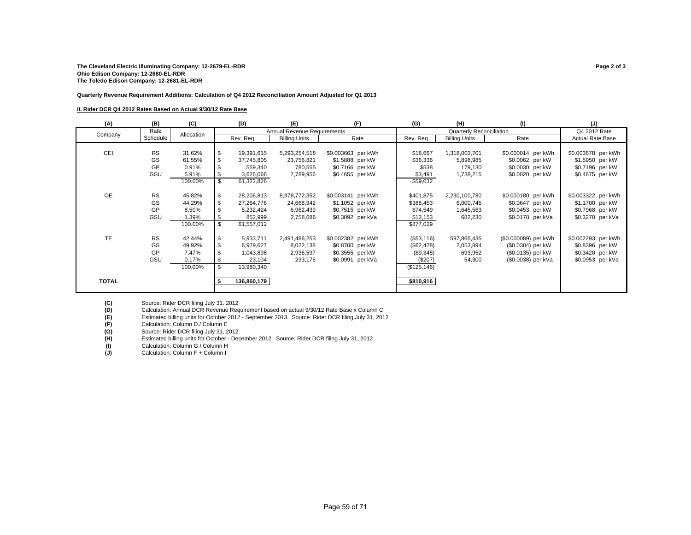#### **Quarterly Revenue Requirement Additions: Calculation of Q4 2012 Reconciliation Amount Adjusted for Q1 2013**

#### **II. Rider DCR Q4 2012 Rates Based on Actual 9/30/12 Rate Base**

| (A)          | (B)       | (C)        |    | (D)         | (E)                         | (F)                | (G)          | (H)                      | (1)                  | (J)                     |
|--------------|-----------|------------|----|-------------|-----------------------------|--------------------|--------------|--------------------------|----------------------|-------------------------|
| Company      | Rate      | Allocation |    |             | Annual Revenue Requirements |                    |              | Quarterly Reconciliation |                      | Q4 2012 Rate            |
|              | Schedule  |            |    | Rev. Req    | <b>Billing Units</b>        | Rate               | Rev. Req     | <b>Billing Units</b>     | Rate                 | <b>Actual Rate Base</b> |
|              |           |            |    |             |                             |                    |              |                          |                      |                         |
| CEI          | <b>RS</b> | 31.62%     | S  | 19,391,615  | 5,293,254,518               | \$0.003663 per kWh | \$18,667     | 1,318,003,701            | \$0.000014 per kWh   | \$0.003678 per kWh      |
|              | GS        | 61.55%     |    | 37,745,805  | 23,756,821                  | \$1.5888 per kW    | \$36,336     | 5,898,985                | \$0.0062 per kW      | \$1.5950 per kW         |
|              | GP        | 0.91%      |    | 559,340     | 780,555                     | \$0.7166 per kW    | \$538        | 179,130                  | \$0.0030 per kW      | \$0.7196 per kW         |
|              | GSU       | 5.91%      |    | 3,626,066   | 7,789,956                   | \$0.4655 per kW    | \$3,491      | 1,738,215                | \$0.0020 per kW      | \$0.4675 per kW         |
|              |           | 100.00%    | \$ | 61,322,826  |                             |                    | \$59,032     |                          |                      |                         |
|              |           |            |    |             |                             |                    |              |                          |                      |                         |
| OE           | <b>RS</b> | 45.82%     |    | 28,206,813  | 8,978,772,352               | \$0.003141 per kWh | \$401,875    | 2,230,100,780            | \$0.000180 per kWh   | \$0.003322 per kWh      |
|              | GS        | 44.29%     |    | 27,264,776  | 24,668,942                  | \$1.1052 per kW    | \$388,453    | 6,000,745                | \$0.0647 per kW      | \$1.1700 per kW         |
|              | GP        | 8.50%      |    | 5,232,424   | 6,962,439                   | \$0.7515 per kW    | \$74,549     | 1,645,563                | \$0.0453 per kW      | \$0.7968 per kW         |
|              | GSU       | 1.39%      |    | 852,999     | 2,758,686                   | \$0.3092 per kVa   | \$12,153     | 682,230                  | \$0.0178 per kVa     | \$0.3270 per kVa        |
|              |           | 100.00%    | \$ | 61,557,012  |                             |                    | \$877,029    |                          |                      |                         |
|              |           |            |    |             |                             |                    |              |                          |                      |                         |
| TE           | <b>RS</b> | 42.44%     | \$ | 5,933,711   | 2,491,486,253               | \$0.002382 per kWh | (\$53,116)   | 597,865,435              | (\$0.000089) per kWh | \$0.002293 per kWh      |
|              | GS        | 49.92%     |    | 6,979,627   | 8,022,138                   | \$0.8700 per kW    | (\$62,478)   | 2,053,894                | (\$0.0304) per kW    | \$0.8396 per kW         |
|              | GP        | 7.47%      |    | 1,043,898   | 2,936,597                   | \$0.3555 per kW    | (\$9,345)    | 693,952                  | (\$0.0135) per kW    | \$0.3420 per kW         |
|              | GSU       | 0.17%      |    | 23,104      | 233,176                     | \$0.0991 per kVa   | (\$207)      | 54,300                   | (\$0.0038) per kVa   | \$0.0953 per kVa        |
|              |           | 100.00%    | \$ | 13,980,340  |                             |                    | (\$125, 146) |                          |                      |                         |
|              |           |            |    |             |                             |                    |              |                          |                      |                         |
| <b>TOTAL</b> |           |            |    | 136,860,179 |                             |                    | \$810,916    |                          |                      |                         |
|              |           |            |    |             |                             |                    |              |                          |                      |                         |

**(D)** Calculation: Annual DCR Revenue Requirement based on actual 9/30/12 Rate Base x Column C

**(E)** Estimated billing units for October 2012 - September 2013. Source: Rider DCR filing July 31, 2012

**(F)** Calculation: Column D / Column E

(C) Source: Rider DCR filing July 31, 2012<br>
(D) Calculation: Annual DCR Revenue Req<br>
(E) Estimated billing units for October 2012<br>
(P) Calculation: Column D / Column B<br>
(G) Source: Rider DCR filing July 31, 2012<br>
(H) Estim **(G)** Source: Rider DCR filing July 31, 2012

**(H)** Estimated billing units for October - December 2012. Source: Rider DCR filing July 31, 2012

(I) Calculation: Column G / Column H<br> **(J)** Calculation: Column F + Column I

**(J)** Calculation: Column F + Column I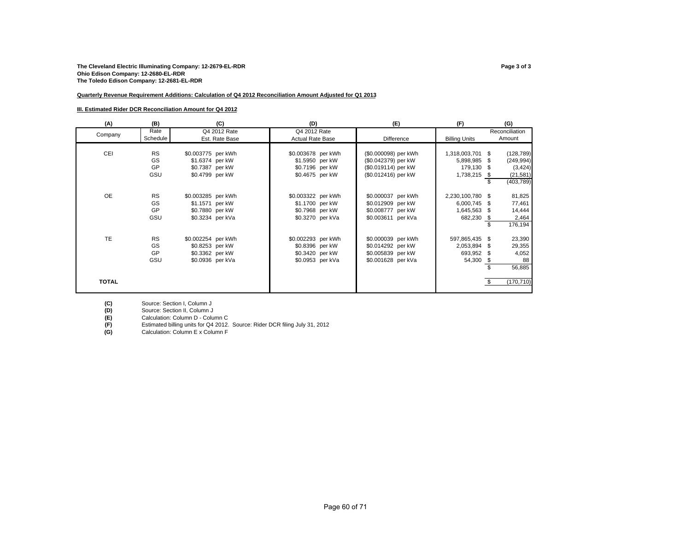#### **The Cleveland Electric Illuminating Company: 12-2679-EL-RDR Page 3 of 3 Ohio Edison Company: 12-2680-EL-RDR The Toledo Edison Company: 12-2681-EL-RDR**

#### **Quarterly Revenue Requirement Additions: Calculation of Q4 2012 Reconciliation Amount Adjusted for Q1 2013**

#### **III. Estimated Rider DCR Reconciliation Amount for Q4 2012**

| (A)          | (B)             | (C)                | (D)                     | (E)                  | (F)                  | (G)              |
|--------------|-----------------|--------------------|-------------------------|----------------------|----------------------|------------------|
| Company      | Rate            | Q4 2012 Rate       | Q4 2012 Rate            |                      |                      | Reconciliation   |
|              | <b>Schedule</b> | Est. Rate Base     | <b>Actual Rate Base</b> | Difference           | <b>Billing Units</b> | Amount           |
|              |                 |                    |                         |                      |                      |                  |
| CEI          | <b>RS</b>       | \$0.003775 per kWh | \$0.003678 per kWh      | (\$0.000098) per kWh | 1,318,003,701 \$     | (128, 789)       |
|              | GS              | \$1.6374 per kW    | \$1.5950 per kW         | (\$0.042379) per kW  | 5,898,985 \$         | (249, 994)       |
|              | GP              | \$0.7387 per kW    | \$0.7196 per kW         | (\$0.019114) per kW  | 179,130 \$           | (3, 424)         |
|              | GSU             | \$0.4799 per kW    | \$0.4675 per kW         | (\$0.012416) per kW  | 1,738,215 \$         | (21, 581)        |
|              |                 |                    |                         |                      |                      | \$<br>(403, 789) |
|              |                 |                    |                         |                      |                      |                  |
| <b>OE</b>    | <b>RS</b>       | \$0.003285 per kWh | \$0.003322 per kWh      | \$0.000037 per kWh   | 2,230,100,780 \$     | 81,825           |
|              | GS              | \$1.1571 per kW    | \$1.1700 per kW         | \$0.012909 per kW    | 6,000,745 \$         | 77,461           |
|              | GP              | \$0.7880 per kW    | \$0.7968 per kW         | \$0.008777 per kW    | 1,645,563 \$         | 14,444           |
|              | GSU             | \$0.3234 per kVa   | \$0.3270 per kVa        | \$0.003611 per kVa   | 682,230 \$           | 2,464            |
|              |                 |                    |                         |                      |                      | 176,194          |
|              |                 |                    |                         |                      |                      |                  |
| <b>TE</b>    | <b>RS</b>       | \$0.002254 per kWh | \$0.002293 per kWh      | \$0.000039 per kWh   | 597,865,435 \$       | 23,390           |
|              | GS              | \$0.8253 per kW    | \$0.8396 per kW         | \$0.014292 per kW    | 2,053,894            | 29,355<br>- \$   |
|              | GP              | \$0.3362 per kW    | \$0.3420 per kW         | \$0.005839 per kW    | 693,952 \$           | 4,052            |
|              | GSU             | \$0.0936 per kVa   | \$0.0953 per kVa        | \$0.001628 per kVa   | 54,300 \$            | 88               |
|              |                 |                    |                         |                      |                      | 56,885<br>\$     |
|              |                 |                    |                         |                      |                      |                  |
| <b>TOTAL</b> |                 |                    |                         |                      |                      | (170, 710)       |
|              |                 |                    |                         |                      |                      |                  |

(C) Source: Section I, Column J<br>
(D) Source: Section II, Column J<br>
Calculation: Column D - Colu<br>
(F) Estimated billing units for Q4<br>
(G) Calculation: Column E x Colu Source: Section II, Column J

**(E)** Calculation: Column D - Column C

**(F)** Estimated billing units for Q4 2012. Source: Rider DCR filing July 31, 2012

**(G)** Calculation: Column E x Column F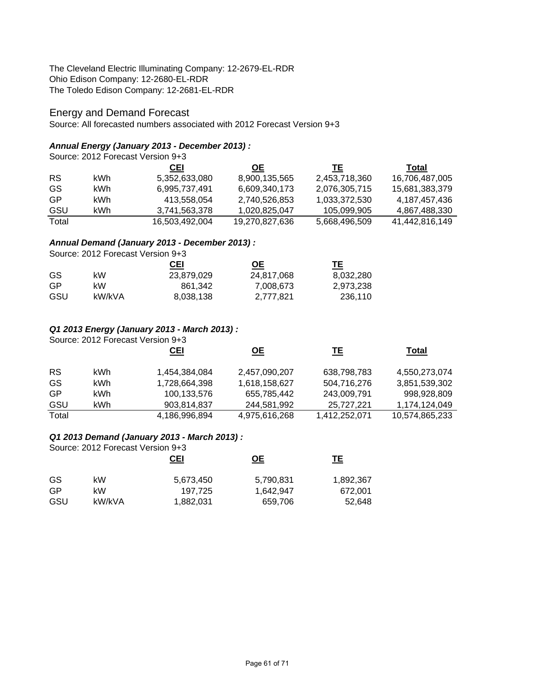The Cleveland Electric Illuminating Company: 12-2679-EL-RDR Ohio Edison Company: 12-2680-EL-RDR The Toledo Edison Company: 12-2681-EL-RDR

# Energy and Demand Forecast

Source: All forecasted numbers associated with 2012 Forecast Version 9+3

# *Annual Energy (January 2013 - December 2013) :*

Source: 2012 Forecast Version 9+3 **CEI OE TE Total** RS kWh 5,352,633,080 8,900,135,565 2,453,718,360 16,706,487,005 GS kWh 6,995,737,491 6,609,340,173 2,076,305,715 15,681,383,379 GP kWh 413,558,054 2,740,526,853 1,033,372,530 4,187,457,436 GSU kWh 3,741,563,378 1,020,825,047 105,099,905 4,867,488,330 Total 16,503,492,004 19,270,827,636 5,668,496,509 41,442,816,149

# *Annual Demand (January 2013 - December 2013) :*

Source: 2012 Forecast Version 9+3

|     |        | CEI        | <u>OE</u>  | TЕ        |
|-----|--------|------------|------------|-----------|
| GS. | kW.    | 23,879,029 | 24.817.068 | 8,032,280 |
| GP  | kW.    | 861.342    | 7.008.673  | 2,973,238 |
| GSU | kW/kVA | 8,038,138  | 2.777.821  | 236.110   |

# *Q1 2013 Energy (January 2013 - March 2013) :*

Source: 2012 Forecast Version 9+3

|           |      | <b>CEI</b>    | <u>OE</u>     | TЕ            | Total          |
|-----------|------|---------------|---------------|---------------|----------------|
| <b>RS</b> | kWh. | 1,454,384,084 | 2,457,090,207 | 638,798,783   | 4,550,273,074  |
| GS        | kWh  | 1,728,664,398 | 1,618,158,627 | 504,716,276   | 3,851,539,302  |
| <b>GP</b> | kWh  | 100,133,576   | 655,785,442   | 243,009,791   | 998,928,809    |
| GSU       | kWh  | 903,814,837   | 244,581,992   | 25,727,221    | 1,174,124,049  |
| Total     |      | 4,186,996,894 | 4,975,616,268 | 1,412,252,071 | 10,574,865,233 |

# *Q1 2013 Demand (January 2013 - March 2013) :*

Source: 2012 Forecast Version 9+3

|        | <b>CEI</b> | <u>ОЕ</u> | TE.       |
|--------|------------|-----------|-----------|
| kW     | 5,673,450  | 5,790,831 | 1,892,367 |
| kW     | 197.725    | 1,642,947 | 672.001   |
| kW/kVA | 1,882,031  | 659,706   | 52,648    |
|        |            |           |           |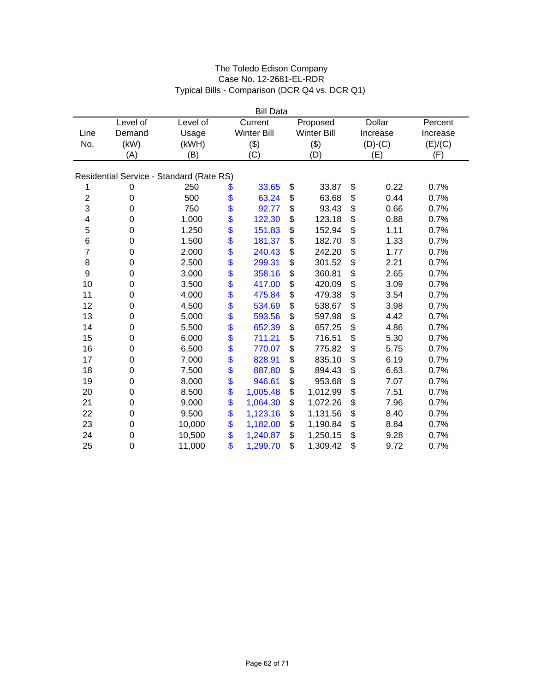|                | <b>Bill Data</b> |                                          |    |                    |    |                    |    |               |          |  |  |
|----------------|------------------|------------------------------------------|----|--------------------|----|--------------------|----|---------------|----------|--|--|
|                | Level of         | Level of                                 |    | Current            |    | Proposed           |    | <b>Dollar</b> | Percent  |  |  |
| Line           | Demand           | Usage                                    |    | <b>Winter Bill</b> |    | <b>Winter Bill</b> |    | Increase      | Increase |  |  |
| No.            | (kW)             | (kWH)                                    |    | (3)                |    | (3)                |    | $(D)-(C)$     | (E)/(C)  |  |  |
|                | (A)              | (B)                                      |    | (C)                |    | (D)                |    | (E)           | (F)      |  |  |
|                |                  |                                          |    |                    |    |                    |    |               |          |  |  |
|                |                  | Residential Service - Standard (Rate RS) |    |                    |    |                    |    |               |          |  |  |
| 1              | 0                | 250                                      | \$ | 33.65              | \$ | 33.87              | \$ | 0.22          | 0.7%     |  |  |
| $\overline{2}$ | $\boldsymbol{0}$ | 500                                      | \$ | 63.24              | \$ | 63.68              | \$ | 0.44          | 0.7%     |  |  |
| 3              | 0                | 750                                      | \$ | 92.77              | \$ | 93.43              | \$ | 0.66          | 0.7%     |  |  |
| 4              | 0                | 1,000                                    | \$ | 122.30             | \$ | 123.18             | \$ | 0.88          | 0.7%     |  |  |
| 5              | 0                | 1,250                                    | \$ | 151.83             | \$ | 152.94             | \$ | 1.11          | 0.7%     |  |  |
| 6              | 0                | 1,500                                    | \$ | 181.37             | \$ | 182.70             | \$ | 1.33          | 0.7%     |  |  |
| 7              | $\boldsymbol{0}$ | 2,000                                    | \$ | 240.43             | \$ | 242.20             | \$ | 1.77          | 0.7%     |  |  |
| $\,8\,$        | $\boldsymbol{0}$ | 2,500                                    | \$ | 299.31             | \$ | 301.52             | \$ | 2.21          | 0.7%     |  |  |
| 9              | 0                | 3,000                                    | \$ | 358.16             | \$ | 360.81             | \$ | 2.65          | 0.7%     |  |  |
| 10             | 0                | 3,500                                    | \$ | 417.00             | \$ | 420.09             | \$ | 3.09          | 0.7%     |  |  |
| 11             | 0                | 4,000                                    | \$ | 475.84             | \$ | 479.38             | \$ | 3.54          | 0.7%     |  |  |
| 12             | 0                | 4,500                                    | \$ | 534.69             | \$ | 538.67             | \$ | 3.98          | 0.7%     |  |  |
| 13             | $\boldsymbol{0}$ | 5,000                                    | \$ | 593.56             | \$ | 597.98             | \$ | 4.42          | 0.7%     |  |  |
| 14             | $\mathbf 0$      | 5,500                                    | \$ | 652.39             | \$ | 657.25             | \$ | 4.86          | 0.7%     |  |  |
| 15             | 0                | 6,000                                    | \$ | 711.21             | \$ | 716.51             | \$ | 5.30          | 0.7%     |  |  |
| 16             | 0                | 6,500                                    | \$ | 770.07             | \$ | 775.82             | \$ | 5.75          | 0.7%     |  |  |
| 17             | 0                | 7,000                                    | \$ | 828.91             | \$ | 835.10             | \$ | 6.19          | 0.7%     |  |  |
| 18             | 0                | 7,500                                    | \$ | 887.80             | \$ | 894.43             | \$ | 6.63          | 0.7%     |  |  |
| 19             | 0                | 8,000                                    | \$ | 946.61             | \$ | 953.68             | \$ | 7.07          | 0.7%     |  |  |
| 20             | $\boldsymbol{0}$ | 8,500                                    | \$ | 1,005.48           | \$ | 1,012.99           | \$ | 7.51          | 0.7%     |  |  |
| 21             | $\mathbf 0$      | 9,000                                    | \$ | 1,064.30           | \$ | 1,072.26           | \$ | 7.96          | 0.7%     |  |  |
| 22             | 0                | 9,500                                    | \$ | 1,123.16           | \$ | 1,131.56           | \$ | 8.40          | 0.7%     |  |  |
| 23             | $\mathbf 0$      | 10,000                                   | \$ | 1,182.00           | \$ | 1,190.84           | \$ | 8.84          | 0.7%     |  |  |
| 24             | 0                | 10,500                                   | \$ | 1,240.87           | \$ | 1,250.15           | \$ | 9.28          | 0.7%     |  |  |
| 25             | $\mathbf 0$      | 11,000                                   | \$ | 1,299.70           | \$ | 1,309.42           | \$ | 9.72          | 0.7%     |  |  |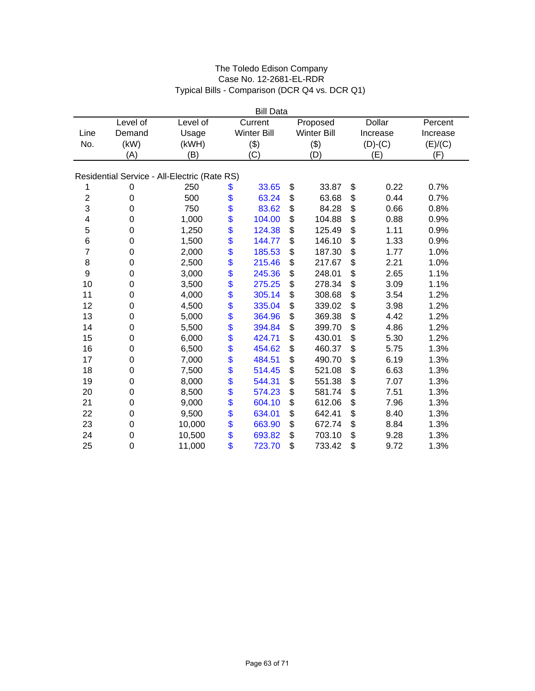|                | <b>Bill Data</b> |                                              |    |                    |    |                    |    |               |          |
|----------------|------------------|----------------------------------------------|----|--------------------|----|--------------------|----|---------------|----------|
|                | Level of         | Level of                                     |    | Current            |    | Proposed           |    | <b>Dollar</b> | Percent  |
| Line           | Demand           | Usage                                        |    | <b>Winter Bill</b> |    | <b>Winter Bill</b> |    | Increase      | Increase |
| No.            | (kW)             | (kWH)                                        |    | (3)                |    | (3)                |    | $(D)-(C)$     | (E)/(C)  |
|                | (A)              | (B)                                          |    | (C)                |    | (D)                |    | (E)           | (F)      |
|                |                  |                                              |    |                    |    |                    |    |               |          |
|                |                  | Residential Service - All-Electric (Rate RS) |    |                    |    |                    |    |               |          |
| 1              | 0                | 250                                          | \$ | 33.65              | \$ | 33.87              | \$ | 0.22          | 0.7%     |
| $\overline{c}$ | $\boldsymbol{0}$ | 500                                          | \$ | 63.24              | \$ | 63.68              | \$ | 0.44          | 0.7%     |
| 3              | 0                | 750                                          | \$ | 83.62              | \$ | 84.28              | \$ | 0.66          | 0.8%     |
| 4              | 0                | 1,000                                        | \$ | 104.00             | \$ | 104.88             | \$ | 0.88          | 0.9%     |
| 5              | 0                | 1,250                                        | \$ | 124.38             | \$ | 125.49             | \$ | 1.11          | 0.9%     |
| 6              | $\boldsymbol{0}$ | 1,500                                        | \$ | 144.77             | \$ | 146.10             | \$ | 1.33          | 0.9%     |
| $\overline{7}$ | $\mathbf 0$      | 2,000                                        | \$ | 185.53             | \$ | 187.30             | \$ | 1.77          | 1.0%     |
| 8              | $\boldsymbol{0}$ | 2,500                                        | \$ | 215.46             | \$ | 217.67             | \$ | 2.21          | 1.0%     |
| 9              | $\boldsymbol{0}$ | 3,000                                        | \$ | 245.36             | \$ | 248.01             | \$ | 2.65          | 1.1%     |
| 10             | 0                | 3,500                                        | \$ | 275.25             | \$ | 278.34             | \$ | 3.09          | 1.1%     |
| 11             | 0                | 4,000                                        | \$ | 305.14             | \$ | 308.68             | \$ | 3.54          | 1.2%     |
| 12             | 0                | 4,500                                        | \$ | 335.04             | \$ | 339.02             | \$ | 3.98          | 1.2%     |
| 13             | $\boldsymbol{0}$ | 5,000                                        | \$ | 364.96             | \$ | 369.38             | \$ | 4.42          | 1.2%     |
| 14             | $\boldsymbol{0}$ | 5,500                                        | \$ | 394.84             | \$ | 399.70             | \$ | 4.86          | 1.2%     |
| 15             | $\mathbf 0$      | 6,000                                        | \$ | 424.71             | \$ | 430.01             | \$ | 5.30          | 1.2%     |
| 16             | $\boldsymbol{0}$ | 6,500                                        | \$ | 454.62             | \$ | 460.37             | \$ | 5.75          | 1.3%     |
| 17             | 0                | 7,000                                        | \$ | 484.51             | \$ | 490.70             | \$ | 6.19          | 1.3%     |
| 18             | 0                | 7,500                                        | \$ | 514.45             | \$ | 521.08             | \$ | 6.63          | 1.3%     |
| 19             | $\boldsymbol{0}$ | 8,000                                        | \$ | 544.31             | \$ | 551.38             | \$ | 7.07          | 1.3%     |
| 20             | $\boldsymbol{0}$ | 8,500                                        | \$ | 574.23             | \$ | 581.74             | \$ | 7.51          | 1.3%     |
| 21             | $\mathbf 0$      | 9,000                                        | \$ | 604.10             | \$ | 612.06             | \$ | 7.96          | 1.3%     |
| 22             | 0                | 9,500                                        | \$ | 634.01             | \$ | 642.41             | \$ | 8.40          | 1.3%     |
| 23             | $\boldsymbol{0}$ | 10,000                                       | \$ | 663.90             | \$ | 672.74             | \$ | 8.84          | 1.3%     |
| 24             | $\mathbf 0$      | 10,500                                       | \$ | 693.82             | \$ | 703.10             | \$ | 9.28          | 1.3%     |
| 25             | 0                | 11,000                                       | \$ | 723.70             | \$ | 733.42             | \$ | 9.72          | 1.3%     |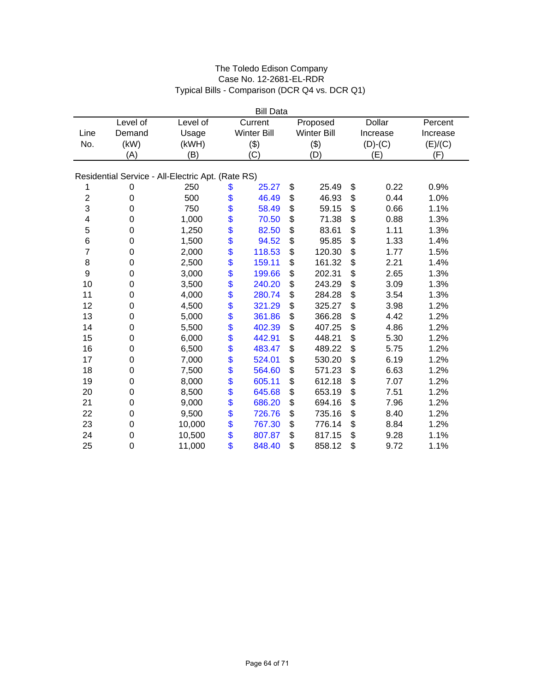|                | <b>Bill Data</b> |                                                   |    |                    |    |                    |    |               |          |  |
|----------------|------------------|---------------------------------------------------|----|--------------------|----|--------------------|----|---------------|----------|--|
|                | Level of         | Level of                                          |    | Current            |    | Proposed           |    | <b>Dollar</b> | Percent  |  |
| Line           | Demand           | Usage                                             |    | <b>Winter Bill</b> |    | <b>Winter Bill</b> |    | Increase      | Increase |  |
| No.            | (kW)             | (kWH)                                             |    | (3)                |    | (3)                |    | $(D)-(C)$     | (E)/(C)  |  |
|                | (A)              | (B)                                               |    | (C)                |    | (D)                |    | (E)           | (F)      |  |
|                |                  |                                                   |    |                    |    |                    |    |               |          |  |
|                |                  | Residential Service - All-Electric Apt. (Rate RS) |    |                    |    |                    |    |               |          |  |
| 1              | 0                | 250                                               | \$ | 25.27              | \$ | 25.49              | \$ | 0.22          | 0.9%     |  |
| $\overline{c}$ | $\boldsymbol{0}$ | 500                                               | \$ | 46.49              | \$ | 46.93              | \$ | 0.44          | 1.0%     |  |
| 3              | 0                | 750                                               | \$ | 58.49              | \$ | 59.15              | \$ | 0.66          | 1.1%     |  |
| 4              | 0                | 1,000                                             | \$ | 70.50              | \$ | 71.38              | \$ | 0.88          | 1.3%     |  |
| 5              | 0                | 1,250                                             | \$ | 82.50              | \$ | 83.61              | \$ | 1.11          | 1.3%     |  |
| 6              | 0                | 1,500                                             | \$ | 94.52              | \$ | 95.85              | \$ | 1.33          | 1.4%     |  |
| 7              | $\mathbf 0$      | 2,000                                             | \$ | 118.53             | \$ | 120.30             | \$ | 1.77          | 1.5%     |  |
| 8              | $\boldsymbol{0}$ | 2,500                                             | \$ | 159.11             | \$ | 161.32             | \$ | 2.21          | 1.4%     |  |
| 9              | 0                | 3,000                                             | \$ | 199.66             | \$ | 202.31             | \$ | 2.65          | 1.3%     |  |
| 10             | 0                | 3,500                                             | \$ | 240.20             | \$ | 243.29             | \$ | 3.09          | 1.3%     |  |
| 11             | 0                | 4,000                                             | \$ | 280.74             | \$ | 284.28             | \$ | 3.54          | 1.3%     |  |
| 12             | 0                | 4,500                                             | \$ | 321.29             | \$ | 325.27             | \$ | 3.98          | 1.2%     |  |
| 13             | $\mathbf 0$      | 5,000                                             | \$ | 361.86             | \$ | 366.28             | \$ | 4.42          | 1.2%     |  |
| 14             | $\boldsymbol{0}$ | 5,500                                             | \$ | 402.39             | \$ | 407.25             | \$ | 4.86          | 1.2%     |  |
| 15             | 0                | 6,000                                             | \$ | 442.91             | \$ | 448.21             | \$ | 5.30          | 1.2%     |  |
| 16             | 0                | 6,500                                             | \$ | 483.47             | \$ | 489.22             | \$ | 5.75          | 1.2%     |  |
| 17             | 0                | 7,000                                             | \$ | 524.01             | \$ | 530.20             | \$ | 6.19          | 1.2%     |  |
| 18             | 0                | 7,500                                             | \$ | 564.60             | \$ | 571.23             | \$ | 6.63          | 1.2%     |  |
| 19             | $\boldsymbol{0}$ | 8,000                                             | \$ | 605.11             | \$ | 612.18             | \$ | 7.07          | 1.2%     |  |
| 20             | $\boldsymbol{0}$ | 8,500                                             | \$ | 645.68             | \$ | 653.19             | \$ | 7.51          | 1.2%     |  |
| 21             | $\mathbf 0$      | 9,000                                             | \$ | 686.20             | \$ | 694.16             | \$ | 7.96          | 1.2%     |  |
| 22             | 0                | 9,500                                             | \$ | 726.76             | \$ | 735.16             | \$ | 8.40          | 1.2%     |  |
| 23             | $\boldsymbol{0}$ | 10,000                                            | \$ | 767.30             | \$ | 776.14             | \$ | 8.84          | 1.2%     |  |
| 24             | $\mathbf 0$      | 10,500                                            | \$ | 807.87             | \$ | 817.15             | \$ | 9.28          | 1.1%     |  |
| 25             | 0                | 11,000                                            | \$ | 848.40             | \$ | 858.12             | \$ | 9.72          | 1.1%     |  |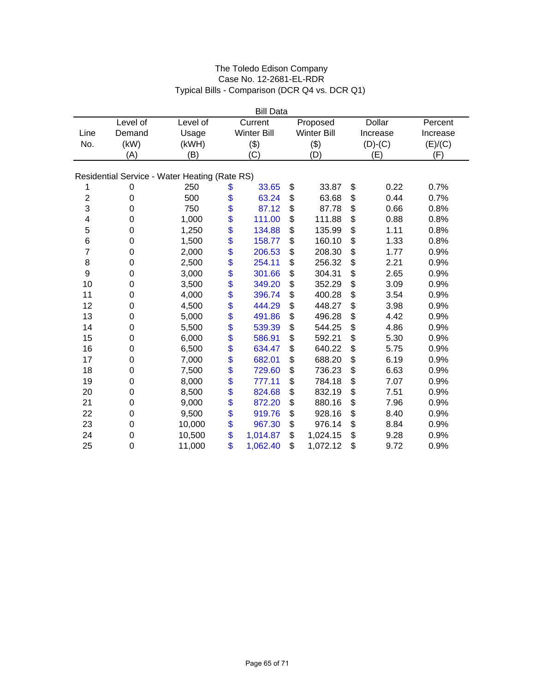|                | <b>Bill Data</b> |                                               |    |                    |    |                    |    |               |          |  |
|----------------|------------------|-----------------------------------------------|----|--------------------|----|--------------------|----|---------------|----------|--|
|                | Level of         | Level of                                      |    | Current            |    | Proposed           |    | <b>Dollar</b> | Percent  |  |
| Line           | Demand           | Usage                                         |    | <b>Winter Bill</b> |    | <b>Winter Bill</b> |    | Increase      | Increase |  |
| No.            | (kW)             | (kWH)                                         |    | (3)                |    | (3)                |    | $(D)-(C)$     | (E)/(C)  |  |
|                | (A)              | (B)                                           |    | (C)                |    | (D)                |    | (E)           | (F)      |  |
|                |                  |                                               |    |                    |    |                    |    |               |          |  |
|                |                  | Residential Service - Water Heating (Rate RS) |    |                    |    |                    |    |               |          |  |
| 1              | 0                | 250                                           | \$ | 33.65              | \$ | 33.87              | \$ | 0.22          | 0.7%     |  |
| $\overline{c}$ | $\pmb{0}$        | 500                                           | \$ | 63.24              | \$ | 63.68              | \$ | 0.44          | 0.7%     |  |
| 3              | 0                | 750                                           | \$ | 87.12              | \$ | 87.78              | \$ | 0.66          | 0.8%     |  |
| 4              | 0                | 1,000                                         | \$ | 111.00             | \$ | 111.88             | \$ | 0.88          | 0.8%     |  |
| 5              | 0                | 1,250                                         | \$ | 134.88             | \$ | 135.99             | \$ | 1.11          | 0.8%     |  |
| 6              | 0                | 1,500                                         | \$ | 158.77             | \$ | 160.10             | \$ | 1.33          | 0.8%     |  |
| 7              | $\boldsymbol{0}$ | 2,000                                         | \$ | 206.53             | \$ | 208.30             | \$ | 1.77          | 0.9%     |  |
| 8              | $\boldsymbol{0}$ | 2,500                                         | \$ | 254.11             | \$ | 256.32             | \$ | 2.21          | 0.9%     |  |
| 9              | 0                | 3,000                                         | \$ | 301.66             | \$ | 304.31             | \$ | 2.65          | 0.9%     |  |
| 10             | 0                | 3,500                                         | \$ | 349.20             | \$ | 352.29             | \$ | 3.09          | 0.9%     |  |
| 11             | 0                | 4,000                                         | \$ | 396.74             | \$ | 400.28             | \$ | 3.54          | 0.9%     |  |
| 12             | 0                | 4,500                                         | \$ | 444.29             | \$ | 448.27             | \$ | 3.98          | 0.9%     |  |
| 13             | $\mathbf 0$      | 5,000                                         | \$ | 491.86             | \$ | 496.28             | \$ | 4.42          | 0.9%     |  |
| 14             | $\boldsymbol{0}$ | 5,500                                         | \$ | 539.39             | \$ | 544.25             | \$ | 4.86          | 0.9%     |  |
| 15             | 0                | 6,000                                         | \$ | 586.91             | \$ | 592.21             | \$ | 5.30          | 0.9%     |  |
| 16             | 0                | 6,500                                         | \$ | 634.47             | \$ | 640.22             | \$ | 5.75          | 0.9%     |  |
| 17             | 0                | 7,000                                         | \$ | 682.01             | \$ | 688.20             | \$ | 6.19          | 0.9%     |  |
| 18             | 0                | 7,500                                         | \$ | 729.60             | \$ | 736.23             | \$ | 6.63          | 0.9%     |  |
| 19             | $\pmb{0}$        | 8,000                                         | \$ | 777.11             | \$ | 784.18             | \$ | 7.07          | 0.9%     |  |
| 20             | $\boldsymbol{0}$ | 8,500                                         | \$ | 824.68             | \$ | 832.19             | \$ | 7.51          | 0.9%     |  |
| 21             | $\mathbf 0$      | 9,000                                         | \$ | 872.20             | \$ | 880.16             | \$ | 7.96          | 0.9%     |  |
| 22             | 0                | 9,500                                         | \$ | 919.76             | \$ | 928.16             | \$ | 8.40          | 0.9%     |  |
| 23             | $\boldsymbol{0}$ | 10,000                                        | \$ | 967.30             | \$ | 976.14             | \$ | 8.84          | 0.9%     |  |
| 24             | $\mathbf 0$      | 10,500                                        | \$ | 1,014.87           | \$ | 1,024.15           | \$ | 9.28          | 0.9%     |  |
| 25             | 0                | 11,000                                        | \$ | 1,062.40           | \$ | 1,072.12           | \$ | 9.72          | 0.9%     |  |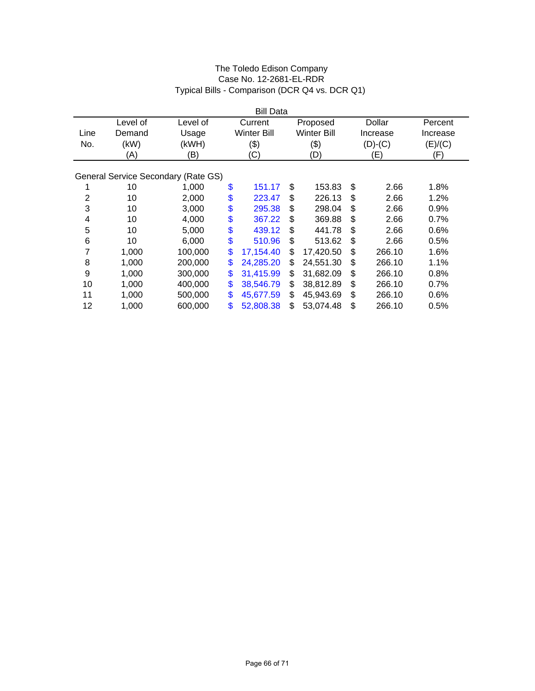|                | <b>Bill Data</b> |                                     |    |                    |    |                    |    |           |          |  |
|----------------|------------------|-------------------------------------|----|--------------------|----|--------------------|----|-----------|----------|--|
|                | Level of         | Level of                            |    | Current            |    | Proposed           |    | Dollar    | Percent  |  |
| Line           | Demand           | Usage                               |    | <b>Winter Bill</b> |    | <b>Winter Bill</b> |    | Increase  | Increase |  |
| No.            | (kW)             | (kWH)                               |    | (3)                |    | $(\$)$             |    | $(D)-(C)$ | (E)/(C)  |  |
|                | (A)              | (B)                                 |    | (C)                |    | (D)                |    | (E)       | (F)      |  |
|                |                  |                                     |    |                    |    |                    |    |           |          |  |
|                |                  | General Service Secondary (Rate GS) |    |                    |    |                    |    |           |          |  |
| 1              | 10               | 1,000                               | \$ | 151.17             | \$ | 153.83             | \$ | 2.66      | 1.8%     |  |
| $\overline{2}$ | 10               | 2,000                               | \$ | 223.47             | \$ | 226.13             | \$ | 2.66      | 1.2%     |  |
| 3              | 10               | 3,000                               | \$ | 295.38             | \$ | 298.04             | \$ | 2.66      | 0.9%     |  |
| 4              | 10               | 4,000                               | \$ | 367.22             | \$ | 369.88             | \$ | 2.66      | 0.7%     |  |
| 5              | 10               | 5,000                               | \$ | 439.12             | \$ | 441.78             | \$ | 2.66      | 0.6%     |  |
| 6              | 10               | 6,000                               | \$ | 510.96             | \$ | 513.62             | \$ | 2.66      | 0.5%     |  |
| 7              | 1,000            | 100,000                             | \$ | 17,154.40          | \$ | 17,420.50          | \$ | 266.10    | 1.6%     |  |
| 8              | 1,000            | 200,000                             | \$ | 24,285.20          | \$ | 24,551.30          | \$ | 266.10    | 1.1%     |  |
| 9              | 1,000            | 300,000                             | \$ | 31,415.99          | \$ | 31,682.09          | \$ | 266.10    | 0.8%     |  |
| 10             | 1,000            | 400,000                             | \$ | 38,546.79          | \$ | 38,812.89          | \$ | 266.10    | 0.7%     |  |
| 11             | 1,000            | 500,000                             | \$ | 45,677.59          | \$ | 45,943.69          | \$ | 266.10    | 0.6%     |  |
| 12             | 1,000            | 600,000                             | \$ | 52,808.38          | \$ | 53,074.48          | \$ | 266.10    | 0.5%     |  |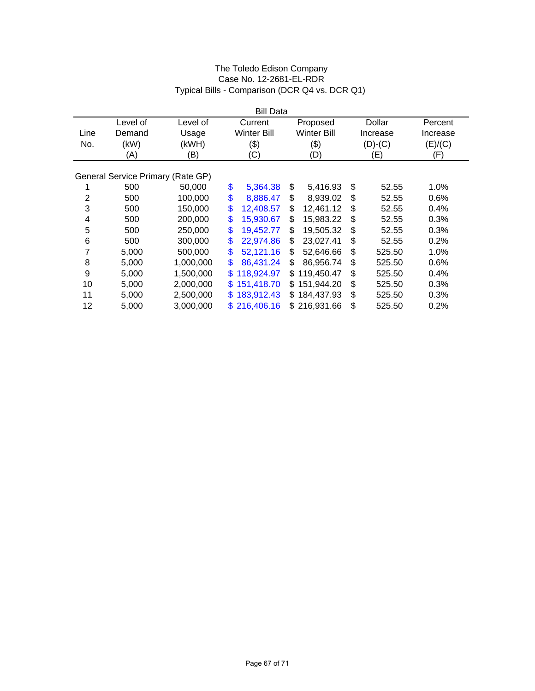|                         |                                   |           | <b>Bill Data</b>   |                    |              |          |
|-------------------------|-----------------------------------|-----------|--------------------|--------------------|--------------|----------|
|                         | Level of                          | Level of  | Current            | Proposed           | Dollar       | Percent  |
| Line                    | Demand                            | Usage     | <b>Winter Bill</b> | <b>Winter Bill</b> | Increase     | Increase |
| No.                     | (kW)                              | (kWH)     | (3)                | (3)                | $(D)-(C)$    | (E)/(C)  |
|                         | (A)                               | (B)       | (C)                | (D)                | (E)          | (F)      |
|                         |                                   |           |                    |                    |              |          |
|                         | General Service Primary (Rate GP) |           |                    |                    |              |          |
|                         | 500                               | 50,000    | \$<br>5,364.38     | \$<br>5,416.93     | \$<br>52.55  | 1.0%     |
| $\overline{2}$          | 500                               | 100,000   | \$<br>8,886.47     | \$<br>8,939.02     | \$<br>52.55  | 0.6%     |
| 3                       | 500                               | 150,000   | \$<br>12.408.57    | \$<br>12,461.12    | \$<br>52.55  | 0.4%     |
| $\overline{\mathbf{4}}$ | 500                               | 200,000   | \$<br>15,930.67    | \$<br>15,983.22    | \$<br>52.55  | 0.3%     |
| 5                       | 500                               | 250,000   | \$<br>19,452.77    | \$<br>19,505.32    | \$<br>52.55  | 0.3%     |
| 6                       | 500                               | 300,000   | \$<br>22,974.86    | \$<br>23,027.41    | \$<br>52.55  | 0.2%     |
| 7                       | 5,000                             | 500,000   | \$<br>52,121.16    | \$<br>52,646.66    | \$<br>525.50 | 1.0%     |
| 8                       | 5,000                             | 1,000,000 | \$<br>86,431.24    | \$<br>86,956.74    | \$<br>525.50 | 0.6%     |
| 9                       | 5,000                             | 1,500,000 | 118,924.97<br>\$.  | \$119,450.47       | \$<br>525.50 | 0.4%     |
| 10                      | 5,000                             | 2,000,000 | 151,418.70<br>\$.  | \$151,944.20       | \$<br>525.50 | 0.3%     |
| 11                      | 5,000                             | 2,500,000 | 183,912.43<br>\$.  | \$184,437.93       | \$<br>525.50 | 0.3%     |
| 12                      | 5,000                             | 3,000,000 | \$216,406.16       | \$216,931.66       | \$<br>525.50 | 0.2%     |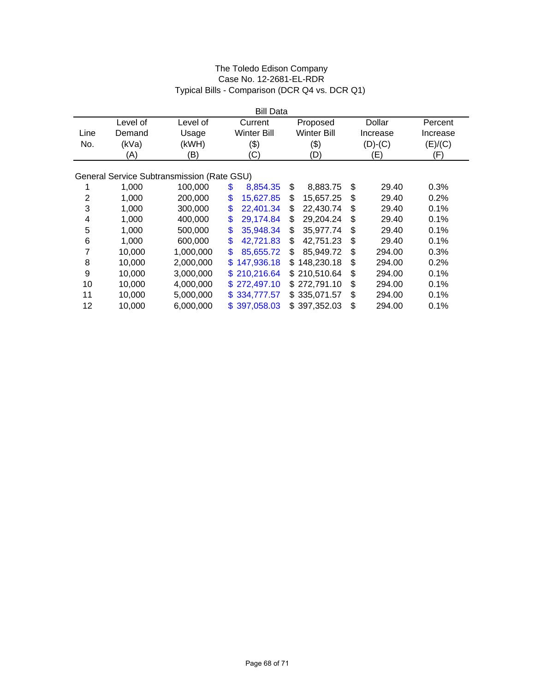|                |          |                                            | <b>Bill Data</b> |                    |              |          |
|----------------|----------|--------------------------------------------|------------------|--------------------|--------------|----------|
|                | Level of | Level of                                   | Current          | Proposed           | Dollar       | Percent  |
| Line           | Demand   | Usage                                      | Winter Bill      | <b>Winter Bill</b> | Increase     | Increase |
| No.            | (kVa)    | (kWH)                                      | (3)              | \$)                | $(D)-(C)$    | (E)/(C)  |
|                | (A)      | (B)                                        | (C)              | (D)                | (E)          | (F)      |
|                |          |                                            |                  |                    |              |          |
|                |          | General Service Subtransmission (Rate GSU) |                  |                    |              |          |
|                | 1,000    | 100,000                                    | \$<br>8,854.35   | \$<br>8,883.75     | \$<br>29.40  | 0.3%     |
| $\overline{2}$ | 1,000    | 200,000                                    | \$<br>15,627.85  | \$<br>15,657.25    | \$<br>29.40  | 0.2%     |
| 3              | 1,000    | 300,000                                    | \$<br>22,401.34  | \$<br>22.430.74    | \$<br>29.40  | 0.1%     |
| 4              | 1,000    | 400,000                                    | \$<br>29,174.84  | \$<br>29,204.24    | \$<br>29.40  | 0.1%     |
| 5              | 1,000    | 500,000                                    | \$<br>35,948.34  | \$<br>35,977.74    | \$<br>29.40  | 0.1%     |
| 6              | 1,000    | 600,000                                    | \$<br>42,721.83  | \$<br>42,751.23    | \$<br>29.40  | 0.1%     |
| 7              | 10,000   | 1,000,000                                  | \$<br>85,655.72  | \$<br>85,949.72    | \$<br>294.00 | 0.3%     |
| 8              | 10,000   | 2,000,000                                  | \$<br>147,936.18 | \$148,230.18       | \$<br>294.00 | 0.2%     |
| 9              | 10,000   | 3,000,000                                  | \$210,216.64     | \$210,510.64       | \$<br>294.00 | 0.1%     |
| 10             | 10,000   | 4,000,000                                  | \$272,497.10     | \$272,791.10       | \$<br>294.00 | 0.1%     |
| 11             | 10,000   | 5,000,000                                  | \$334,777.57     | \$335,071.57       | \$<br>294.00 | 0.1%     |
| 12             | 10,000   | 6,000,000                                  | \$397,058.03     | \$397,352.03       | \$<br>294.00 | 0.1%     |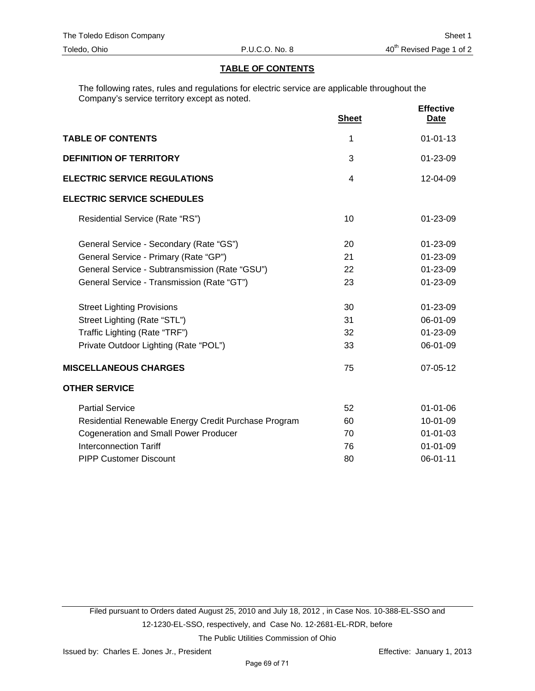# **TABLE OF CONTENTS**

The following rates, rules and regulations for electric service are applicable throughout the Company's service territory except as noted.

|                                                      | <b>Sheet</b> | <b>Effective</b><br><u>Date</u> |
|------------------------------------------------------|--------------|---------------------------------|
| <b>TABLE OF CONTENTS</b>                             | 1            | $01 - 01 - 13$                  |
| <b>DEFINITION OF TERRITORY</b>                       | 3            | 01-23-09                        |
| <b>ELECTRIC SERVICE REGULATIONS</b>                  | 4            | 12-04-09                        |
| <b>ELECTRIC SERVICE SCHEDULES</b>                    |              |                                 |
| Residential Service (Rate "RS")                      | 10           | 01-23-09                        |
| General Service - Secondary (Rate "GS")              | 20           | 01-23-09                        |
| General Service - Primary (Rate "GP")                | 21           | 01-23-09                        |
| General Service - Subtransmission (Rate "GSU")       | 22           | 01-23-09                        |
| General Service - Transmission (Rate "GT")           | 23           | 01-23-09                        |
| <b>Street Lighting Provisions</b>                    | 30           | 01-23-09                        |
| Street Lighting (Rate "STL")                         | 31           | 06-01-09                        |
| Traffic Lighting (Rate "TRF")                        | 32           | 01-23-09                        |
| Private Outdoor Lighting (Rate "POL")                | 33           | 06-01-09                        |
| <b>MISCELLANEOUS CHARGES</b>                         | 75           | 07-05-12                        |
| <b>OTHER SERVICE</b>                                 |              |                                 |
| <b>Partial Service</b>                               | 52           | $01 - 01 - 06$                  |
| Residential Renewable Energy Credit Purchase Program | 60           | 10-01-09                        |
| <b>Cogeneration and Small Power Producer</b>         | 70           | $01 - 01 - 03$                  |
| <b>Interconnection Tariff</b>                        | 76           | $01 - 01 - 09$                  |
| <b>PIPP Customer Discount</b>                        | 80           | 06-01-11                        |

Filed pursuant to Orders dated August 25, 2010 and July 18, 2012 , in Case Nos. 10-388-EL-SSO and 12-1230-EL-SSO, respectively, and Case No. 12-2681-EL-RDR, before The Public Utilities Commission of Ohio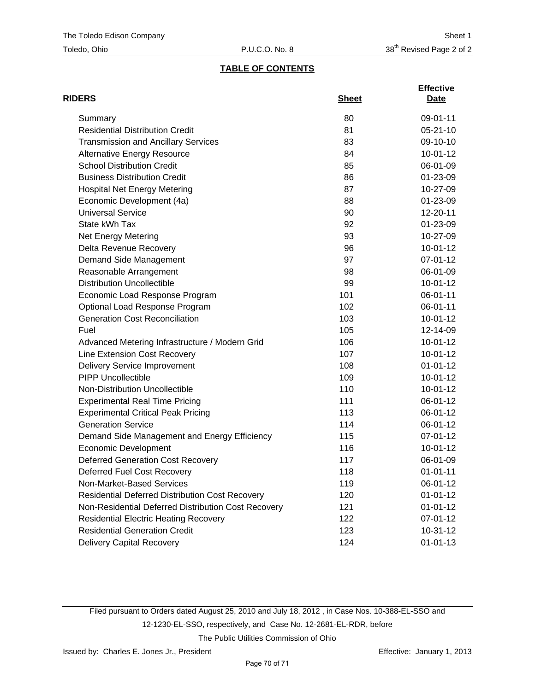# **TABLE OF CONTENTS**

| <b>RIDERS</b>                                          | <b>Sheet</b> | <b>Effective</b><br>Date |
|--------------------------------------------------------|--------------|--------------------------|
| Summary                                                | 80           | 09-01-11                 |
| <b>Residential Distribution Credit</b>                 | 81           | $05 - 21 - 10$           |
| <b>Transmission and Ancillary Services</b>             | 83           | 09-10-10                 |
| <b>Alternative Energy Resource</b>                     | 84           | $10-01-12$               |
| <b>School Distribution Credit</b>                      | 85           | 06-01-09                 |
| <b>Business Distribution Credit</b>                    | 86           | 01-23-09                 |
| <b>Hospital Net Energy Metering</b>                    | 87           | 10-27-09                 |
| Economic Development (4a)                              | 88           | 01-23-09                 |
| <b>Universal Service</b>                               | 90           | 12-20-11                 |
| State kWh Tax                                          | 92           | 01-23-09                 |
| Net Energy Metering                                    | 93           | 10-27-09                 |
| Delta Revenue Recovery                                 | 96           | $10-01-12$               |
| Demand Side Management                                 | 97           | 07-01-12                 |
| Reasonable Arrangement                                 | 98           | 06-01-09                 |
| <b>Distribution Uncollectible</b>                      | 99           | $10-01-12$               |
| Economic Load Response Program                         | 101          | 06-01-11                 |
| Optional Load Response Program                         | 102          | 06-01-11                 |
| <b>Generation Cost Reconciliation</b>                  | 103          | $10 - 01 - 12$           |
| Fuel                                                   | 105          | 12-14-09                 |
| Advanced Metering Infrastructure / Modern Grid         | 106          | $10-01-12$               |
| Line Extension Cost Recovery                           | 107          | $10-01-12$               |
| Delivery Service Improvement                           | 108          | $01 - 01 - 12$           |
| <b>PIPP Uncollectible</b>                              | 109          | $10-01-12$               |
| Non-Distribution Uncollectible                         | 110          | $10-01-12$               |
| <b>Experimental Real Time Pricing</b>                  | 111          | 06-01-12                 |
| <b>Experimental Critical Peak Pricing</b>              | 113          | 06-01-12                 |
| <b>Generation Service</b>                              | 114          | 06-01-12                 |
| Demand Side Management and Energy Efficiency           | 115          | 07-01-12                 |
| <b>Economic Development</b>                            | 116          | $10-01-12$               |
| <b>Deferred Generation Cost Recovery</b>               | 117          | 06-01-09                 |
| <b>Deferred Fuel Cost Recovery</b>                     | 118          | $01 - 01 - 11$           |
| Non-Market-Based Services                              | 119          | 06-01-12                 |
| <b>Residential Deferred Distribution Cost Recovery</b> | 120          | $01 - 01 - 12$           |
| Non-Residential Deferred Distribution Cost Recovery    | 121          | $01 - 01 - 12$           |
| <b>Residential Electric Heating Recovery</b>           | 122          | 07-01-12                 |
| <b>Residential Generation Credit</b>                   | 123          | 10-31-12                 |
| <b>Delivery Capital Recovery</b>                       | 124          | $01 - 01 - 13$           |

Filed pursuant to Orders dated August 25, 2010 and July 18, 2012 , in Case Nos. 10-388-EL-SSO and 12-1230-EL-SSO, respectively, and Case No. 12-2681-EL-RDR, before The Public Utilities Commission of Ohio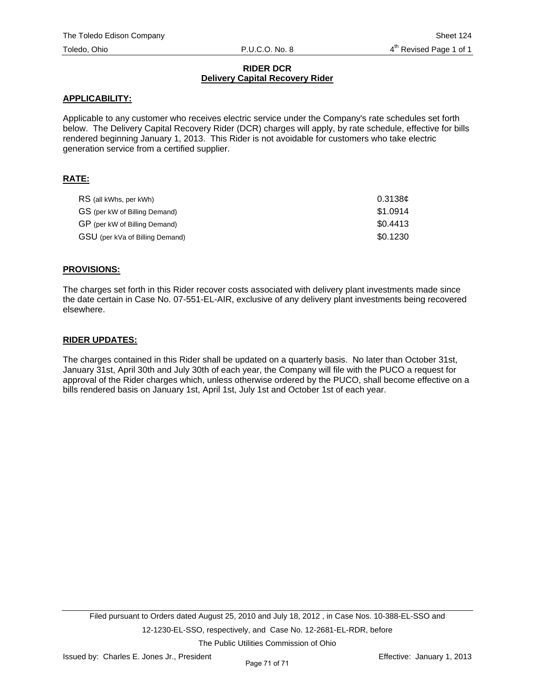### **RIDER DCR Delivery Capital Recovery Rider**

### **APPLICABILITY:**

Applicable to any customer who receives electric service under the Company's rate schedules set forth below. The Delivery Capital Recovery Rider (DCR) charges will apply, by rate schedule, effective for bills rendered beginning January 1, 2013. This Rider is not avoidable for customers who take electric generation service from a certified supplier.

## **RATE:**

| RS (all kWhs, per kWh)          | 0.3138c  |
|---------------------------------|----------|
| GS (per kW of Billing Demand)   | \$1.0914 |
| GP (per kW of Billing Demand)   | \$0.4413 |
| GSU (per kVa of Billing Demand) | \$0.1230 |

## **PROVISIONS:**

The charges set forth in this Rider recover costs associated with delivery plant investments made since the date certain in Case No. 07-551-EL-AIR, exclusive of any delivery plant investments being recovered elsewhere.

### **RIDER UPDATES:**

The charges contained in this Rider shall be updated on a quarterly basis. No later than October 31st, January 31st, April 30th and July 30th of each year, the Company will file with the PUCO a request for approval of the Rider charges which, unless otherwise ordered by the PUCO, shall become effective on a bills rendered basis on January 1st, April 1st, July 1st and October 1st of each year.